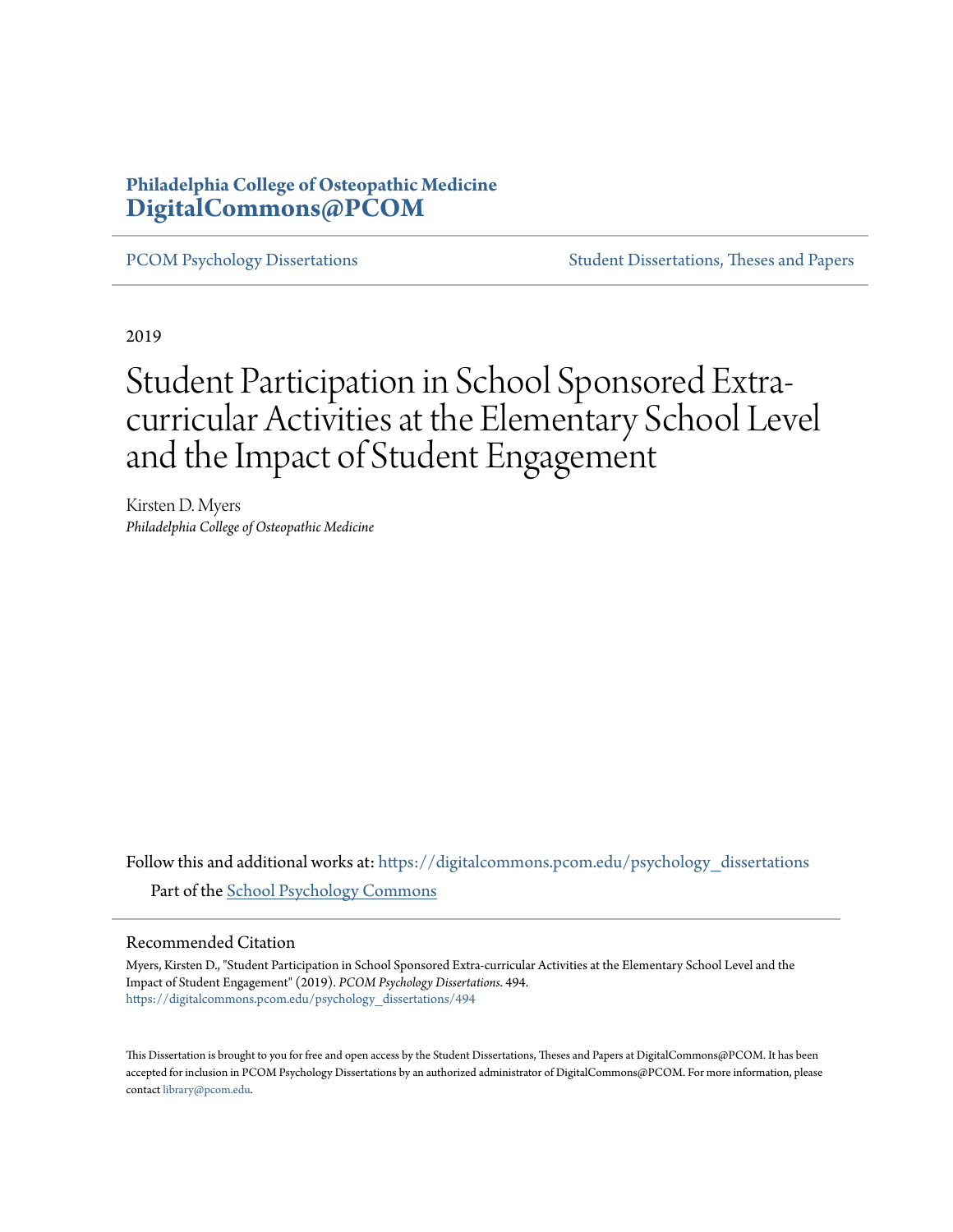# **Philadelphia College of Osteopathic Medicine [DigitalCommons@PCOM](https://digitalcommons.pcom.edu?utm_source=digitalcommons.pcom.edu%2Fpsychology_dissertations%2F494&utm_medium=PDF&utm_campaign=PDFCoverPages)**

[PCOM Psychology Dissertations](https://digitalcommons.pcom.edu/psychology_dissertations?utm_source=digitalcommons.pcom.edu%2Fpsychology_dissertations%2F494&utm_medium=PDF&utm_campaign=PDFCoverPages) [Student Dissertations, Theses and Papers](https://digitalcommons.pcom.edu/etds?utm_source=digitalcommons.pcom.edu%2Fpsychology_dissertations%2F494&utm_medium=PDF&utm_campaign=PDFCoverPages)

2019

# Student Participation in School Sponsored Extracurricular Activities at the Elementary School Level and the Impact of Student Engagement

Kirsten D. Myers *Philadelphia College of Osteopathic Medicine*

Follow this and additional works at: [https://digitalcommons.pcom.edu/psychology\\_dissertations](https://digitalcommons.pcom.edu/psychology_dissertations?utm_source=digitalcommons.pcom.edu%2Fpsychology_dissertations%2F494&utm_medium=PDF&utm_campaign=PDFCoverPages) Part of the [School Psychology Commons](http://network.bepress.com/hgg/discipline/1072?utm_source=digitalcommons.pcom.edu%2Fpsychology_dissertations%2F494&utm_medium=PDF&utm_campaign=PDFCoverPages)

#### Recommended Citation

Myers, Kirsten D., "Student Participation in School Sponsored Extra-curricular Activities at the Elementary School Level and the Impact of Student Engagement" (2019). *PCOM Psychology Dissertations*. 494. [https://digitalcommons.pcom.edu/psychology\\_dissertations/494](https://digitalcommons.pcom.edu/psychology_dissertations/494?utm_source=digitalcommons.pcom.edu%2Fpsychology_dissertations%2F494&utm_medium=PDF&utm_campaign=PDFCoverPages)

This Dissertation is brought to you for free and open access by the Student Dissertations, Theses and Papers at DigitalCommons@PCOM. It has been accepted for inclusion in PCOM Psychology Dissertations by an authorized administrator of DigitalCommons@PCOM. For more information, please contact [library@pcom.edu.](mailto:library@pcom.edu)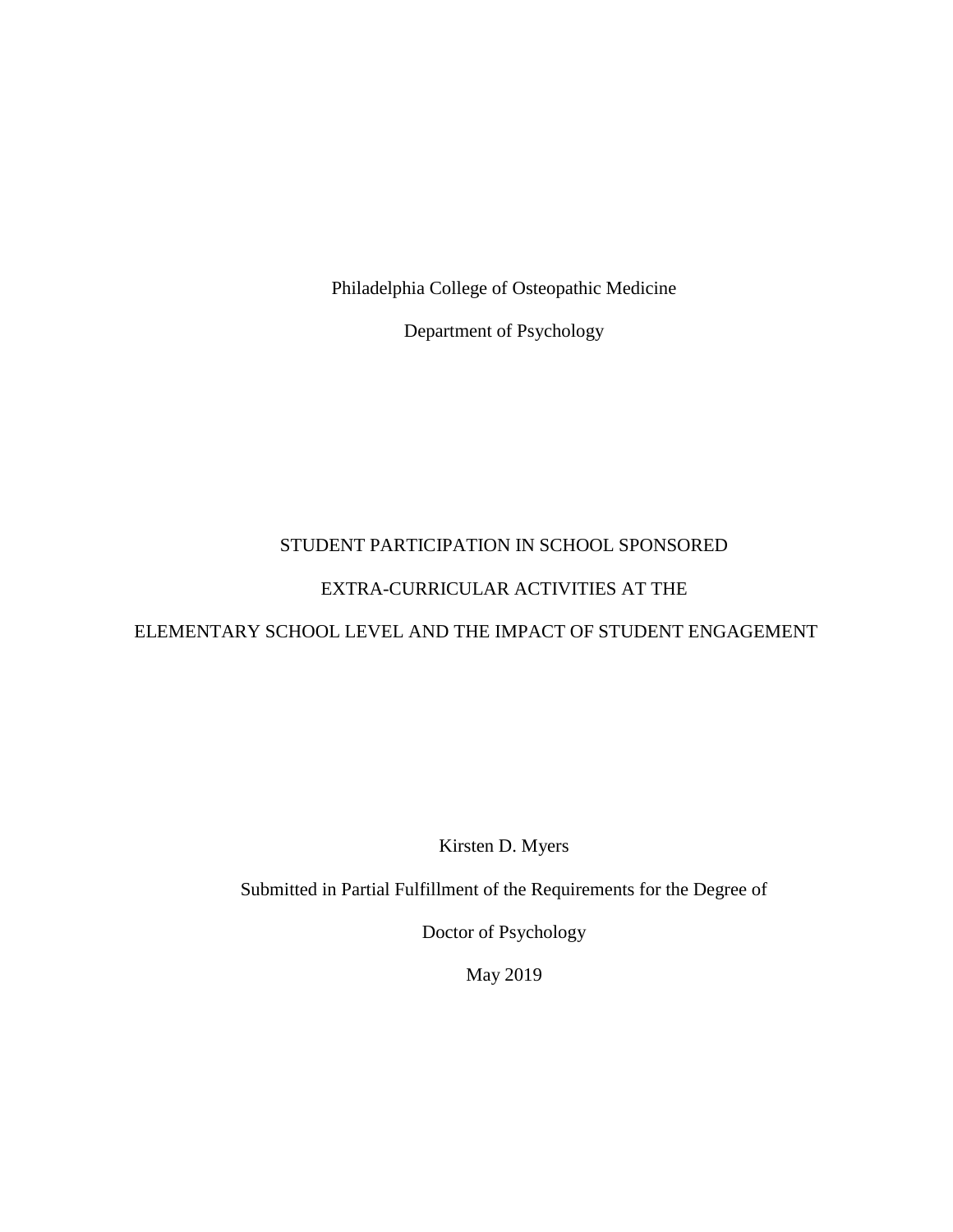Philadelphia College of Osteopathic Medicine

Department of Psychology

# STUDENT PARTICIPATION IN SCHOOL SPONSORED

# EXTRA-CURRICULAR ACTIVITIES AT THE

# ELEMENTARY SCHOOL LEVEL AND THE IMPACT OF STUDENT ENGAGEMENT

Kirsten D. Myers

Submitted in Partial Fulfillment of the Requirements for the Degree of

Doctor of Psychology

May 2019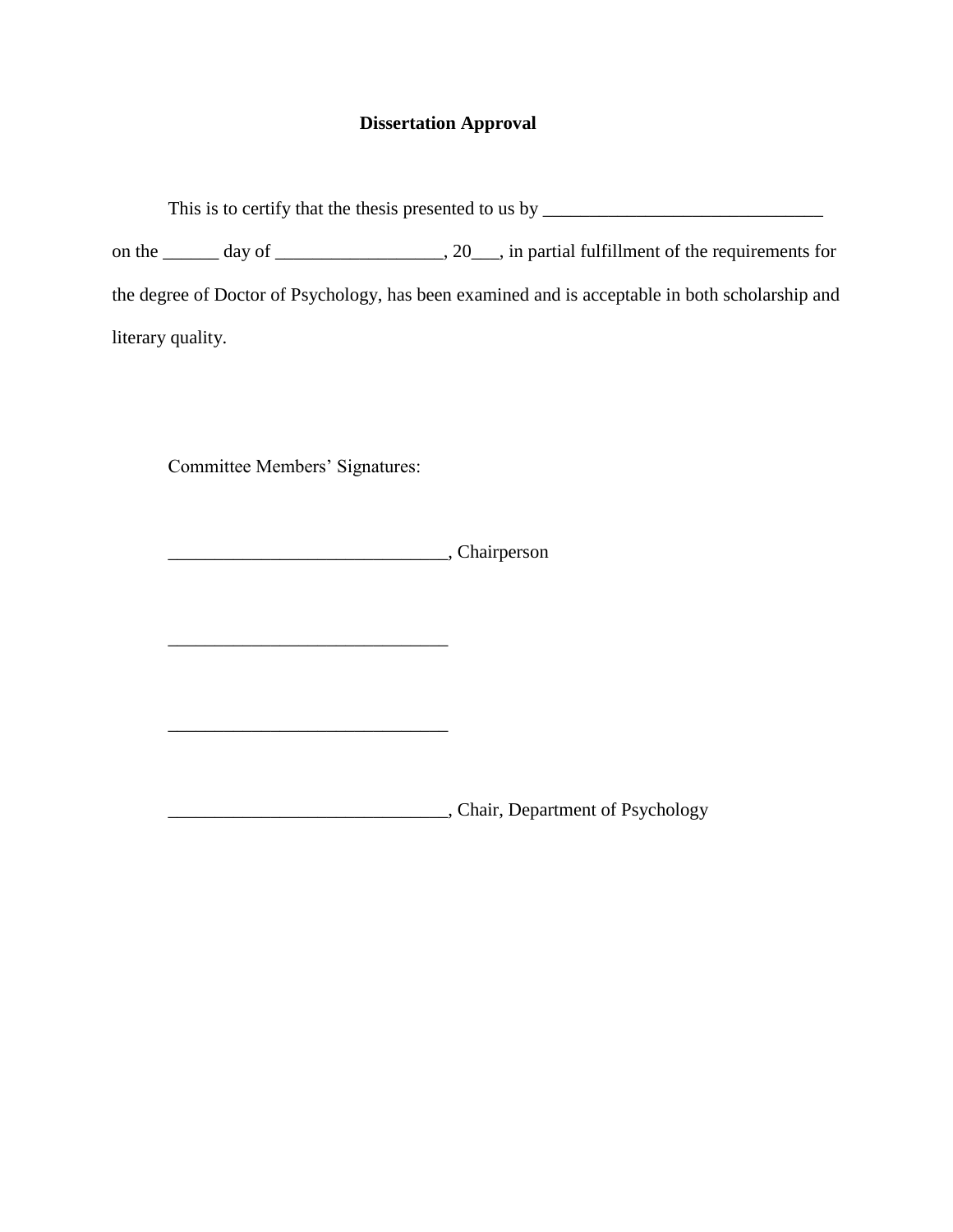# **Dissertation Approval**

| This is to certify that the thesis presented to us by __________________________ |  |  |  |                                                                                                 |  |  |
|----------------------------------------------------------------------------------|--|--|--|-------------------------------------------------------------------------------------------------|--|--|
|                                                                                  |  |  |  |                                                                                                 |  |  |
|                                                                                  |  |  |  | the degree of Doctor of Psychology, has been examined and is acceptable in both scholarship and |  |  |
| literary quality.                                                                |  |  |  |                                                                                                 |  |  |

Committee Members' Signatures:

\_\_\_\_\_\_\_\_\_\_\_\_\_\_\_\_\_\_\_\_\_\_\_\_\_\_\_\_\_\_

\_\_\_\_\_\_\_\_\_\_\_\_\_\_\_\_\_\_\_\_\_\_\_\_\_\_\_\_\_\_

\_\_\_\_\_\_\_\_\_\_\_\_\_\_\_\_\_\_\_\_\_\_\_\_\_\_\_\_\_\_, Chairperson

\_\_\_\_\_\_\_\_\_\_\_\_\_\_\_\_\_\_\_\_\_\_\_\_\_\_\_\_\_\_, Chair, Department of Psychology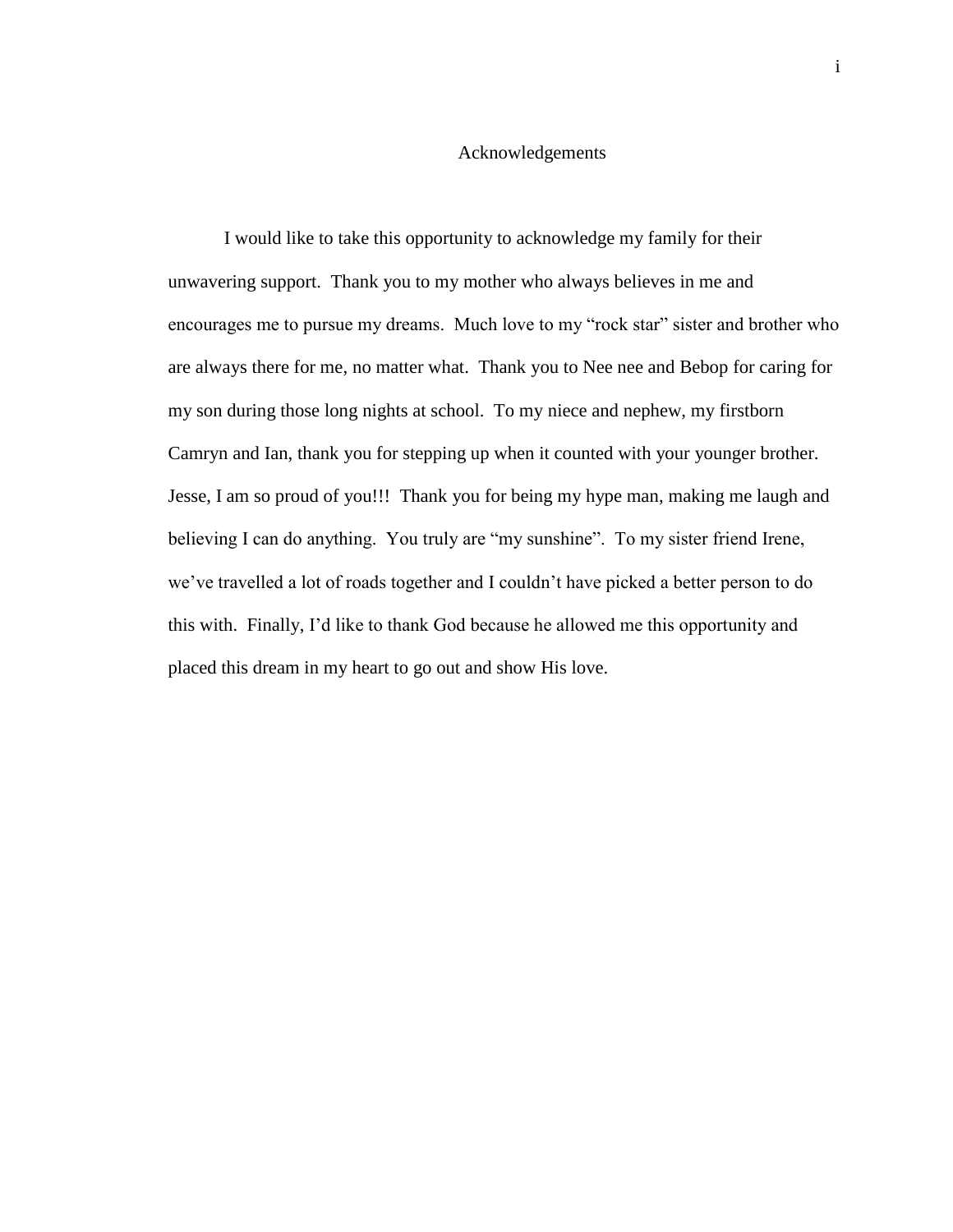## Acknowledgements

I would like to take this opportunity to acknowledge my family for their unwavering support. Thank you to my mother who always believes in me and encourages me to pursue my dreams. Much love to my "rock star" sister and brother who are always there for me, no matter what. Thank you to Nee nee and Bebop for caring for my son during those long nights at school. To my niece and nephew, my firstborn Camryn and Ian, thank you for stepping up when it counted with your younger brother. Jesse, I am so proud of you!!! Thank you for being my hype man, making me laugh and believing I can do anything. You truly are "my sunshine". To my sister friend Irene, we've travelled a lot of roads together and I couldn't have picked a better person to do this with. Finally, I'd like to thank God because he allowed me this opportunity and placed this dream in my heart to go out and show His love.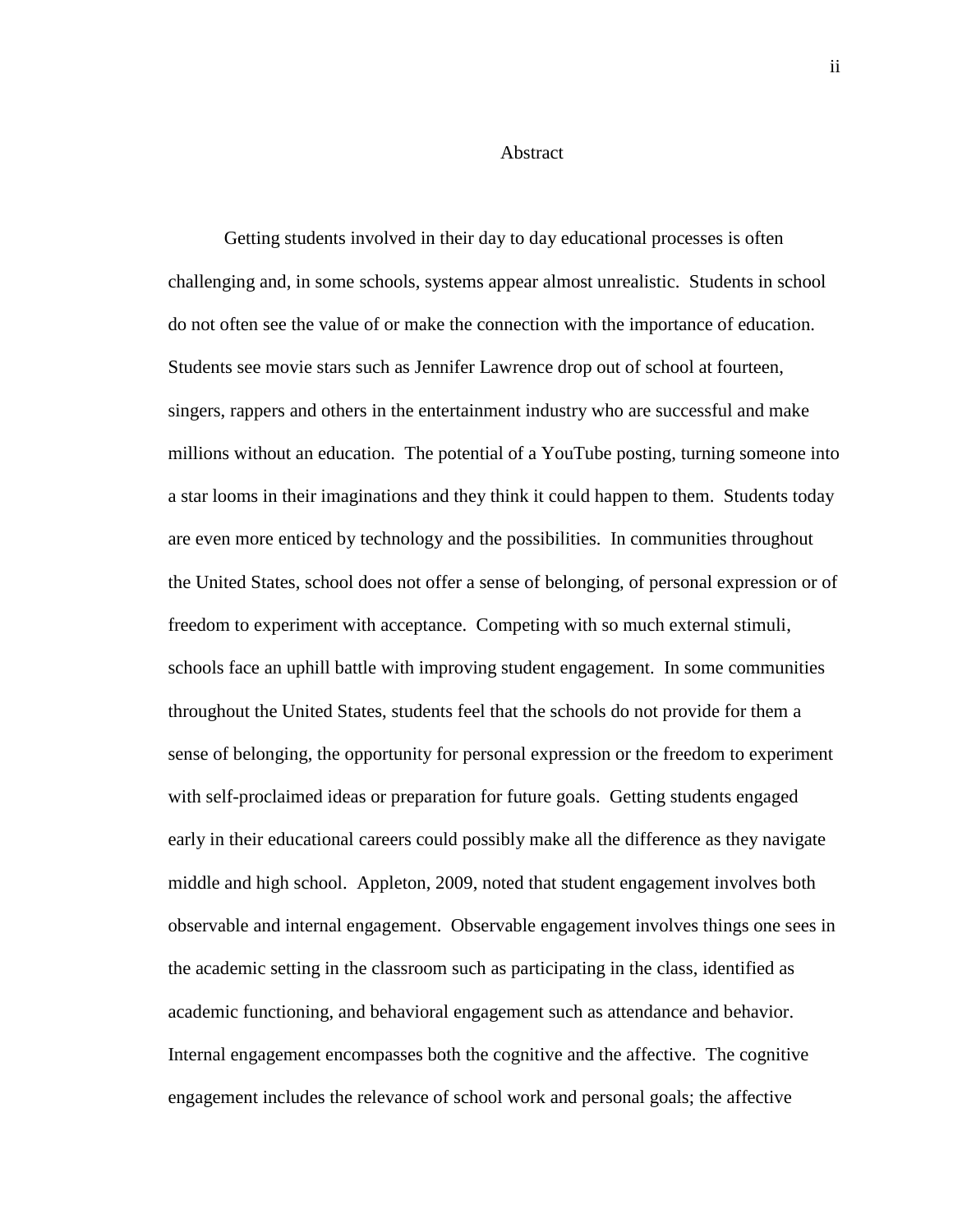#### Abstract

Getting students involved in their day to day educational processes is often challenging and, in some schools, systems appear almost unrealistic. Students in school do not often see the value of or make the connection with the importance of education. Students see movie stars such as Jennifer Lawrence drop out of school at fourteen, singers, rappers and others in the entertainment industry who are successful and make millions without an education. The potential of a YouTube posting, turning someone into a star looms in their imaginations and they think it could happen to them. Students today are even more enticed by technology and the possibilities. In communities throughout the United States, school does not offer a sense of belonging, of personal expression or of freedom to experiment with acceptance. Competing with so much external stimuli, schools face an uphill battle with improving student engagement. In some communities throughout the United States, students feel that the schools do not provide for them a sense of belonging, the opportunity for personal expression or the freedom to experiment with self-proclaimed ideas or preparation for future goals. Getting students engaged early in their educational careers could possibly make all the difference as they navigate middle and high school. Appleton, 2009, noted that student engagement involves both observable and internal engagement. Observable engagement involves things one sees in the academic setting in the classroom such as participating in the class, identified as academic functioning, and behavioral engagement such as attendance and behavior. Internal engagement encompasses both the cognitive and the affective. The cognitive engagement includes the relevance of school work and personal goals; the affective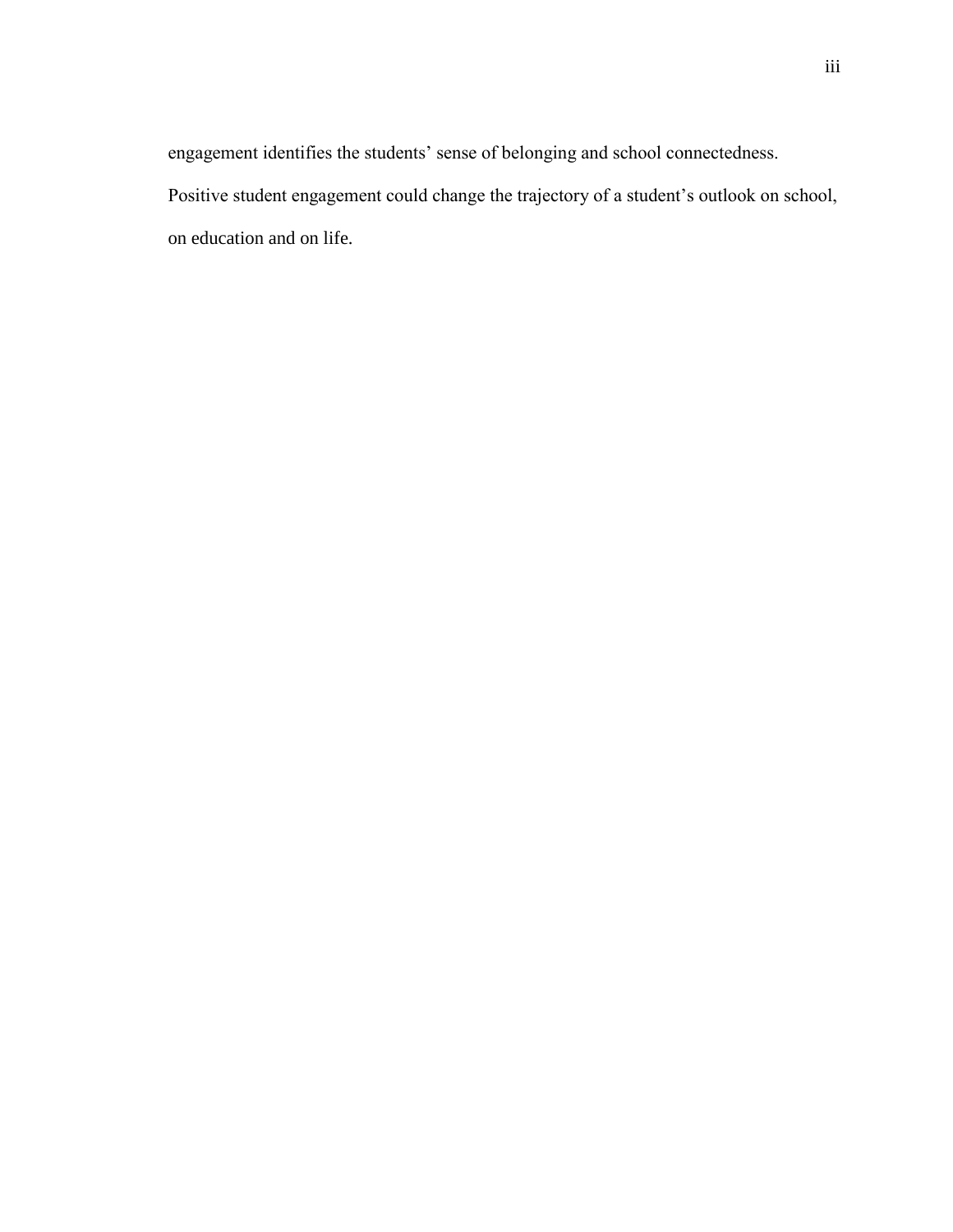engagement identifies the students' sense of belonging and school connectedness. Positive student engagement could change the trajectory of a student's outlook on school, on education and on life.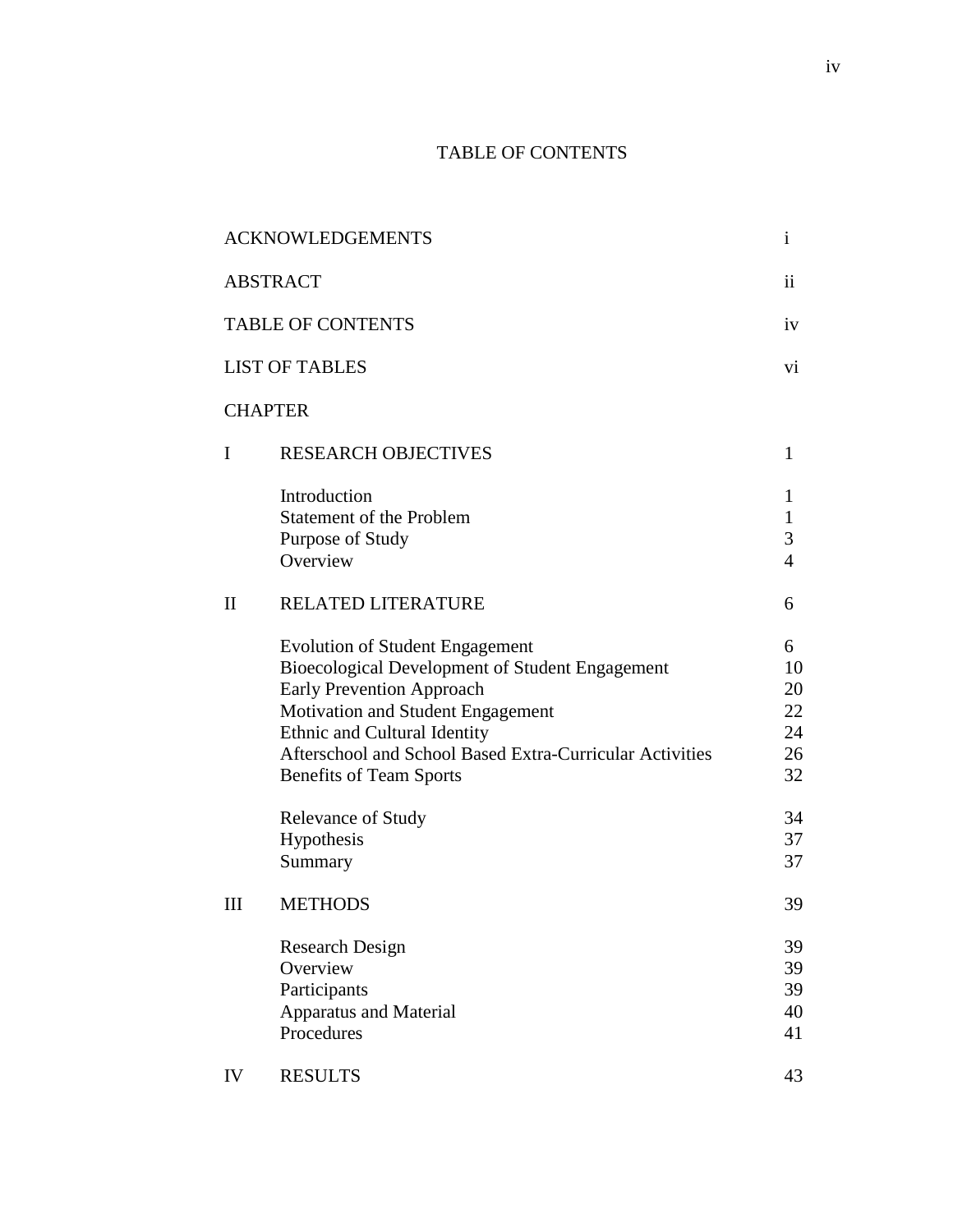# TABLE OF CONTENTS

|                          | <b>ACKNOWLEDGEMENTS</b>                                                                                                                                                                                                                                                                          | $\mathbf{i}$                             |
|--------------------------|--------------------------------------------------------------------------------------------------------------------------------------------------------------------------------------------------------------------------------------------------------------------------------------------------|------------------------------------------|
|                          | <b>ABSTRACT</b>                                                                                                                                                                                                                                                                                  | $\mathbf{ii}$                            |
| <b>TABLE OF CONTENTS</b> |                                                                                                                                                                                                                                                                                                  | iv                                       |
| <b>LIST OF TABLES</b>    |                                                                                                                                                                                                                                                                                                  |                                          |
|                          | <b>CHAPTER</b>                                                                                                                                                                                                                                                                                   |                                          |
| I                        | <b>RESEARCH OBJECTIVES</b>                                                                                                                                                                                                                                                                       | $\mathbf{1}$                             |
|                          | Introduction<br><b>Statement of the Problem</b><br>Purpose of Study<br>Overview                                                                                                                                                                                                                  | 1<br>$\mathbf{1}$<br>3<br>$\overline{4}$ |
| $\mathbf{I}$             | RELATED LITERATURE                                                                                                                                                                                                                                                                               | 6                                        |
|                          | <b>Evolution of Student Engagement</b><br>Bioecological Development of Student Engagement<br><b>Early Prevention Approach</b><br>Motivation and Student Engagement<br>Ethnic and Cultural Identity<br>Afterschool and School Based Extra-Curricular Activities<br><b>Benefits of Team Sports</b> | 6<br>10<br>20<br>22<br>24<br>26<br>32    |
|                          | Relevance of Study<br>Hypothesis<br>Summary                                                                                                                                                                                                                                                      | 34<br>37<br>37                           |
| Ш                        | <b>METHODS</b>                                                                                                                                                                                                                                                                                   | 39                                       |
|                          | <b>Research Design</b><br>Overview<br>Participants<br><b>Apparatus and Material</b><br>Procedures                                                                                                                                                                                                | 39<br>39<br>39<br>40<br>41               |
| IV                       | <b>RESULTS</b>                                                                                                                                                                                                                                                                                   | 43                                       |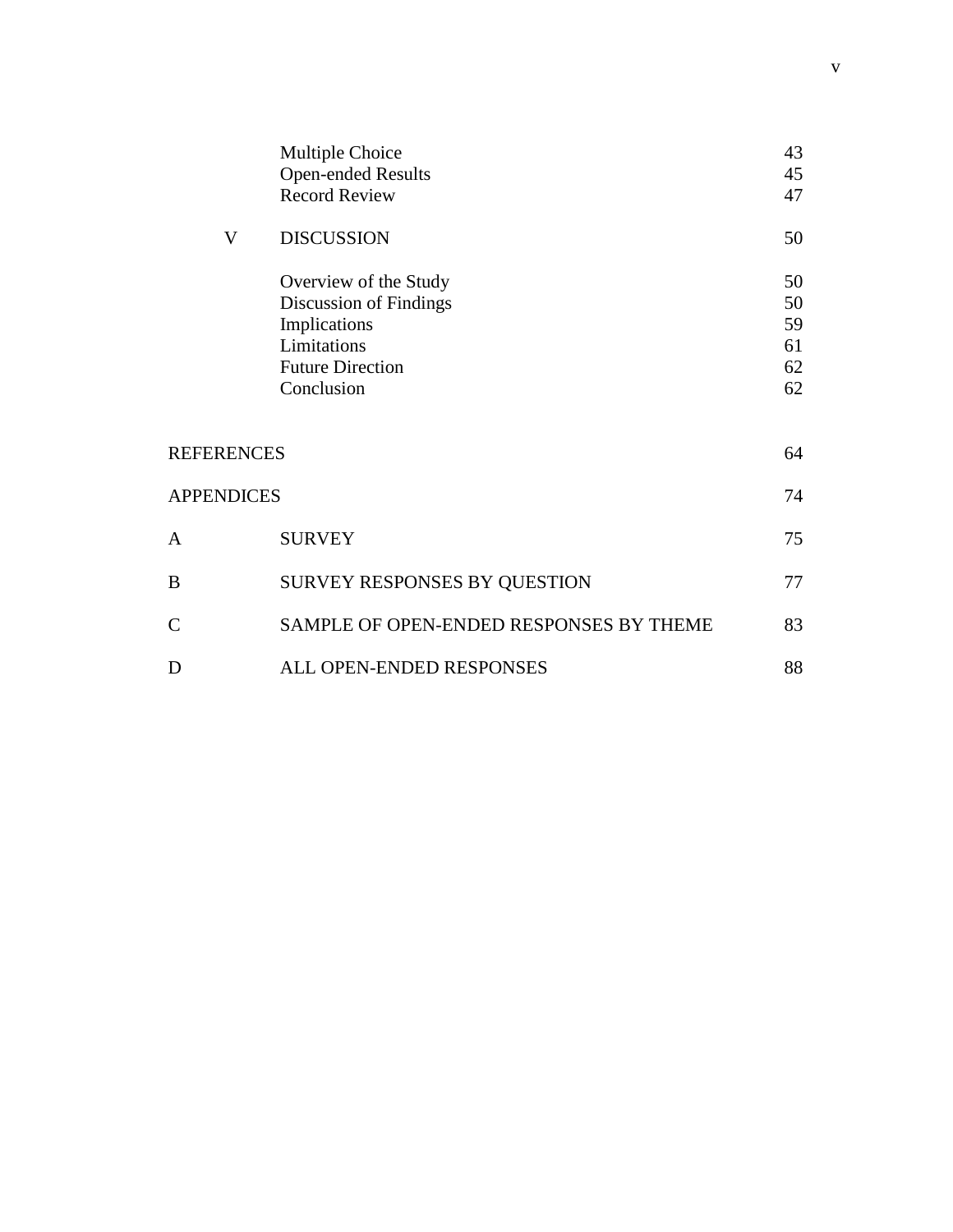|                   | <b>Multiple Choice</b>                  | 43 |
|-------------------|-----------------------------------------|----|
|                   | <b>Open-ended Results</b>               | 45 |
|                   | <b>Record Review</b>                    | 47 |
| V                 | <b>DISCUSSION</b>                       | 50 |
|                   | Overview of the Study                   | 50 |
|                   | Discussion of Findings                  | 50 |
|                   | Implications                            | 59 |
|                   | Limitations                             | 61 |
|                   | <b>Future Direction</b>                 | 62 |
|                   | Conclusion                              | 62 |
| <b>REFERENCES</b> |                                         | 64 |
|                   |                                         |    |
| <b>APPENDICES</b> |                                         | 74 |
| A                 | <b>SURVEY</b>                           | 75 |
| B                 | SURVEY RESPONSES BY QUESTION            | 77 |
| $\overline{C}$    | SAMPLE OF OPEN-ENDED RESPONSES BY THEME | 83 |
| D                 | ALL OPEN-ENDED RESPONSES                | 88 |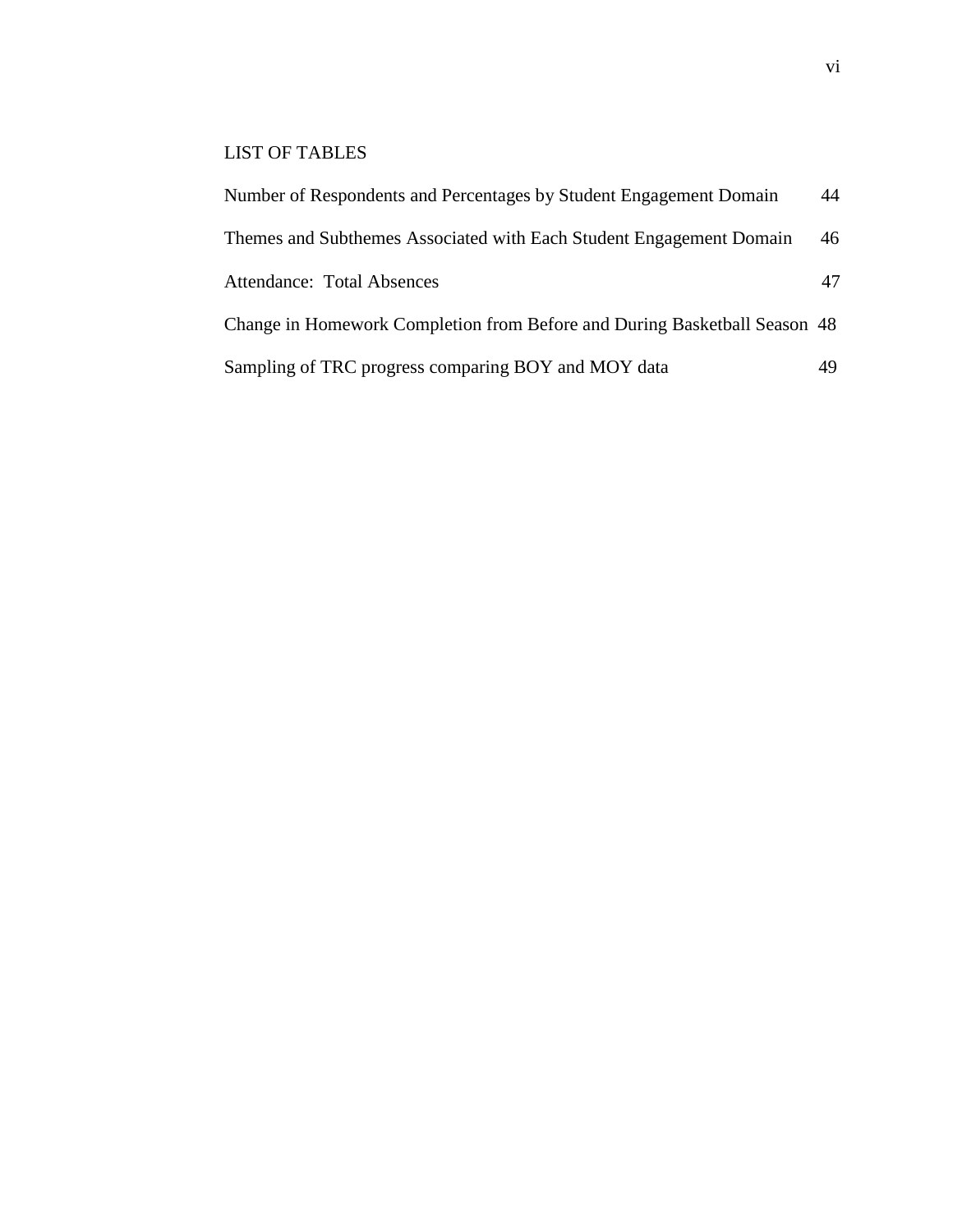# LIST OF TABLES

| Number of Respondents and Percentages by Student Engagement Domain        | 44 |
|---------------------------------------------------------------------------|----|
| Themes and Subthemes Associated with Each Student Engagement Domain       | 46 |
| <b>Attendance: Total Absences</b>                                         | 47 |
| Change in Homework Completion from Before and During Basketball Season 48 |    |
| Sampling of TRC progress comparing BOY and MOY data                       | 49 |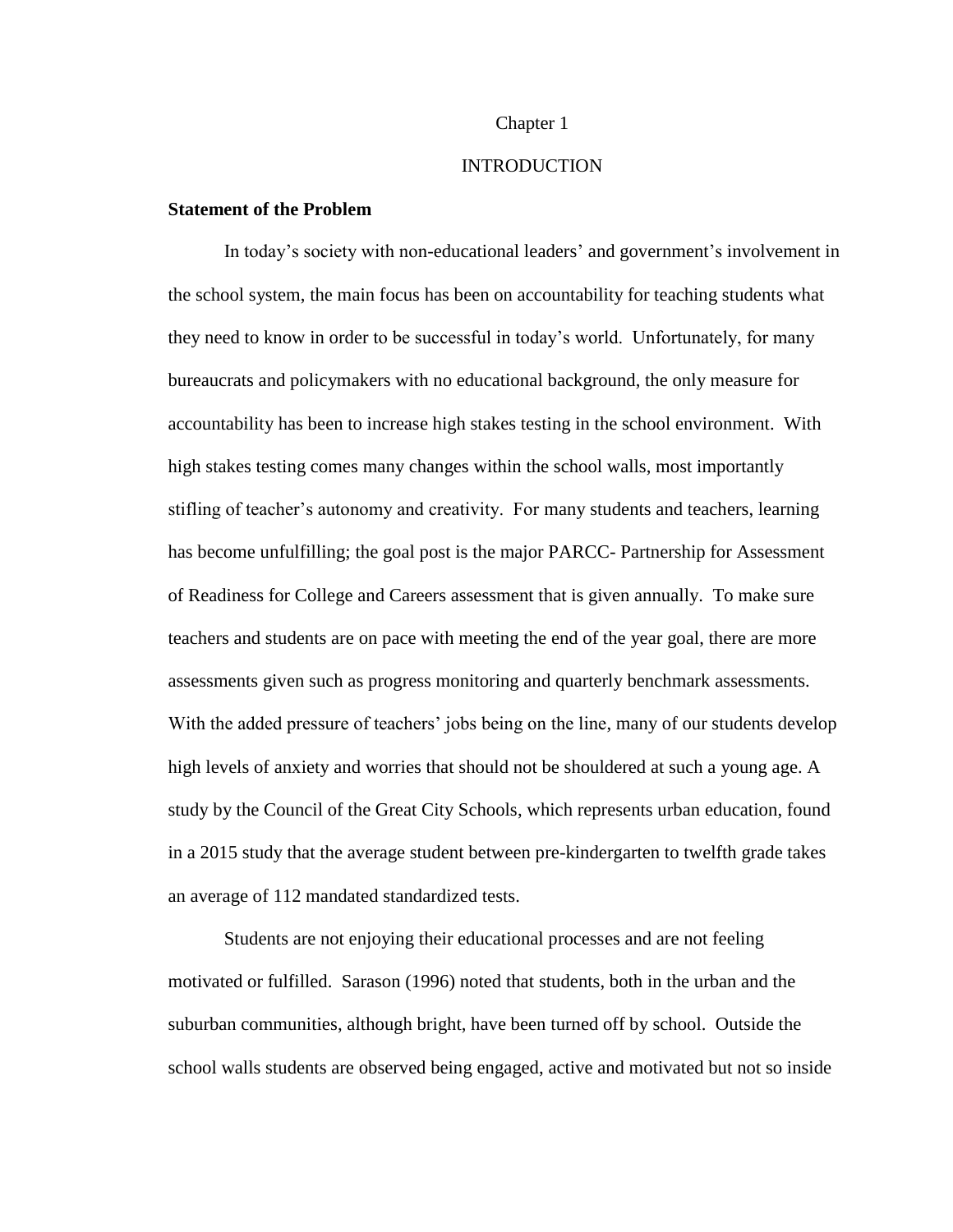#### Chapter 1

# **INTRODUCTION**

# **Statement of the Problem**

In today's society with non-educational leaders' and government's involvement in the school system, the main focus has been on accountability for teaching students what they need to know in order to be successful in today's world. Unfortunately, for many bureaucrats and policymakers with no educational background, the only measure for accountability has been to increase high stakes testing in the school environment. With high stakes testing comes many changes within the school walls, most importantly stifling of teacher's autonomy and creativity. For many students and teachers, learning has become unfulfilling; the goal post is the major PARCC- Partnership for Assessment of Readiness for College and Careers assessment that is given annually. To make sure teachers and students are on pace with meeting the end of the year goal, there are more assessments given such as progress monitoring and quarterly benchmark assessments. With the added pressure of teachers' jobs being on the line, many of our students develop high levels of anxiety and worries that should not be shouldered at such a young age. A study by the Council of the Great City Schools, which represents urban education, found in a 2015 study that the average student between pre-kindergarten to twelfth grade takes an average of 112 mandated standardized tests.

Students are not enjoying their educational processes and are not feeling motivated or fulfilled. Sarason (1996) noted that students, both in the urban and the suburban communities, although bright, have been turned off by school. Outside the school walls students are observed being engaged, active and motivated but not so inside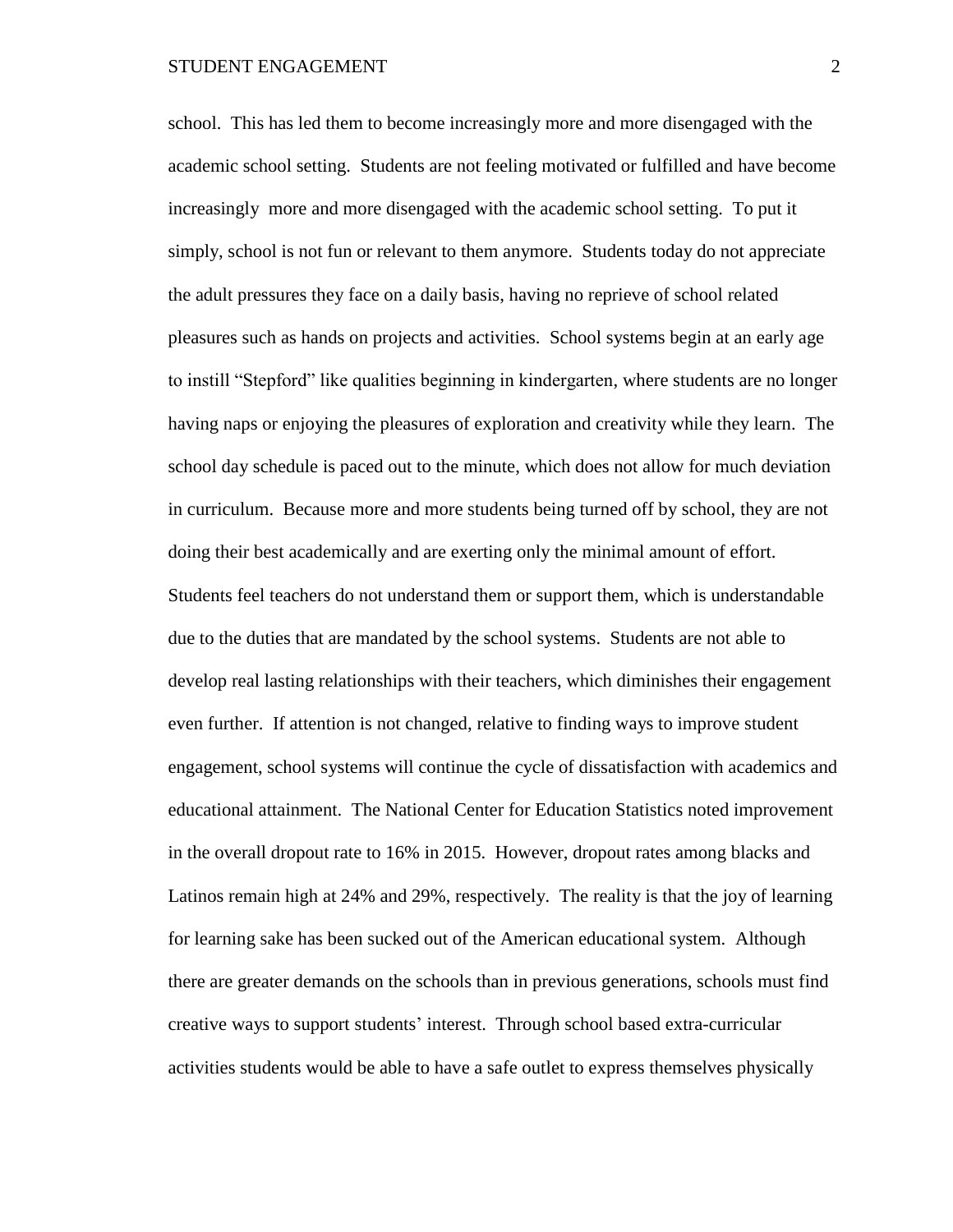school. This has led them to become increasingly more and more disengaged with the academic school setting. Students are not feeling motivated or fulfilled and have become increasingly more and more disengaged with the academic school setting. To put it simply, school is not fun or relevant to them anymore. Students today do not appreciate the adult pressures they face on a daily basis, having no reprieve of school related pleasures such as hands on projects and activities. School systems begin at an early age to instill "Stepford" like qualities beginning in kindergarten, where students are no longer having naps or enjoying the pleasures of exploration and creativity while they learn. The school day schedule is paced out to the minute, which does not allow for much deviation in curriculum. Because more and more students being turned off by school, they are not doing their best academically and are exerting only the minimal amount of effort. Students feel teachers do not understand them or support them, which is understandable due to the duties that are mandated by the school systems. Students are not able to develop real lasting relationships with their teachers, which diminishes their engagement even further. If attention is not changed, relative to finding ways to improve student engagement, school systems will continue the cycle of dissatisfaction with academics and educational attainment. The National Center for Education Statistics noted improvement in the overall dropout rate to 16% in 2015. However, dropout rates among blacks and Latinos remain high at 24% and 29%, respectively. The reality is that the joy of learning for learning sake has been sucked out of the American educational system. Although there are greater demands on the schools than in previous generations, schools must find creative ways to support students' interest. Through school based extra-curricular activities students would be able to have a safe outlet to express themselves physically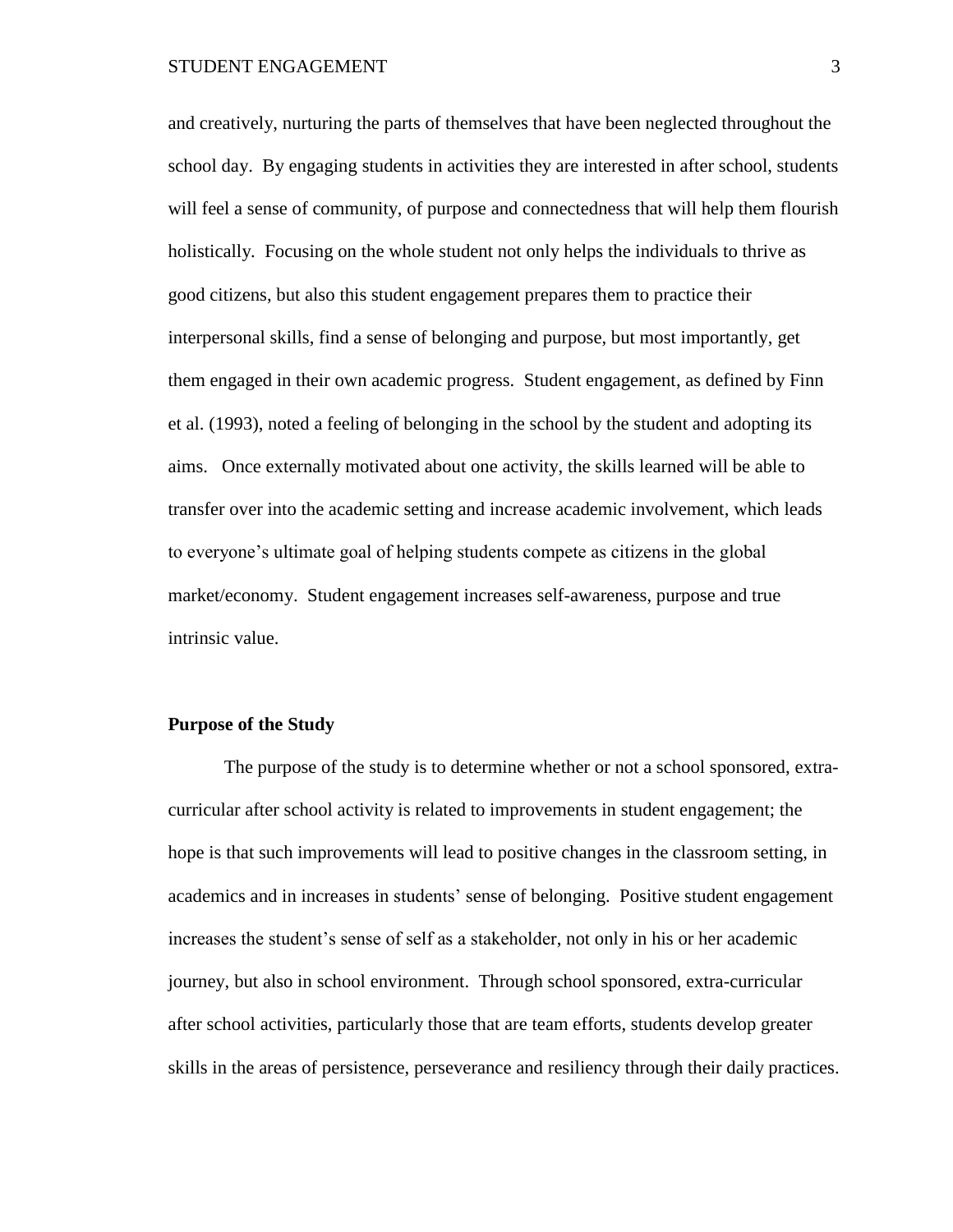and creatively, nurturing the parts of themselves that have been neglected throughout the school day. By engaging students in activities they are interested in after school, students will feel a sense of community, of purpose and connectedness that will help them flourish holistically. Focusing on the whole student not only helps the individuals to thrive as good citizens, but also this student engagement prepares them to practice their interpersonal skills, find a sense of belonging and purpose, but most importantly, get them engaged in their own academic progress. Student engagement, as defined by Finn et al. (1993), noted a feeling of belonging in the school by the student and adopting its aims. Once externally motivated about one activity, the skills learned will be able to transfer over into the academic setting and increase academic involvement, which leads to everyone's ultimate goal of helping students compete as citizens in the global market/economy. Student engagement increases self-awareness, purpose and true intrinsic value.

# **Purpose of the Study**

The purpose of the study is to determine whether or not a school sponsored, extracurricular after school activity is related to improvements in student engagement; the hope is that such improvements will lead to positive changes in the classroom setting, in academics and in increases in students' sense of belonging. Positive student engagement increases the student's sense of self as a stakeholder, not only in his or her academic journey, but also in school environment. Through school sponsored, extra-curricular after school activities, particularly those that are team efforts, students develop greater skills in the areas of persistence, perseverance and resiliency through their daily practices.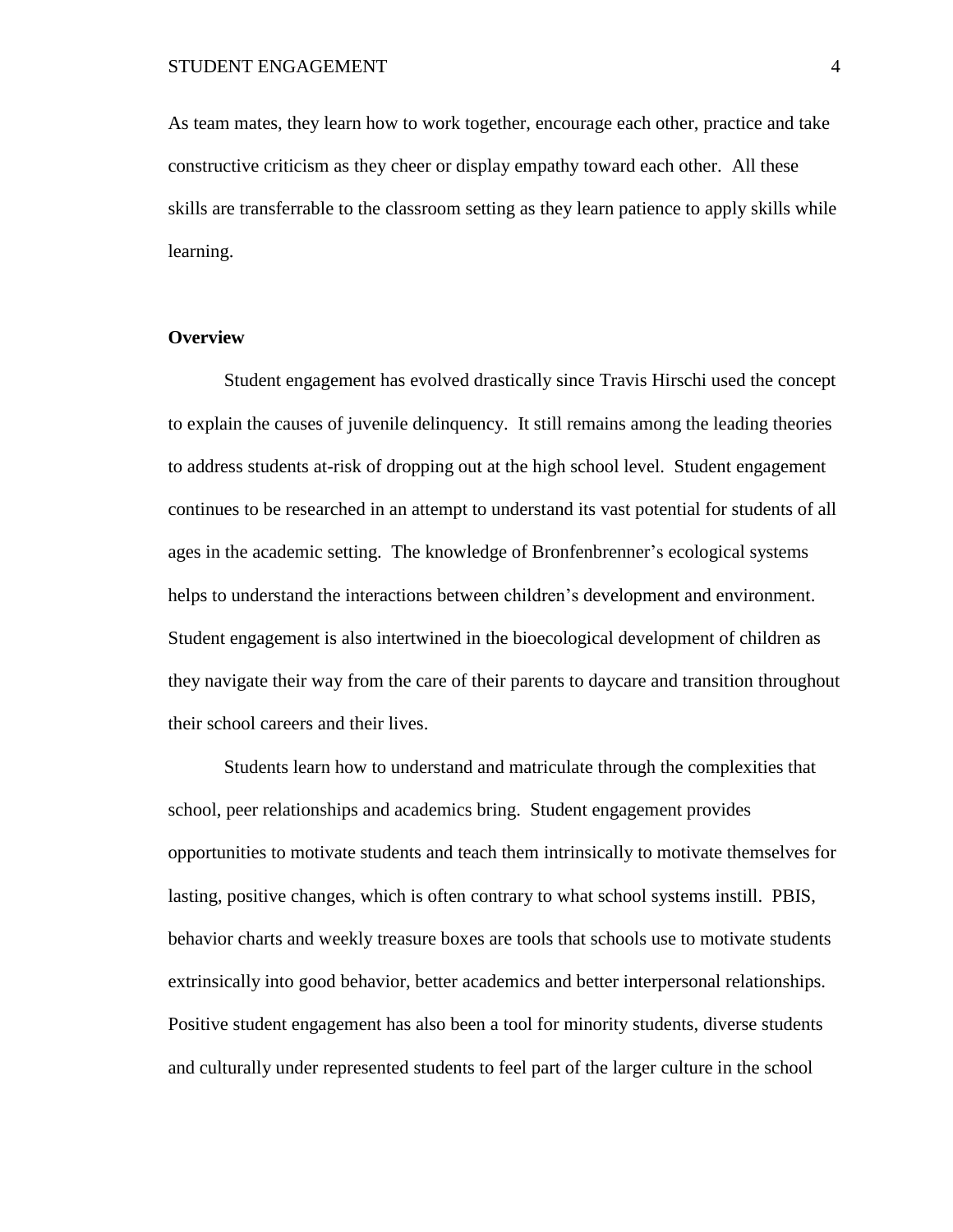As team mates, they learn how to work together, encourage each other, practice and take constructive criticism as they cheer or display empathy toward each other. All these skills are transferrable to the classroom setting as they learn patience to apply skills while learning.

# **Overview**

Student engagement has evolved drastically since Travis Hirschi used the concept to explain the causes of juvenile delinquency. It still remains among the leading theories to address students at-risk of dropping out at the high school level. Student engagement continues to be researched in an attempt to understand its vast potential for students of all ages in the academic setting. The knowledge of Bronfenbrenner's ecological systems helps to understand the interactions between children's development and environment. Student engagement is also intertwined in the bioecological development of children as they navigate their way from the care of their parents to daycare and transition throughout their school careers and their lives.

Students learn how to understand and matriculate through the complexities that school, peer relationships and academics bring. Student engagement provides opportunities to motivate students and teach them intrinsically to motivate themselves for lasting, positive changes, which is often contrary to what school systems instill. PBIS, behavior charts and weekly treasure boxes are tools that schools use to motivate students extrinsically into good behavior, better academics and better interpersonal relationships. Positive student engagement has also been a tool for minority students, diverse students and culturally under represented students to feel part of the larger culture in the school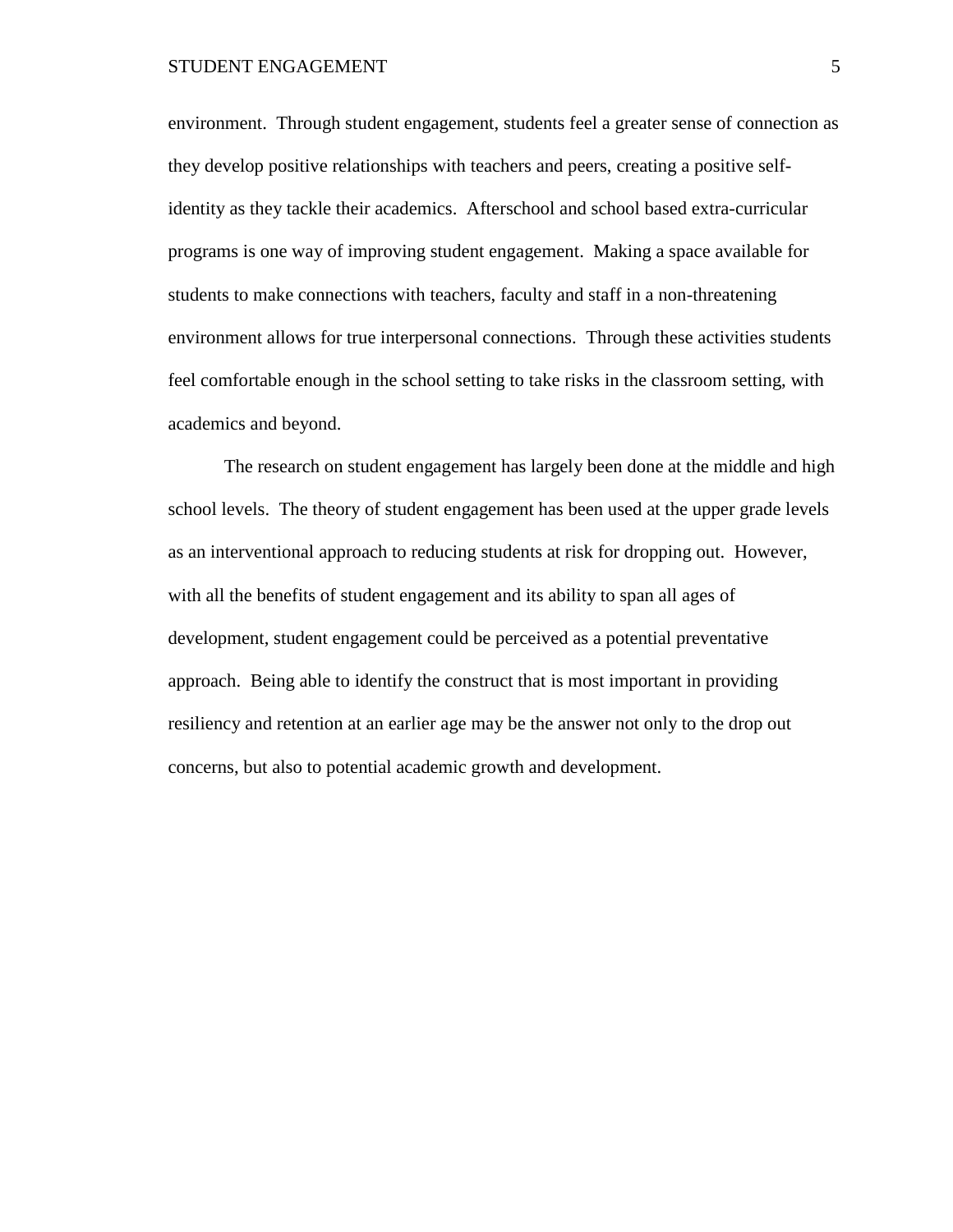environment. Through student engagement, students feel a greater sense of connection as they develop positive relationships with teachers and peers, creating a positive selfidentity as they tackle their academics. Afterschool and school based extra-curricular programs is one way of improving student engagement. Making a space available for students to make connections with teachers, faculty and staff in a non-threatening environment allows for true interpersonal connections. Through these activities students feel comfortable enough in the school setting to take risks in the classroom setting, with academics and beyond.

The research on student engagement has largely been done at the middle and high school levels. The theory of student engagement has been used at the upper grade levels as an interventional approach to reducing students at risk for dropping out. However, with all the benefits of student engagement and its ability to span all ages of development, student engagement could be perceived as a potential preventative approach. Being able to identify the construct that is most important in providing resiliency and retention at an earlier age may be the answer not only to the drop out concerns, but also to potential academic growth and development.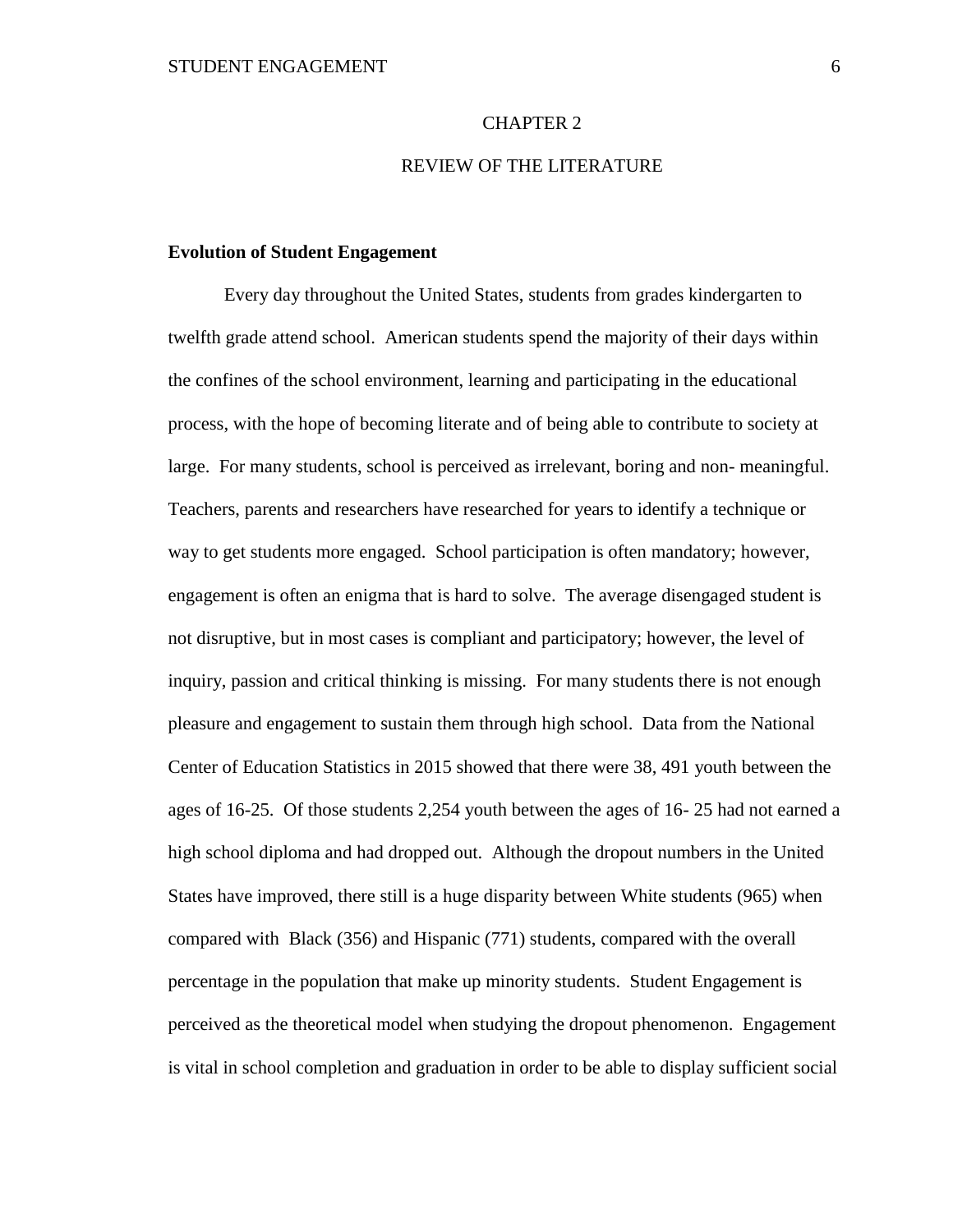# CHAPTER 2

# REVIEW OF THE LITERATURE

# **Evolution of Student Engagement**

Every day throughout the United States, students from grades kindergarten to twelfth grade attend school. American students spend the majority of their days within the confines of the school environment, learning and participating in the educational process, with the hope of becoming literate and of being able to contribute to society at large. For many students, school is perceived as irrelevant, boring and non- meaningful. Teachers, parents and researchers have researched for years to identify a technique or way to get students more engaged. School participation is often mandatory; however, engagement is often an enigma that is hard to solve. The average disengaged student is not disruptive, but in most cases is compliant and participatory; however, the level of inquiry, passion and critical thinking is missing. For many students there is not enough pleasure and engagement to sustain them through high school. Data from the National Center of Education Statistics in 2015 showed that there were 38, 491 youth between the ages of 16-25. Of those students 2,254 youth between the ages of 16- 25 had not earned a high school diploma and had dropped out. Although the dropout numbers in the United States have improved, there still is a huge disparity between White students (965) when compared with Black (356) and Hispanic (771) students, compared with the overall percentage in the population that make up minority students. Student Engagement is perceived as the theoretical model when studying the dropout phenomenon. Engagement is vital in school completion and graduation in order to be able to display sufficient social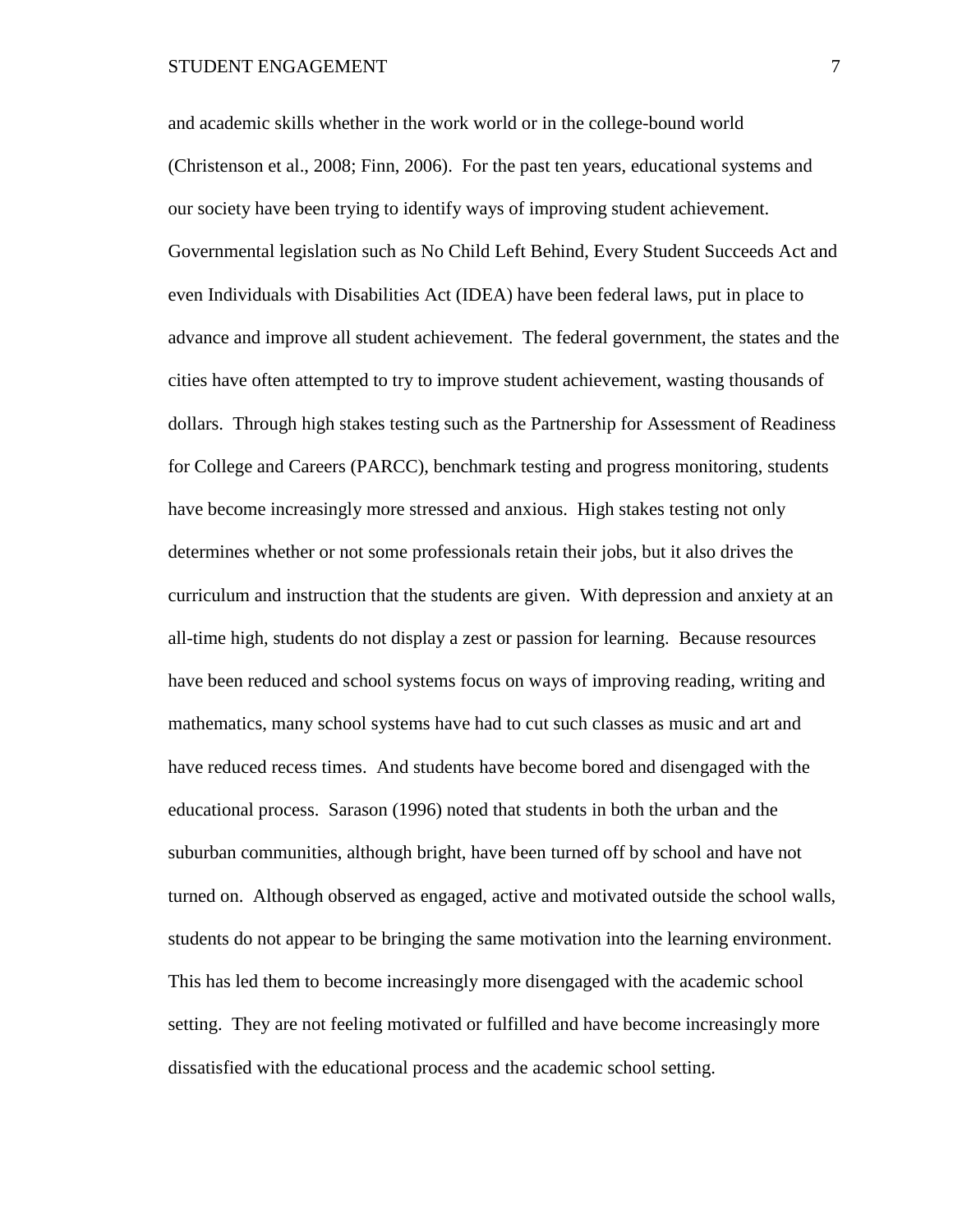and academic skills whether in the work world or in the college-bound world (Christenson et al., 2008; Finn, 2006). For the past ten years, educational systems and our society have been trying to identify ways of improving student achievement. Governmental legislation such as No Child Left Behind, Every Student Succeeds Act and even Individuals with Disabilities Act (IDEA) have been federal laws, put in place to advance and improve all student achievement. The federal government, the states and the cities have often attempted to try to improve student achievement, wasting thousands of dollars. Through high stakes testing such as the Partnership for Assessment of Readiness for College and Careers (PARCC), benchmark testing and progress monitoring, students have become increasingly more stressed and anxious. High stakes testing not only determines whether or not some professionals retain their jobs, but it also drives the curriculum and instruction that the students are given. With depression and anxiety at an all-time high, students do not display a zest or passion for learning. Because resources have been reduced and school systems focus on ways of improving reading, writing and mathematics, many school systems have had to cut such classes as music and art and have reduced recess times. And students have become bored and disengaged with the educational process. Sarason (1996) noted that students in both the urban and the suburban communities, although bright, have been turned off by school and have not turned on. Although observed as engaged, active and motivated outside the school walls, students do not appear to be bringing the same motivation into the learning environment. This has led them to become increasingly more disengaged with the academic school setting. They are not feeling motivated or fulfilled and have become increasingly more dissatisfied with the educational process and the academic school setting.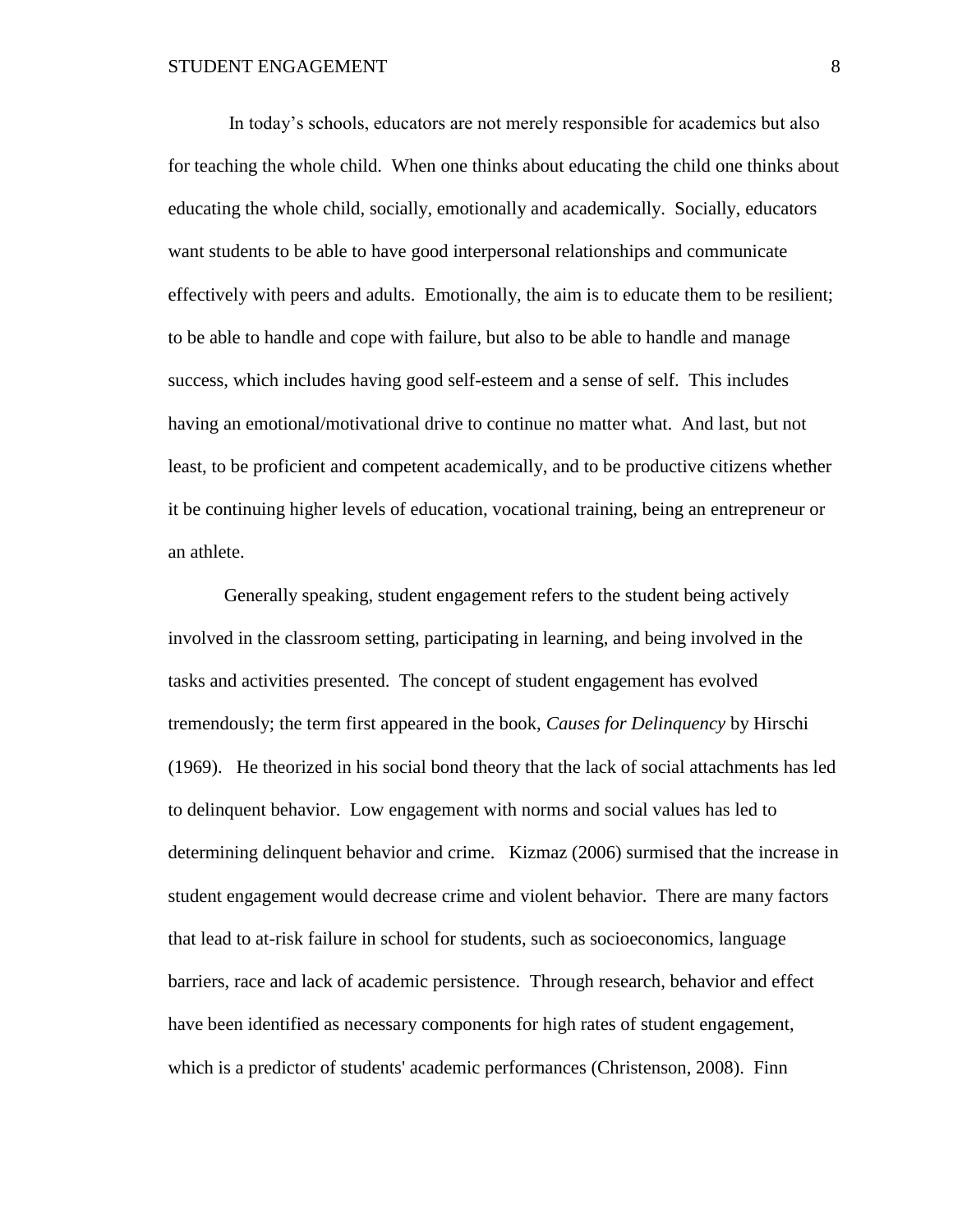In today's schools, educators are not merely responsible for academics but also for teaching the whole child. When one thinks about educating the child one thinks about educating the whole child, socially, emotionally and academically. Socially, educators want students to be able to have good interpersonal relationships and communicate effectively with peers and adults. Emotionally, the aim is to educate them to be resilient; to be able to handle and cope with failure, but also to be able to handle and manage success, which includes having good self-esteem and a sense of self. This includes having an emotional/motivational drive to continue no matter what. And last, but not least, to be proficient and competent academically, and to be productive citizens whether it be continuing higher levels of education, vocational training, being an entrepreneur or an athlete.

Generally speaking, student engagement refers to the student being actively involved in the classroom setting, participating in learning, and being involved in the tasks and activities presented. The concept of student engagement has evolved tremendously; the term first appeared in the book, *Causes for Delinquency* by Hirschi (1969). He theorized in his social bond theory that the lack of social attachments has led to delinquent behavior. Low engagement with norms and social values has led to determining delinquent behavior and crime. Kizmaz (2006) surmised that the increase in student engagement would decrease crime and violent behavior. There are many factors that lead to at-risk failure in school for students, such as socioeconomics, language barriers, race and lack of academic persistence. Through research, behavior and effect have been identified as necessary components for high rates of student engagement, which is a predictor of students' academic performances (Christenson, 2008). Finn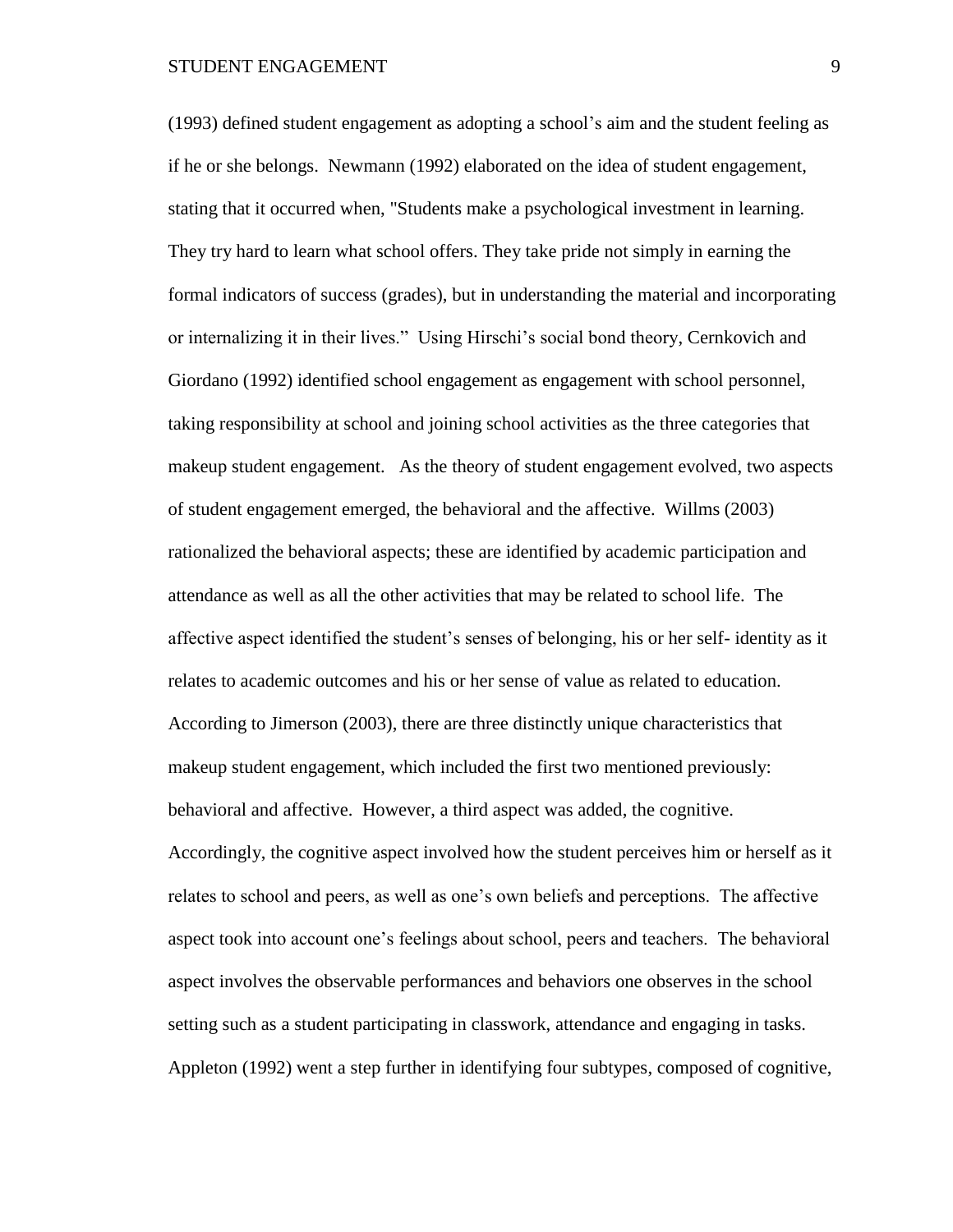(1993) defined student engagement as adopting a school's aim and the student feeling as if he or she belongs. Newmann (1992) elaborated on the idea of student engagement, stating that it occurred when, "Students make a psychological investment in learning. They try hard to learn what school offers. They take pride not simply in earning the formal indicators of success (grades), but in understanding the material and incorporating or internalizing it in their lives." Using Hirschi's social bond theory, Cernkovich and Giordano (1992) identified school engagement as engagement with school personnel, taking responsibility at school and joining school activities as the three categories that makeup student engagement. As the theory of student engagement evolved, two aspects of student engagement emerged, the behavioral and the affective. Willms (2003) rationalized the behavioral aspects; these are identified by academic participation and attendance as well as all the other activities that may be related to school life. The affective aspect identified the student's senses of belonging, his or her self- identity as it relates to academic outcomes and his or her sense of value as related to education. According to Jimerson (2003), there are three distinctly unique characteristics that makeup student engagement, which included the first two mentioned previously: behavioral and affective. However, a third aspect was added, the cognitive. Accordingly, the cognitive aspect involved how the student perceives him or herself as it relates to school and peers, as well as one's own beliefs and perceptions. The affective aspect took into account one's feelings about school, peers and teachers. The behavioral aspect involves the observable performances and behaviors one observes in the school setting such as a student participating in classwork, attendance and engaging in tasks. Appleton (1992) went a step further in identifying four subtypes, composed of cognitive,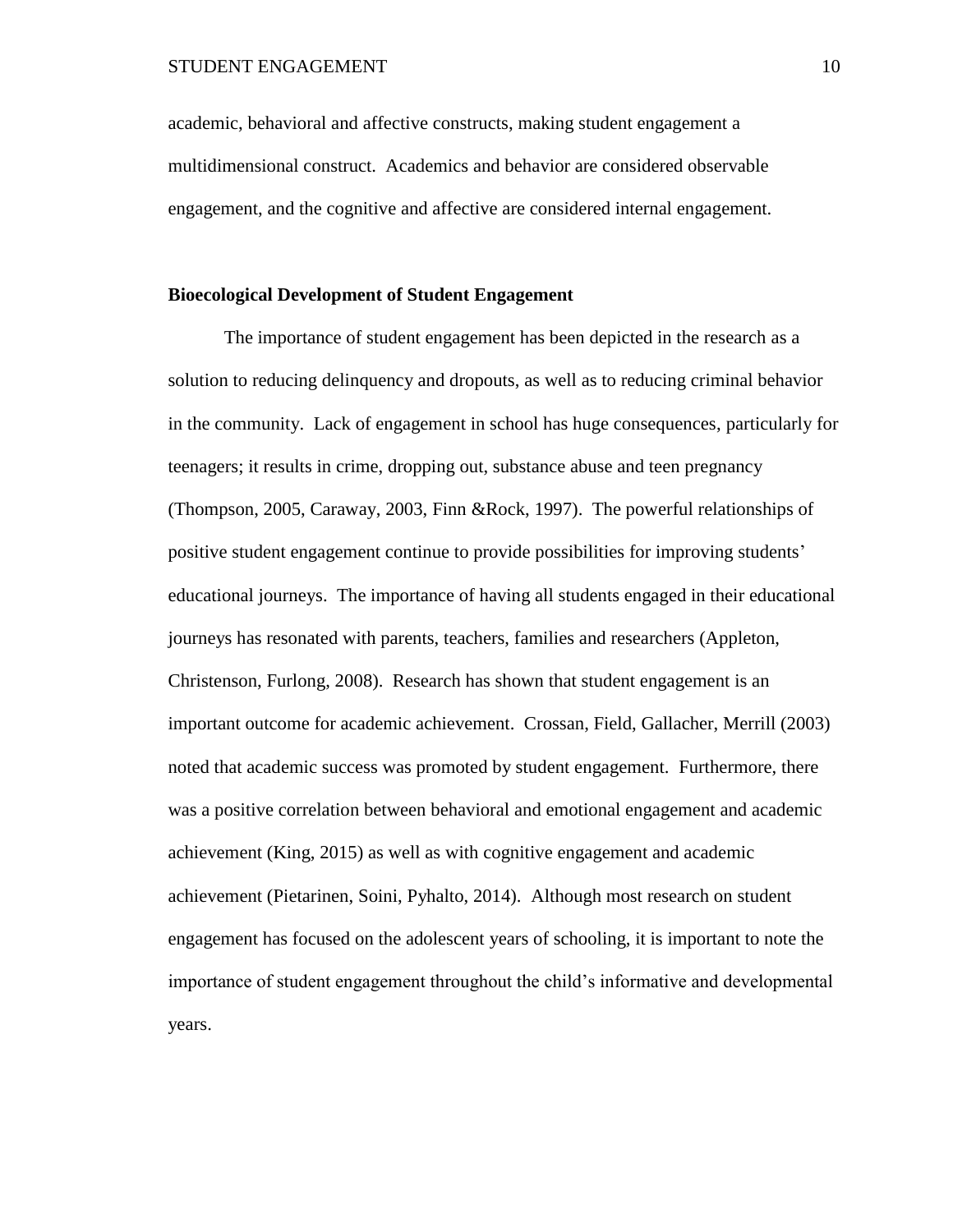academic, behavioral and affective constructs, making student engagement a multidimensional construct. Academics and behavior are considered observable engagement, and the cognitive and affective are considered internal engagement.

# **Bioecological Development of Student Engagement**

The importance of student engagement has been depicted in the research as a solution to reducing delinquency and dropouts, as well as to reducing criminal behavior in the community. Lack of engagement in school has huge consequences, particularly for teenagers; it results in crime, dropping out, substance abuse and teen pregnancy (Thompson, 2005, Caraway, 2003, Finn &Rock, 1997). The powerful relationships of positive student engagement continue to provide possibilities for improving students' educational journeys. The importance of having all students engaged in their educational journeys has resonated with parents, teachers, families and researchers (Appleton, Christenson, Furlong, 2008). Research has shown that student engagement is an important outcome for academic achievement. Crossan, Field, Gallacher, Merrill (2003) noted that academic success was promoted by student engagement. Furthermore, there was a positive correlation between behavioral and emotional engagement and academic achievement (King, 2015) as well as with cognitive engagement and academic achievement (Pietarinen, Soini, Pyhalto, 2014). Although most research on student engagement has focused on the adolescent years of schooling, it is important to note the importance of student engagement throughout the child's informative and developmental years.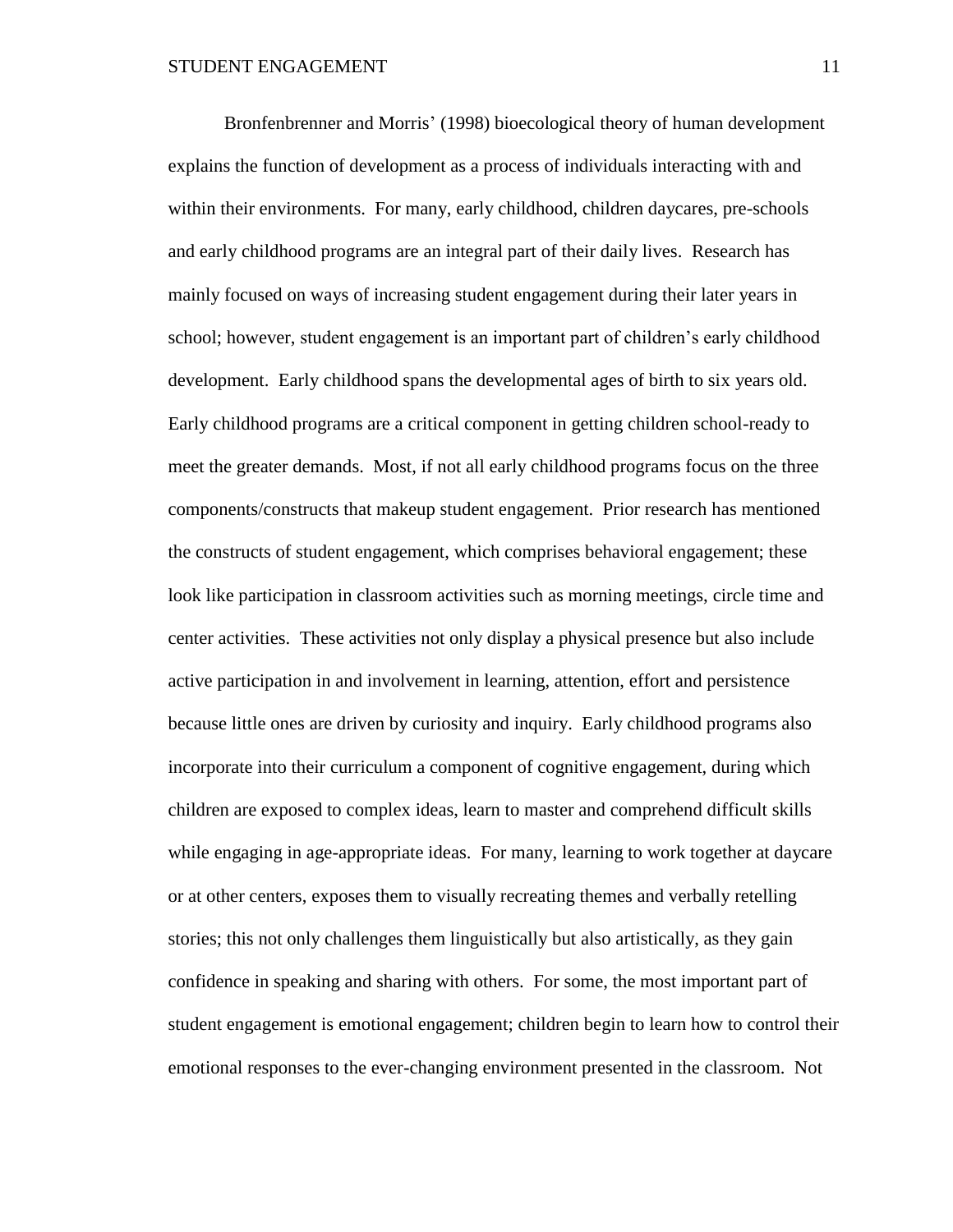Bronfenbrenner and Morris' (1998) bioecological theory of human development explains the function of development as a process of individuals interacting with and within their environments. For many, early childhood, children daycares, pre-schools and early childhood programs are an integral part of their daily lives. Research has mainly focused on ways of increasing student engagement during their later years in school; however, student engagement is an important part of children's early childhood development. Early childhood spans the developmental ages of birth to six years old. Early childhood programs are a critical component in getting children school-ready to meet the greater demands. Most, if not all early childhood programs focus on the three components/constructs that makeup student engagement. Prior research has mentioned the constructs of student engagement, which comprises behavioral engagement; these look like participation in classroom activities such as morning meetings, circle time and center activities. These activities not only display a physical presence but also include active participation in and involvement in learning, attention, effort and persistence because little ones are driven by curiosity and inquiry. Early childhood programs also incorporate into their curriculum a component of cognitive engagement, during which children are exposed to complex ideas, learn to master and comprehend difficult skills while engaging in age-appropriate ideas. For many, learning to work together at daycare or at other centers, exposes them to visually recreating themes and verbally retelling stories; this not only challenges them linguistically but also artistically, as they gain confidence in speaking and sharing with others. For some, the most important part of student engagement is emotional engagement; children begin to learn how to control their emotional responses to the ever-changing environment presented in the classroom. Not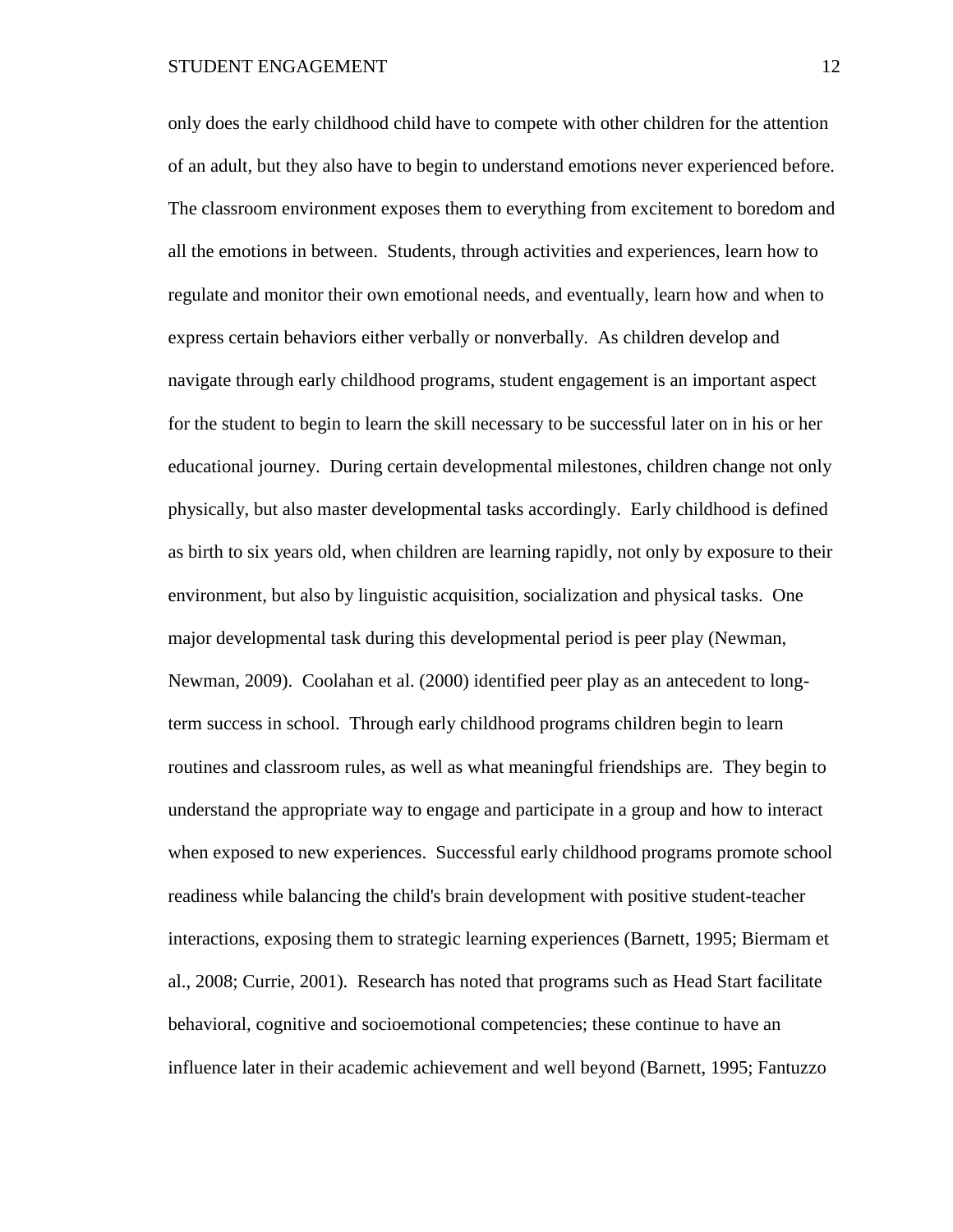only does the early childhood child have to compete with other children for the attention of an adult, but they also have to begin to understand emotions never experienced before. The classroom environment exposes them to everything from excitement to boredom and all the emotions in between. Students, through activities and experiences, learn how to regulate and monitor their own emotional needs, and eventually, learn how and when to express certain behaviors either verbally or nonverbally. As children develop and navigate through early childhood programs, student engagement is an important aspect for the student to begin to learn the skill necessary to be successful later on in his or her educational journey. During certain developmental milestones, children change not only physically, but also master developmental tasks accordingly. Early childhood is defined as birth to six years old, when children are learning rapidly, not only by exposure to their environment, but also by linguistic acquisition, socialization and physical tasks. One major developmental task during this developmental period is peer play (Newman, Newman, 2009). Coolahan et al. (2000) identified peer play as an antecedent to longterm success in school. Through early childhood programs children begin to learn routines and classroom rules, as well as what meaningful friendships are. They begin to understand the appropriate way to engage and participate in a group and how to interact when exposed to new experiences. Successful early childhood programs promote school readiness while balancing the child's brain development with positive student-teacher interactions, exposing them to strategic learning experiences (Barnett, 1995; Biermam et al., 2008; Currie, 2001). Research has noted that programs such as Head Start facilitate behavioral, cognitive and socioemotional competencies; these continue to have an influence later in their academic achievement and well beyond (Barnett, 1995; Fantuzzo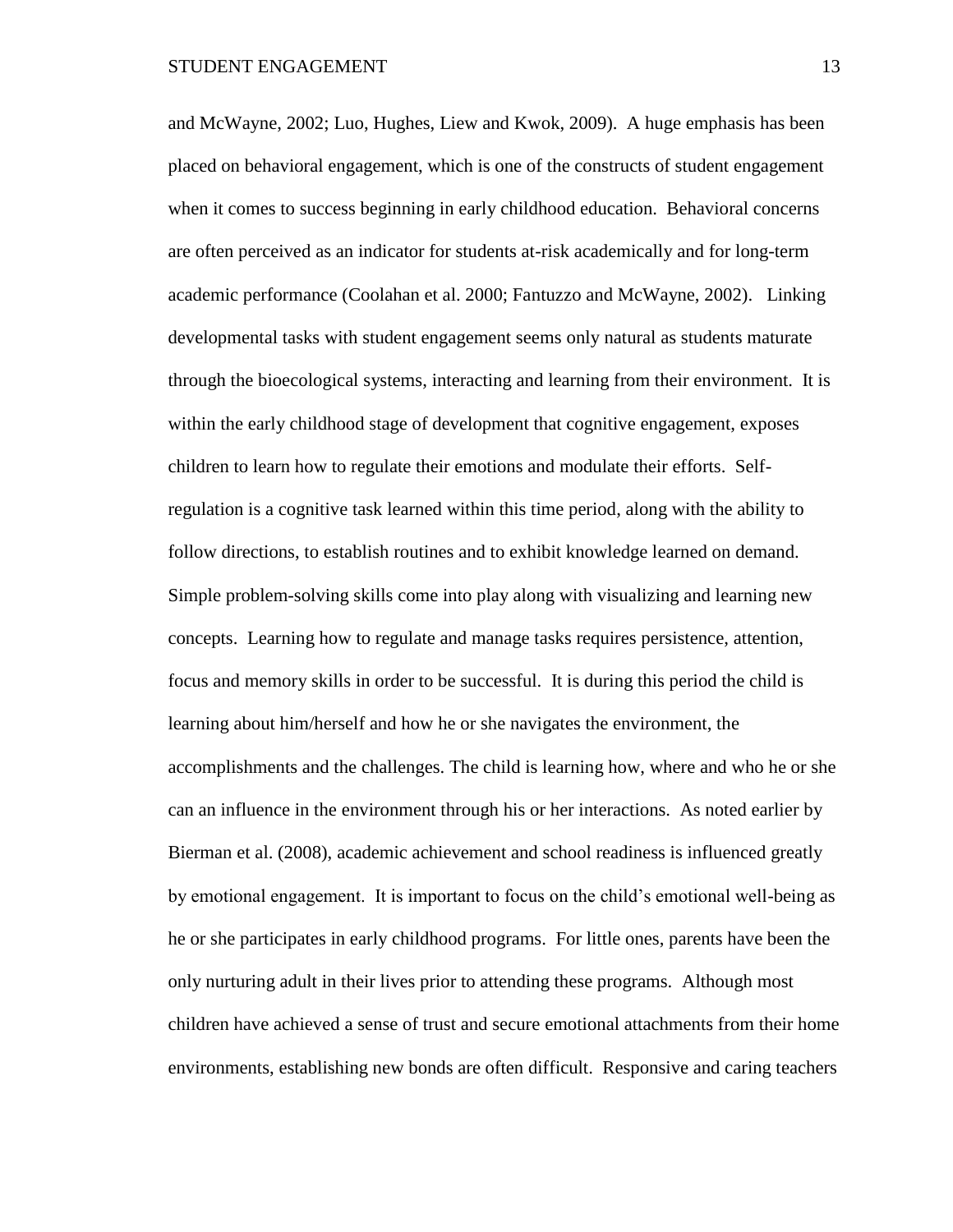and McWayne, 2002; Luo, Hughes, Liew and Kwok, 2009). A huge emphasis has been placed on behavioral engagement, which is one of the constructs of student engagement when it comes to success beginning in early childhood education. Behavioral concerns are often perceived as an indicator for students at-risk academically and for long-term academic performance (Coolahan et al. 2000; Fantuzzo and McWayne, 2002). Linking developmental tasks with student engagement seems only natural as students maturate through the bioecological systems, interacting and learning from their environment. It is within the early childhood stage of development that cognitive engagement, exposes children to learn how to regulate their emotions and modulate their efforts. Selfregulation is a cognitive task learned within this time period, along with the ability to follow directions, to establish routines and to exhibit knowledge learned on demand. Simple problem-solving skills come into play along with visualizing and learning new concepts. Learning how to regulate and manage tasks requires persistence, attention, focus and memory skills in order to be successful. It is during this period the child is learning about him/herself and how he or she navigates the environment, the accomplishments and the challenges. The child is learning how, where and who he or she can an influence in the environment through his or her interactions. As noted earlier by Bierman et al. (2008), academic achievement and school readiness is influenced greatly by emotional engagement. It is important to focus on the child's emotional well-being as he or she participates in early childhood programs. For little ones, parents have been the only nurturing adult in their lives prior to attending these programs. Although most children have achieved a sense of trust and secure emotional attachments from their home environments, establishing new bonds are often difficult. Responsive and caring teachers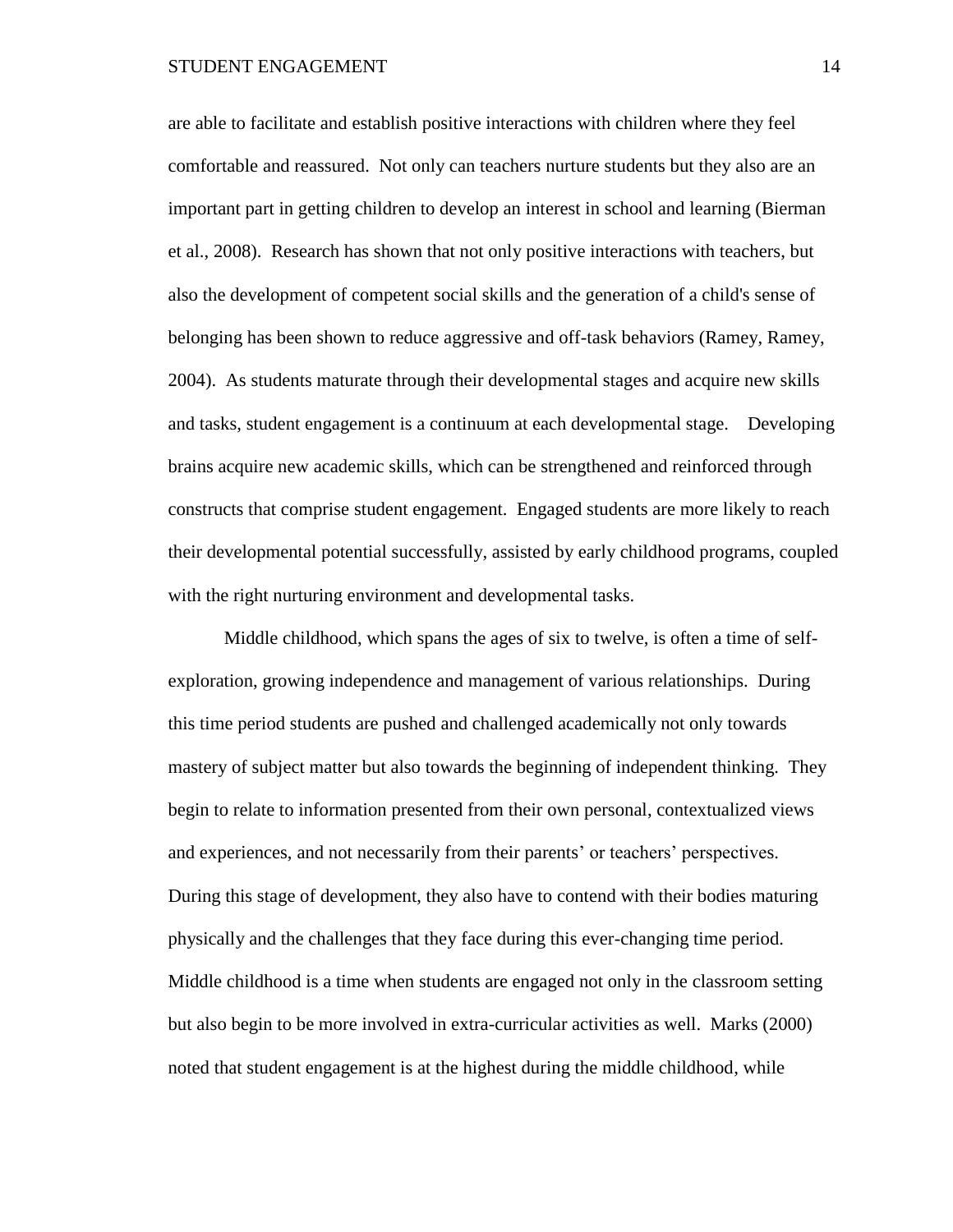are able to facilitate and establish positive interactions with children where they feel comfortable and reassured. Not only can teachers nurture students but they also are an important part in getting children to develop an interest in school and learning (Bierman et al., 2008). Research has shown that not only positive interactions with teachers, but also the development of competent social skills and the generation of a child's sense of belonging has been shown to reduce aggressive and off-task behaviors (Ramey, Ramey, 2004). As students maturate through their developmental stages and acquire new skills and tasks, student engagement is a continuum at each developmental stage. Developing brains acquire new academic skills, which can be strengthened and reinforced through constructs that comprise student engagement. Engaged students are more likely to reach their developmental potential successfully, assisted by early childhood programs, coupled with the right nurturing environment and developmental tasks.

Middle childhood, which spans the ages of six to twelve, is often a time of selfexploration, growing independence and management of various relationships. During this time period students are pushed and challenged academically not only towards mastery of subject matter but also towards the beginning of independent thinking. They begin to relate to information presented from their own personal, contextualized views and experiences, and not necessarily from their parents' or teachers' perspectives. During this stage of development, they also have to contend with their bodies maturing physically and the challenges that they face during this ever-changing time period. Middle childhood is a time when students are engaged not only in the classroom setting but also begin to be more involved in extra-curricular activities as well. Marks (2000) noted that student engagement is at the highest during the middle childhood, while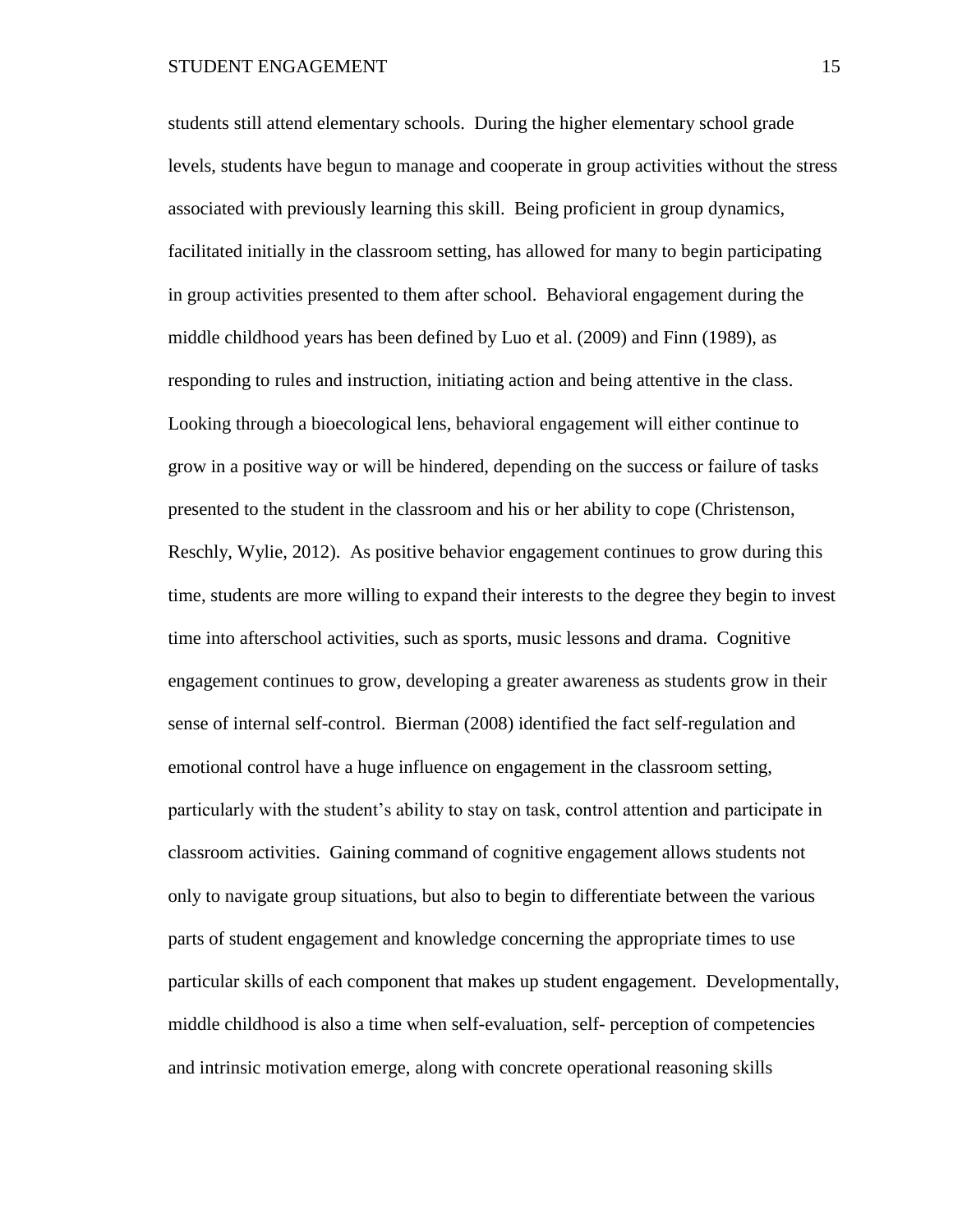students still attend elementary schools. During the higher elementary school grade levels, students have begun to manage and cooperate in group activities without the stress associated with previously learning this skill. Being proficient in group dynamics, facilitated initially in the classroom setting, has allowed for many to begin participating in group activities presented to them after school. Behavioral engagement during the middle childhood years has been defined by Luo et al. (2009) and Finn (1989), as responding to rules and instruction, initiating action and being attentive in the class. Looking through a bioecological lens, behavioral engagement will either continue to grow in a positive way or will be hindered, depending on the success or failure of tasks presented to the student in the classroom and his or her ability to cope (Christenson, Reschly, Wylie, 2012). As positive behavior engagement continues to grow during this time, students are more willing to expand their interests to the degree they begin to invest time into afterschool activities, such as sports, music lessons and drama. Cognitive engagement continues to grow, developing a greater awareness as students grow in their sense of internal self-control. Bierman (2008) identified the fact self-regulation and emotional control have a huge influence on engagement in the classroom setting, particularly with the student's ability to stay on task, control attention and participate in classroom activities. Gaining command of cognitive engagement allows students not only to navigate group situations, but also to begin to differentiate between the various parts of student engagement and knowledge concerning the appropriate times to use particular skills of each component that makes up student engagement. Developmentally, middle childhood is also a time when self-evaluation, self- perception of competencies and intrinsic motivation emerge, along with concrete operational reasoning skills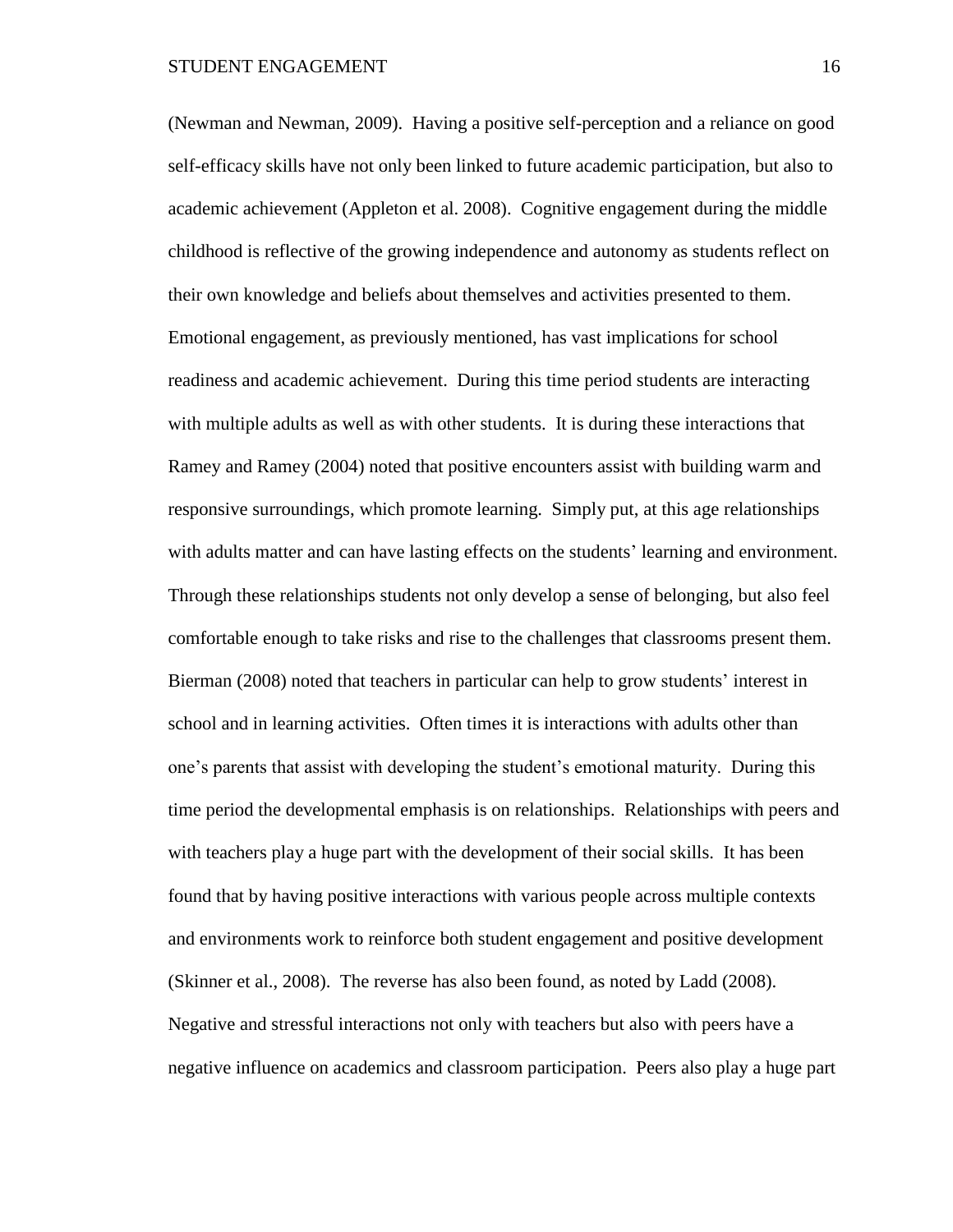(Newman and Newman, 2009). Having a positive self-perception and a reliance on good self-efficacy skills have not only been linked to future academic participation, but also to academic achievement (Appleton et al. 2008). Cognitive engagement during the middle childhood is reflective of the growing independence and autonomy as students reflect on their own knowledge and beliefs about themselves and activities presented to them. Emotional engagement, as previously mentioned, has vast implications for school readiness and academic achievement. During this time period students are interacting with multiple adults as well as with other students. It is during these interactions that Ramey and Ramey (2004) noted that positive encounters assist with building warm and responsive surroundings, which promote learning. Simply put, at this age relationships with adults matter and can have lasting effects on the students' learning and environment. Through these relationships students not only develop a sense of belonging, but also feel comfortable enough to take risks and rise to the challenges that classrooms present them. Bierman (2008) noted that teachers in particular can help to grow students' interest in school and in learning activities. Often times it is interactions with adults other than one's parents that assist with developing the student's emotional maturity. During this time period the developmental emphasis is on relationships. Relationships with peers and with teachers play a huge part with the development of their social skills. It has been found that by having positive interactions with various people across multiple contexts and environments work to reinforce both student engagement and positive development (Skinner et al., 2008). The reverse has also been found, as noted by Ladd (2008). Negative and stressful interactions not only with teachers but also with peers have a negative influence on academics and classroom participation. Peers also play a huge part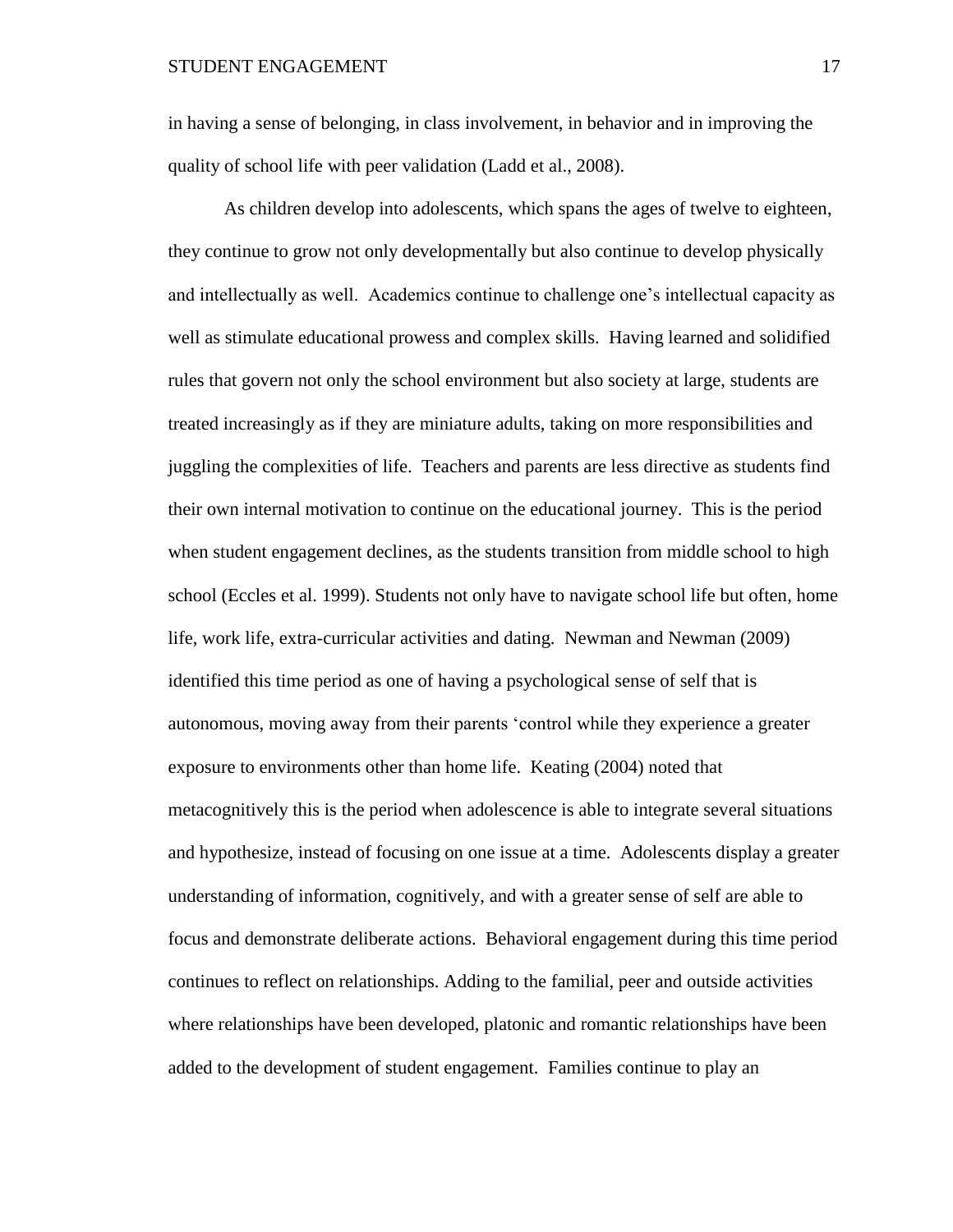in having a sense of belonging, in class involvement, in behavior and in improving the quality of school life with peer validation (Ladd et al., 2008).

As children develop into adolescents, which spans the ages of twelve to eighteen, they continue to grow not only developmentally but also continue to develop physically and intellectually as well. Academics continue to challenge one's intellectual capacity as well as stimulate educational prowess and complex skills. Having learned and solidified rules that govern not only the school environment but also society at large, students are treated increasingly as if they are miniature adults, taking on more responsibilities and juggling the complexities of life. Teachers and parents are less directive as students find their own internal motivation to continue on the educational journey. This is the period when student engagement declines, as the students transition from middle school to high school (Eccles et al. 1999). Students not only have to navigate school life but often, home life, work life, extra-curricular activities and dating. Newman and Newman (2009) identified this time period as one of having a psychological sense of self that is autonomous, moving away from their parents 'control while they experience a greater exposure to environments other than home life. Keating (2004) noted that metacognitively this is the period when adolescence is able to integrate several situations and hypothesize, instead of focusing on one issue at a time. Adolescents display a greater understanding of information, cognitively, and with a greater sense of self are able to focus and demonstrate deliberate actions. Behavioral engagement during this time period continues to reflect on relationships. Adding to the familial, peer and outside activities where relationships have been developed, platonic and romantic relationships have been added to the development of student engagement. Families continue to play an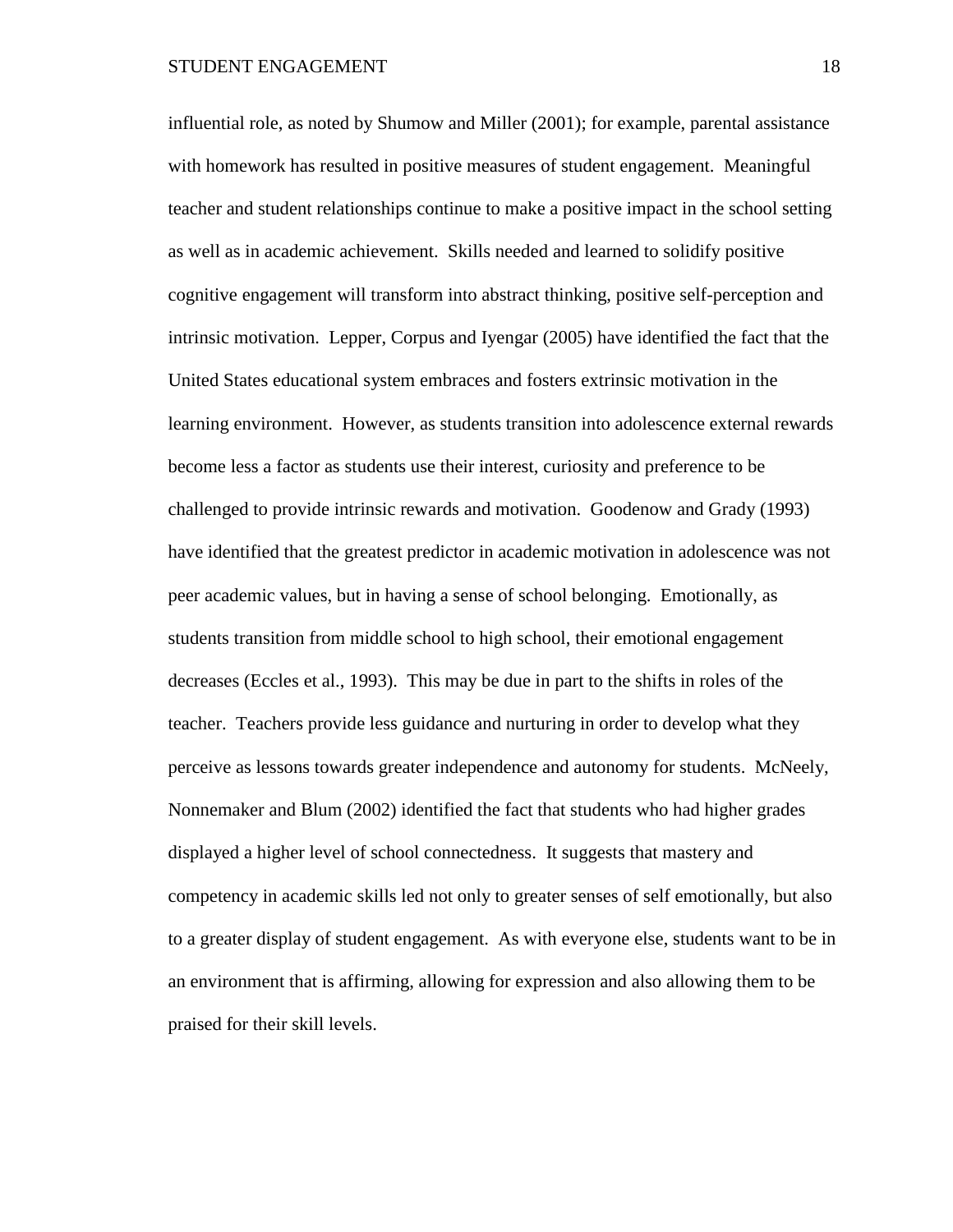influential role, as noted by Shumow and Miller (2001); for example, parental assistance with homework has resulted in positive measures of student engagement. Meaningful teacher and student relationships continue to make a positive impact in the school setting as well as in academic achievement. Skills needed and learned to solidify positive cognitive engagement will transform into abstract thinking, positive self-perception and intrinsic motivation. Lepper, Corpus and Iyengar (2005) have identified the fact that the United States educational system embraces and fosters extrinsic motivation in the learning environment. However, as students transition into adolescence external rewards become less a factor as students use their interest, curiosity and preference to be challenged to provide intrinsic rewards and motivation. Goodenow and Grady (1993) have identified that the greatest predictor in academic motivation in adolescence was not peer academic values, but in having a sense of school belonging. Emotionally, as students transition from middle school to high school, their emotional engagement decreases (Eccles et al., 1993). This may be due in part to the shifts in roles of the teacher. Teachers provide less guidance and nurturing in order to develop what they perceive as lessons towards greater independence and autonomy for students. McNeely, Nonnemaker and Blum (2002) identified the fact that students who had higher grades displayed a higher level of school connectedness. It suggests that mastery and competency in academic skills led not only to greater senses of self emotionally, but also to a greater display of student engagement. As with everyone else, students want to be in an environment that is affirming, allowing for expression and also allowing them to be praised for their skill levels.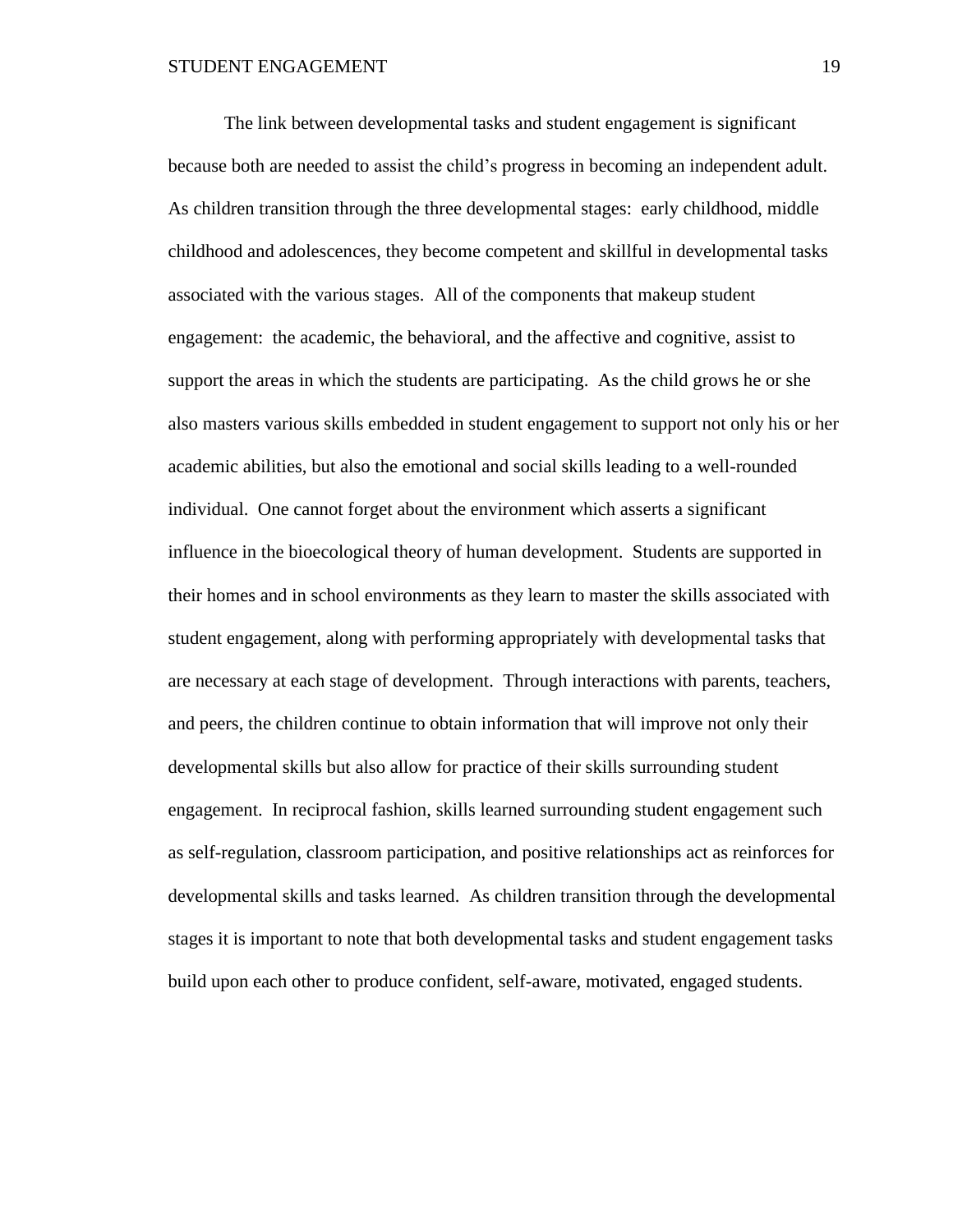The link between developmental tasks and student engagement is significant because both are needed to assist the child's progress in becoming an independent adult. As children transition through the three developmental stages: early childhood, middle childhood and adolescences, they become competent and skillful in developmental tasks associated with the various stages. All of the components that makeup student engagement: the academic, the behavioral, and the affective and cognitive, assist to support the areas in which the students are participating. As the child grows he or she also masters various skills embedded in student engagement to support not only his or her academic abilities, but also the emotional and social skills leading to a well-rounded individual. One cannot forget about the environment which asserts a significant influence in the bioecological theory of human development. Students are supported in their homes and in school environments as they learn to master the skills associated with student engagement, along with performing appropriately with developmental tasks that are necessary at each stage of development. Through interactions with parents, teachers, and peers, the children continue to obtain information that will improve not only their developmental skills but also allow for practice of their skills surrounding student engagement. In reciprocal fashion, skills learned surrounding student engagement such as self-regulation, classroom participation, and positive relationships act as reinforces for developmental skills and tasks learned. As children transition through the developmental stages it is important to note that both developmental tasks and student engagement tasks build upon each other to produce confident, self-aware, motivated, engaged students.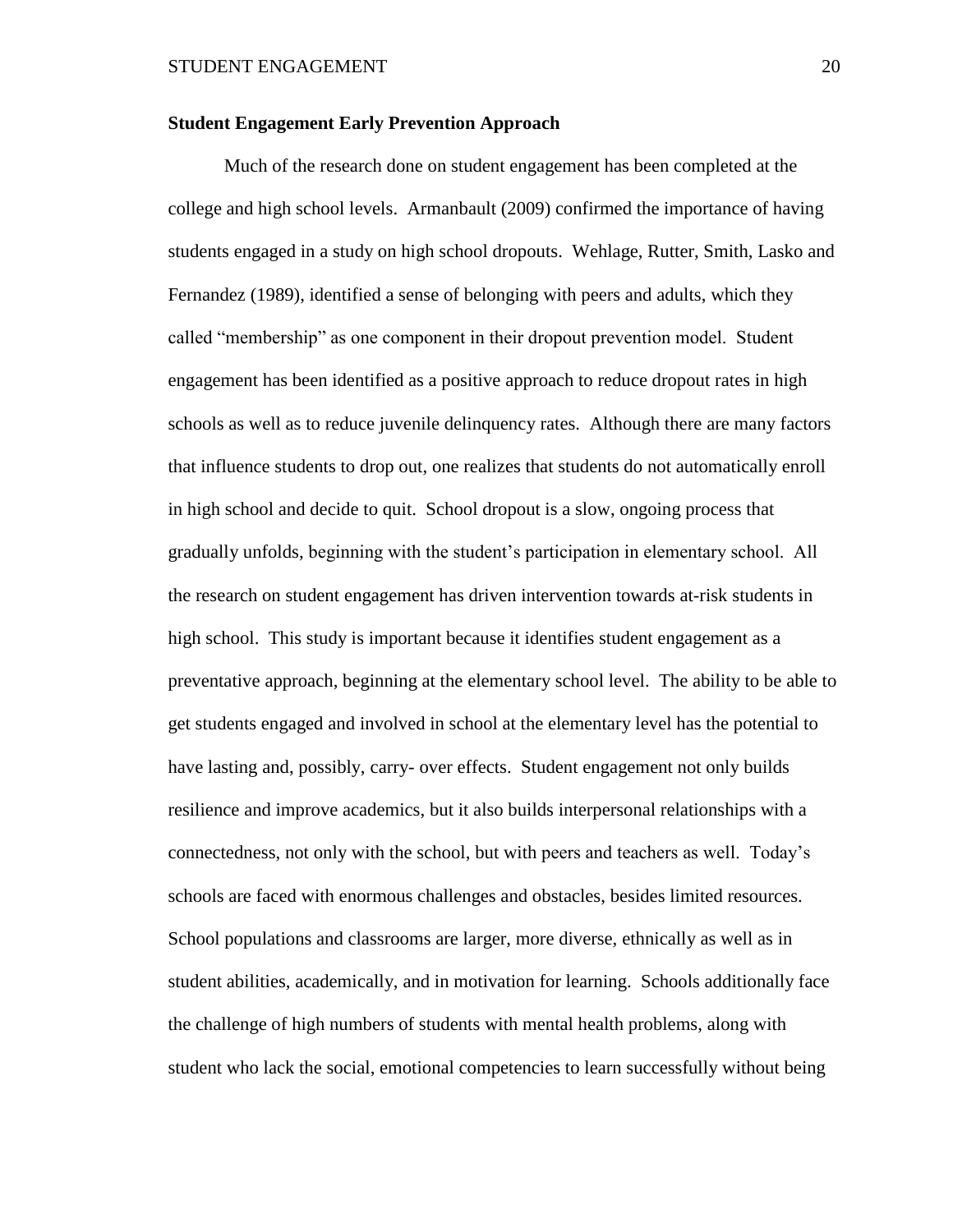# **Student Engagement Early Prevention Approach**

Much of the research done on student engagement has been completed at the college and high school levels. Armanbault (2009) confirmed the importance of having students engaged in a study on high school dropouts. Wehlage, Rutter, Smith, Lasko and Fernandez (1989), identified a sense of belonging with peers and adults, which they called "membership" as one component in their dropout prevention model. Student engagement has been identified as a positive approach to reduce dropout rates in high schools as well as to reduce juvenile delinquency rates. Although there are many factors that influence students to drop out, one realizes that students do not automatically enroll in high school and decide to quit. School dropout is a slow, ongoing process that gradually unfolds, beginning with the student's participation in elementary school. All the research on student engagement has driven intervention towards at-risk students in high school. This study is important because it identifies student engagement as a preventative approach, beginning at the elementary school level. The ability to be able to get students engaged and involved in school at the elementary level has the potential to have lasting and, possibly, carry- over effects. Student engagement not only builds resilience and improve academics, but it also builds interpersonal relationships with a connectedness, not only with the school, but with peers and teachers as well. Today's schools are faced with enormous challenges and obstacles, besides limited resources. School populations and classrooms are larger, more diverse, ethnically as well as in student abilities, academically, and in motivation for learning. Schools additionally face the challenge of high numbers of students with mental health problems, along with student who lack the social, emotional competencies to learn successfully without being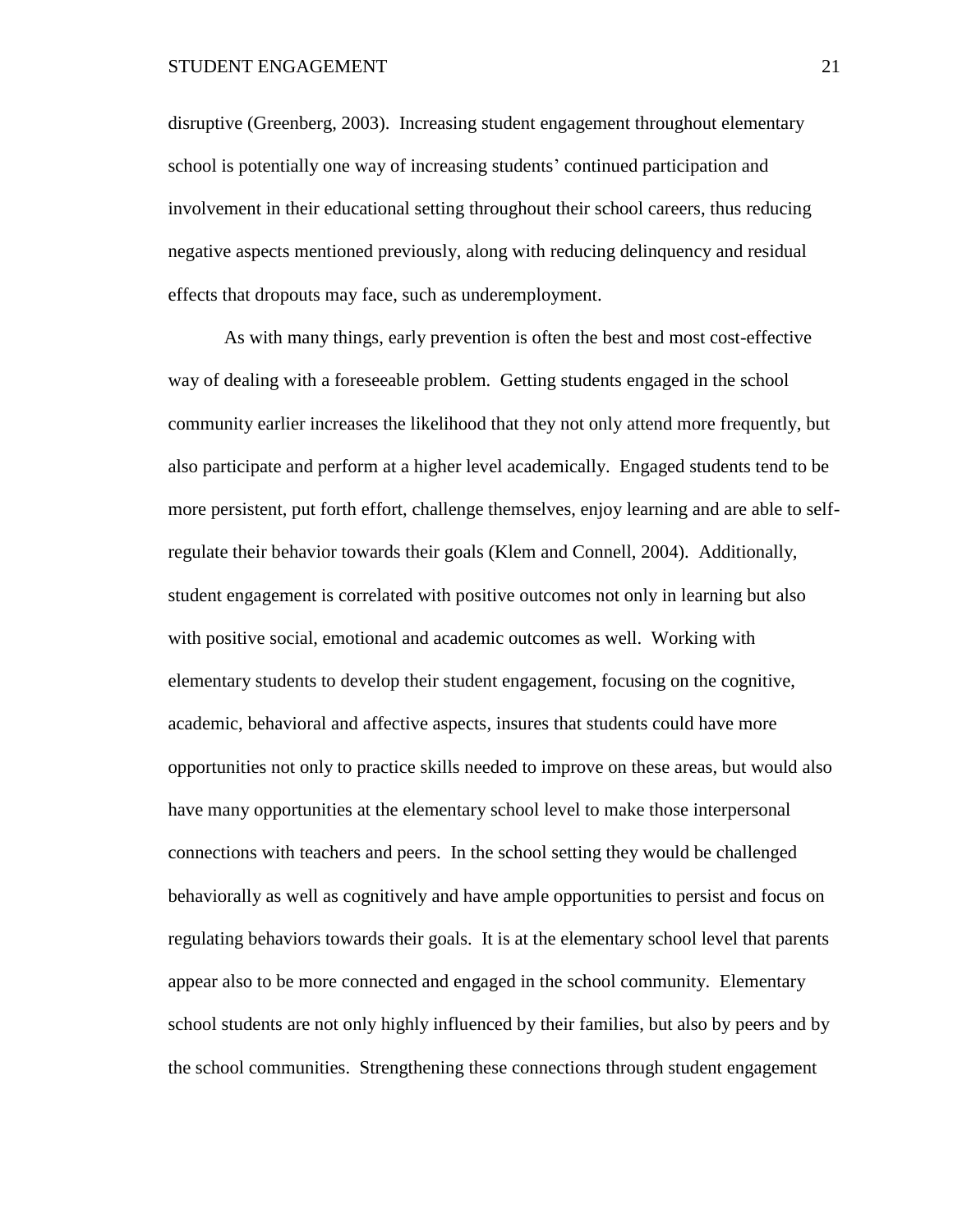disruptive (Greenberg, 2003). Increasing student engagement throughout elementary school is potentially one way of increasing students' continued participation and involvement in their educational setting throughout their school careers, thus reducing negative aspects mentioned previously, along with reducing delinquency and residual effects that dropouts may face, such as underemployment.

As with many things, early prevention is often the best and most cost-effective way of dealing with a foreseeable problem. Getting students engaged in the school community earlier increases the likelihood that they not only attend more frequently, but also participate and perform at a higher level academically. Engaged students tend to be more persistent, put forth effort, challenge themselves, enjoy learning and are able to selfregulate their behavior towards their goals (Klem and Connell, 2004). Additionally, student engagement is correlated with positive outcomes not only in learning but also with positive social, emotional and academic outcomes as well. Working with elementary students to develop their student engagement, focusing on the cognitive, academic, behavioral and affective aspects, insures that students could have more opportunities not only to practice skills needed to improve on these areas, but would also have many opportunities at the elementary school level to make those interpersonal connections with teachers and peers. In the school setting they would be challenged behaviorally as well as cognitively and have ample opportunities to persist and focus on regulating behaviors towards their goals. It is at the elementary school level that parents appear also to be more connected and engaged in the school community. Elementary school students are not only highly influenced by their families, but also by peers and by the school communities. Strengthening these connections through student engagement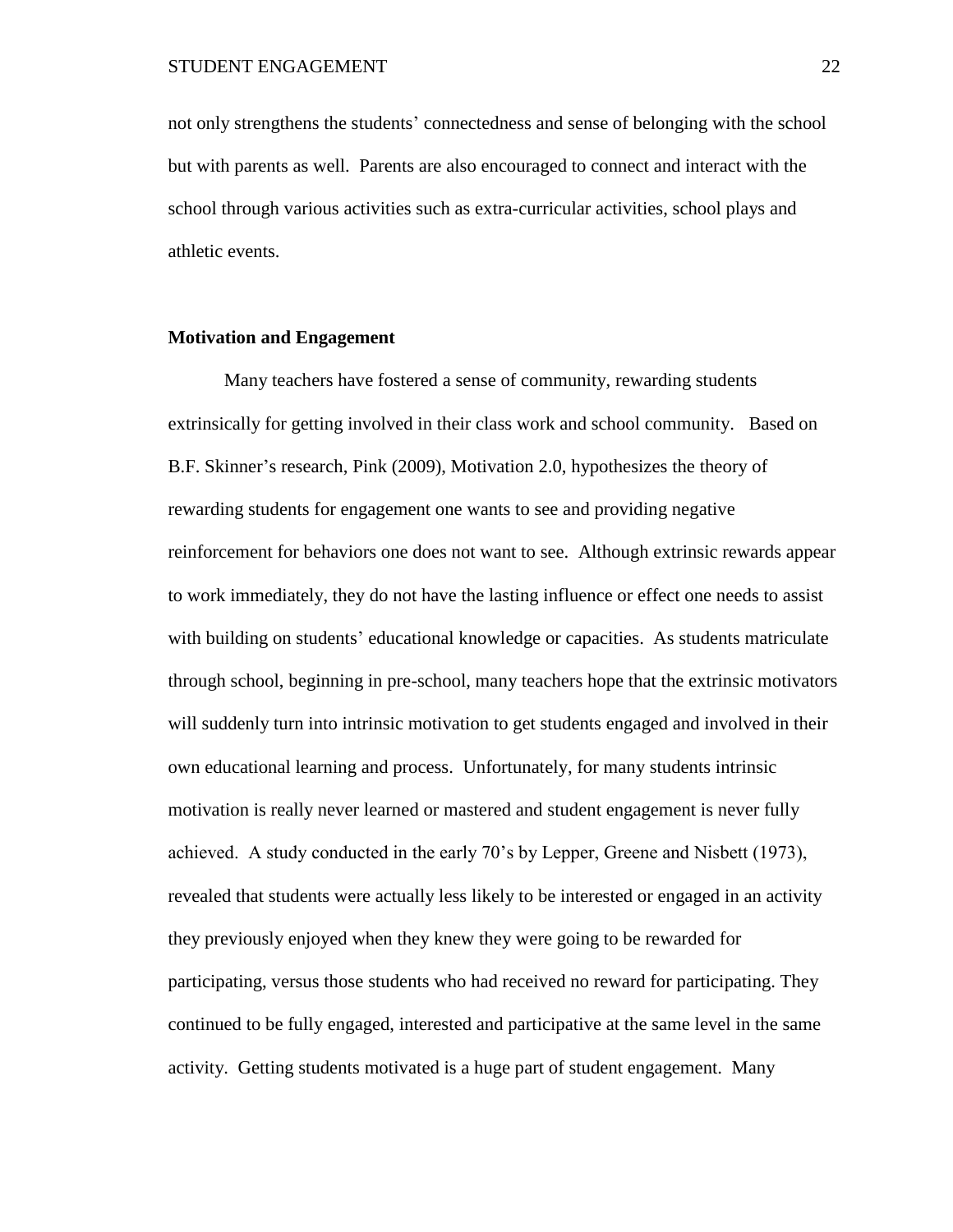not only strengthens the students' connectedness and sense of belonging with the school but with parents as well. Parents are also encouraged to connect and interact with the school through various activities such as extra-curricular activities, school plays and athletic events.

# **Motivation and Engagement**

Many teachers have fostered a sense of community, rewarding students extrinsically for getting involved in their class work and school community. Based on B.F. Skinner's research, Pink (2009), Motivation 2.0, hypothesizes the theory of rewarding students for engagement one wants to see and providing negative reinforcement for behaviors one does not want to see. Although extrinsic rewards appear to work immediately, they do not have the lasting influence or effect one needs to assist with building on students' educational knowledge or capacities. As students matriculate through school, beginning in pre-school, many teachers hope that the extrinsic motivators will suddenly turn into intrinsic motivation to get students engaged and involved in their own educational learning and process. Unfortunately, for many students intrinsic motivation is really never learned or mastered and student engagement is never fully achieved. A study conducted in the early 70's by Lepper, Greene and Nisbett (1973), revealed that students were actually less likely to be interested or engaged in an activity they previously enjoyed when they knew they were going to be rewarded for participating, versus those students who had received no reward for participating. They continued to be fully engaged, interested and participative at the same level in the same activity. Getting students motivated is a huge part of student engagement. Many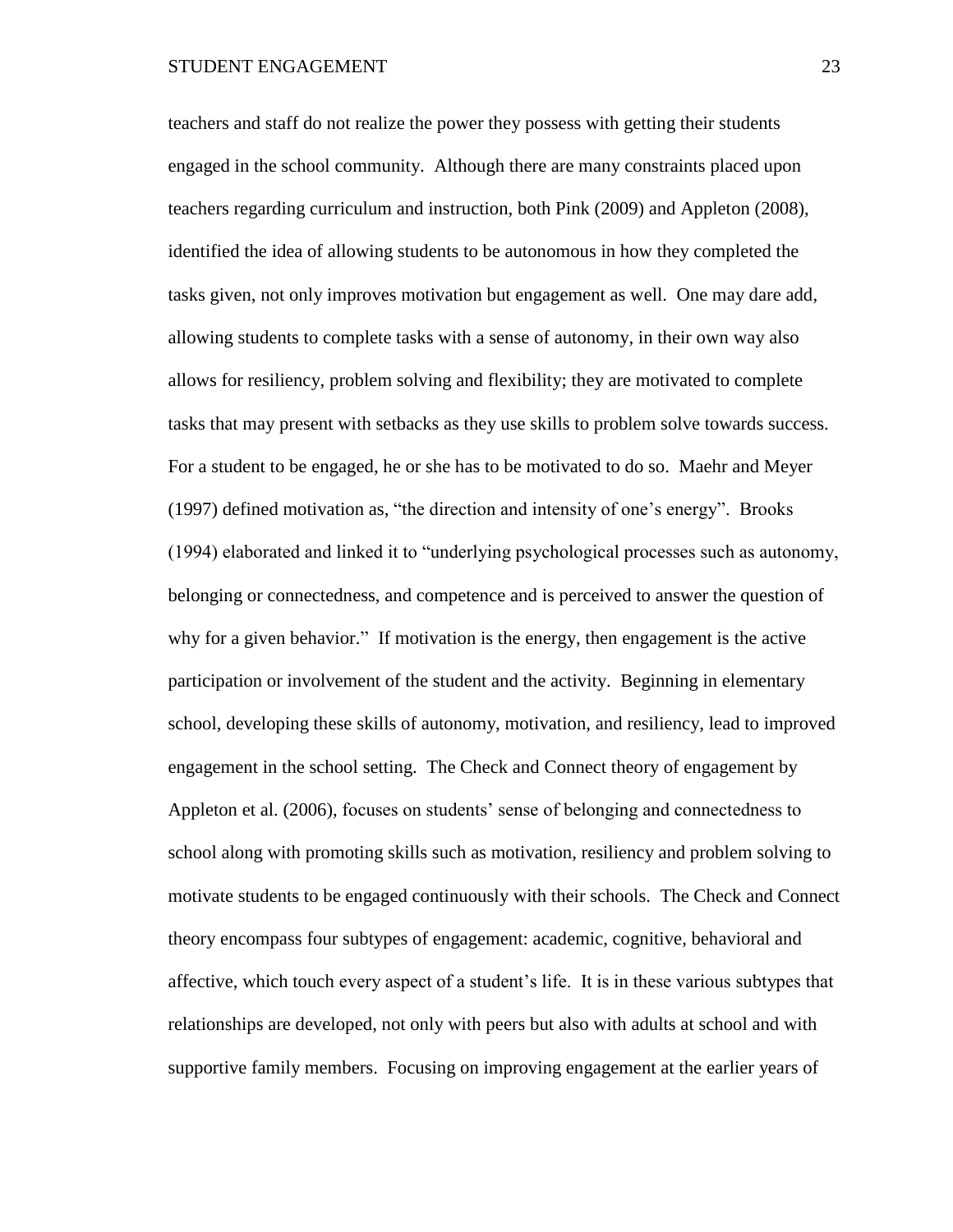teachers and staff do not realize the power they possess with getting their students engaged in the school community. Although there are many constraints placed upon teachers regarding curriculum and instruction, both Pink (2009) and Appleton (2008), identified the idea of allowing students to be autonomous in how they completed the tasks given, not only improves motivation but engagement as well. One may dare add, allowing students to complete tasks with a sense of autonomy, in their own way also allows for resiliency, problem solving and flexibility; they are motivated to complete tasks that may present with setbacks as they use skills to problem solve towards success. For a student to be engaged, he or she has to be motivated to do so. Maehr and Meyer (1997) defined motivation as, "the direction and intensity of one's energy". Brooks (1994) elaborated and linked it to "underlying psychological processes such as autonomy, belonging or connectedness, and competence and is perceived to answer the question of why for a given behavior." If motivation is the energy, then engagement is the active participation or involvement of the student and the activity. Beginning in elementary school, developing these skills of autonomy, motivation, and resiliency, lead to improved engagement in the school setting. The Check and Connect theory of engagement by Appleton et al. (2006), focuses on students' sense of belonging and connectedness to school along with promoting skills such as motivation, resiliency and problem solving to motivate students to be engaged continuously with their schools. The Check and Connect theory encompass four subtypes of engagement: academic, cognitive, behavioral and affective, which touch every aspect of a student's life. It is in these various subtypes that relationships are developed, not only with peers but also with adults at school and with supportive family members. Focusing on improving engagement at the earlier years of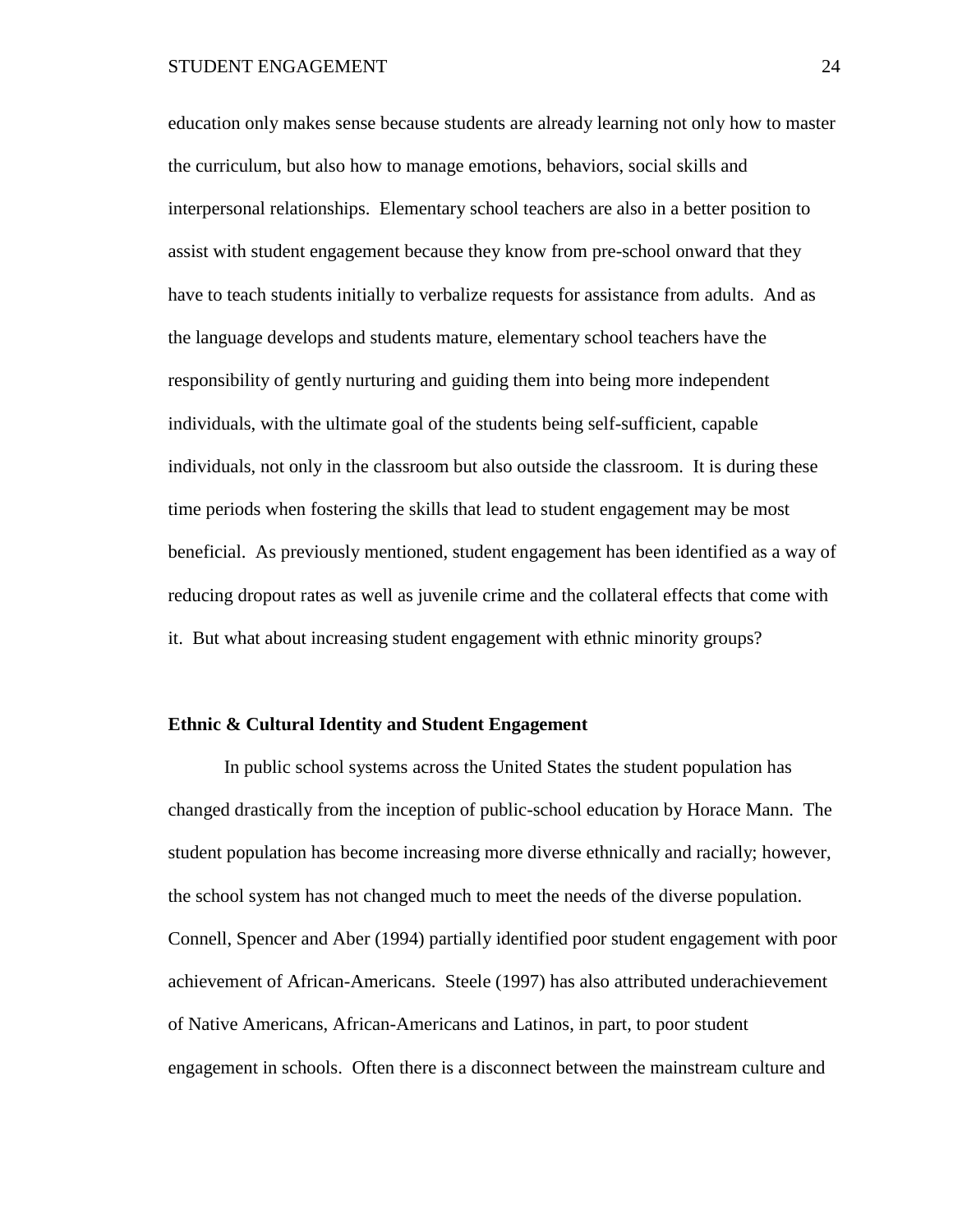education only makes sense because students are already learning not only how to master the curriculum, but also how to manage emotions, behaviors, social skills and interpersonal relationships. Elementary school teachers are also in a better position to assist with student engagement because they know from pre-school onward that they have to teach students initially to verbalize requests for assistance from adults. And as the language develops and students mature, elementary school teachers have the responsibility of gently nurturing and guiding them into being more independent individuals, with the ultimate goal of the students being self-sufficient, capable individuals, not only in the classroom but also outside the classroom. It is during these time periods when fostering the skills that lead to student engagement may be most beneficial. As previously mentioned, student engagement has been identified as a way of reducing dropout rates as well as juvenile crime and the collateral effects that come with it. But what about increasing student engagement with ethnic minority groups?

# **Ethnic & Cultural Identity and Student Engagement**

In public school systems across the United States the student population has changed drastically from the inception of public-school education by Horace Mann. The student population has become increasing more diverse ethnically and racially; however, the school system has not changed much to meet the needs of the diverse population. Connell, Spencer and Aber (1994) partially identified poor student engagement with poor achievement of African-Americans. Steele (1997) has also attributed underachievement of Native Americans, African-Americans and Latinos, in part, to poor student engagement in schools. Often there is a disconnect between the mainstream culture and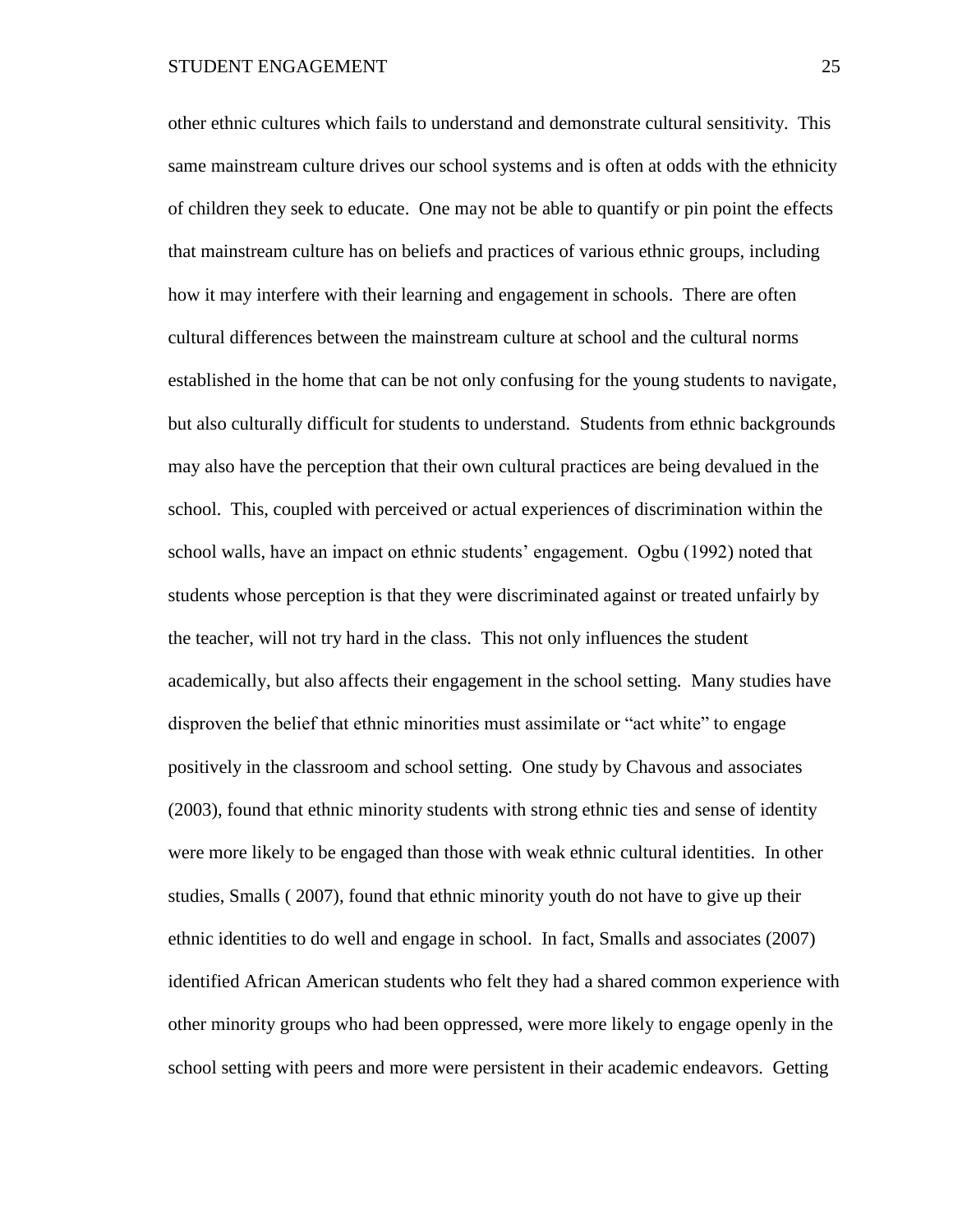other ethnic cultures which fails to understand and demonstrate cultural sensitivity. This same mainstream culture drives our school systems and is often at odds with the ethnicity of children they seek to educate. One may not be able to quantify or pin point the effects that mainstream culture has on beliefs and practices of various ethnic groups, including how it may interfere with their learning and engagement in schools. There are often cultural differences between the mainstream culture at school and the cultural norms established in the home that can be not only confusing for the young students to navigate, but also culturally difficult for students to understand. Students from ethnic backgrounds may also have the perception that their own cultural practices are being devalued in the school. This, coupled with perceived or actual experiences of discrimination within the school walls, have an impact on ethnic students' engagement. Ogbu (1992) noted that students whose perception is that they were discriminated against or treated unfairly by the teacher, will not try hard in the class. This not only influences the student academically, but also affects their engagement in the school setting. Many studies have disproven the belief that ethnic minorities must assimilate or "act white" to engage positively in the classroom and school setting. One study by Chavous and associates (2003), found that ethnic minority students with strong ethnic ties and sense of identity were more likely to be engaged than those with weak ethnic cultural identities. In other studies, Smalls ( 2007), found that ethnic minority youth do not have to give up their ethnic identities to do well and engage in school. In fact, Smalls and associates (2007) identified African American students who felt they had a shared common experience with other minority groups who had been oppressed, were more likely to engage openly in the school setting with peers and more were persistent in their academic endeavors. Getting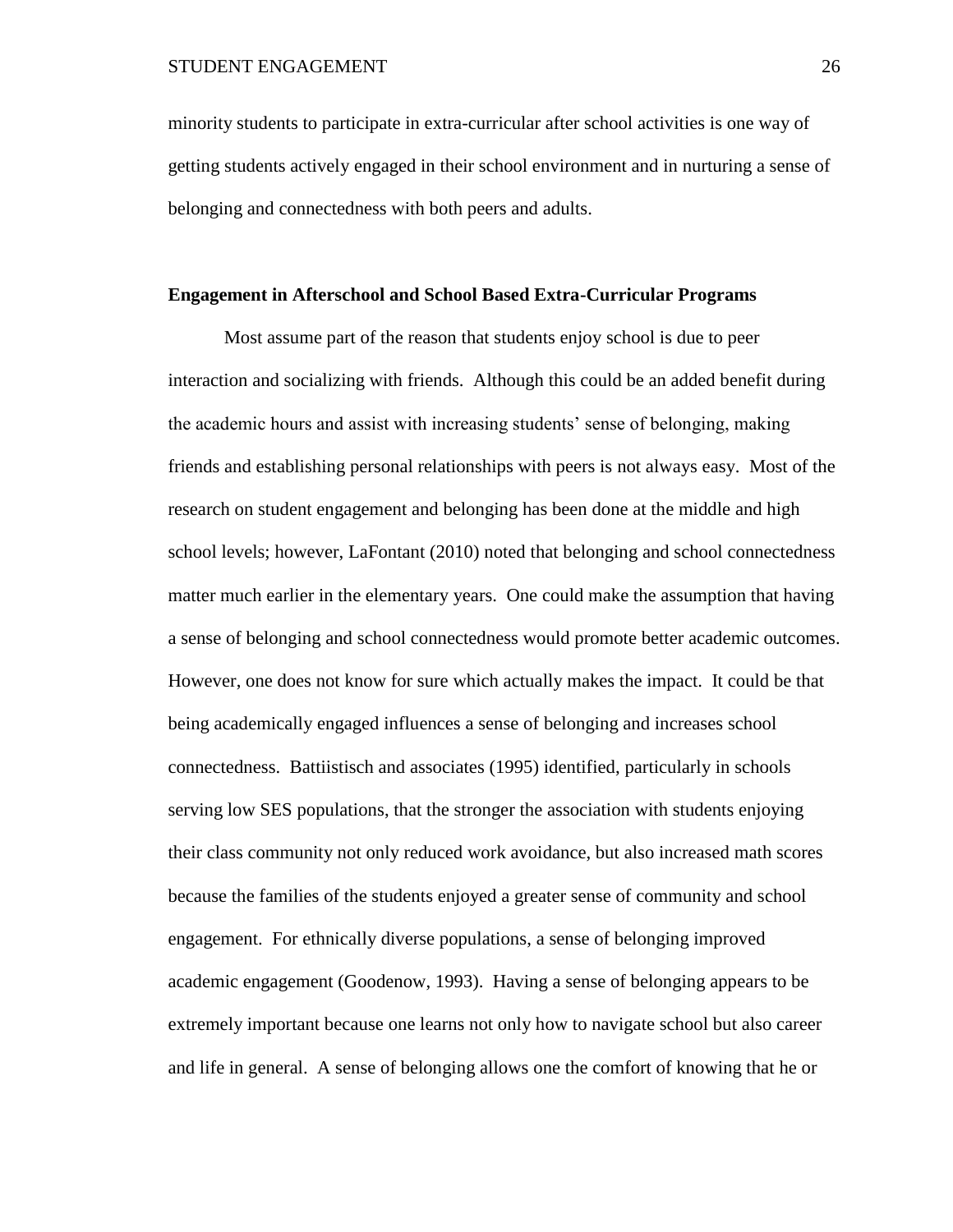minority students to participate in extra-curricular after school activities is one way of getting students actively engaged in their school environment and in nurturing a sense of belonging and connectedness with both peers and adults.

# **Engagement in Afterschool and School Based Extra-Curricular Programs**

Most assume part of the reason that students enjoy school is due to peer interaction and socializing with friends. Although this could be an added benefit during the academic hours and assist with increasing students' sense of belonging, making friends and establishing personal relationships with peers is not always easy. Most of the research on student engagement and belonging has been done at the middle and high school levels; however, LaFontant (2010) noted that belonging and school connectedness matter much earlier in the elementary years. One could make the assumption that having a sense of belonging and school connectedness would promote better academic outcomes. However, one does not know for sure which actually makes the impact. It could be that being academically engaged influences a sense of belonging and increases school connectedness. Battiistisch and associates (1995) identified, particularly in schools serving low SES populations, that the stronger the association with students enjoying their class community not only reduced work avoidance, but also increased math scores because the families of the students enjoyed a greater sense of community and school engagement. For ethnically diverse populations, a sense of belonging improved academic engagement (Goodenow, 1993). Having a sense of belonging appears to be extremely important because one learns not only how to navigate school but also career and life in general. A sense of belonging allows one the comfort of knowing that he or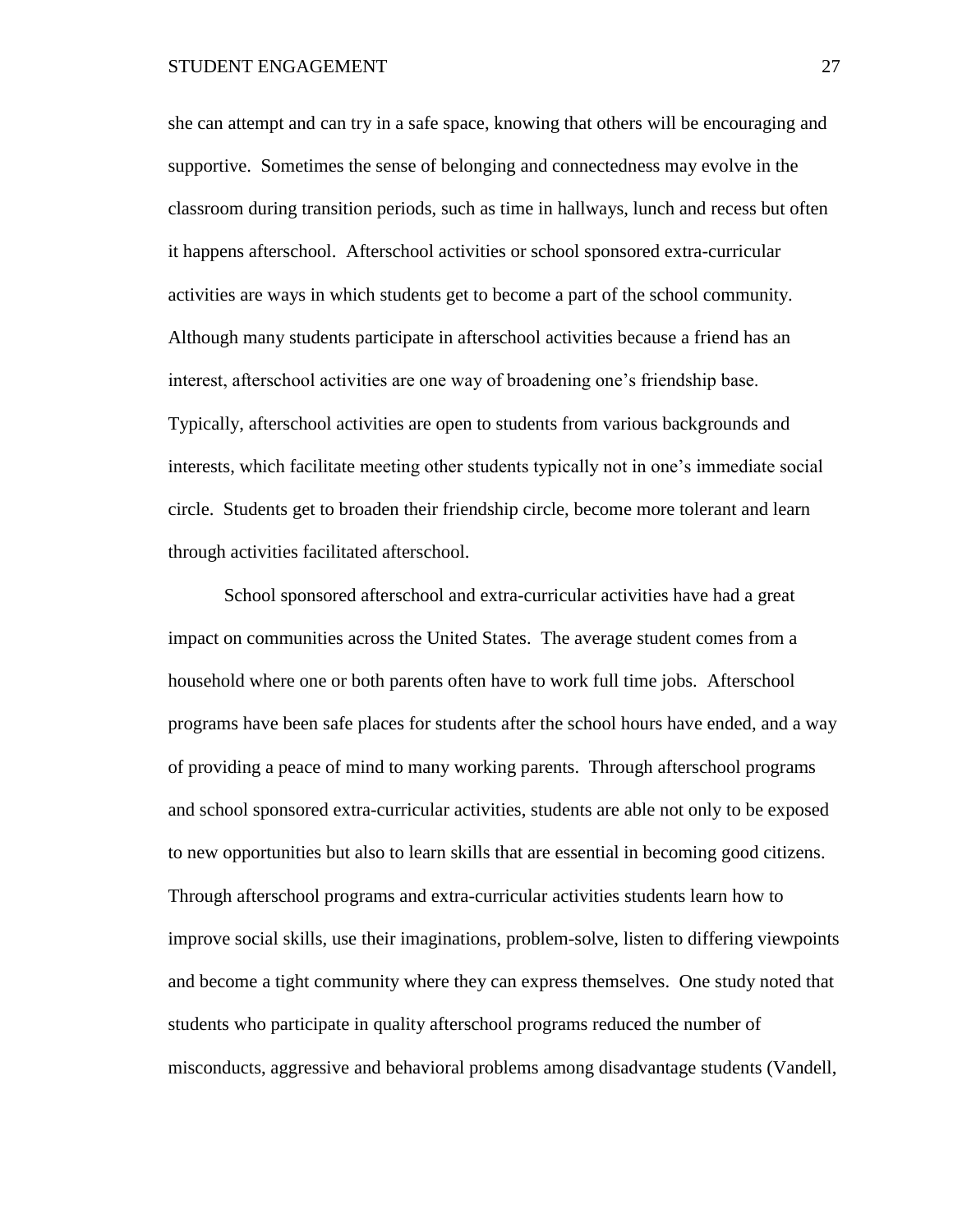she can attempt and can try in a safe space, knowing that others will be encouraging and supportive. Sometimes the sense of belonging and connectedness may evolve in the classroom during transition periods, such as time in hallways, lunch and recess but often it happens afterschool. Afterschool activities or school sponsored extra-curricular activities are ways in which students get to become a part of the school community. Although many students participate in afterschool activities because a friend has an interest, afterschool activities are one way of broadening one's friendship base. Typically, afterschool activities are open to students from various backgrounds and interests, which facilitate meeting other students typically not in one's immediate social circle. Students get to broaden their friendship circle, become more tolerant and learn through activities facilitated afterschool.

School sponsored afterschool and extra-curricular activities have had a great impact on communities across the United States. The average student comes from a household where one or both parents often have to work full time jobs. Afterschool programs have been safe places for students after the school hours have ended, and a way of providing a peace of mind to many working parents. Through afterschool programs and school sponsored extra-curricular activities, students are able not only to be exposed to new opportunities but also to learn skills that are essential in becoming good citizens. Through afterschool programs and extra-curricular activities students learn how to improve social skills, use their imaginations, problem-solve, listen to differing viewpoints and become a tight community where they can express themselves. One study noted that students who participate in quality afterschool programs reduced the number of misconducts, aggressive and behavioral problems among disadvantage students (Vandell,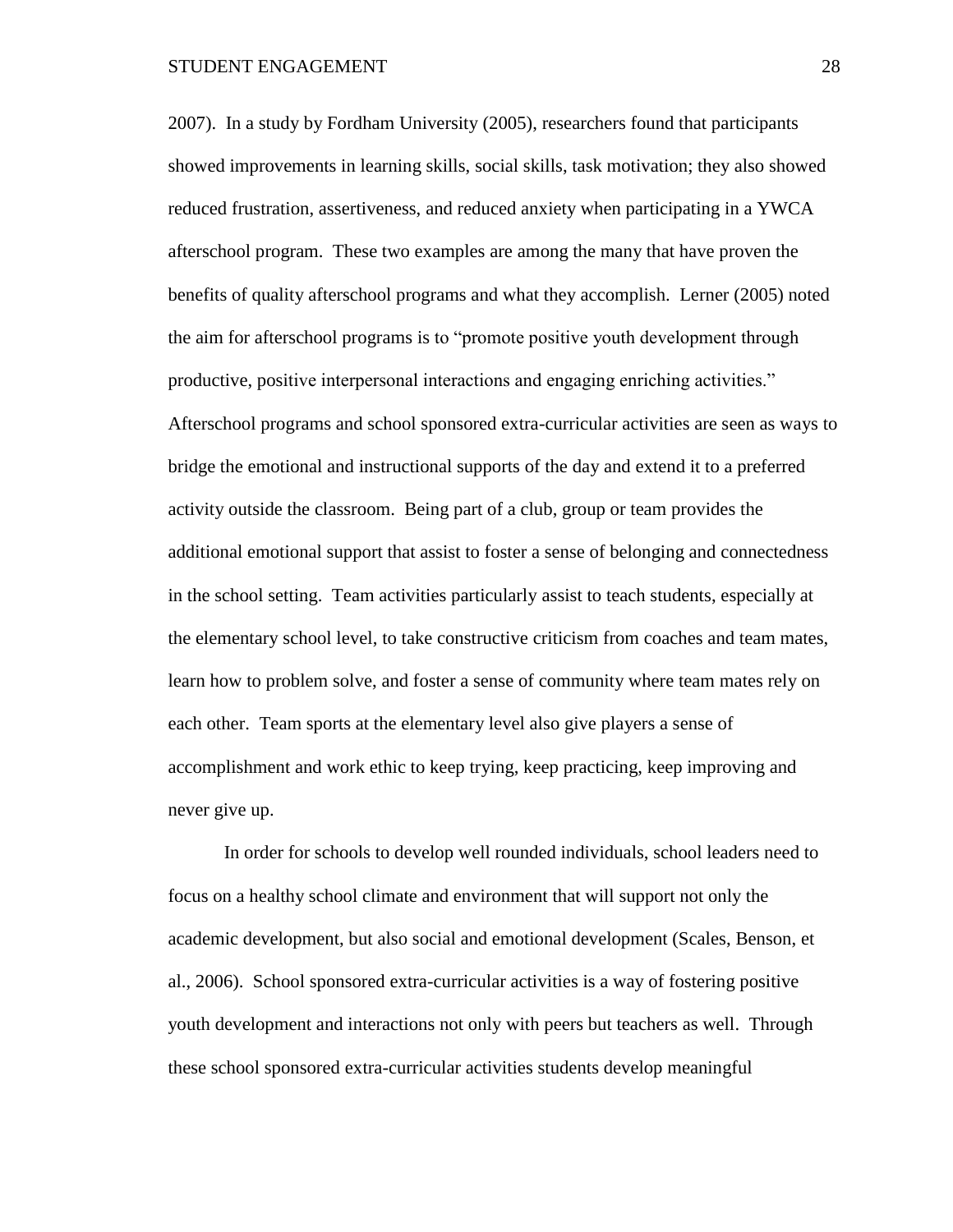2007). In a study by Fordham University (2005), researchers found that participants showed improvements in learning skills, social skills, task motivation; they also showed reduced frustration, assertiveness, and reduced anxiety when participating in a YWCA afterschool program. These two examples are among the many that have proven the benefits of quality afterschool programs and what they accomplish. Lerner (2005) noted the aim for afterschool programs is to "promote positive youth development through productive, positive interpersonal interactions and engaging enriching activities." Afterschool programs and school sponsored extra-curricular activities are seen as ways to bridge the emotional and instructional supports of the day and extend it to a preferred activity outside the classroom. Being part of a club, group or team provides the additional emotional support that assist to foster a sense of belonging and connectedness in the school setting. Team activities particularly assist to teach students, especially at the elementary school level, to take constructive criticism from coaches and team mates, learn how to problem solve, and foster a sense of community where team mates rely on each other. Team sports at the elementary level also give players a sense of accomplishment and work ethic to keep trying, keep practicing, keep improving and never give up.

In order for schools to develop well rounded individuals, school leaders need to focus on a healthy school climate and environment that will support not only the academic development, but also social and emotional development (Scales, Benson, et al., 2006). School sponsored extra-curricular activities is a way of fostering positive youth development and interactions not only with peers but teachers as well. Through these school sponsored extra-curricular activities students develop meaningful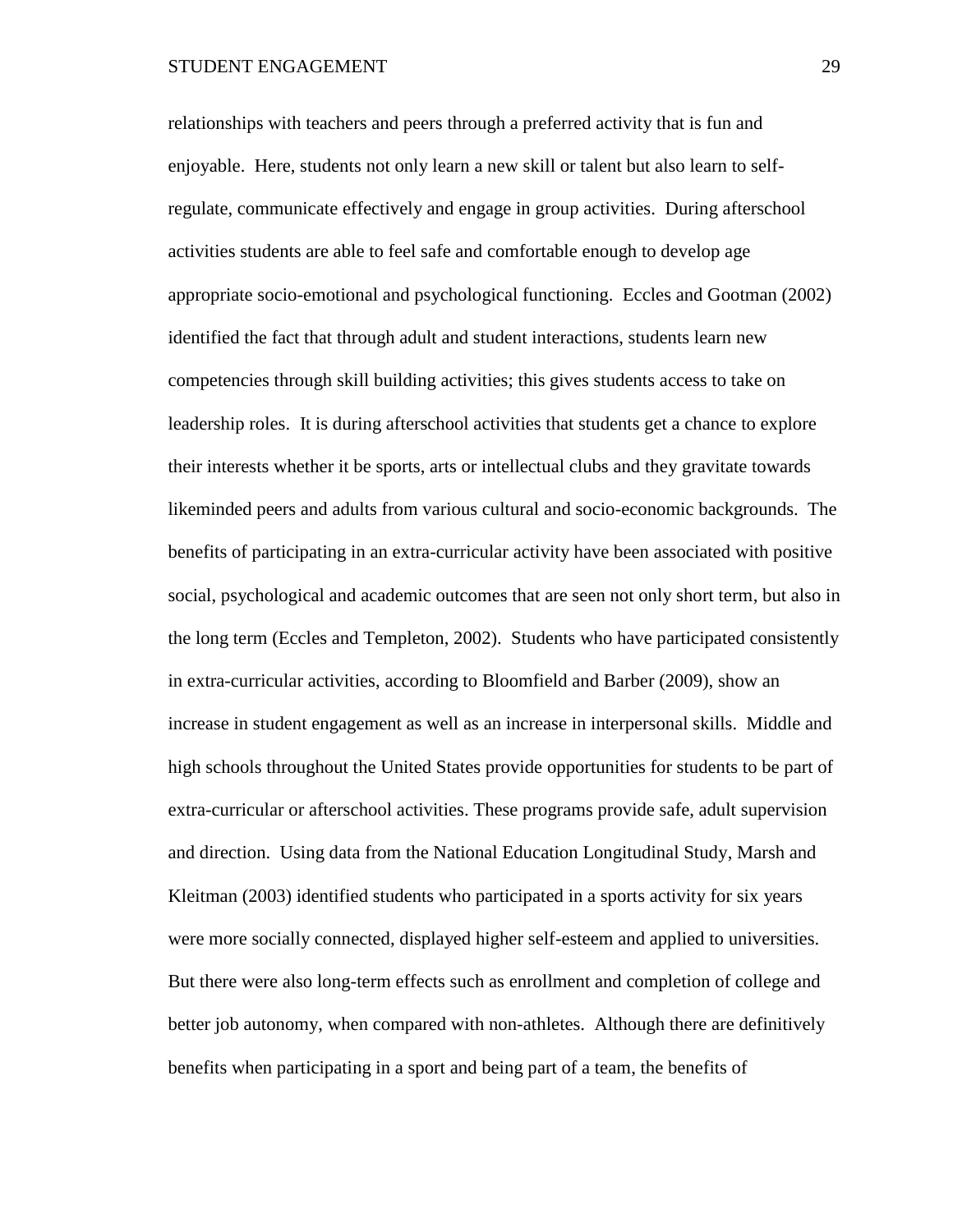relationships with teachers and peers through a preferred activity that is fun and enjoyable. Here, students not only learn a new skill or talent but also learn to selfregulate, communicate effectively and engage in group activities. During afterschool activities students are able to feel safe and comfortable enough to develop age appropriate socio-emotional and psychological functioning. Eccles and Gootman (2002) identified the fact that through adult and student interactions, students learn new competencies through skill building activities; this gives students access to take on leadership roles. It is during afterschool activities that students get a chance to explore their interests whether it be sports, arts or intellectual clubs and they gravitate towards likeminded peers and adults from various cultural and socio-economic backgrounds. The benefits of participating in an extra-curricular activity have been associated with positive social, psychological and academic outcomes that are seen not only short term, but also in the long term (Eccles and Templeton, 2002). Students who have participated consistently in extra-curricular activities, according to Bloomfield and Barber (2009), show an increase in student engagement as well as an increase in interpersonal skills. Middle and high schools throughout the United States provide opportunities for students to be part of extra-curricular or afterschool activities. These programs provide safe, adult supervision and direction. Using data from the National Education Longitudinal Study, Marsh and Kleitman (2003) identified students who participated in a sports activity for six years were more socially connected, displayed higher self-esteem and applied to universities. But there were also long-term effects such as enrollment and completion of college and better job autonomy, when compared with non-athletes. Although there are definitively benefits when participating in a sport and being part of a team, the benefits of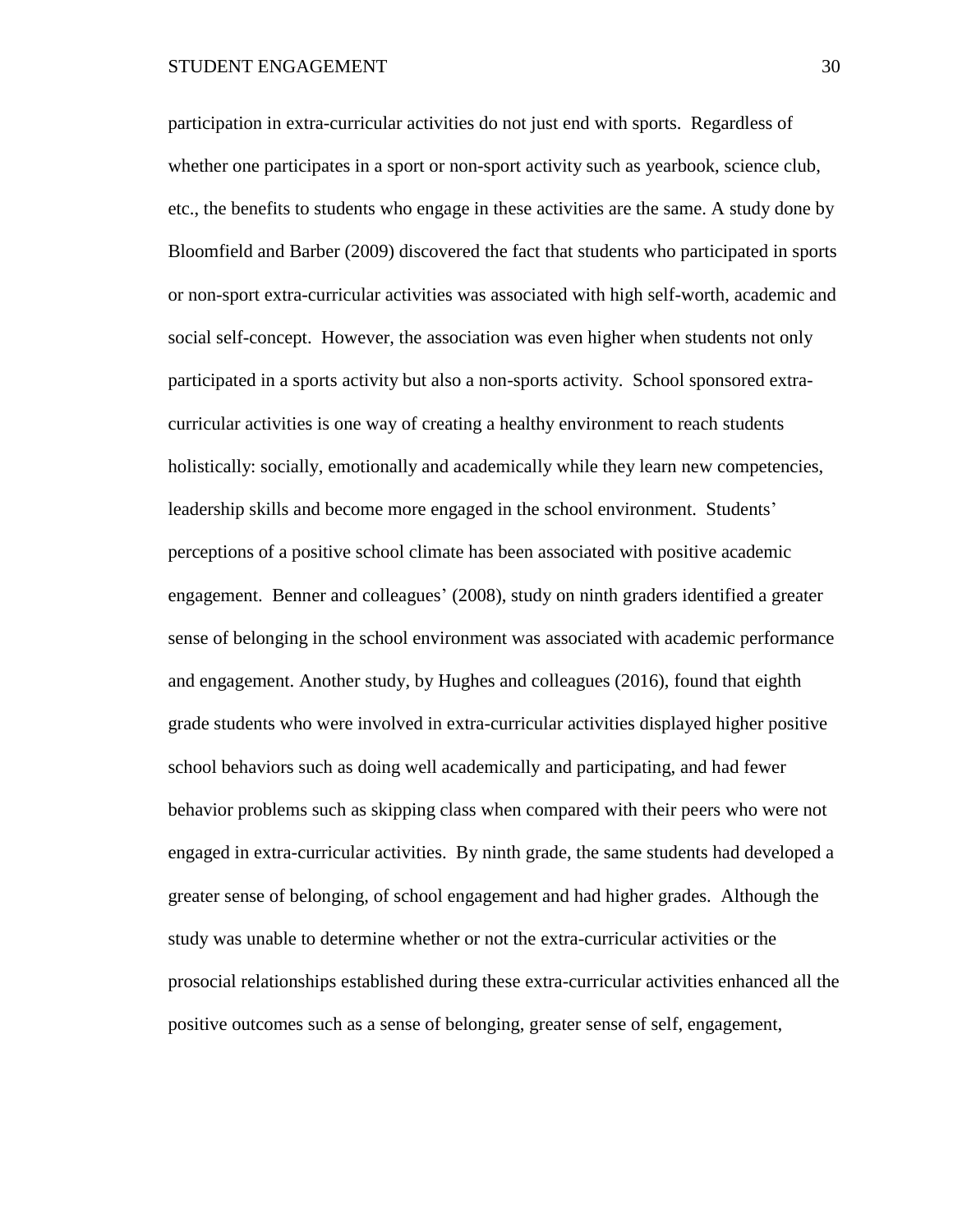participation in extra-curricular activities do not just end with sports. Regardless of whether one participates in a sport or non-sport activity such as yearbook, science club, etc., the benefits to students who engage in these activities are the same. A study done by Bloomfield and Barber (2009) discovered the fact that students who participated in sports or non-sport extra-curricular activities was associated with high self-worth, academic and social self-concept. However, the association was even higher when students not only participated in a sports activity but also a non-sports activity. School sponsored extracurricular activities is one way of creating a healthy environment to reach students holistically: socially, emotionally and academically while they learn new competencies, leadership skills and become more engaged in the school environment. Students' perceptions of a positive school climate has been associated with positive academic engagement. Benner and colleagues' (2008), study on ninth graders identified a greater sense of belonging in the school environment was associated with academic performance and engagement. Another study, by Hughes and colleagues (2016), found that eighth grade students who were involved in extra-curricular activities displayed higher positive school behaviors such as doing well academically and participating, and had fewer behavior problems such as skipping class when compared with their peers who were not engaged in extra-curricular activities. By ninth grade, the same students had developed a greater sense of belonging, of school engagement and had higher grades. Although the study was unable to determine whether or not the extra-curricular activities or the prosocial relationships established during these extra-curricular activities enhanced all the positive outcomes such as a sense of belonging, greater sense of self, engagement,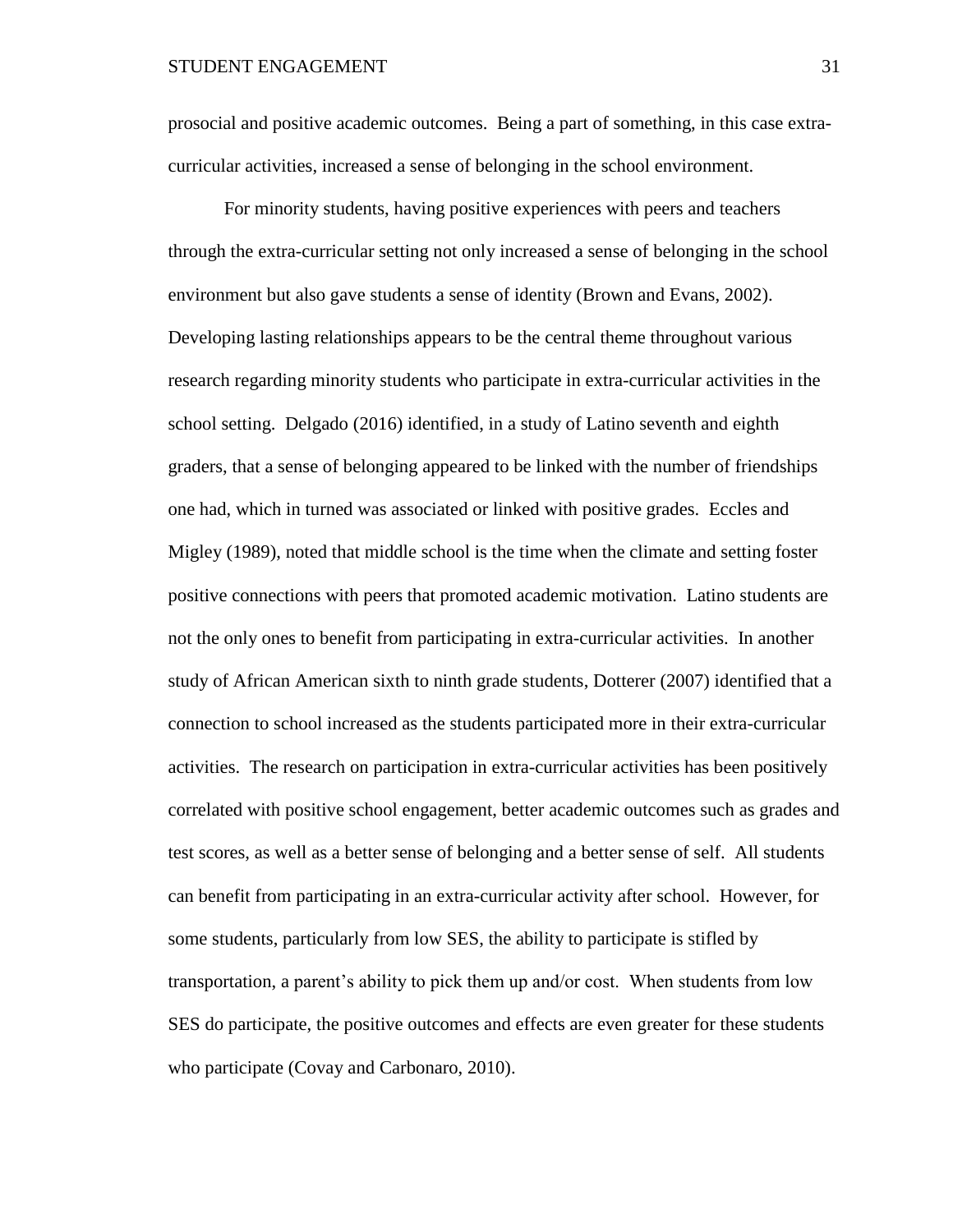prosocial and positive academic outcomes. Being a part of something, in this case extracurricular activities, increased a sense of belonging in the school environment.

For minority students, having positive experiences with peers and teachers through the extra-curricular setting not only increased a sense of belonging in the school environment but also gave students a sense of identity (Brown and Evans, 2002). Developing lasting relationships appears to be the central theme throughout various research regarding minority students who participate in extra-curricular activities in the school setting. Delgado (2016) identified, in a study of Latino seventh and eighth graders, that a sense of belonging appeared to be linked with the number of friendships one had, which in turned was associated or linked with positive grades. Eccles and Migley (1989), noted that middle school is the time when the climate and setting foster positive connections with peers that promoted academic motivation. Latino students are not the only ones to benefit from participating in extra-curricular activities. In another study of African American sixth to ninth grade students, Dotterer (2007) identified that a connection to school increased as the students participated more in their extra-curricular activities. The research on participation in extra-curricular activities has been positively correlated with positive school engagement, better academic outcomes such as grades and test scores, as well as a better sense of belonging and a better sense of self. All students can benefit from participating in an extra-curricular activity after school. However, for some students, particularly from low SES, the ability to participate is stifled by transportation, a parent's ability to pick them up and/or cost. When students from low SES do participate, the positive outcomes and effects are even greater for these students who participate (Covay and Carbonaro, 2010).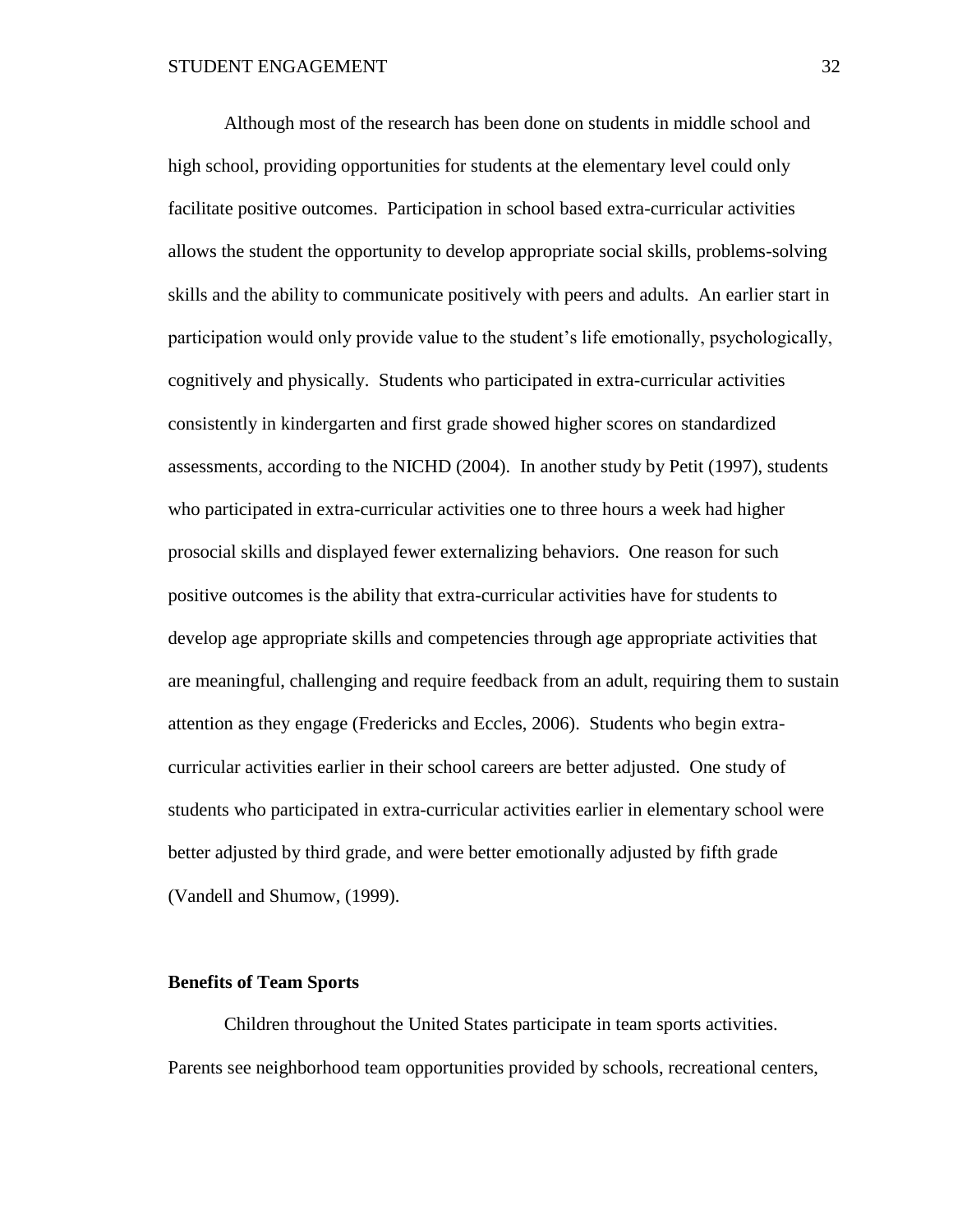Although most of the research has been done on students in middle school and high school, providing opportunities for students at the elementary level could only facilitate positive outcomes. Participation in school based extra-curricular activities allows the student the opportunity to develop appropriate social skills, problems-solving skills and the ability to communicate positively with peers and adults. An earlier start in participation would only provide value to the student's life emotionally, psychologically, cognitively and physically. Students who participated in extra-curricular activities consistently in kindergarten and first grade showed higher scores on standardized assessments, according to the NICHD (2004). In another study by Petit (1997), students who participated in extra-curricular activities one to three hours a week had higher prosocial skills and displayed fewer externalizing behaviors. One reason for such positive outcomes is the ability that extra-curricular activities have for students to develop age appropriate skills and competencies through age appropriate activities that are meaningful, challenging and require feedback from an adult, requiring them to sustain attention as they engage (Fredericks and Eccles, 2006). Students who begin extracurricular activities earlier in their school careers are better adjusted. One study of students who participated in extra-curricular activities earlier in elementary school were better adjusted by third grade, and were better emotionally adjusted by fifth grade (Vandell and Shumow, (1999).

#### **Benefits of Team Sports**

Children throughout the United States participate in team sports activities. Parents see neighborhood team opportunities provided by schools, recreational centers,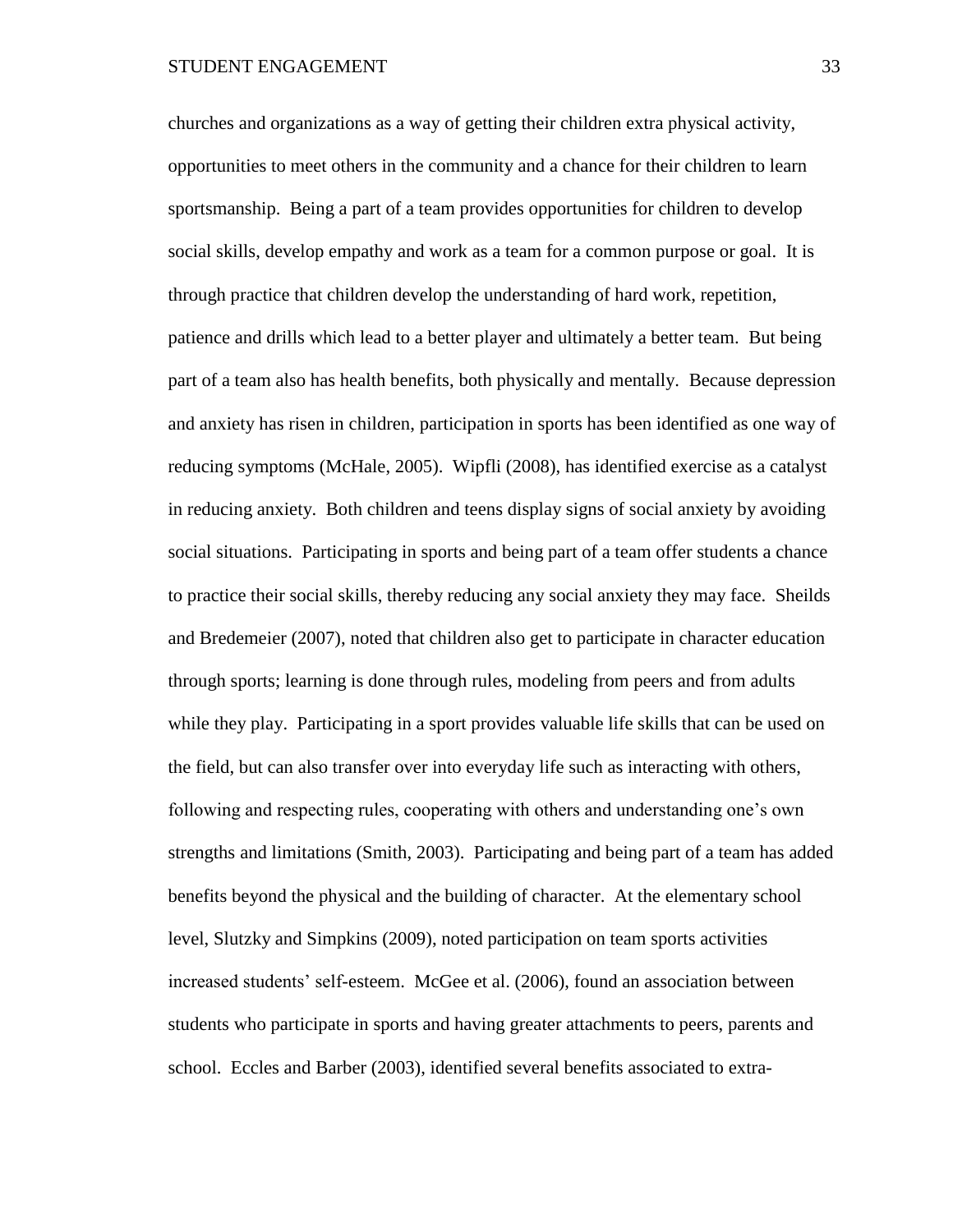churches and organizations as a way of getting their children extra physical activity, opportunities to meet others in the community and a chance for their children to learn sportsmanship. Being a part of a team provides opportunities for children to develop social skills, develop empathy and work as a team for a common purpose or goal. It is through practice that children develop the understanding of hard work, repetition, patience and drills which lead to a better player and ultimately a better team. But being part of a team also has health benefits, both physically and mentally. Because depression and anxiety has risen in children, participation in sports has been identified as one way of reducing symptoms (McHale, 2005). Wipfli (2008), has identified exercise as a catalyst in reducing anxiety. Both children and teens display signs of social anxiety by avoiding social situations. Participating in sports and being part of a team offer students a chance to practice their social skills, thereby reducing any social anxiety they may face. Sheilds and Bredemeier (2007), noted that children also get to participate in character education through sports; learning is done through rules, modeling from peers and from adults while they play. Participating in a sport provides valuable life skills that can be used on the field, but can also transfer over into everyday life such as interacting with others, following and respecting rules, cooperating with others and understanding one's own strengths and limitations (Smith, 2003). Participating and being part of a team has added benefits beyond the physical and the building of character. At the elementary school level, Slutzky and Simpkins (2009), noted participation on team sports activities increased students' self-esteem. McGee et al. (2006), found an association between students who participate in sports and having greater attachments to peers, parents and school. Eccles and Barber (2003), identified several benefits associated to extra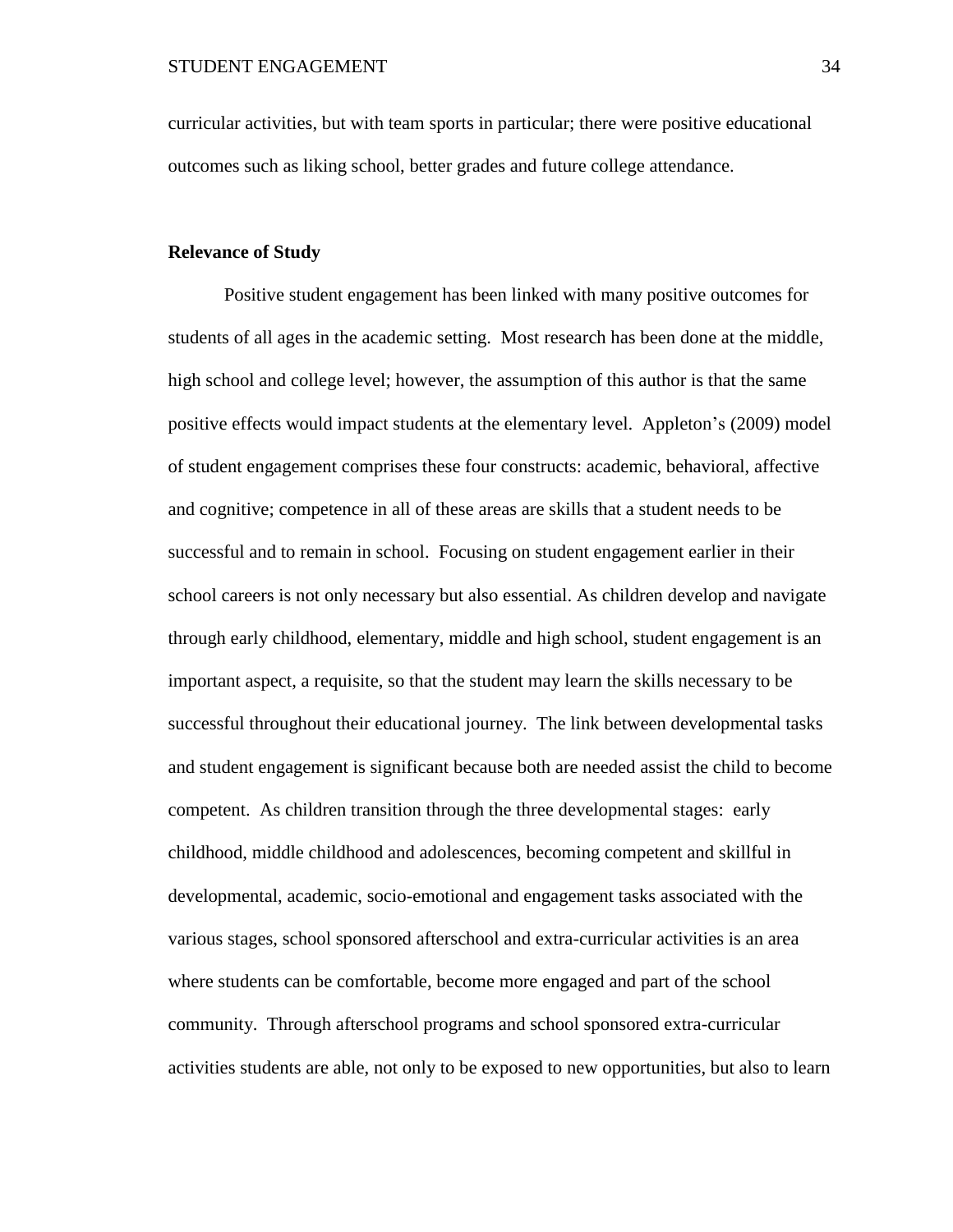curricular activities, but with team sports in particular; there were positive educational outcomes such as liking school, better grades and future college attendance.

# **Relevance of Study**

Positive student engagement has been linked with many positive outcomes for students of all ages in the academic setting. Most research has been done at the middle, high school and college level; however, the assumption of this author is that the same positive effects would impact students at the elementary level. Appleton's (2009) model of student engagement comprises these four constructs: academic, behavioral, affective and cognitive; competence in all of these areas are skills that a student needs to be successful and to remain in school. Focusing on student engagement earlier in their school careers is not only necessary but also essential. As children develop and navigate through early childhood, elementary, middle and high school, student engagement is an important aspect, a requisite, so that the student may learn the skills necessary to be successful throughout their educational journey. The link between developmental tasks and student engagement is significant because both are needed assist the child to become competent. As children transition through the three developmental stages: early childhood, middle childhood and adolescences, becoming competent and skillful in developmental, academic, socio-emotional and engagement tasks associated with the various stages, school sponsored afterschool and extra-curricular activities is an area where students can be comfortable, become more engaged and part of the school community. Through afterschool programs and school sponsored extra-curricular activities students are able, not only to be exposed to new opportunities, but also to learn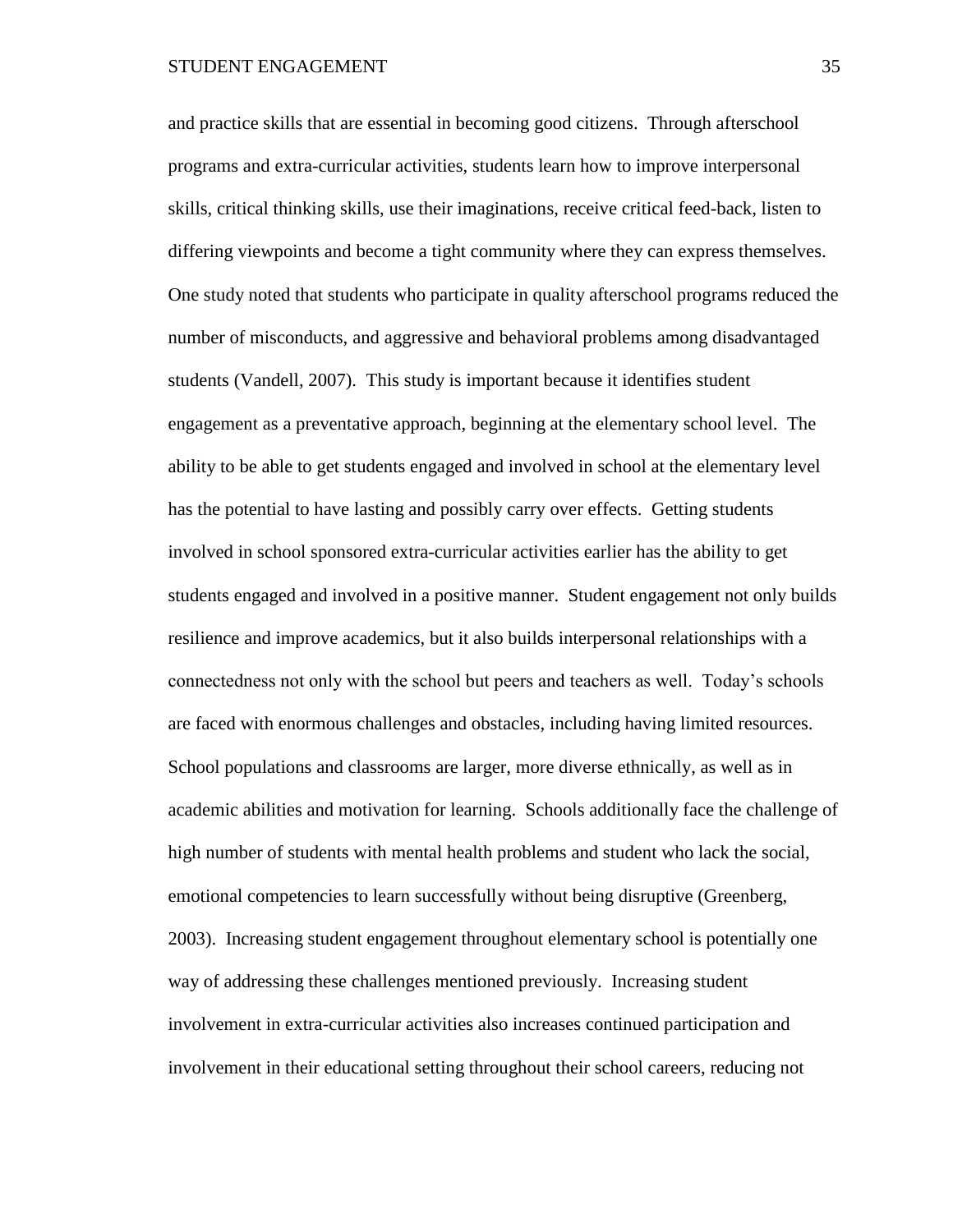and practice skills that are essential in becoming good citizens. Through afterschool programs and extra-curricular activities, students learn how to improve interpersonal skills, critical thinking skills, use their imaginations, receive critical feed-back, listen to differing viewpoints and become a tight community where they can express themselves. One study noted that students who participate in quality afterschool programs reduced the number of misconducts, and aggressive and behavioral problems among disadvantaged students (Vandell, 2007). This study is important because it identifies student engagement as a preventative approach, beginning at the elementary school level. The ability to be able to get students engaged and involved in school at the elementary level has the potential to have lasting and possibly carry over effects. Getting students involved in school sponsored extra-curricular activities earlier has the ability to get students engaged and involved in a positive manner. Student engagement not only builds resilience and improve academics, but it also builds interpersonal relationships with a connectedness not only with the school but peers and teachers as well. Today's schools are faced with enormous challenges and obstacles, including having limited resources. School populations and classrooms are larger, more diverse ethnically, as well as in academic abilities and motivation for learning. Schools additionally face the challenge of high number of students with mental health problems and student who lack the social, emotional competencies to learn successfully without being disruptive (Greenberg, 2003). Increasing student engagement throughout elementary school is potentially one way of addressing these challenges mentioned previously. Increasing student involvement in extra-curricular activities also increases continued participation and involvement in their educational setting throughout their school careers, reducing not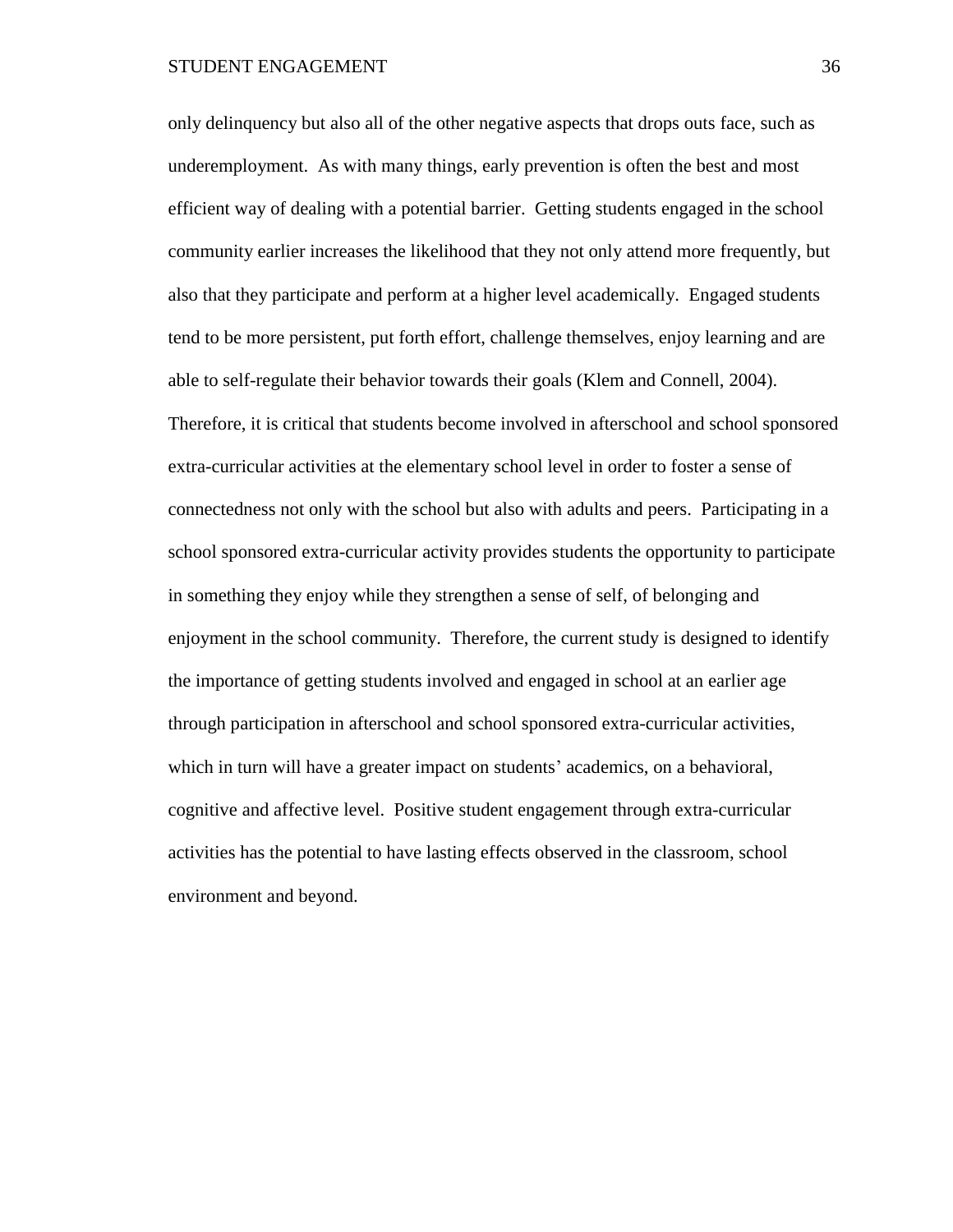only delinquency but also all of the other negative aspects that drops outs face, such as underemployment. As with many things, early prevention is often the best and most efficient way of dealing with a potential barrier. Getting students engaged in the school community earlier increases the likelihood that they not only attend more frequently, but also that they participate and perform at a higher level academically. Engaged students tend to be more persistent, put forth effort, challenge themselves, enjoy learning and are able to self-regulate their behavior towards their goals (Klem and Connell, 2004). Therefore, it is critical that students become involved in afterschool and school sponsored extra-curricular activities at the elementary school level in order to foster a sense of connectedness not only with the school but also with adults and peers. Participating in a school sponsored extra-curricular activity provides students the opportunity to participate in something they enjoy while they strengthen a sense of self, of belonging and enjoyment in the school community. Therefore, the current study is designed to identify the importance of getting students involved and engaged in school at an earlier age through participation in afterschool and school sponsored extra-curricular activities, which in turn will have a greater impact on students' academics, on a behavioral, cognitive and affective level. Positive student engagement through extra-curricular activities has the potential to have lasting effects observed in the classroom, school environment and beyond.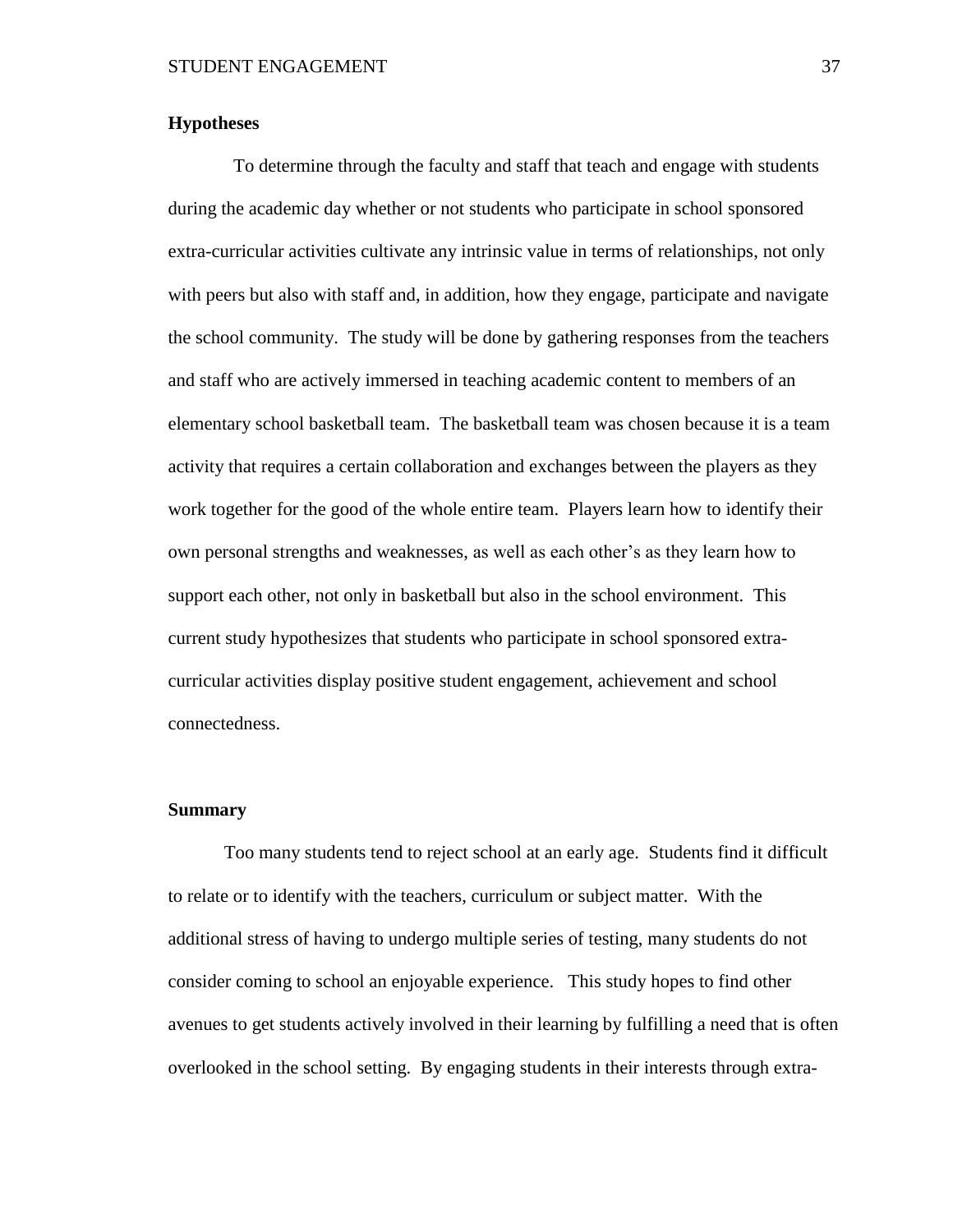# **Hypotheses**

 To determine through the faculty and staff that teach and engage with students during the academic day whether or not students who participate in school sponsored extra-curricular activities cultivate any intrinsic value in terms of relationships, not only with peers but also with staff and, in addition, how they engage, participate and navigate the school community. The study will be done by gathering responses from the teachers and staff who are actively immersed in teaching academic content to members of an elementary school basketball team. The basketball team was chosen because it is a team activity that requires a certain collaboration and exchanges between the players as they work together for the good of the whole entire team. Players learn how to identify their own personal strengths and weaknesses, as well as each other's as they learn how to support each other, not only in basketball but also in the school environment. This current study hypothesizes that students who participate in school sponsored extracurricular activities display positive student engagement, achievement and school connectedness.

# **Summary**

Too many students tend to reject school at an early age. Students find it difficult to relate or to identify with the teachers, curriculum or subject matter. With the additional stress of having to undergo multiple series of testing, many students do not consider coming to school an enjoyable experience. This study hopes to find other avenues to get students actively involved in their learning by fulfilling a need that is often overlooked in the school setting. By engaging students in their interests through extra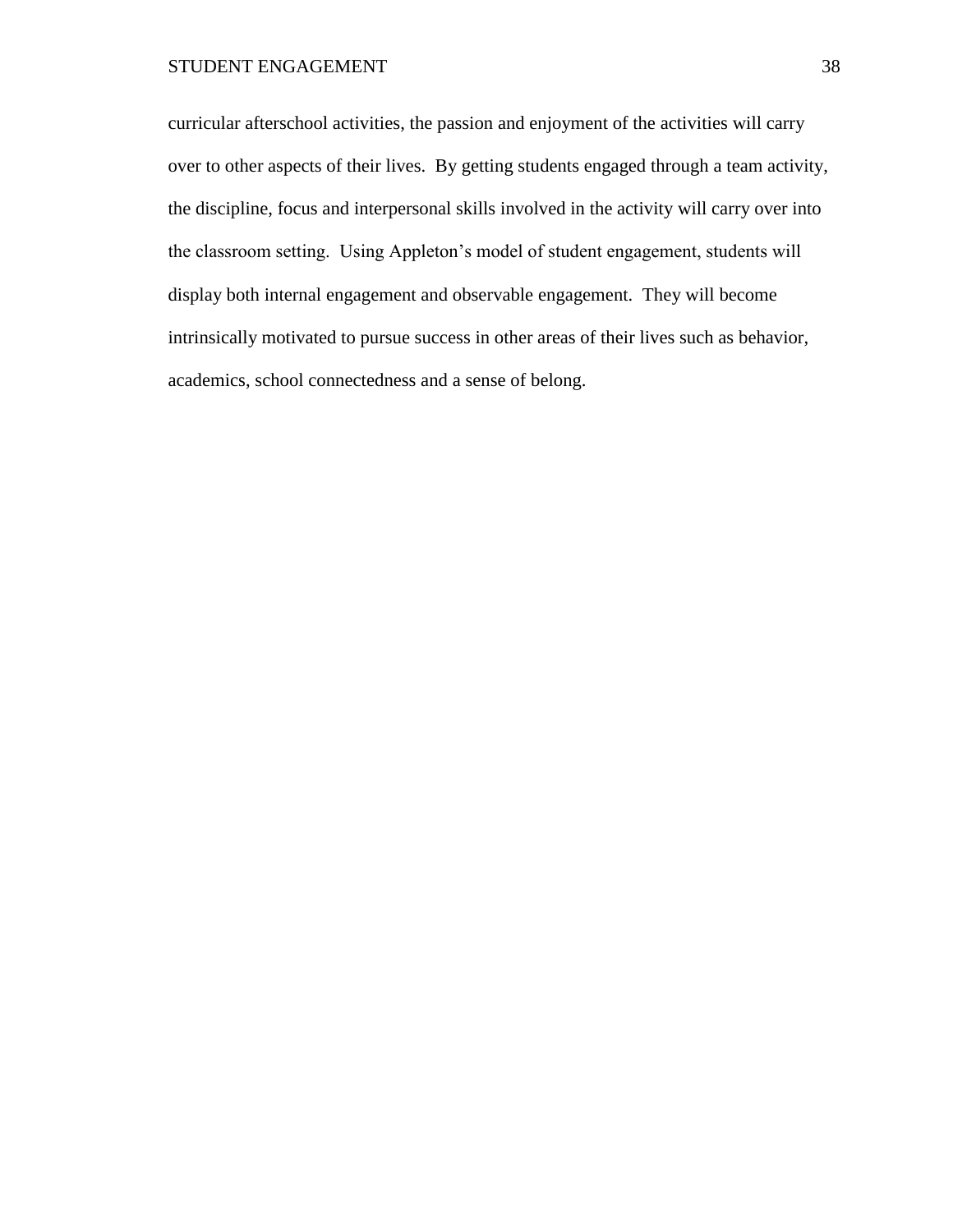curricular afterschool activities, the passion and enjoyment of the activities will carry over to other aspects of their lives. By getting students engaged through a team activity, the discipline, focus and interpersonal skills involved in the activity will carry over into the classroom setting. Using Appleton's model of student engagement, students will display both internal engagement and observable engagement. They will become intrinsically motivated to pursue success in other areas of their lives such as behavior, academics, school connectedness and a sense of belong.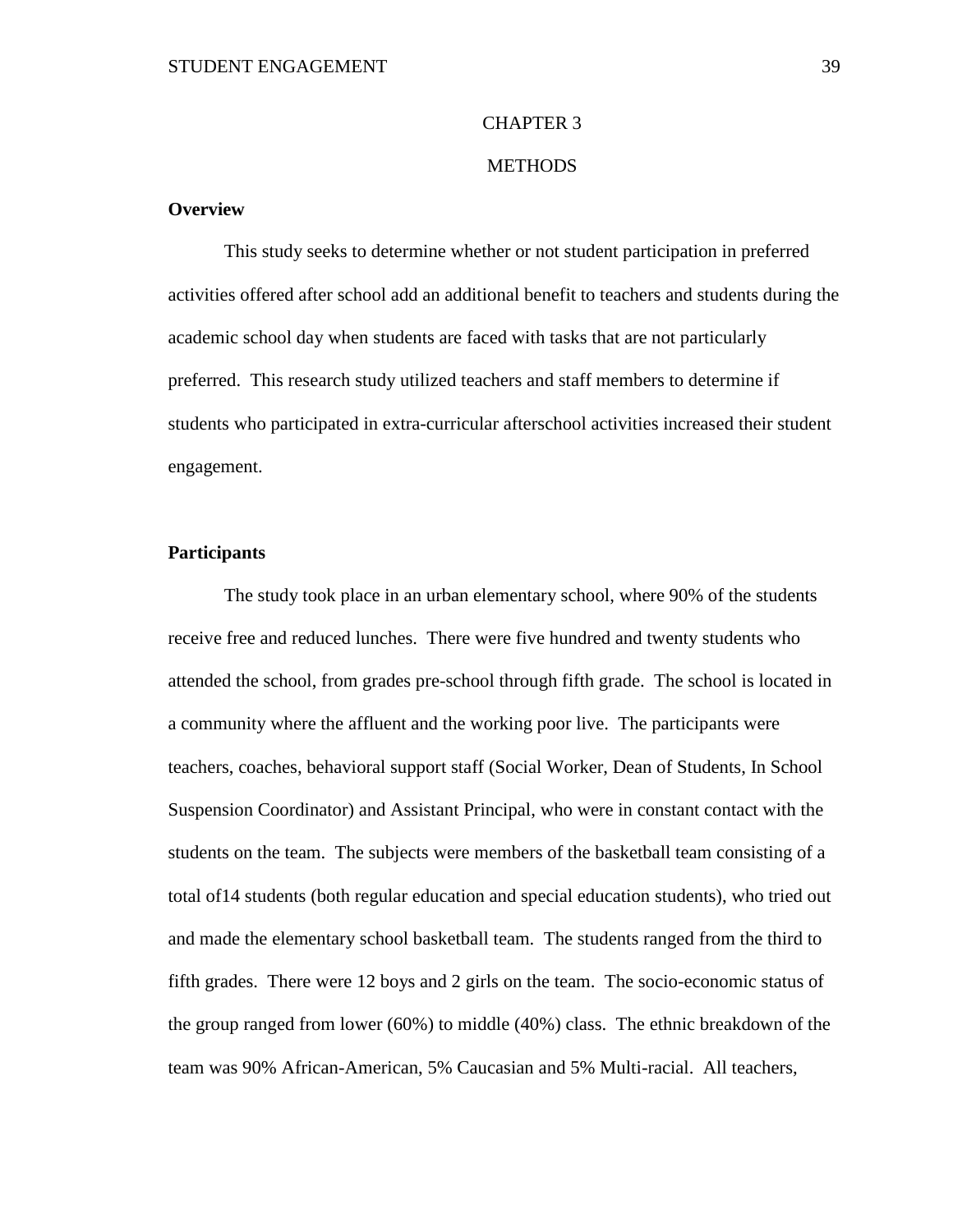# CHAPTER 3

# **METHODS**

# **Overview**

This study seeks to determine whether or not student participation in preferred activities offered after school add an additional benefit to teachers and students during the academic school day when students are faced with tasks that are not particularly preferred. This research study utilized teachers and staff members to determine if students who participated in extra-curricular afterschool activities increased their student engagement.

# **Participants**

The study took place in an urban elementary school, where 90% of the students receive free and reduced lunches. There were five hundred and twenty students who attended the school, from grades pre-school through fifth grade. The school is located in a community where the affluent and the working poor live. The participants were teachers, coaches, behavioral support staff (Social Worker, Dean of Students, In School Suspension Coordinator) and Assistant Principal, who were in constant contact with the students on the team. The subjects were members of the basketball team consisting of a total of14 students (both regular education and special education students), who tried out and made the elementary school basketball team. The students ranged from the third to fifth grades. There were 12 boys and 2 girls on the team. The socio-economic status of the group ranged from lower (60%) to middle (40%) class. The ethnic breakdown of the team was 90% African-American, 5% Caucasian and 5% Multi-racial. All teachers,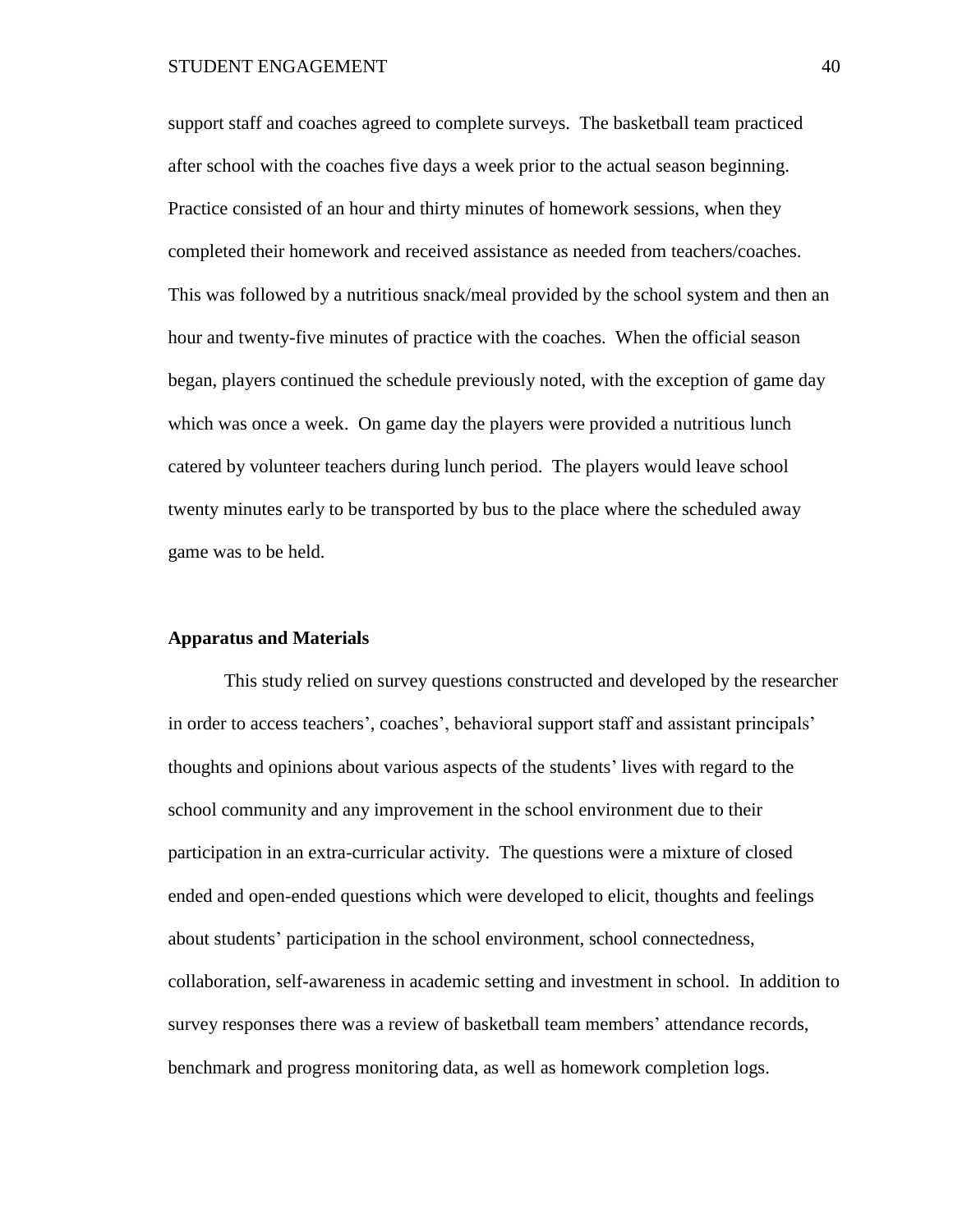support staff and coaches agreed to complete surveys. The basketball team practiced after school with the coaches five days a week prior to the actual season beginning. Practice consisted of an hour and thirty minutes of homework sessions, when they completed their homework and received assistance as needed from teachers/coaches. This was followed by a nutritious snack/meal provided by the school system and then an hour and twenty-five minutes of practice with the coaches. When the official season began, players continued the schedule previously noted, with the exception of game day which was once a week. On game day the players were provided a nutritious lunch catered by volunteer teachers during lunch period. The players would leave school twenty minutes early to be transported by bus to the place where the scheduled away game was to be held.

# **Apparatus and Materials**

This study relied on survey questions constructed and developed by the researcher in order to access teachers', coaches', behavioral support staff and assistant principals' thoughts and opinions about various aspects of the students' lives with regard to the school community and any improvement in the school environment due to their participation in an extra-curricular activity. The questions were a mixture of closed ended and open-ended questions which were developed to elicit, thoughts and feelings about students' participation in the school environment, school connectedness, collaboration, self-awareness in academic setting and investment in school. In addition to survey responses there was a review of basketball team members' attendance records, benchmark and progress monitoring data, as well as homework completion logs.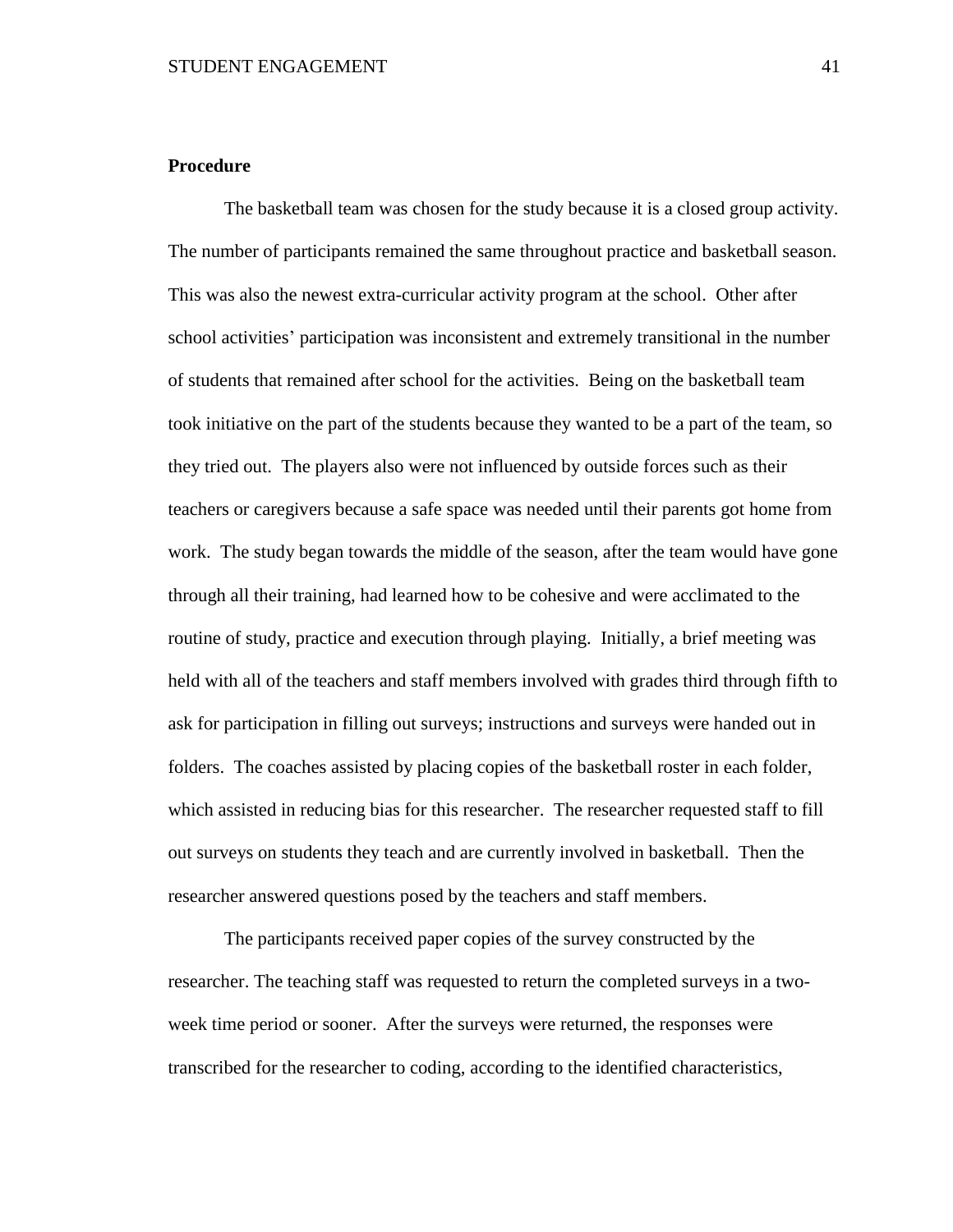# **Procedure**

The basketball team was chosen for the study because it is a closed group activity. The number of participants remained the same throughout practice and basketball season. This was also the newest extra-curricular activity program at the school. Other after school activities' participation was inconsistent and extremely transitional in the number of students that remained after school for the activities. Being on the basketball team took initiative on the part of the students because they wanted to be a part of the team, so they tried out. The players also were not influenced by outside forces such as their teachers or caregivers because a safe space was needed until their parents got home from work. The study began towards the middle of the season, after the team would have gone through all their training, had learned how to be cohesive and were acclimated to the routine of study, practice and execution through playing. Initially, a brief meeting was held with all of the teachers and staff members involved with grades third through fifth to ask for participation in filling out surveys; instructions and surveys were handed out in folders. The coaches assisted by placing copies of the basketball roster in each folder, which assisted in reducing bias for this researcher. The researcher requested staff to fill out surveys on students they teach and are currently involved in basketball. Then the researcher answered questions posed by the teachers and staff members.

The participants received paper copies of the survey constructed by the researcher. The teaching staff was requested to return the completed surveys in a twoweek time period or sooner. After the surveys were returned, the responses were transcribed for the researcher to coding, according to the identified characteristics,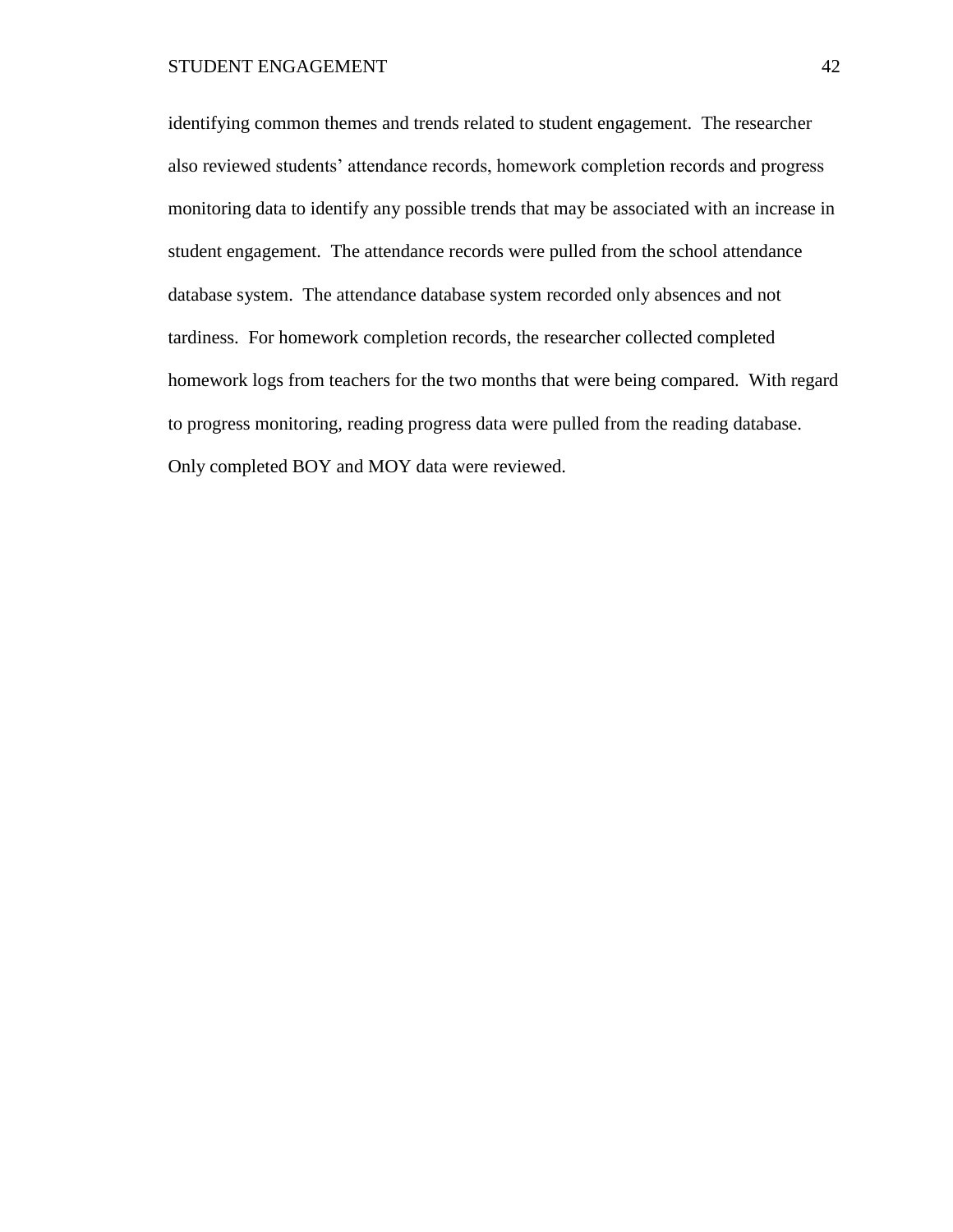identifying common themes and trends related to student engagement. The researcher also reviewed students' attendance records, homework completion records and progress monitoring data to identify any possible trends that may be associated with an increase in student engagement. The attendance records were pulled from the school attendance database system. The attendance database system recorded only absences and not tardiness. For homework completion records, the researcher collected completed homework logs from teachers for the two months that were being compared. With regard to progress monitoring, reading progress data were pulled from the reading database. Only completed BOY and MOY data were reviewed.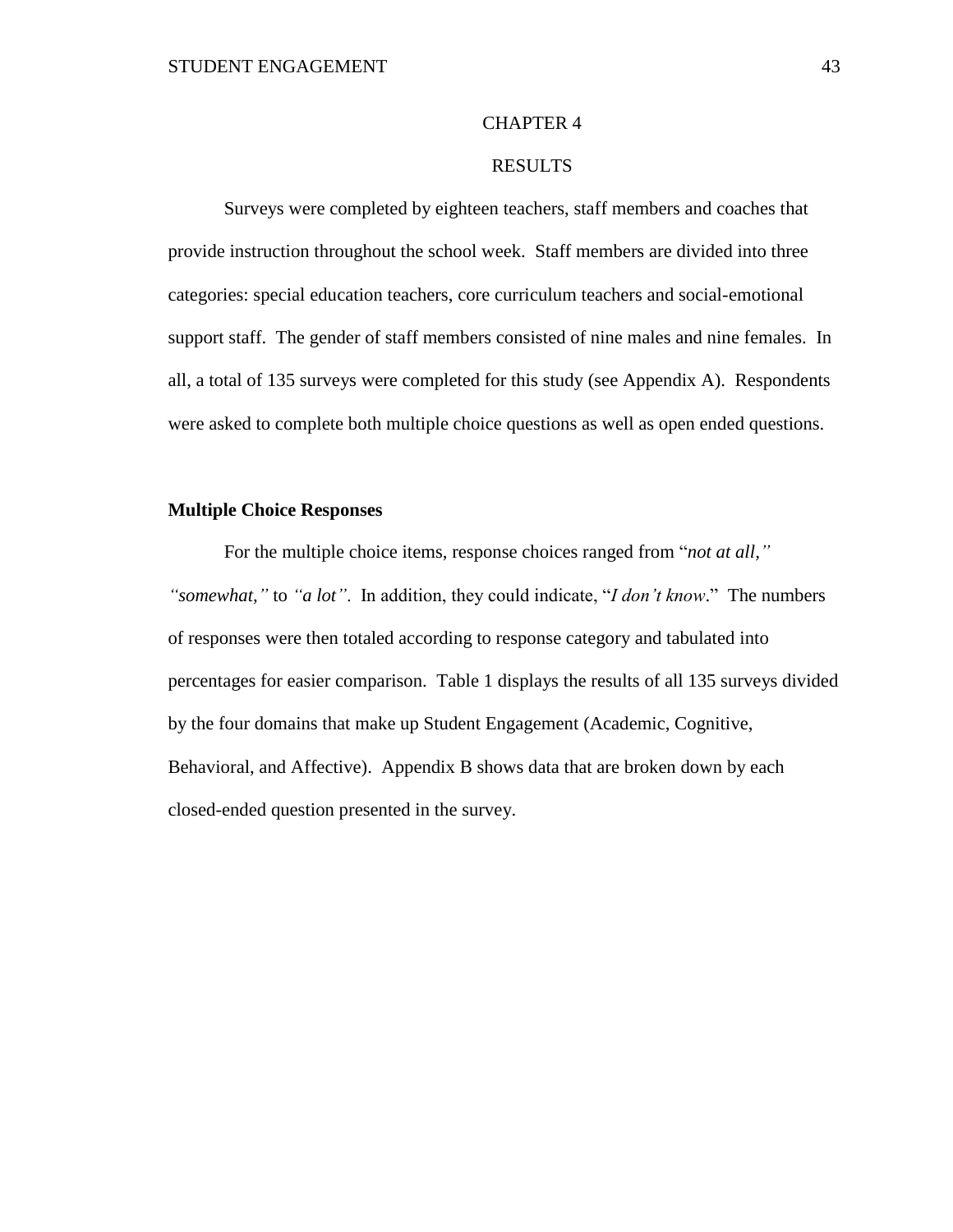# CHAPTER 4

# RESULTS

Surveys were completed by eighteen teachers, staff members and coaches that provide instruction throughout the school week. Staff members are divided into three categories: special education teachers, core curriculum teachers and social-emotional support staff. The gender of staff members consisted of nine males and nine females. In all, a total of 135 surveys were completed for this study (see Appendix A). Respondents were asked to complete both multiple choice questions as well as open ended questions.

# **Multiple Choice Responses**

For the multiple choice items, response choices ranged from "*not at all," "somewhat,"* to *"a lot"*. In addition, they could indicate, "*I don't know*." The numbers of responses were then totaled according to response category and tabulated into percentages for easier comparison. Table 1 displays the results of all 135 surveys divided by the four domains that make up Student Engagement (Academic, Cognitive, Behavioral, and Affective). Appendix B shows data that are broken down by each closed-ended question presented in the survey.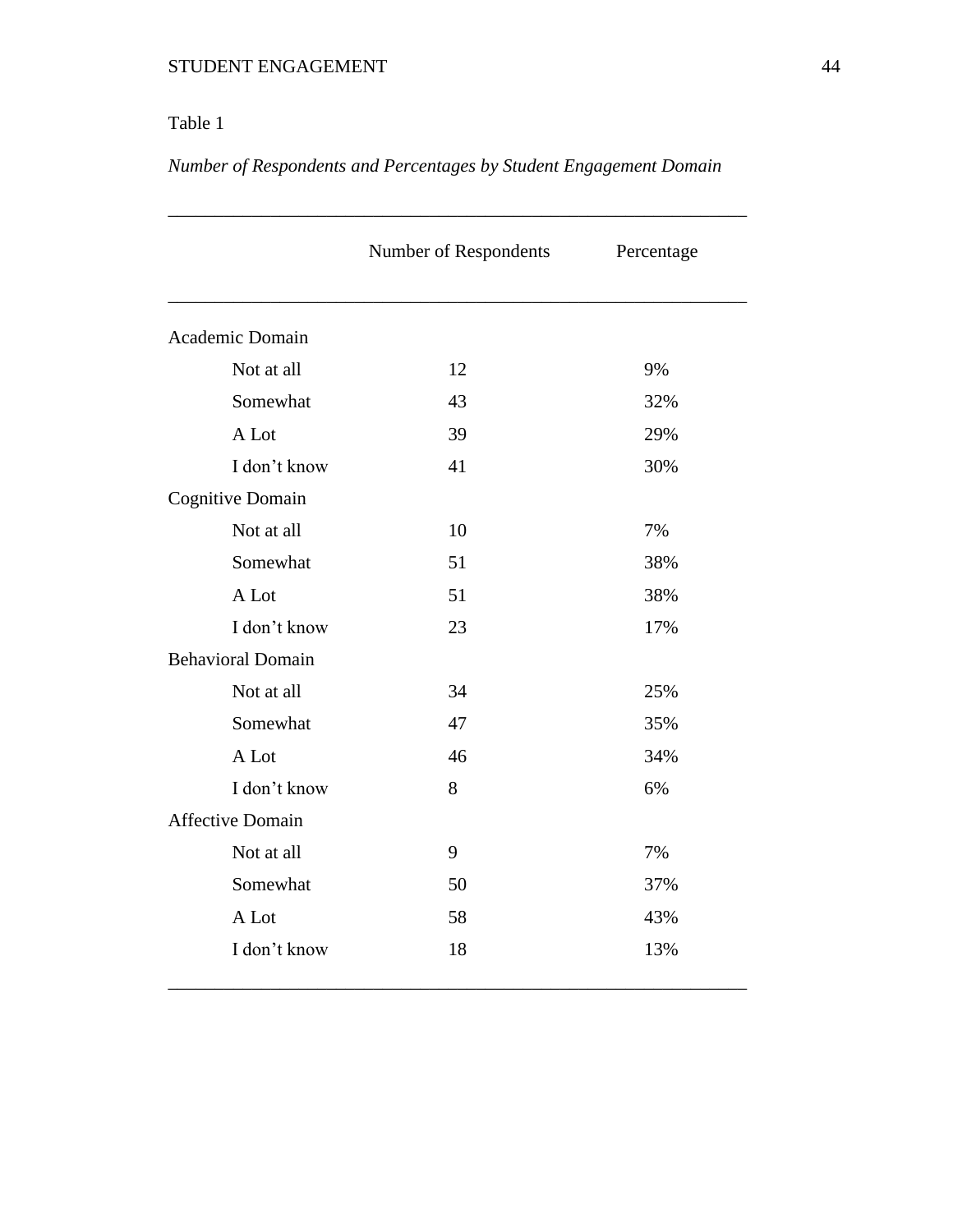# Table 1

*Number of Respondents and Percentages by Student Engagement Domain*

|                          | Number of Respondents | Percentage |
|--------------------------|-----------------------|------------|
| Academic Domain          |                       |            |
| Not at all               | 12                    | 9%         |
| Somewhat                 | 43                    | 32%        |
| A Lot                    | 39                    | 29%        |
| I don't know             | 41                    | 30%        |
| <b>Cognitive Domain</b>  |                       |            |
| Not at all               | 10                    | 7%         |
| Somewhat                 | 51                    | 38%        |
| A Lot                    | 51                    | 38%        |
| I don't know             | 23                    | 17%        |
| <b>Behavioral Domain</b> |                       |            |
| Not at all               | 34                    | 25%        |
| Somewhat                 | 47                    | 35%        |
| A Lot                    | 46                    | 34%        |
| I don't know             | 8                     | 6%         |
| <b>Affective Domain</b>  |                       |            |
| Not at all               | 9                     | 7%         |
| Somewhat                 | 50                    | 37%        |
| A Lot                    | 58                    | 43%        |
| I don't know             | 18                    | 13%        |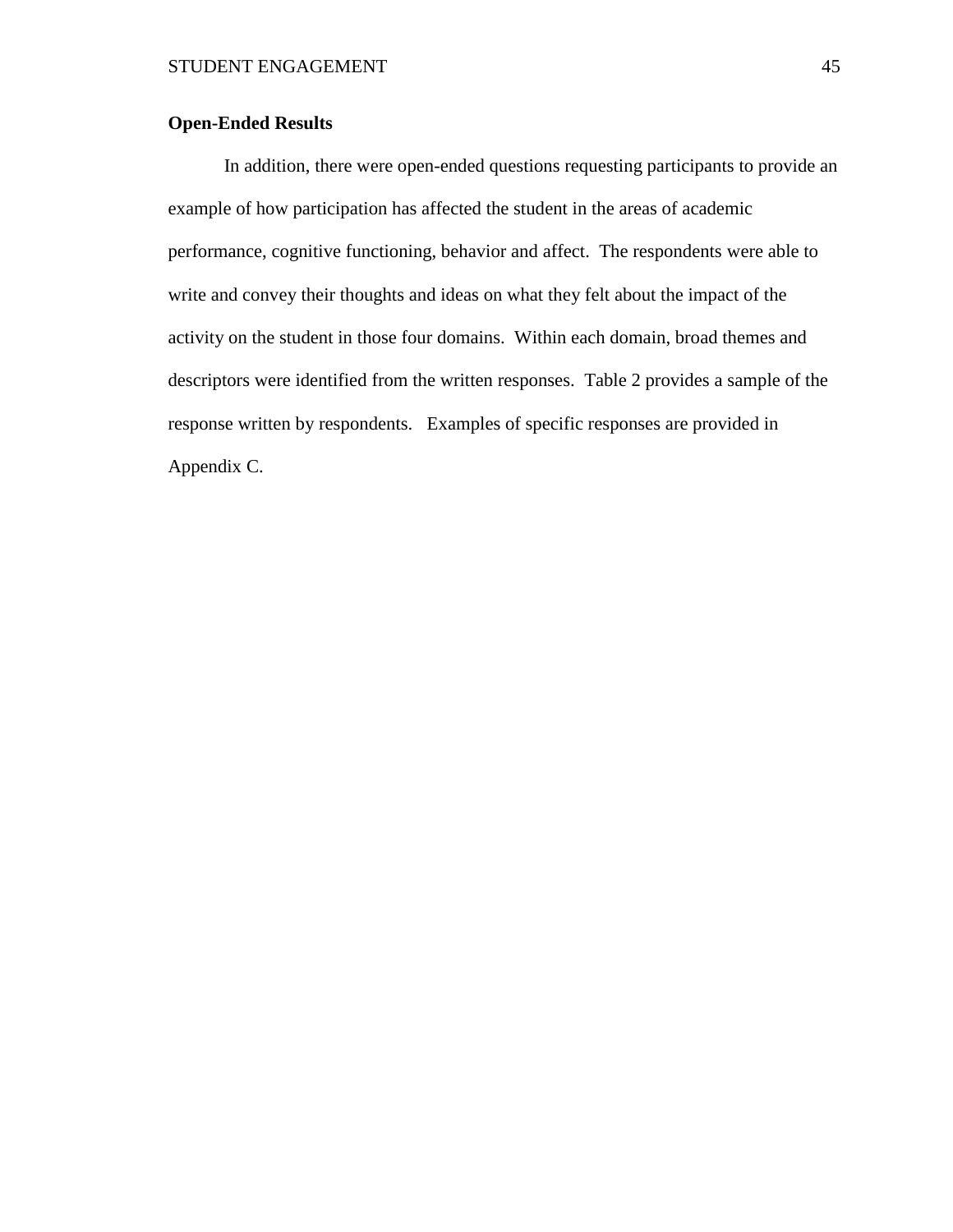# **Open-Ended Results**

In addition, there were open-ended questions requesting participants to provide an example of how participation has affected the student in the areas of academic performance, cognitive functioning, behavior and affect. The respondents were able to write and convey their thoughts and ideas on what they felt about the impact of the activity on the student in those four domains. Within each domain, broad themes and descriptors were identified from the written responses. Table 2 provides a sample of the response written by respondents. Examples of specific responses are provided in Appendix C.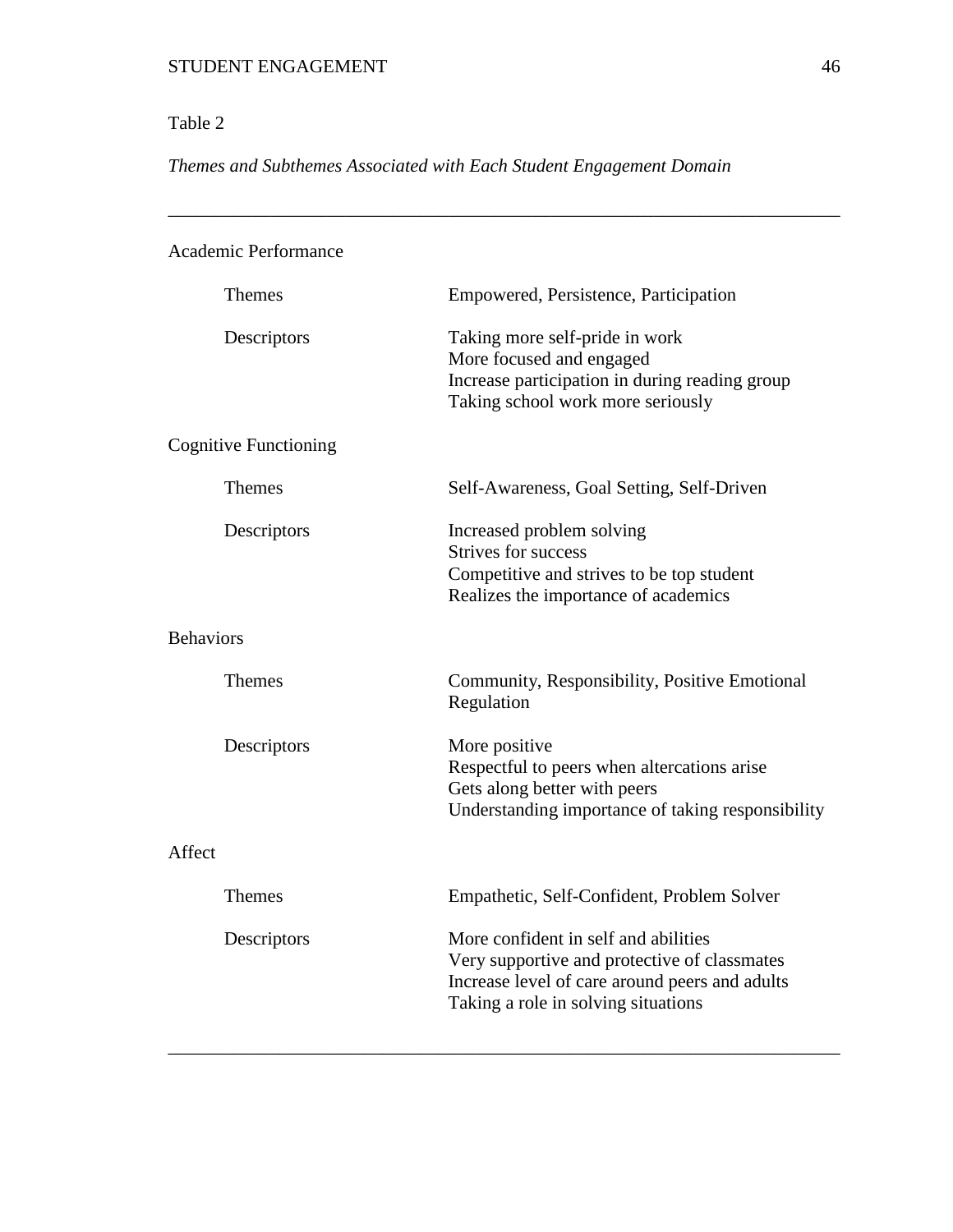# Table 2

*Themes and Subthemes Associated with Each Student Engagement Domain*

\_\_\_\_\_\_\_\_\_\_\_\_\_\_\_\_\_\_\_\_\_\_\_\_\_\_\_\_\_\_\_\_\_\_\_\_\_\_\_\_\_\_\_\_\_\_\_\_\_\_\_\_\_\_\_\_\_\_\_\_\_\_\_\_\_\_\_\_\_\_\_\_

| <b>Academic Performance</b>  |                                                                                                                                                                               |
|------------------------------|-------------------------------------------------------------------------------------------------------------------------------------------------------------------------------|
| <b>Themes</b>                | Empowered, Persistence, Participation                                                                                                                                         |
| Descriptors                  | Taking more self-pride in work<br>More focused and engaged<br>Increase participation in during reading group<br>Taking school work more seriously                             |
| <b>Cognitive Functioning</b> |                                                                                                                                                                               |
| <b>Themes</b>                | Self-Awareness, Goal Setting, Self-Driven                                                                                                                                     |
| Descriptors                  | Increased problem solving<br><b>Strives for success</b><br>Competitive and strives to be top student<br>Realizes the importance of academics                                  |
| <b>Behaviors</b>             |                                                                                                                                                                               |
| <b>Themes</b>                | Community, Responsibility, Positive Emotional<br>Regulation                                                                                                                   |
| Descriptors                  | More positive<br>Respectful to peers when altercations arise<br>Gets along better with peers<br>Understanding importance of taking responsibility                             |
| Affect                       |                                                                                                                                                                               |
| <b>Themes</b>                | Empathetic, Self-Confident, Problem Solver                                                                                                                                    |
| Descriptors                  | More confident in self and abilities<br>Very supportive and protective of classmates<br>Increase level of care around peers and adults<br>Taking a role in solving situations |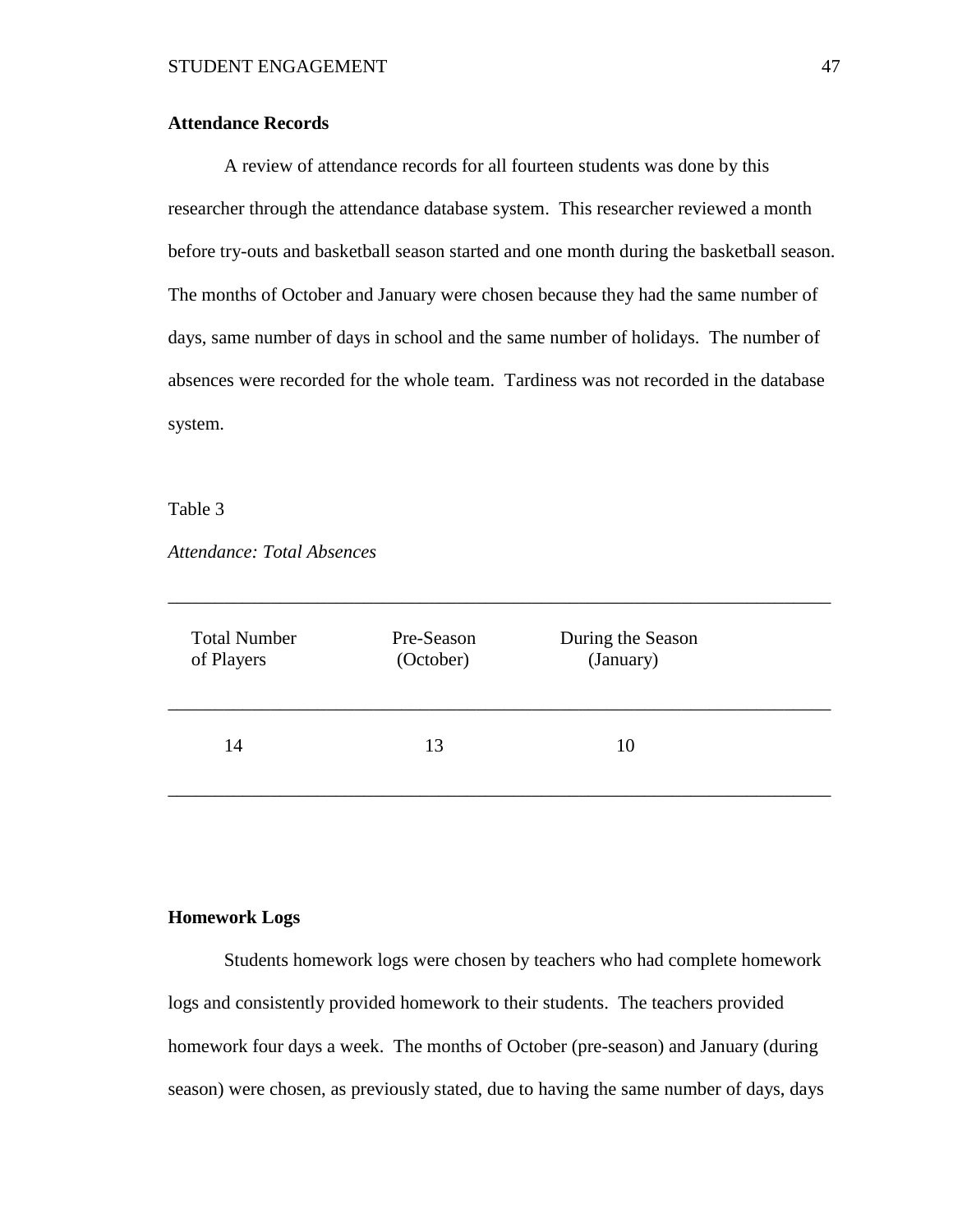# **Attendance Records**

A review of attendance records for all fourteen students was done by this researcher through the attendance database system. This researcher reviewed a month before try-outs and basketball season started and one month during the basketball season. The months of October and January were chosen because they had the same number of days, same number of days in school and the same number of holidays. The number of absences were recorded for the whole team. Tardiness was not recorded in the database system.

#### Table 3

*Attendance: Total Absences*

| <b>Total Number</b> | Pre-Season | During the Season |  |
|---------------------|------------|-------------------|--|
| of Players          | (October)  | (January)         |  |
| 14                  | 13         | 10                |  |

\_\_\_\_\_\_\_\_\_\_\_\_\_\_\_\_\_\_\_\_\_\_\_\_\_\_\_\_\_\_\_\_\_\_\_\_\_\_\_\_\_\_\_\_\_\_\_\_\_\_\_\_\_\_\_\_\_\_\_\_\_\_\_\_\_\_\_\_\_\_\_

#### **Homework Logs**

Students homework logs were chosen by teachers who had complete homework logs and consistently provided homework to their students. The teachers provided homework four days a week. The months of October (pre-season) and January (during season) were chosen, as previously stated, due to having the same number of days, days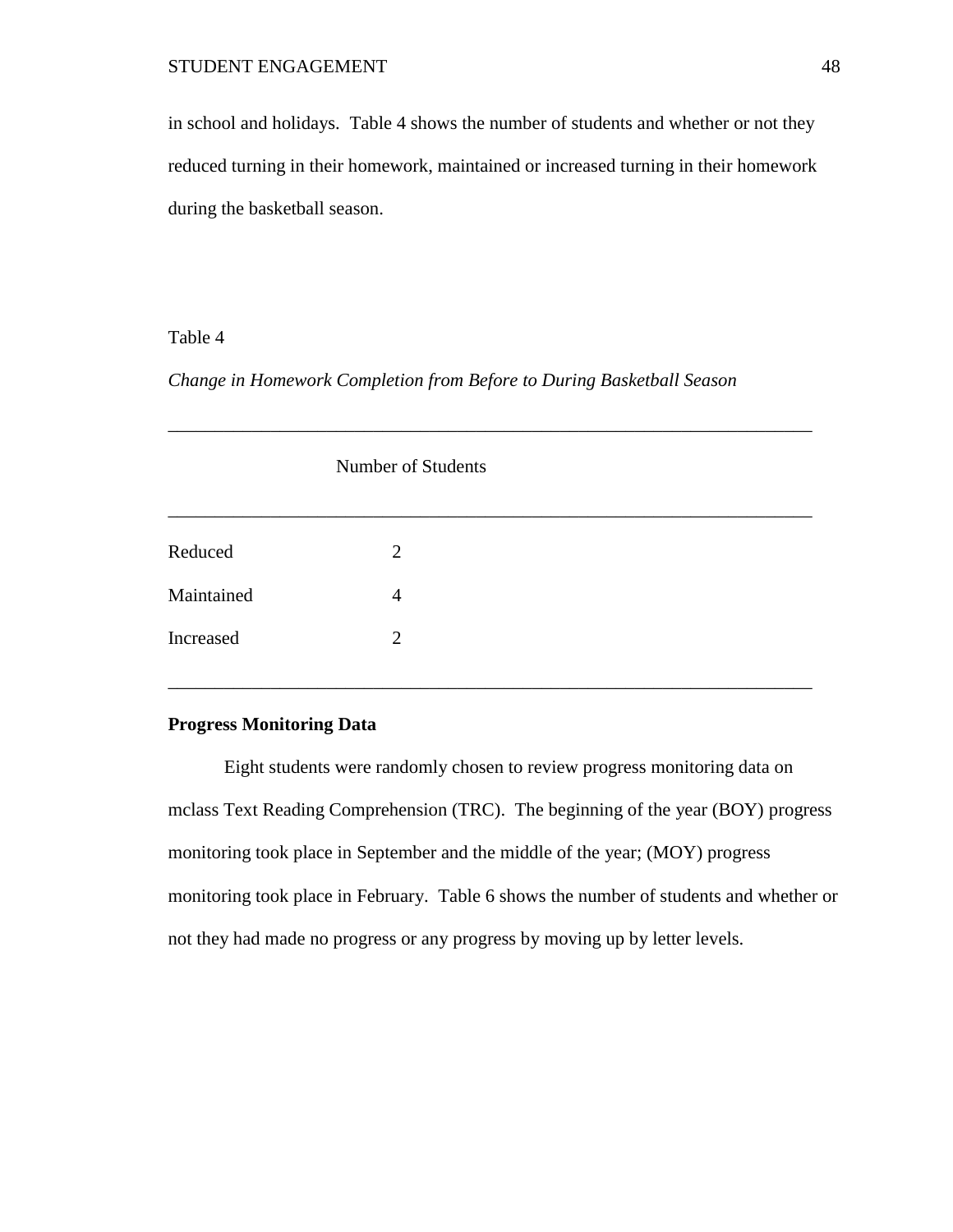in school and holidays. Table 4 shows the number of students and whether or not they reduced turning in their homework, maintained or increased turning in their homework during the basketball season.

# Table 4

*Change in Homework Completion from Before to During Basketball Season*

|            | Number of Students |  |
|------------|--------------------|--|
|            |                    |  |
| Reduced    | $\overline{2}$     |  |
| Maintained | $\overline{4}$     |  |
| Increased  | $\overline{2}$     |  |

\_\_\_\_\_\_\_\_\_\_\_\_\_\_\_\_\_\_\_\_\_\_\_\_\_\_\_\_\_\_\_\_\_\_\_\_\_\_\_\_\_\_\_\_\_\_\_\_\_\_\_\_\_\_\_\_\_\_\_\_\_\_\_\_\_\_\_\_\_

#### **Progress Monitoring Data**

Eight students were randomly chosen to review progress monitoring data on mclass Text Reading Comprehension (TRC). The beginning of the year (BOY) progress monitoring took place in September and the middle of the year; (MOY) progress monitoring took place in February. Table 6 shows the number of students and whether or not they had made no progress or any progress by moving up by letter levels.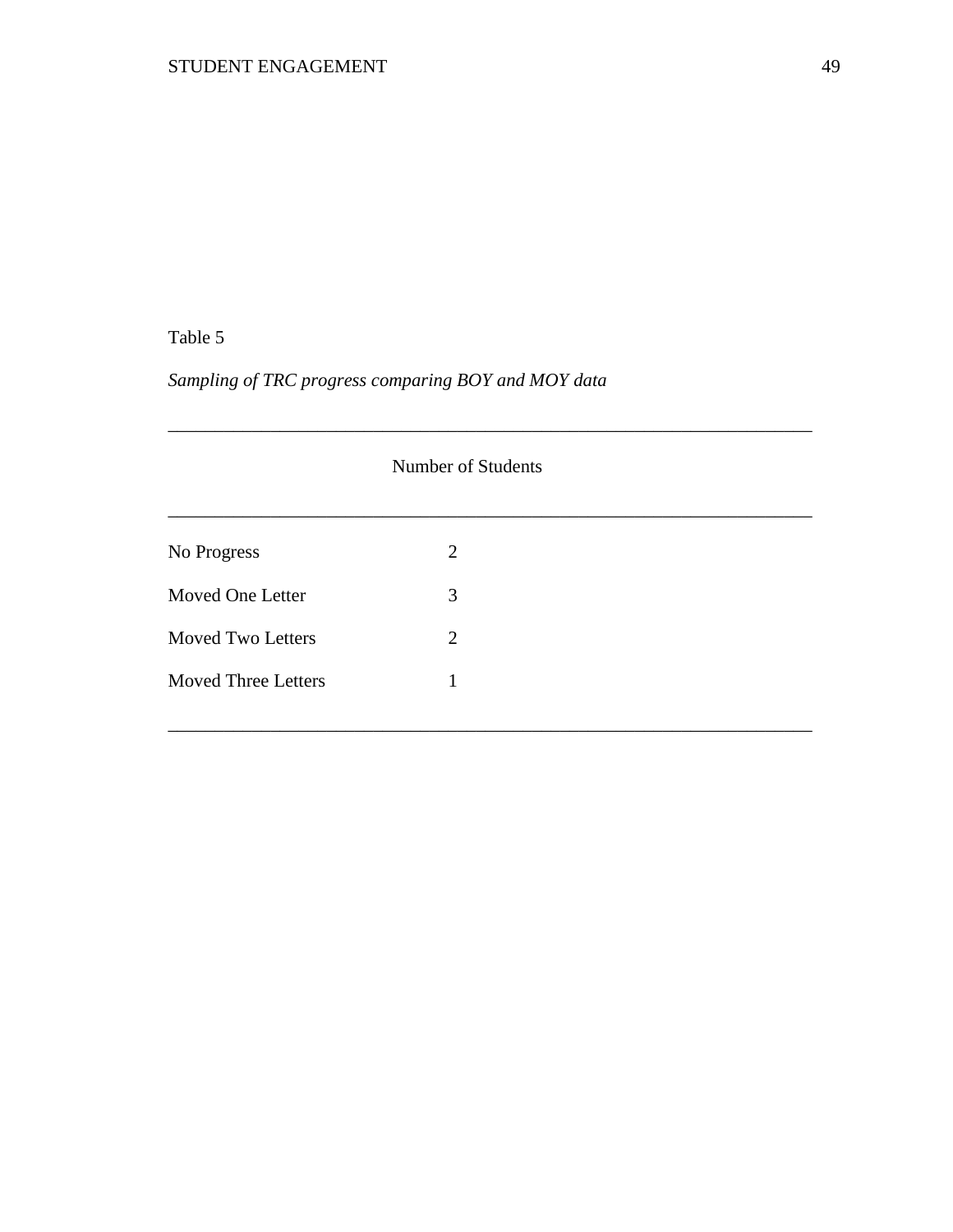# Table 5

# *Sampling of TRC progress comparing BOY and MOY data*

|                            | Number of Students |  |
|----------------------------|--------------------|--|
| No Progress                | 2                  |  |
| Moved One Letter           | 3                  |  |
| <b>Moved Two Letters</b>   | 2                  |  |
| <b>Moved Three Letters</b> | 1                  |  |
|                            |                    |  |

\_\_\_\_\_\_\_\_\_\_\_\_\_\_\_\_\_\_\_\_\_\_\_\_\_\_\_\_\_\_\_\_\_\_\_\_\_\_\_\_\_\_\_\_\_\_\_\_\_\_\_\_\_\_\_\_\_\_\_\_\_\_\_\_\_\_\_\_\_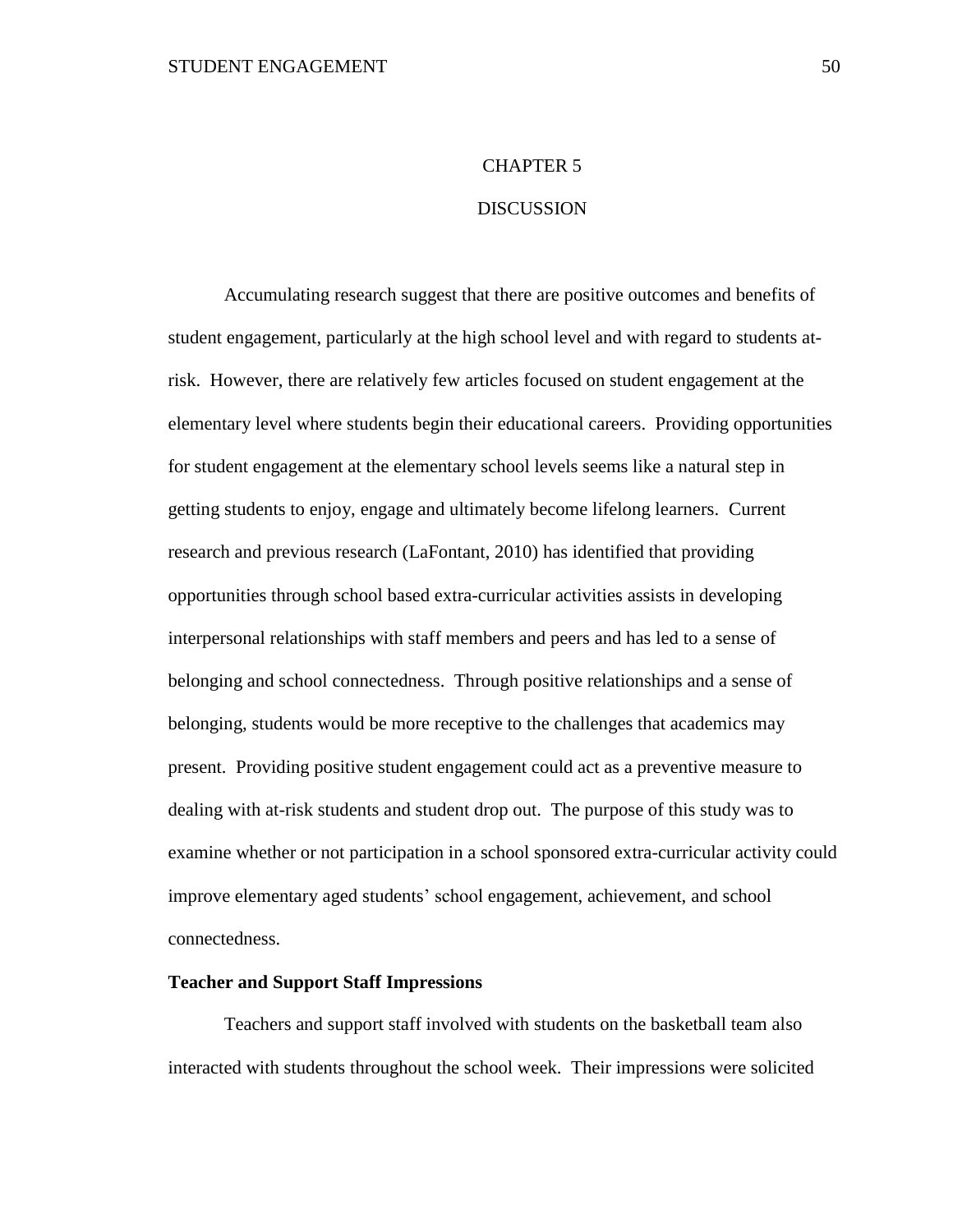# CHAPTER 5

# DISCUSSION

Accumulating research suggest that there are positive outcomes and benefits of student engagement, particularly at the high school level and with regard to students atrisk. However, there are relatively few articles focused on student engagement at the elementary level where students begin their educational careers. Providing opportunities for student engagement at the elementary school levels seems like a natural step in getting students to enjoy, engage and ultimately become lifelong learners. Current research and previous research (LaFontant, 2010) has identified that providing opportunities through school based extra-curricular activities assists in developing interpersonal relationships with staff members and peers and has led to a sense of belonging and school connectedness. Through positive relationships and a sense of belonging, students would be more receptive to the challenges that academics may present. Providing positive student engagement could act as a preventive measure to dealing with at-risk students and student drop out. The purpose of this study was to examine whether or not participation in a school sponsored extra-curricular activity could improve elementary aged students' school engagement, achievement, and school connectedness.

# **Teacher and Support Staff Impressions**

Teachers and support staff involved with students on the basketball team also interacted with students throughout the school week. Their impressions were solicited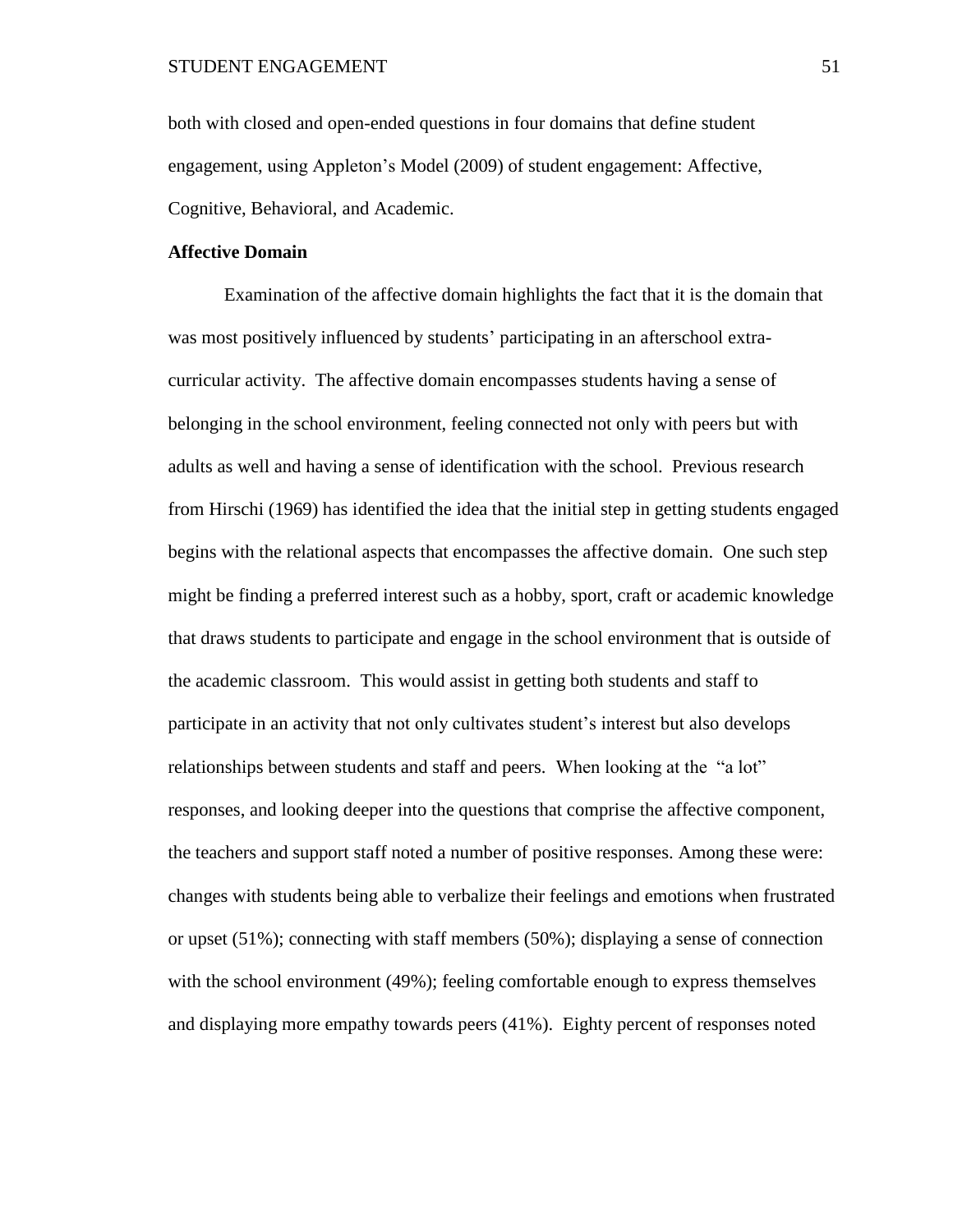both with closed and open-ended questions in four domains that define student engagement, using Appleton's Model (2009) of student engagement: Affective, Cognitive, Behavioral, and Academic.

# **Affective Domain**

Examination of the affective domain highlights the fact that it is the domain that was most positively influenced by students' participating in an afterschool extracurricular activity. The affective domain encompasses students having a sense of belonging in the school environment, feeling connected not only with peers but with adults as well and having a sense of identification with the school. Previous research from Hirschi (1969) has identified the idea that the initial step in getting students engaged begins with the relational aspects that encompasses the affective domain. One such step might be finding a preferred interest such as a hobby, sport, craft or academic knowledge that draws students to participate and engage in the school environment that is outside of the academic classroom. This would assist in getting both students and staff to participate in an activity that not only cultivates student's interest but also develops relationships between students and staff and peers. When looking at the "a lot" responses, and looking deeper into the questions that comprise the affective component, the teachers and support staff noted a number of positive responses. Among these were: changes with students being able to verbalize their feelings and emotions when frustrated or upset (51%); connecting with staff members (50%); displaying a sense of connection with the school environment (49%); feeling comfortable enough to express themselves and displaying more empathy towards peers (41%). Eighty percent of responses noted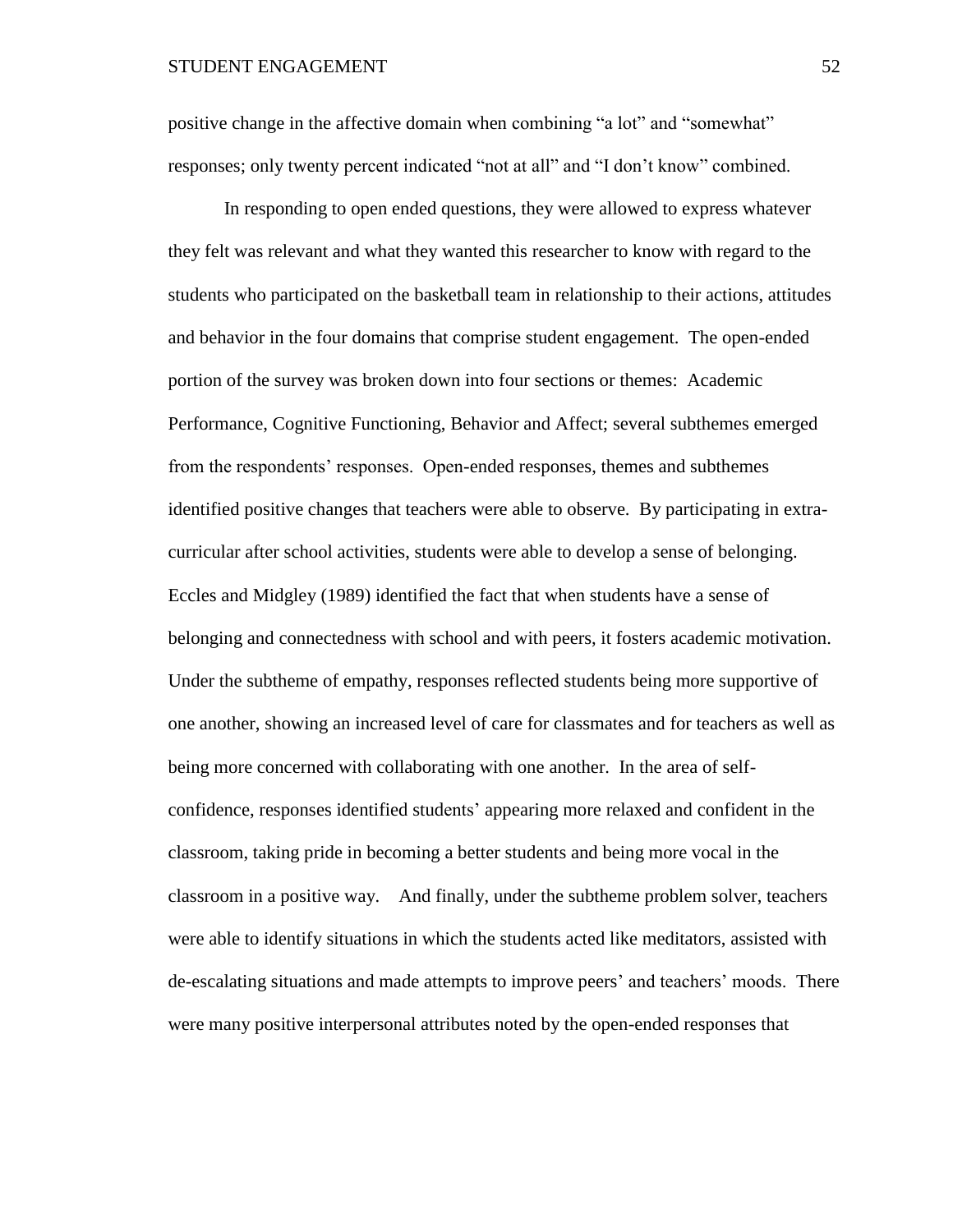positive change in the affective domain when combining "a lot" and "somewhat" responses; only twenty percent indicated "not at all" and "I don't know" combined.

In responding to open ended questions, they were allowed to express whatever they felt was relevant and what they wanted this researcher to know with regard to the students who participated on the basketball team in relationship to their actions, attitudes and behavior in the four domains that comprise student engagement. The open-ended portion of the survey was broken down into four sections or themes: Academic Performance, Cognitive Functioning, Behavior and Affect; several subthemes emerged from the respondents' responses. Open-ended responses, themes and subthemes identified positive changes that teachers were able to observe. By participating in extracurricular after school activities, students were able to develop a sense of belonging. Eccles and Midgley (1989) identified the fact that when students have a sense of belonging and connectedness with school and with peers, it fosters academic motivation. Under the subtheme of empathy, responses reflected students being more supportive of one another, showing an increased level of care for classmates and for teachers as well as being more concerned with collaborating with one another. In the area of selfconfidence, responses identified students' appearing more relaxed and confident in the classroom, taking pride in becoming a better students and being more vocal in the classroom in a positive way. And finally, under the subtheme problem solver, teachers were able to identify situations in which the students acted like meditators, assisted with de-escalating situations and made attempts to improve peers' and teachers' moods. There were many positive interpersonal attributes noted by the open-ended responses that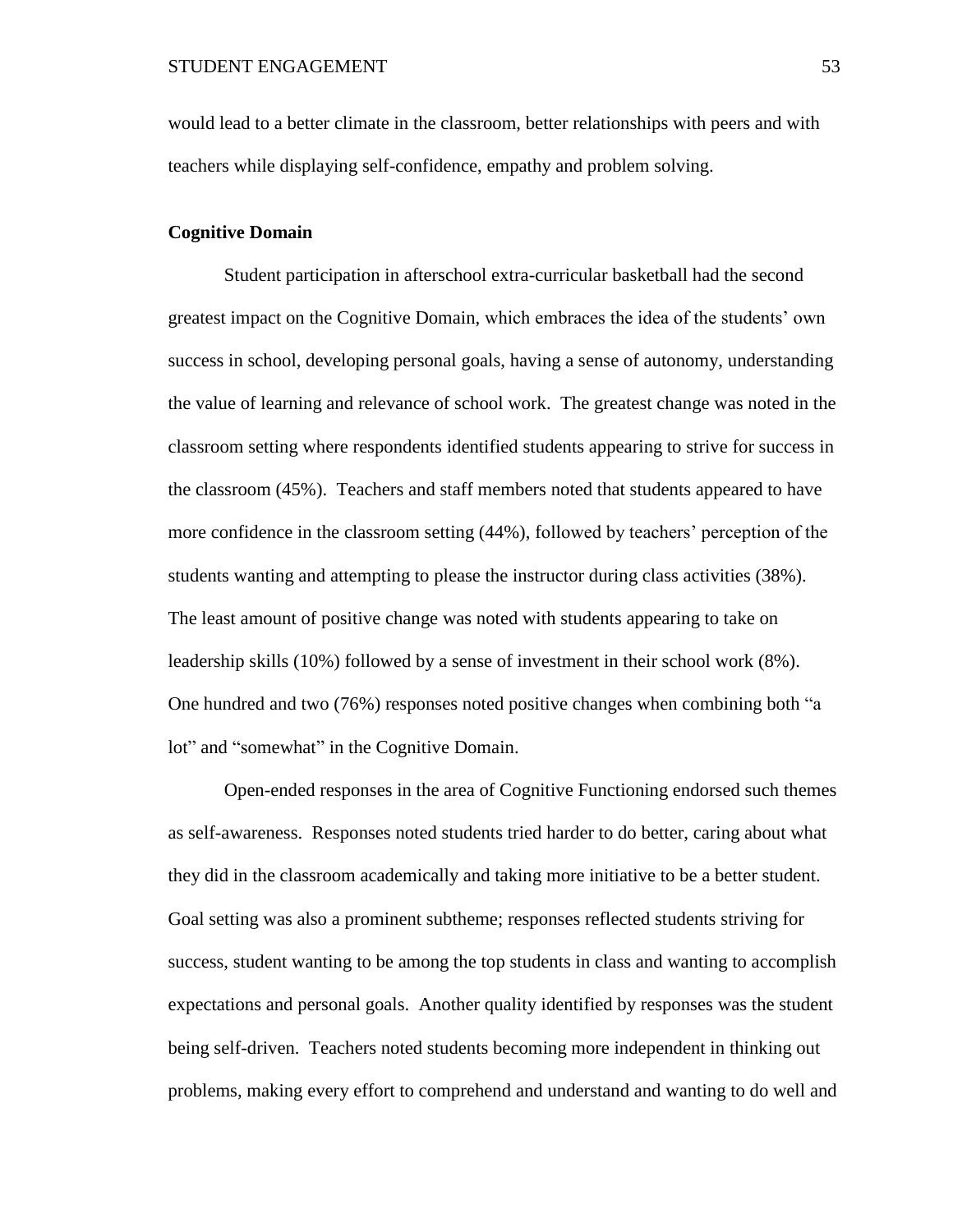would lead to a better climate in the classroom, better relationships with peers and with teachers while displaying self-confidence, empathy and problem solving.

# **Cognitive Domain**

Student participation in afterschool extra-curricular basketball had the second greatest impact on the Cognitive Domain, which embraces the idea of the students' own success in school, developing personal goals, having a sense of autonomy, understanding the value of learning and relevance of school work. The greatest change was noted in the classroom setting where respondents identified students appearing to strive for success in the classroom (45%). Teachers and staff members noted that students appeared to have more confidence in the classroom setting (44%), followed by teachers' perception of the students wanting and attempting to please the instructor during class activities (38%). The least amount of positive change was noted with students appearing to take on leadership skills (10%) followed by a sense of investment in their school work (8%). One hundred and two (76%) responses noted positive changes when combining both "a lot" and "somewhat" in the Cognitive Domain.

Open-ended responses in the area of Cognitive Functioning endorsed such themes as self-awareness. Responses noted students tried harder to do better, caring about what they did in the classroom academically and taking more initiative to be a better student. Goal setting was also a prominent subtheme; responses reflected students striving for success, student wanting to be among the top students in class and wanting to accomplish expectations and personal goals. Another quality identified by responses was the student being self-driven. Teachers noted students becoming more independent in thinking out problems, making every effort to comprehend and understand and wanting to do well and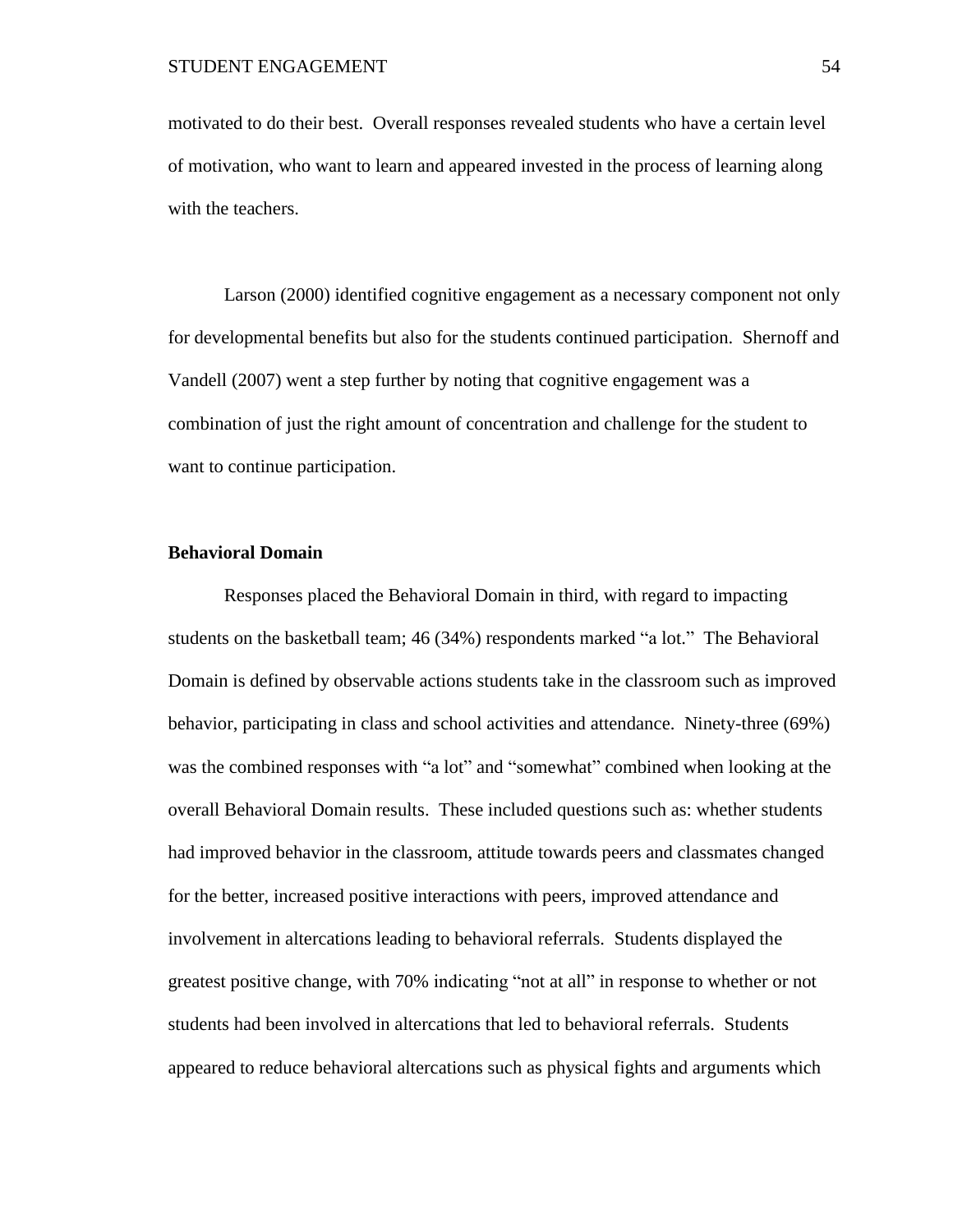motivated to do their best. Overall responses revealed students who have a certain level of motivation, who want to learn and appeared invested in the process of learning along with the teachers.

Larson (2000) identified cognitive engagement as a necessary component not only for developmental benefits but also for the students continued participation. Shernoff and Vandell (2007) went a step further by noting that cognitive engagement was a combination of just the right amount of concentration and challenge for the student to want to continue participation.

# **Behavioral Domain**

Responses placed the Behavioral Domain in third, with regard to impacting students on the basketball team; 46 (34%) respondents marked "a lot." The Behavioral Domain is defined by observable actions students take in the classroom such as improved behavior, participating in class and school activities and attendance. Ninety-three (69%) was the combined responses with "a lot" and "somewhat" combined when looking at the overall Behavioral Domain results. These included questions such as: whether students had improved behavior in the classroom, attitude towards peers and classmates changed for the better, increased positive interactions with peers, improved attendance and involvement in altercations leading to behavioral referrals. Students displayed the greatest positive change, with 70% indicating "not at all" in response to whether or not students had been involved in altercations that led to behavioral referrals. Students appeared to reduce behavioral altercations such as physical fights and arguments which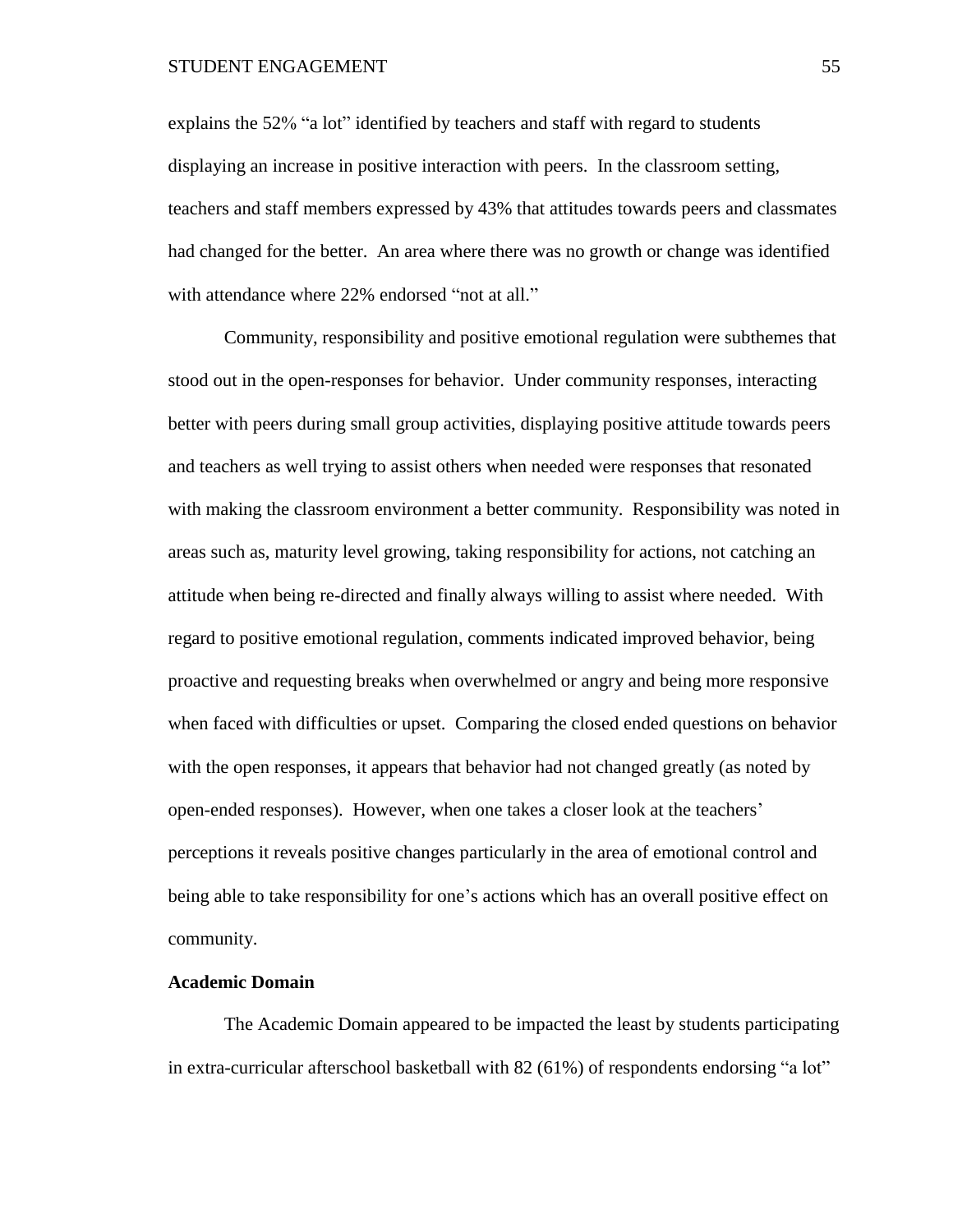explains the 52% "a lot" identified by teachers and staff with regard to students displaying an increase in positive interaction with peers. In the classroom setting, teachers and staff members expressed by 43% that attitudes towards peers and classmates had changed for the better. An area where there was no growth or change was identified with attendance where 22% endorsed "not at all."

Community, responsibility and positive emotional regulation were subthemes that stood out in the open-responses for behavior. Under community responses, interacting better with peers during small group activities, displaying positive attitude towards peers and teachers as well trying to assist others when needed were responses that resonated with making the classroom environment a better community. Responsibility was noted in areas such as, maturity level growing, taking responsibility for actions, not catching an attitude when being re-directed and finally always willing to assist where needed. With regard to positive emotional regulation, comments indicated improved behavior, being proactive and requesting breaks when overwhelmed or angry and being more responsive when faced with difficulties or upset. Comparing the closed ended questions on behavior with the open responses, it appears that behavior had not changed greatly (as noted by open-ended responses). However, when one takes a closer look at the teachers' perceptions it reveals positive changes particularly in the area of emotional control and being able to take responsibility for one's actions which has an overall positive effect on community.

# **Academic Domain**

The Academic Domain appeared to be impacted the least by students participating in extra-curricular afterschool basketball with 82 (61%) of respondents endorsing "a lot"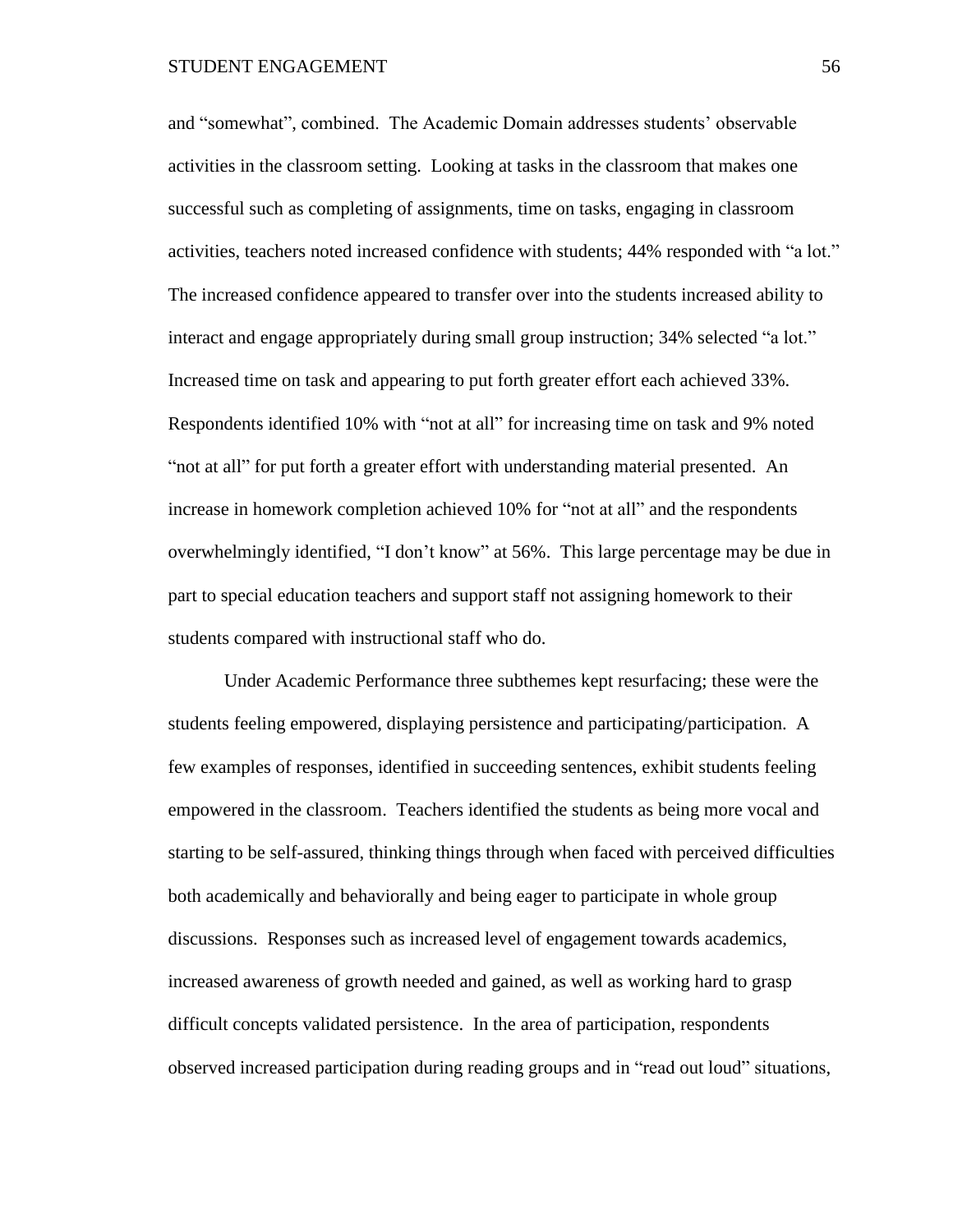and "somewhat", combined. The Academic Domain addresses students' observable activities in the classroom setting. Looking at tasks in the classroom that makes one successful such as completing of assignments, time on tasks, engaging in classroom activities, teachers noted increased confidence with students; 44% responded with "a lot." The increased confidence appeared to transfer over into the students increased ability to interact and engage appropriately during small group instruction; 34% selected "a lot." Increased time on task and appearing to put forth greater effort each achieved 33%. Respondents identified 10% with "not at all" for increasing time on task and 9% noted "not at all" for put forth a greater effort with understanding material presented. An increase in homework completion achieved 10% for "not at all" and the respondents overwhelmingly identified, "I don't know" at 56%. This large percentage may be due in part to special education teachers and support staff not assigning homework to their students compared with instructional staff who do.

Under Academic Performance three subthemes kept resurfacing; these were the students feeling empowered, displaying persistence and participating/participation. A few examples of responses, identified in succeeding sentences, exhibit students feeling empowered in the classroom. Teachers identified the students as being more vocal and starting to be self-assured, thinking things through when faced with perceived difficulties both academically and behaviorally and being eager to participate in whole group discussions. Responses such as increased level of engagement towards academics, increased awareness of growth needed and gained, as well as working hard to grasp difficult concepts validated persistence. In the area of participation, respondents observed increased participation during reading groups and in "read out loud" situations,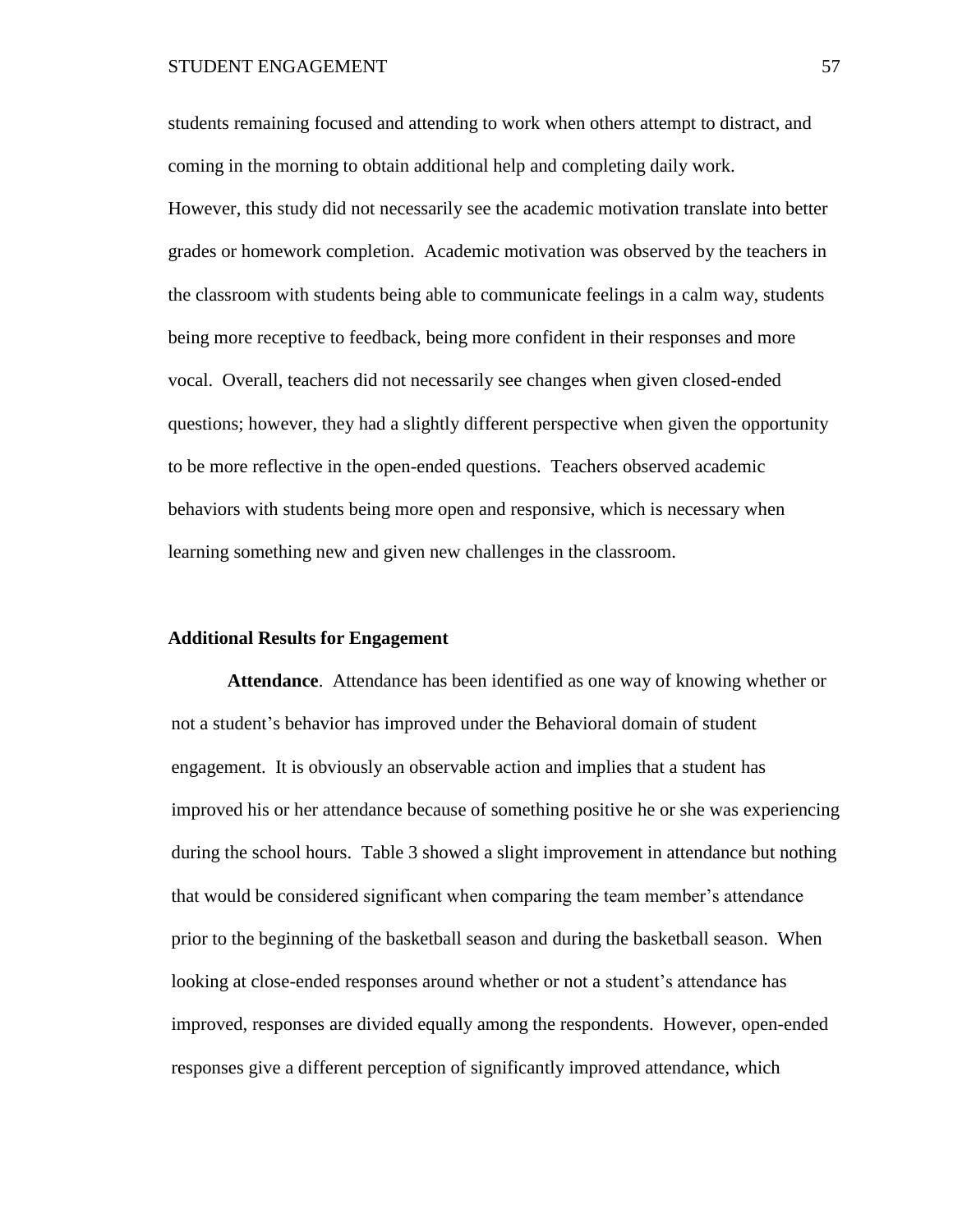students remaining focused and attending to work when others attempt to distract, and coming in the morning to obtain additional help and completing daily work. However, this study did not necessarily see the academic motivation translate into better grades or homework completion. Academic motivation was observed by the teachers in the classroom with students being able to communicate feelings in a calm way, students being more receptive to feedback, being more confident in their responses and more vocal. Overall, teachers did not necessarily see changes when given closed-ended questions; however, they had a slightly different perspective when given the opportunity to be more reflective in the open-ended questions. Teachers observed academic behaviors with students being more open and responsive, which is necessary when learning something new and given new challenges in the classroom.

# **Additional Results for Engagement**

**Attendance**. Attendance has been identified as one way of knowing whether or not a student's behavior has improved under the Behavioral domain of student engagement. It is obviously an observable action and implies that a student has improved his or her attendance because of something positive he or she was experiencing during the school hours. Table 3 showed a slight improvement in attendance but nothing that would be considered significant when comparing the team member's attendance prior to the beginning of the basketball season and during the basketball season. When looking at close-ended responses around whether or not a student's attendance has improved, responses are divided equally among the respondents. However, open-ended responses give a different perception of significantly improved attendance, which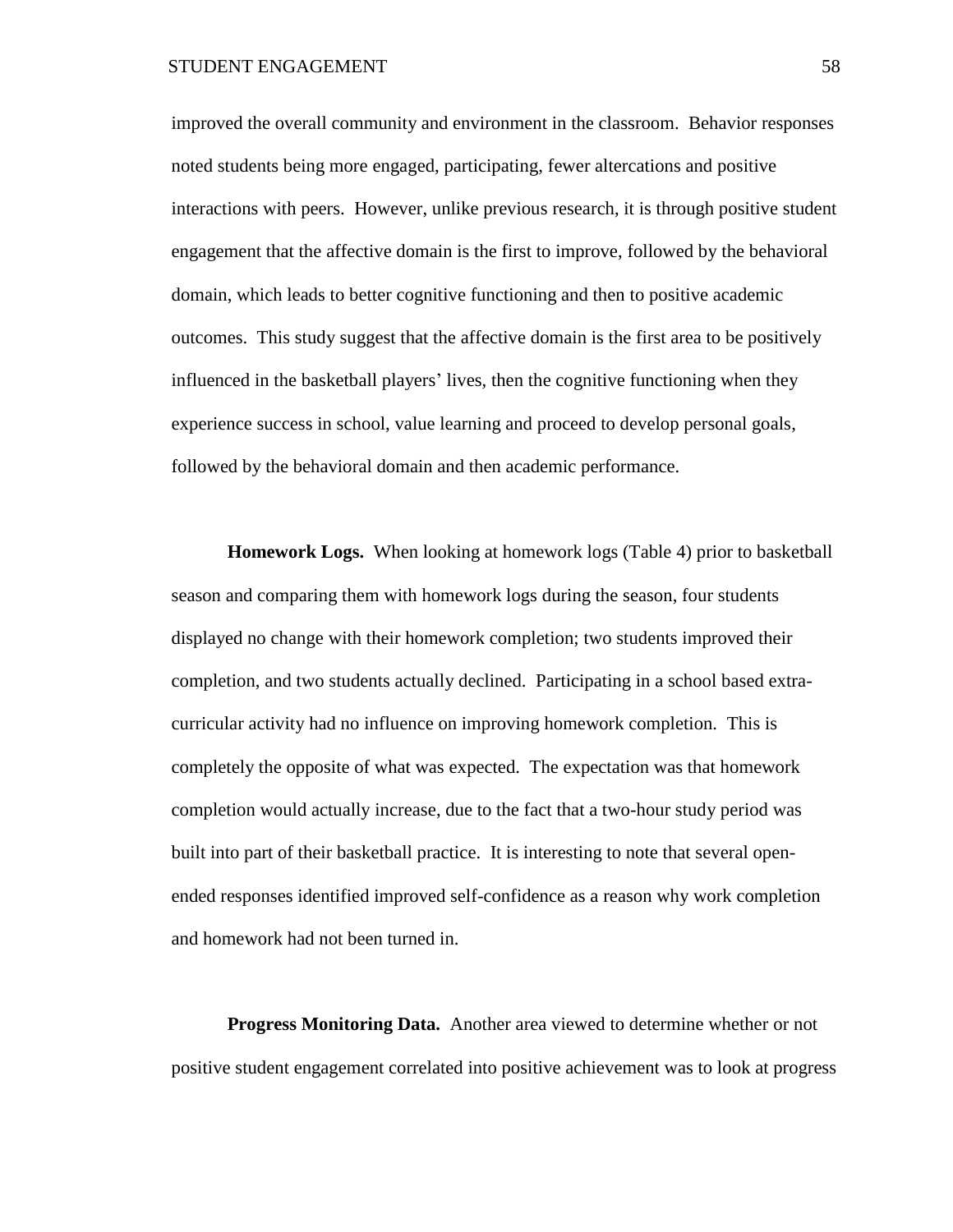improved the overall community and environment in the classroom. Behavior responses noted students being more engaged, participating, fewer altercations and positive interactions with peers. However, unlike previous research, it is through positive student engagement that the affective domain is the first to improve, followed by the behavioral domain, which leads to better cognitive functioning and then to positive academic outcomes. This study suggest that the affective domain is the first area to be positively influenced in the basketball players' lives, then the cognitive functioning when they experience success in school, value learning and proceed to develop personal goals, followed by the behavioral domain and then academic performance.

**Homework Logs.** When looking at homework logs (Table 4) prior to basketball season and comparing them with homework logs during the season, four students displayed no change with their homework completion; two students improved their completion, and two students actually declined. Participating in a school based extracurricular activity had no influence on improving homework completion. This is completely the opposite of what was expected. The expectation was that homework completion would actually increase, due to the fact that a two-hour study period was built into part of their basketball practice. It is interesting to note that several openended responses identified improved self-confidence as a reason why work completion and homework had not been turned in.

**Progress Monitoring Data.** Another area viewed to determine whether or not positive student engagement correlated into positive achievement was to look at progress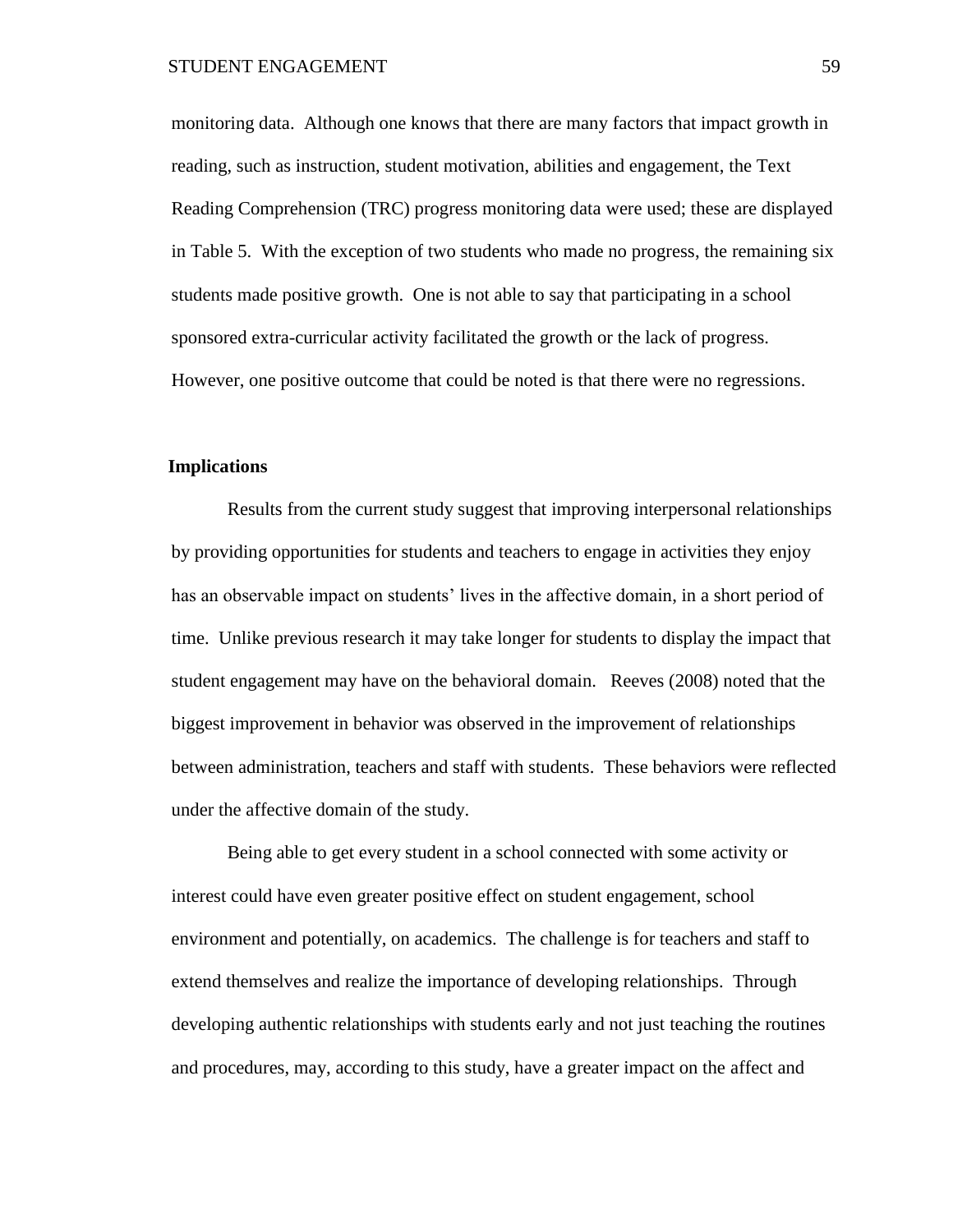monitoring data. Although one knows that there are many factors that impact growth in reading, such as instruction, student motivation, abilities and engagement, the Text Reading Comprehension (TRC) progress monitoring data were used; these are displayed in Table 5. With the exception of two students who made no progress, the remaining six students made positive growth. One is not able to say that participating in a school sponsored extra-curricular activity facilitated the growth or the lack of progress. However, one positive outcome that could be noted is that there were no regressions.

# **Implications**

Results from the current study suggest that improving interpersonal relationships by providing opportunities for students and teachers to engage in activities they enjoy has an observable impact on students' lives in the affective domain, in a short period of time. Unlike previous research it may take longer for students to display the impact that student engagement may have on the behavioral domain. Reeves (2008) noted that the biggest improvement in behavior was observed in the improvement of relationships between administration, teachers and staff with students. These behaviors were reflected under the affective domain of the study.

Being able to get every student in a school connected with some activity or interest could have even greater positive effect on student engagement, school environment and potentially, on academics. The challenge is for teachers and staff to extend themselves and realize the importance of developing relationships. Through developing authentic relationships with students early and not just teaching the routines and procedures, may, according to this study, have a greater impact on the affect and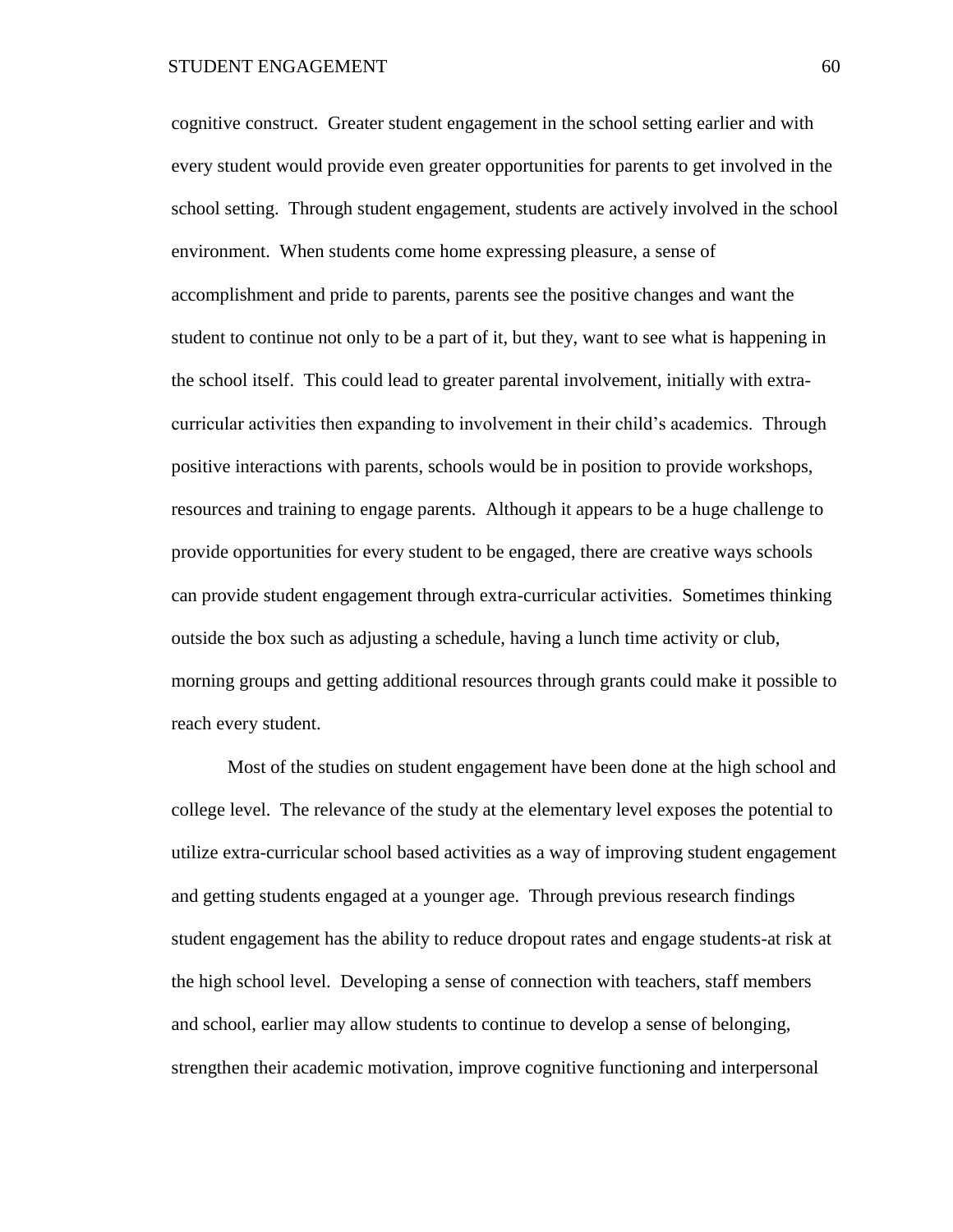cognitive construct. Greater student engagement in the school setting earlier and with every student would provide even greater opportunities for parents to get involved in the school setting. Through student engagement, students are actively involved in the school environment. When students come home expressing pleasure, a sense of accomplishment and pride to parents, parents see the positive changes and want the student to continue not only to be a part of it, but they, want to see what is happening in the school itself. This could lead to greater parental involvement, initially with extracurricular activities then expanding to involvement in their child's academics. Through positive interactions with parents, schools would be in position to provide workshops, resources and training to engage parents. Although it appears to be a huge challenge to provide opportunities for every student to be engaged, there are creative ways schools can provide student engagement through extra-curricular activities. Sometimes thinking outside the box such as adjusting a schedule, having a lunch time activity or club, morning groups and getting additional resources through grants could make it possible to reach every student.

Most of the studies on student engagement have been done at the high school and college level. The relevance of the study at the elementary level exposes the potential to utilize extra-curricular school based activities as a way of improving student engagement and getting students engaged at a younger age. Through previous research findings student engagement has the ability to reduce dropout rates and engage students-at risk at the high school level. Developing a sense of connection with teachers, staff members and school, earlier may allow students to continue to develop a sense of belonging, strengthen their academic motivation, improve cognitive functioning and interpersonal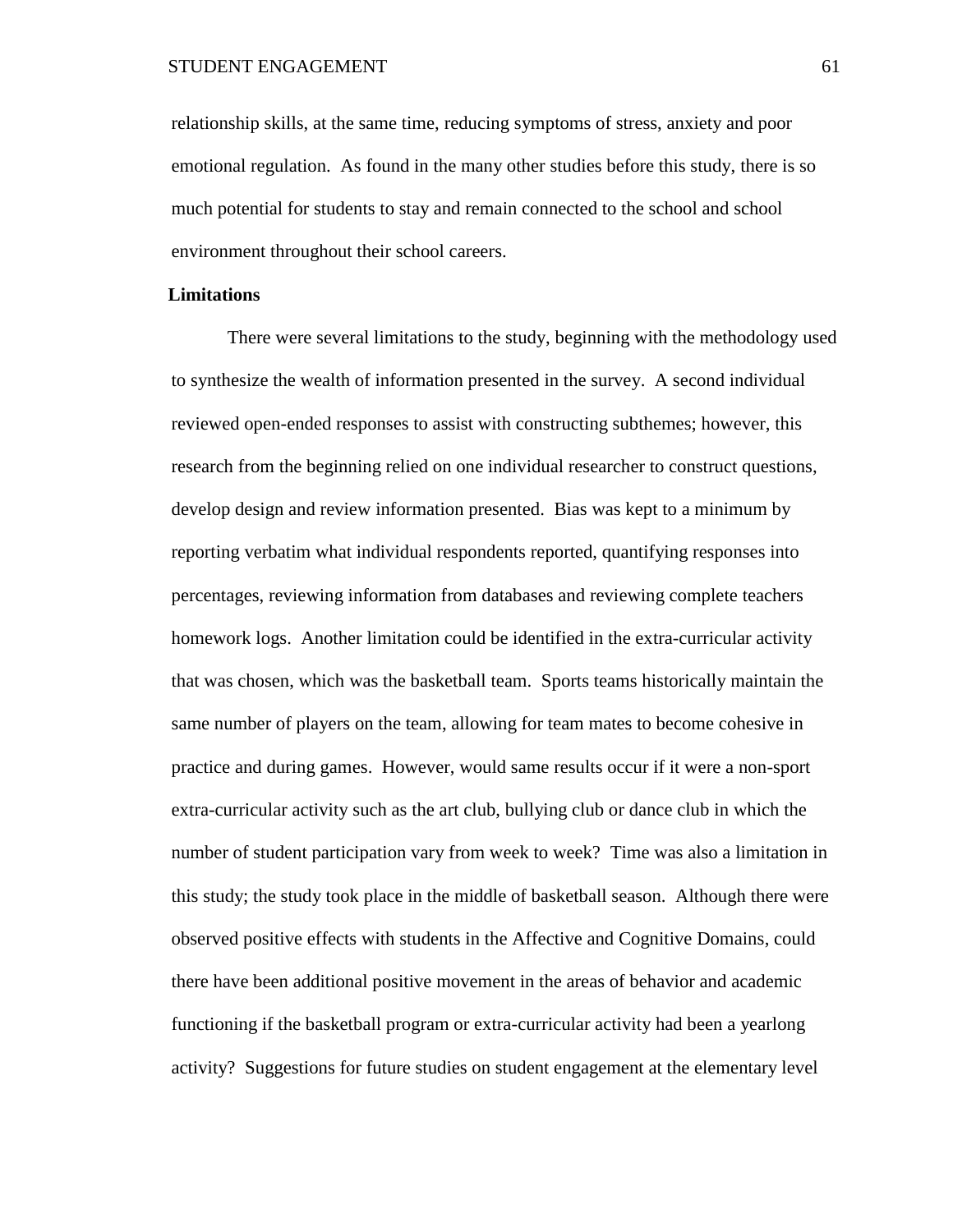relationship skills, at the same time, reducing symptoms of stress, anxiety and poor emotional regulation. As found in the many other studies before this study, there is so much potential for students to stay and remain connected to the school and school environment throughout their school careers.

# **Limitations**

There were several limitations to the study, beginning with the methodology used to synthesize the wealth of information presented in the survey. A second individual reviewed open-ended responses to assist with constructing subthemes; however, this research from the beginning relied on one individual researcher to construct questions, develop design and review information presented. Bias was kept to a minimum by reporting verbatim what individual respondents reported, quantifying responses into percentages, reviewing information from databases and reviewing complete teachers homework logs. Another limitation could be identified in the extra-curricular activity that was chosen, which was the basketball team. Sports teams historically maintain the same number of players on the team, allowing for team mates to become cohesive in practice and during games. However, would same results occur if it were a non-sport extra-curricular activity such as the art club, bullying club or dance club in which the number of student participation vary from week to week? Time was also a limitation in this study; the study took place in the middle of basketball season. Although there were observed positive effects with students in the Affective and Cognitive Domains, could there have been additional positive movement in the areas of behavior and academic functioning if the basketball program or extra-curricular activity had been a yearlong activity? Suggestions for future studies on student engagement at the elementary level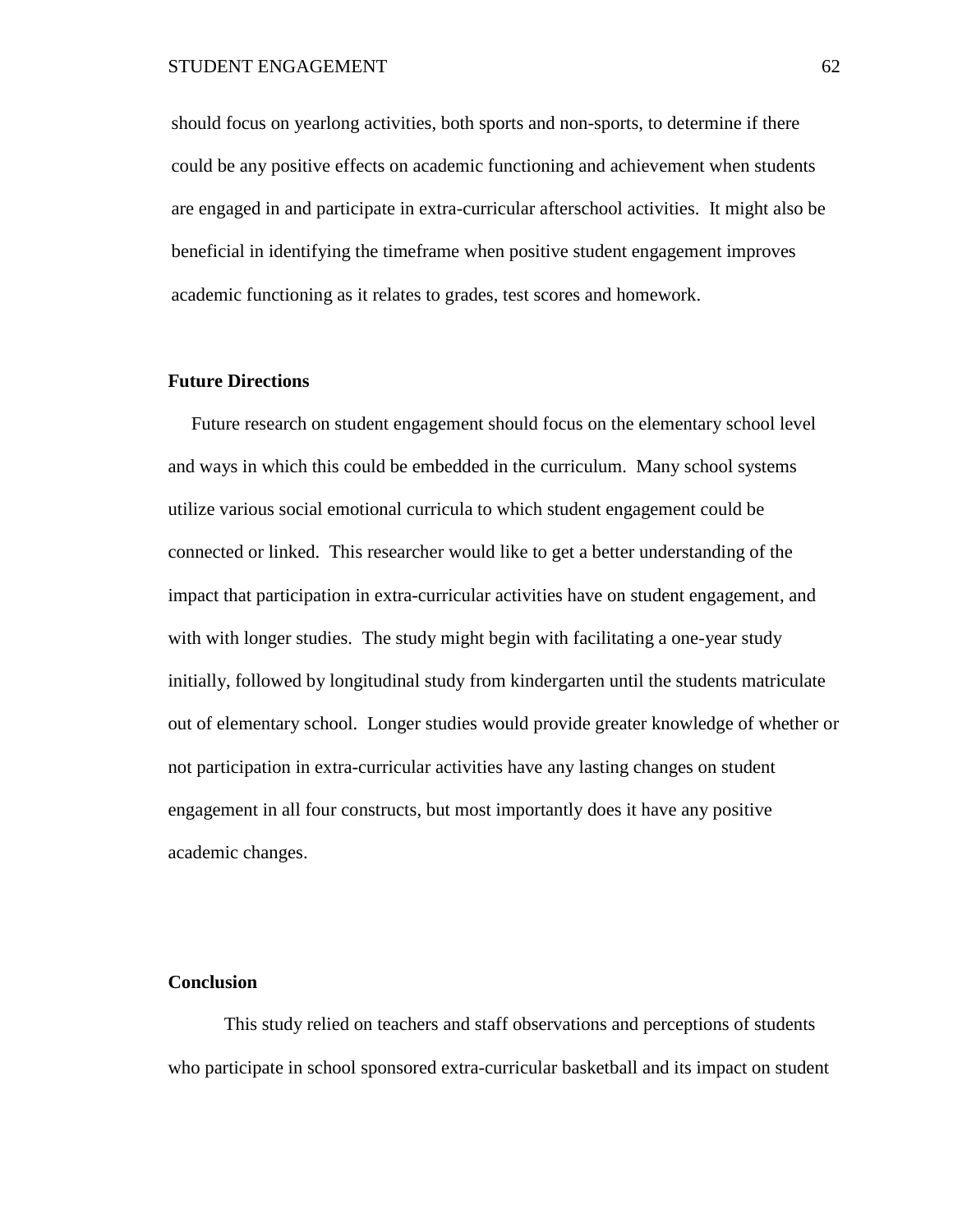should focus on yearlong activities, both sports and non-sports, to determine if there could be any positive effects on academic functioning and achievement when students are engaged in and participate in extra-curricular afterschool activities. It might also be beneficial in identifying the timeframe when positive student engagement improves academic functioning as it relates to grades, test scores and homework.

# **Future Directions**

Future research on student engagement should focus on the elementary school level and ways in which this could be embedded in the curriculum. Many school systems utilize various social emotional curricula to which student engagement could be connected or linked. This researcher would like to get a better understanding of the impact that participation in extra-curricular activities have on student engagement, and with with longer studies. The study might begin with facilitating a one-year study initially, followed by longitudinal study from kindergarten until the students matriculate out of elementary school. Longer studies would provide greater knowledge of whether or not participation in extra-curricular activities have any lasting changes on student engagement in all four constructs, but most importantly does it have any positive academic changes.

# **Conclusion**

This study relied on teachers and staff observations and perceptions of students who participate in school sponsored extra-curricular basketball and its impact on student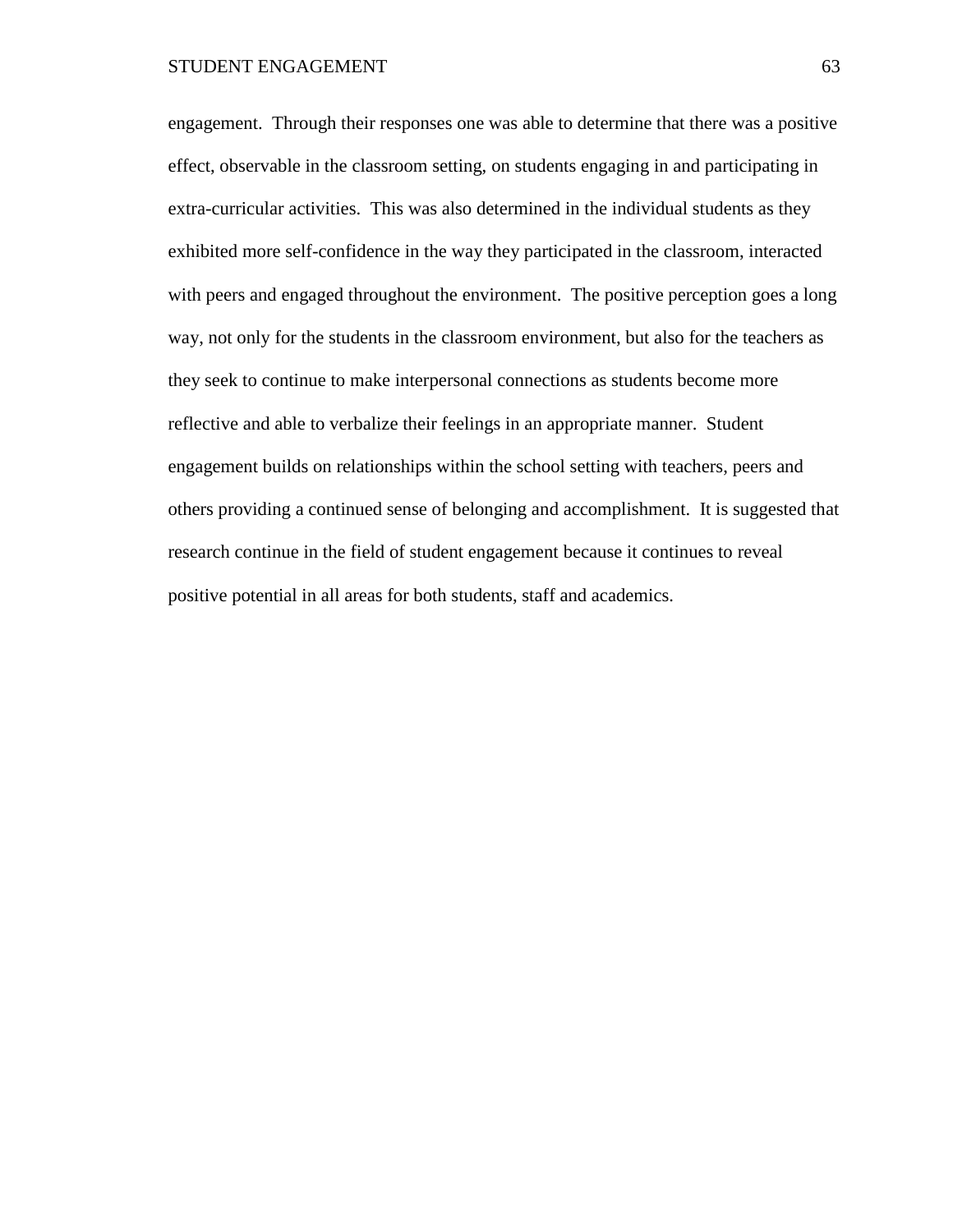engagement. Through their responses one was able to determine that there was a positive effect, observable in the classroom setting, on students engaging in and participating in extra-curricular activities. This was also determined in the individual students as they exhibited more self-confidence in the way they participated in the classroom, interacted with peers and engaged throughout the environment. The positive perception goes a long way, not only for the students in the classroom environment, but also for the teachers as they seek to continue to make interpersonal connections as students become more reflective and able to verbalize their feelings in an appropriate manner. Student engagement builds on relationships within the school setting with teachers, peers and others providing a continued sense of belonging and accomplishment. It is suggested that research continue in the field of student engagement because it continues to reveal positive potential in all areas for both students, staff and academics.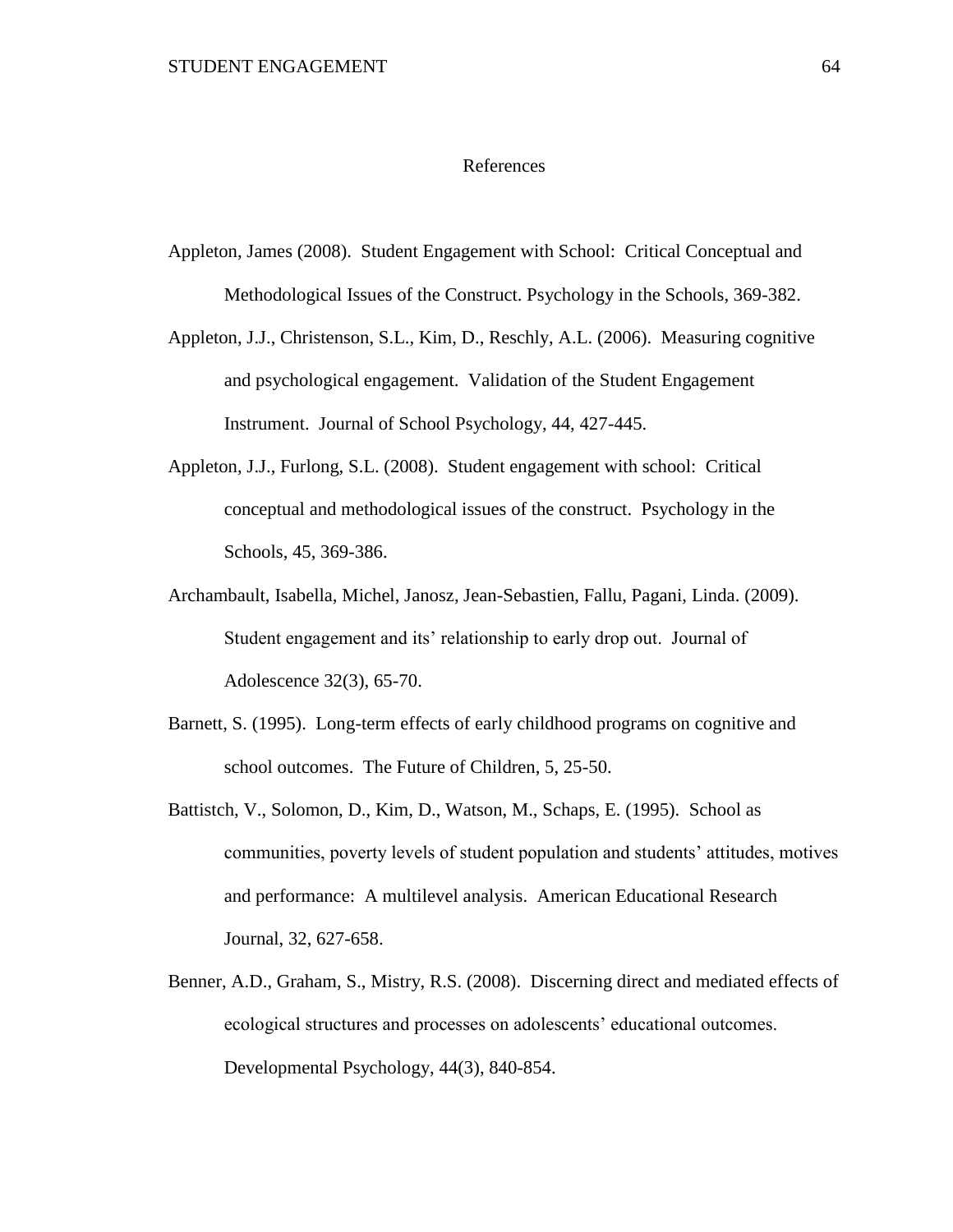### References

- Appleton, James (2008). Student Engagement with School: Critical Conceptual and Methodological Issues of the Construct. Psychology in the Schools, 369-382.
- Appleton, J.J., Christenson, S.L., Kim, D., Reschly, A.L. (2006). Measuring cognitive and psychological engagement. Validation of the Student Engagement Instrument. Journal of School Psychology, 44, 427-445.
- Appleton, J.J., Furlong, S.L. (2008). Student engagement with school: Critical conceptual and methodological issues of the construct. Psychology in the Schools, 45, 369-386.
- Archambault, Isabella, Michel, Janosz, Jean-Sebastien, Fallu, Pagani, Linda. (2009). Student engagement and its' relationship to early drop out. Journal of Adolescence 32(3), 65-70.
- Barnett, S. (1995). Long-term effects of early childhood programs on cognitive and school outcomes. The Future of Children, 5, 25-50.
- Battistch, V., Solomon, D., Kim, D., Watson, M., Schaps, E. (1995). School as communities, poverty levels of student population and students' attitudes, motives and performance: A multilevel analysis. American Educational Research Journal, 32, 627-658.
- Benner, A.D., Graham, S., Mistry, R.S. (2008). Discerning direct and mediated effects of ecological structures and processes on adolescents' educational outcomes. Developmental Psychology, 44(3), 840-854.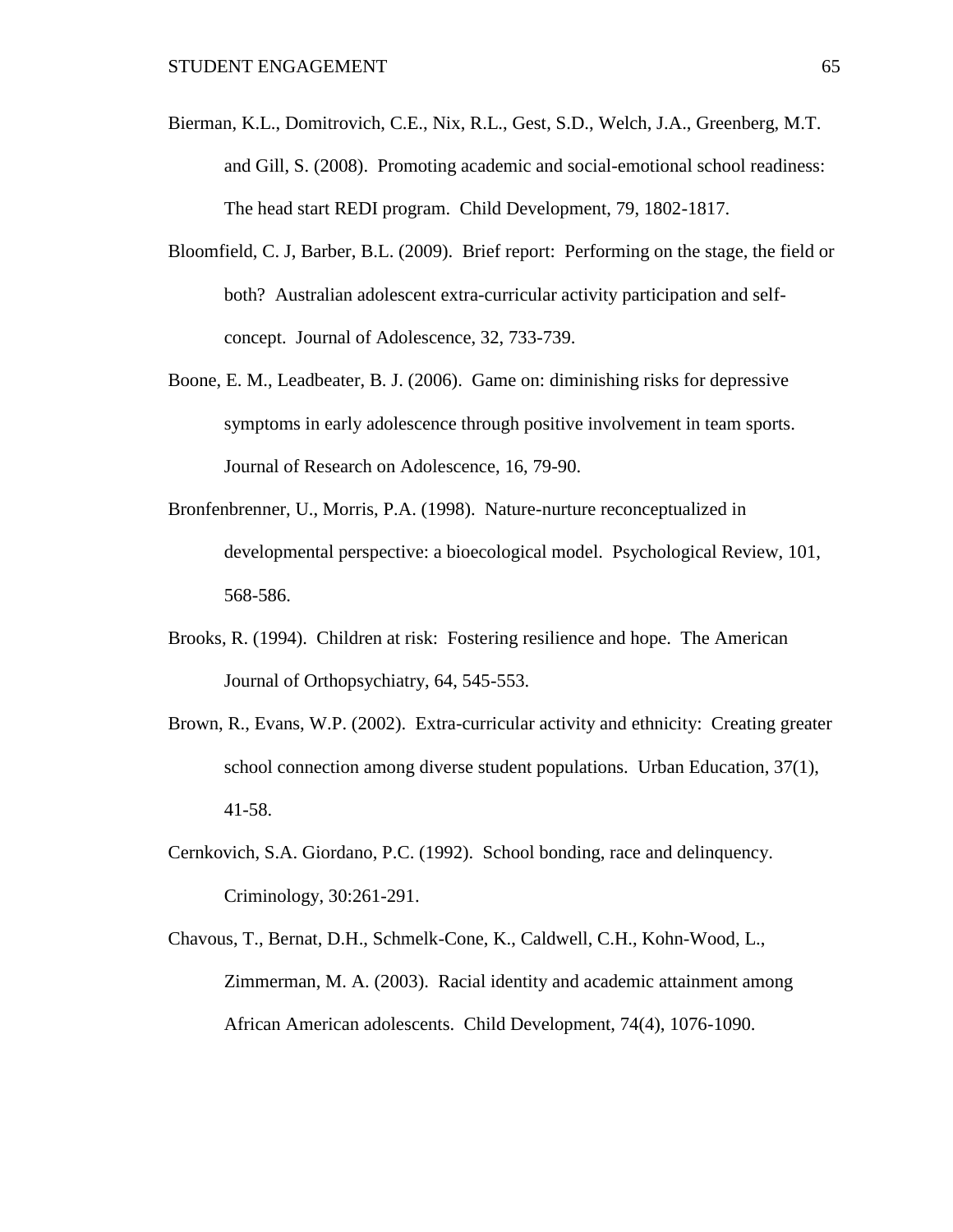- Bierman, K.L., Domitrovich, C.E., Nix, R.L., Gest, S.D., Welch, J.A., Greenberg, M.T. and Gill, S. (2008). Promoting academic and social-emotional school readiness: The head start REDI program. Child Development, 79, 1802-1817.
- Bloomfield, C. J, Barber, B.L. (2009). Brief report: Performing on the stage, the field or both? Australian adolescent extra-curricular activity participation and selfconcept. Journal of Adolescence, 32, 733-739.
- Boone, E. M., Leadbeater, B. J. (2006). Game on: diminishing risks for depressive symptoms in early adolescence through positive involvement in team sports. Journal of Research on Adolescence, 16, 79-90.
- Bronfenbrenner, U., Morris, P.A. (1998). Nature-nurture reconceptualized in developmental perspective: a bioecological model. Psychological Review, 101, 568-586.
- Brooks, R. (1994). Children at risk: Fostering resilience and hope. The American Journal of Orthopsychiatry, 64, 545-553.
- Brown, R., Evans, W.P. (2002). Extra-curricular activity and ethnicity: Creating greater school connection among diverse student populations. Urban Education, 37(1), 41-58.
- Cernkovich, S.A. Giordano, P.C. (1992). School bonding, race and delinquency. Criminology, 30:261-291.
- Chavous, T., Bernat, D.H., Schmelk-Cone, K., Caldwell, C.H., Kohn-Wood, L., Zimmerman, M. A. (2003). Racial identity and academic attainment among African American adolescents. Child Development, 74(4), 1076-1090.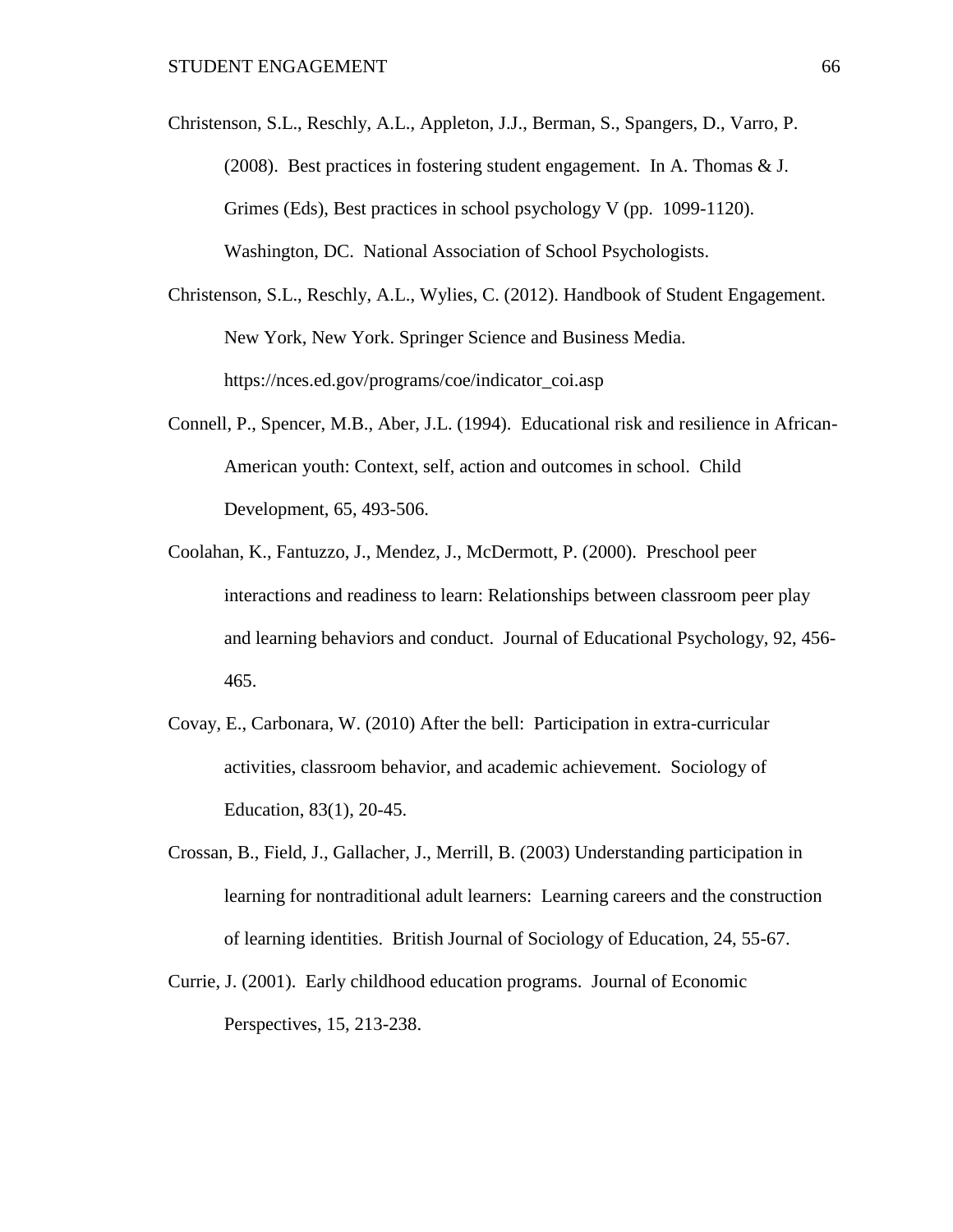- Christenson, S.L., Reschly, A.L., Appleton, J.J., Berman, S., Spangers, D., Varro, P. (2008). Best practices in fostering student engagement. In A. Thomas & J. Grimes (Eds), Best practices in school psychology V (pp. 1099-1120). Washington, DC. National Association of School Psychologists.
- Christenson, S.L., Reschly, A.L., Wylies, C. (2012). Handbook of Student Engagement. New York, New York. Springer Science and Business Media. https://nces.ed.gov/programs/coe/indicator\_coi.asp
- Connell, P., Spencer, M.B., Aber, J.L. (1994). Educational risk and resilience in African-American youth: Context, self, action and outcomes in school. Child Development, 65, 493-506.
- Coolahan, K., Fantuzzo, J., Mendez, J., McDermott, P. (2000). Preschool peer interactions and readiness to learn: Relationships between classroom peer play and learning behaviors and conduct. Journal of Educational Psychology, 92, 456- 465.
- Covay, E., Carbonara, W. (2010) After the bell: Participation in extra-curricular activities, classroom behavior, and academic achievement. Sociology of Education, 83(1), 20-45.
- Crossan, B., Field, J., Gallacher, J., Merrill, B. (2003) Understanding participation in learning for nontraditional adult learners: Learning careers and the construction of learning identities. British Journal of Sociology of Education, 24, 55-67.
- Currie, J. (2001). Early childhood education programs. Journal of Economic Perspectives, 15, 213-238.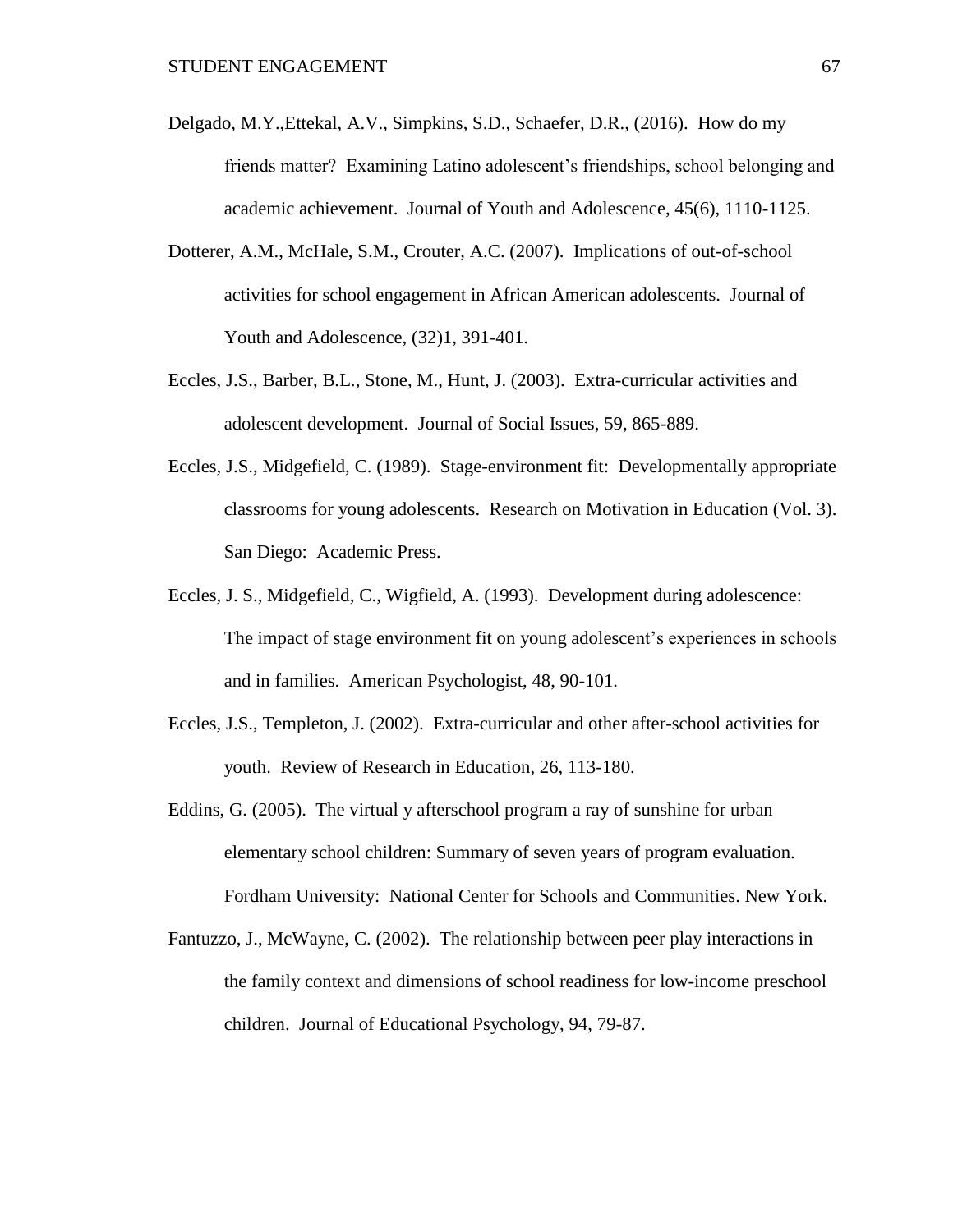- Delgado, M.Y.,Ettekal, A.V., Simpkins, S.D., Schaefer, D.R., (2016). How do my friends matter? Examining Latino adolescent's friendships, school belonging and academic achievement. Journal of Youth and Adolescence, 45(6), 1110-1125.
- Dotterer, A.M., McHale, S.M., Crouter, A.C. (2007). Implications of out-of-school activities for school engagement in African American adolescents. Journal of Youth and Adolescence, (32)1, 391-401.
- Eccles, J.S., Barber, B.L., Stone, M., Hunt, J. (2003). Extra-curricular activities and adolescent development. Journal of Social Issues, 59, 865-889.
- Eccles, J.S., Midgefield, C. (1989). Stage-environment fit: Developmentally appropriate classrooms for young adolescents. Research on Motivation in Education (Vol. 3). San Diego: Academic Press.
- Eccles, J. S., Midgefield, C., Wigfield, A. (1993). Development during adolescence: The impact of stage environment fit on young adolescent's experiences in schools and in families. American Psychologist, 48, 90-101.
- Eccles, J.S., Templeton, J. (2002). Extra-curricular and other after-school activities for youth. Review of Research in Education, 26, 113-180.
- Eddins, G. (2005). The virtual y afterschool program a ray of sunshine for urban elementary school children: Summary of seven years of program evaluation. Fordham University: National Center for Schools and Communities. New York.
- Fantuzzo, J., McWayne, C. (2002). The relationship between peer play interactions in the family context and dimensions of school readiness for low-income preschool children. Journal of Educational Psychology, 94, 79-87.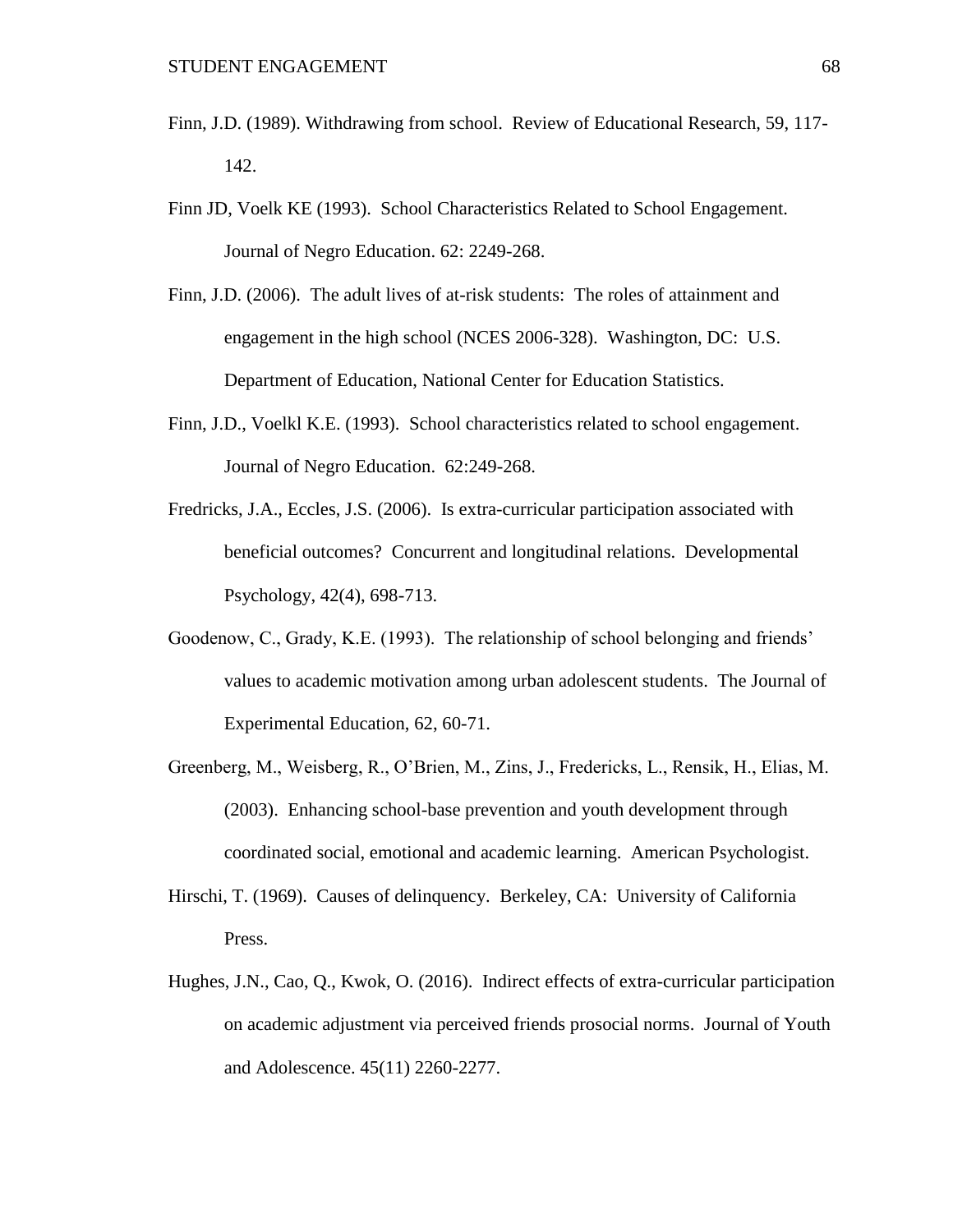- Finn, J.D. (1989). Withdrawing from school. Review of Educational Research, 59, 117- 142.
- Finn JD, Voelk KE (1993). School Characteristics Related to School Engagement. Journal of Negro Education. 62: 2249-268.
- Finn, J.D. (2006). The adult lives of at-risk students: The roles of attainment and engagement in the high school (NCES 2006-328). Washington, DC: U.S. Department of Education, National Center for Education Statistics.
- Finn, J.D., Voelkl K.E. (1993). School characteristics related to school engagement. Journal of Negro Education. 62:249-268.
- Fredricks, J.A., Eccles, J.S. (2006). Is extra-curricular participation associated with beneficial outcomes? Concurrent and longitudinal relations. Developmental Psychology, 42(4), 698-713.
- Goodenow, C., Grady, K.E. (1993). The relationship of school belonging and friends' values to academic motivation among urban adolescent students. The Journal of Experimental Education, 62, 60-71.
- Greenberg, M., Weisberg, R., O'Brien, M., Zins, J., Fredericks, L., Rensik, H., Elias, M. (2003). Enhancing school-base prevention and youth development through coordinated social, emotional and academic learning. American Psychologist.
- Hirschi, T. (1969). Causes of delinquency. Berkeley, CA: University of California Press.
- Hughes, J.N., Cao, Q., Kwok, O. (2016). Indirect effects of extra-curricular participation on academic adjustment via perceived friends prosocial norms. Journal of Youth and Adolescence. 45(11) 2260-2277.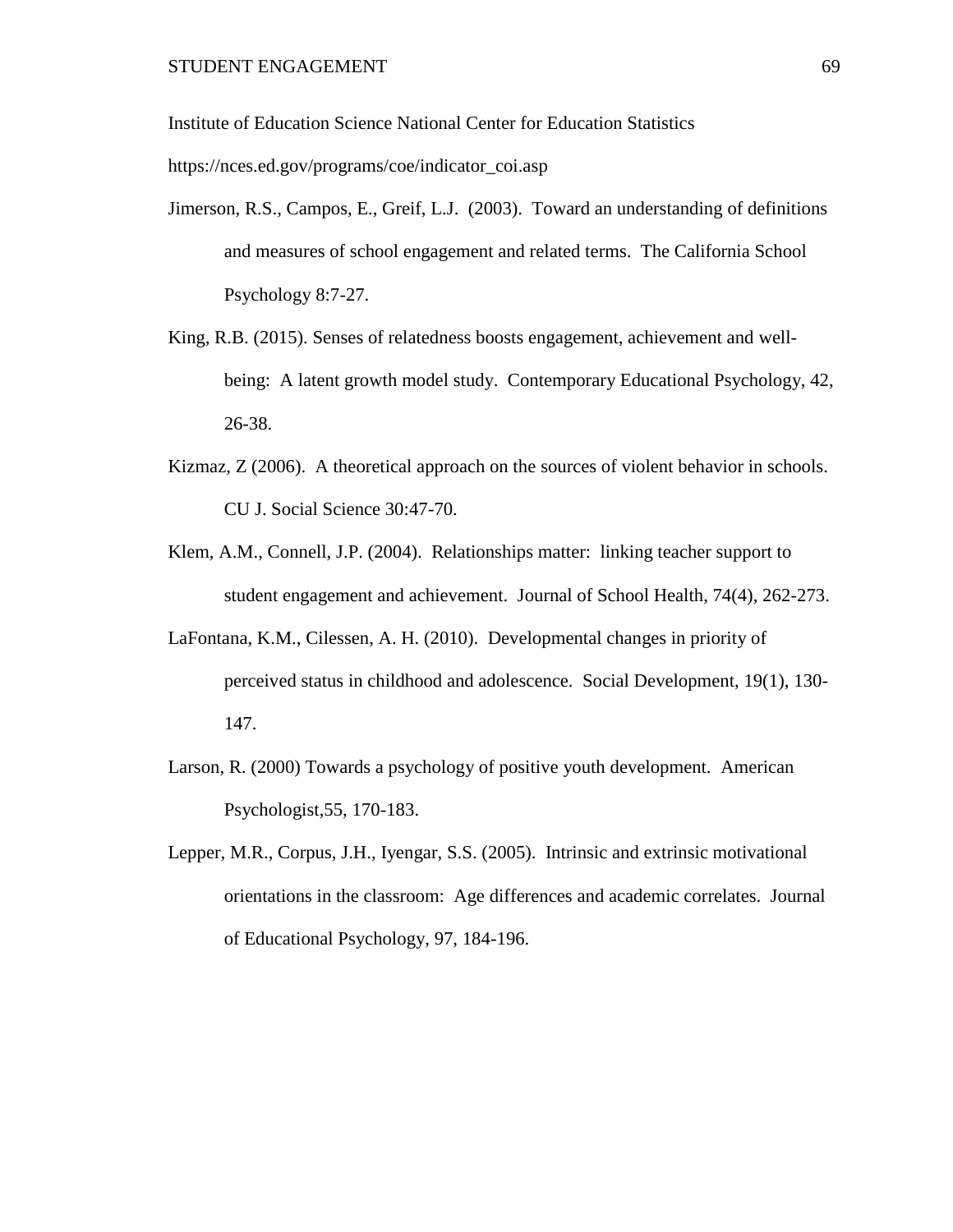Institute of Education Science National Center for Education Statistics

https://nces.ed.gov/programs/coe/indicator\_coi.asp

- Jimerson, R.S., Campos, E., Greif, L.J. (2003). Toward an understanding of definitions and measures of school engagement and related terms. The California School Psychology 8:7-27.
- King, R.B. (2015). Senses of relatedness boosts engagement, achievement and wellbeing: A latent growth model study. Contemporary Educational Psychology, 42, 26-38.
- Kizmaz, Z (2006). A theoretical approach on the sources of violent behavior in schools. CU J. Social Science 30:47-70.
- Klem, A.M., Connell, J.P. (2004). Relationships matter: linking teacher support to student engagement and achievement. Journal of School Health, 74(4), 262-273.
- LaFontana, K.M., Cilessen, A. H. (2010). Developmental changes in priority of perceived status in childhood and adolescence. Social Development, 19(1), 130- 147.
- Larson, R. (2000) Towards a psychology of positive youth development. American Psychologist,55, 170-183.
- Lepper, M.R., Corpus, J.H., Iyengar, S.S. (2005). Intrinsic and extrinsic motivational orientations in the classroom: Age differences and academic correlates. Journal of Educational Psychology, 97, 184-196.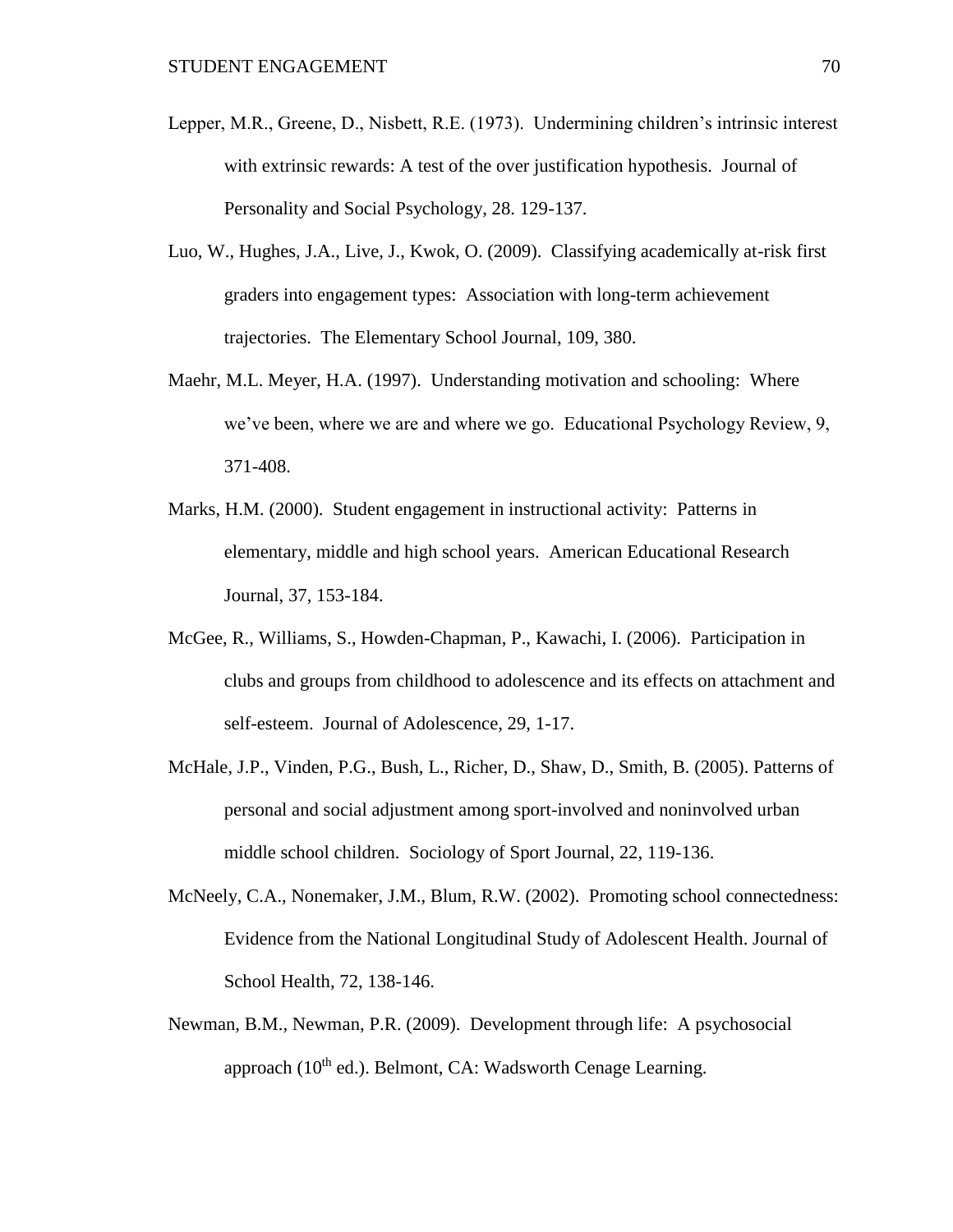- Lepper, M.R., Greene, D., Nisbett, R.E. (1973). Undermining children's intrinsic interest with extrinsic rewards: A test of the over justification hypothesis. Journal of Personality and Social Psychology, 28. 129-137.
- Luo, W., Hughes, J.A., Live, J., Kwok, O. (2009). Classifying academically at-risk first graders into engagement types: Association with long-term achievement trajectories. The Elementary School Journal, 109, 380.
- Maehr, M.L. Meyer, H.A. (1997). Understanding motivation and schooling: Where we've been, where we are and where we go. Educational Psychology Review, 9, 371-408.
- Marks, H.M. (2000). Student engagement in instructional activity: Patterns in elementary, middle and high school years. American Educational Research Journal, 37, 153-184.
- McGee, R., Williams, S., Howden-Chapman, P., Kawachi, I. (2006). Participation in clubs and groups from childhood to adolescence and its effects on attachment and self-esteem. Journal of Adolescence, 29, 1-17.
- McHale, J.P., Vinden, P.G., Bush, L., Richer, D., Shaw, D., Smith, B. (2005). Patterns of personal and social adjustment among sport-involved and noninvolved urban middle school children. Sociology of Sport Journal, 22, 119-136.
- McNeely, C.A., Nonemaker, J.M., Blum, R.W. (2002). Promoting school connectedness: Evidence from the National Longitudinal Study of Adolescent Health. Journal of School Health, 72, 138-146.
- Newman, B.M., Newman, P.R. (2009). Development through life: A psychosocial approach (10<sup>th</sup> ed.). Belmont, CA: Wadsworth Cenage Learning.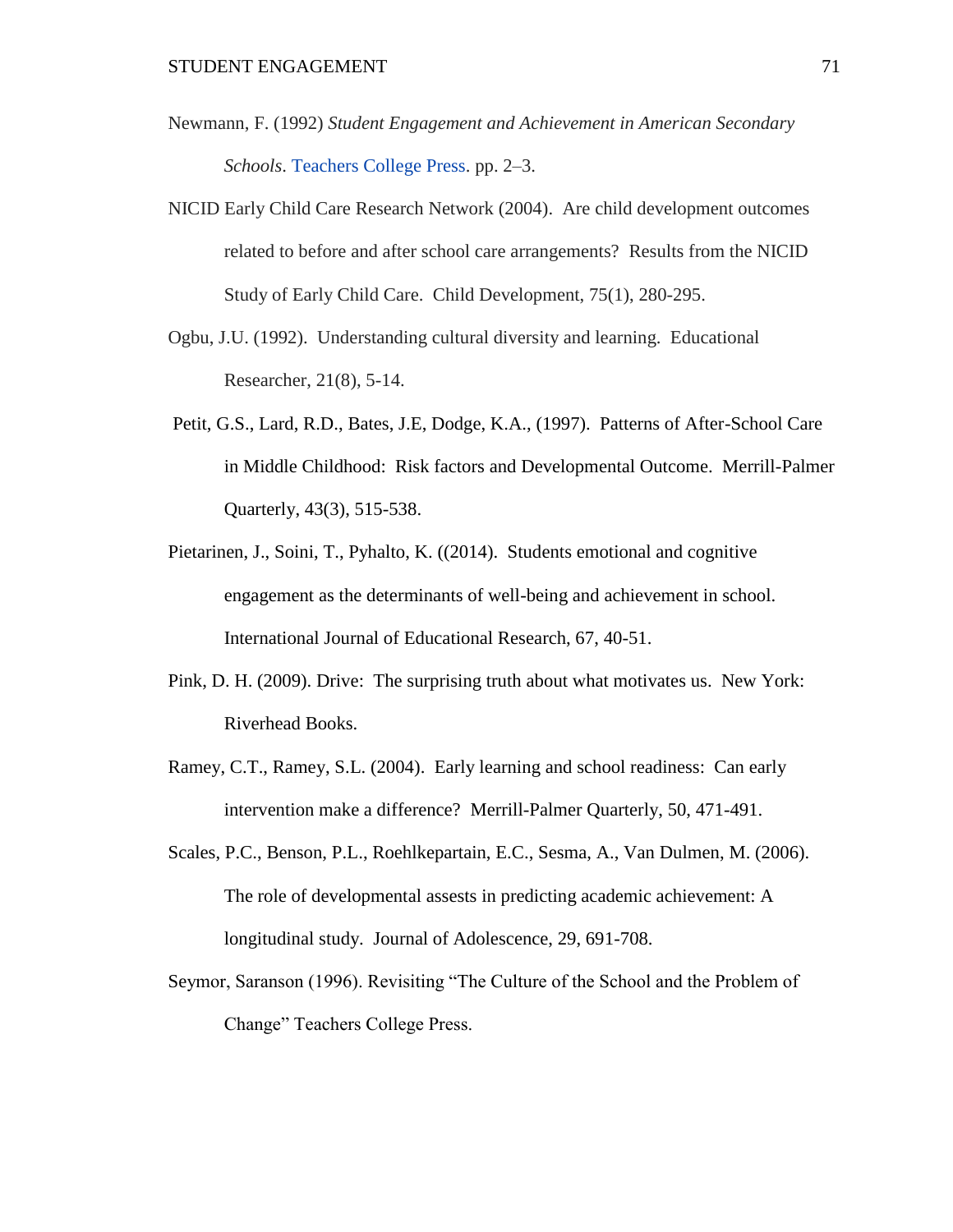- Newmann, F. (1992) *Student Engagement and Achievement in American Secondary Schools*. [Teachers College Press.](https://en.wikipedia.org/wiki/Teachers_College_Press) pp. 2–3.
- NICID Early Child Care Research Network (2004). Are child development outcomes related to before and after school care arrangements? Results from the NICID Study of Early Child Care. Child Development, 75(1), 280-295.
- Ogbu, J.U. (1992). Understanding cultural diversity and learning. Educational Researcher, 21(8), 5-14.
- Petit, G.S., Lard, R.D., Bates, J.E, Dodge, K.A., (1997). Patterns of After-School Care in Middle Childhood: Risk factors and Developmental Outcome. Merrill-Palmer Quarterly, 43(3), 515-538.
- Pietarinen, J., Soini, T., Pyhalto, K. ((2014). Students emotional and cognitive engagement as the determinants of well-being and achievement in school. International Journal of Educational Research, 67, 40-51.
- Pink, D. H. (2009). Drive: The surprising truth about what motivates us. New York: Riverhead Books.
- Ramey, C.T., Ramey, S.L. (2004). Early learning and school readiness: Can early intervention make a difference? Merrill-Palmer Quarterly, 50, 471-491.
- Scales, P.C., Benson, P.L., Roehlkepartain, E.C., Sesma, A., Van Dulmen, M. (2006). The role of developmental assests in predicting academic achievement: A longitudinal study. Journal of Adolescence, 29, 691-708.
- Seymor, Saranson (1996). Revisiting "The Culture of the School and the Problem of Change" Teachers College Press.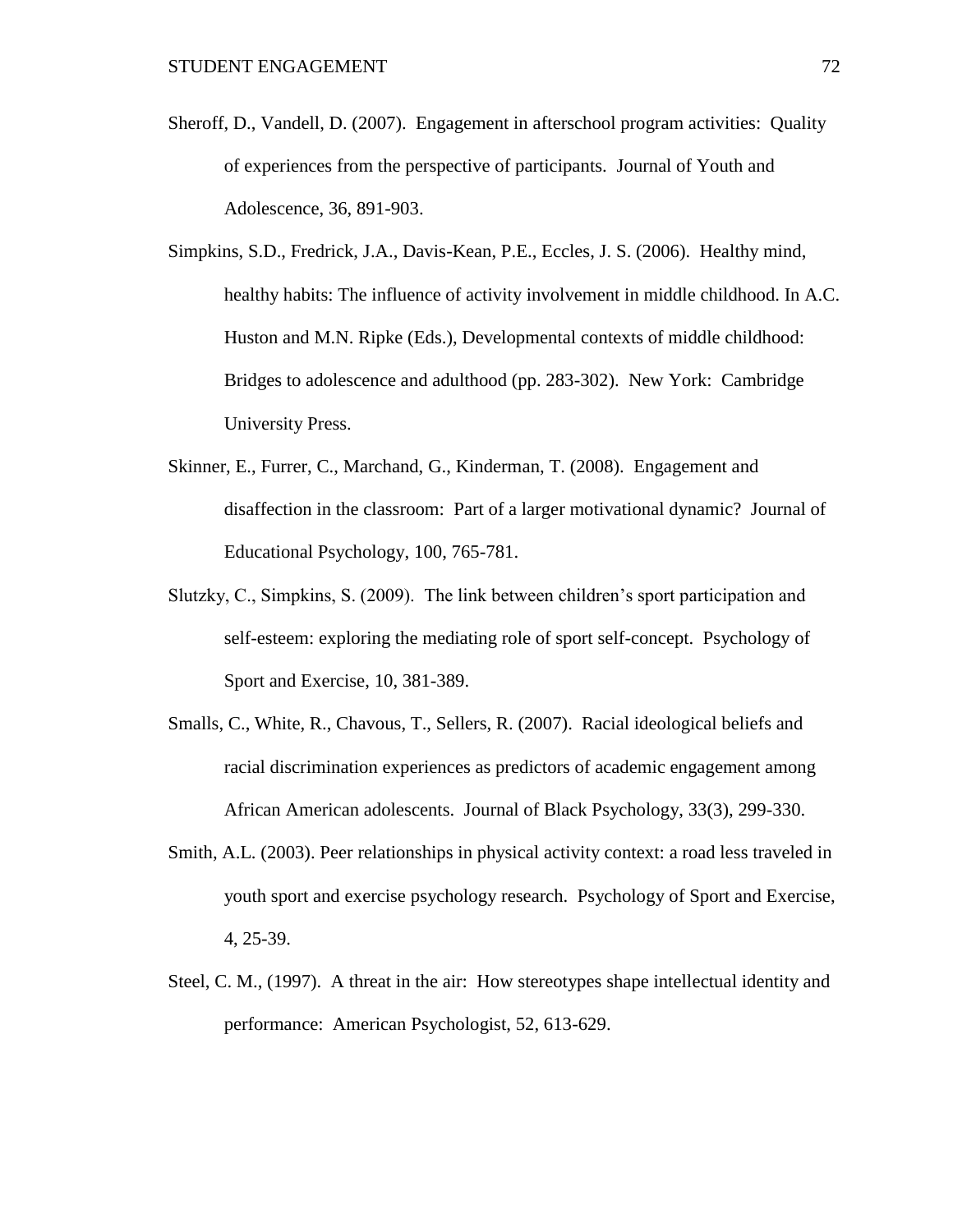- Sheroff, D., Vandell, D. (2007). Engagement in afterschool program activities: Quality of experiences from the perspective of participants. Journal of Youth and Adolescence, 36, 891-903.
- Simpkins, S.D., Fredrick, J.A., Davis-Kean, P.E., Eccles, J. S. (2006). Healthy mind, healthy habits: The influence of activity involvement in middle childhood. In A.C. Huston and M.N. Ripke (Eds.), Developmental contexts of middle childhood: Bridges to adolescence and adulthood (pp. 283-302). New York: Cambridge University Press.
- Skinner, E., Furrer, C., Marchand, G., Kinderman, T. (2008). Engagement and disaffection in the classroom: Part of a larger motivational dynamic? Journal of Educational Psychology, 100, 765-781.
- Slutzky, C., Simpkins, S. (2009). The link between children's sport participation and self-esteem: exploring the mediating role of sport self-concept. Psychology of Sport and Exercise, 10, 381-389.
- Smalls, C., White, R., Chavous, T., Sellers, R. (2007). Racial ideological beliefs and racial discrimination experiences as predictors of academic engagement among African American adolescents. Journal of Black Psychology, 33(3), 299-330.
- Smith, A.L. (2003). Peer relationships in physical activity context: a road less traveled in youth sport and exercise psychology research. Psychology of Sport and Exercise, 4, 25-39.
- Steel, C. M., (1997). A threat in the air: How stereotypes shape intellectual identity and performance: American Psychologist, 52, 613-629.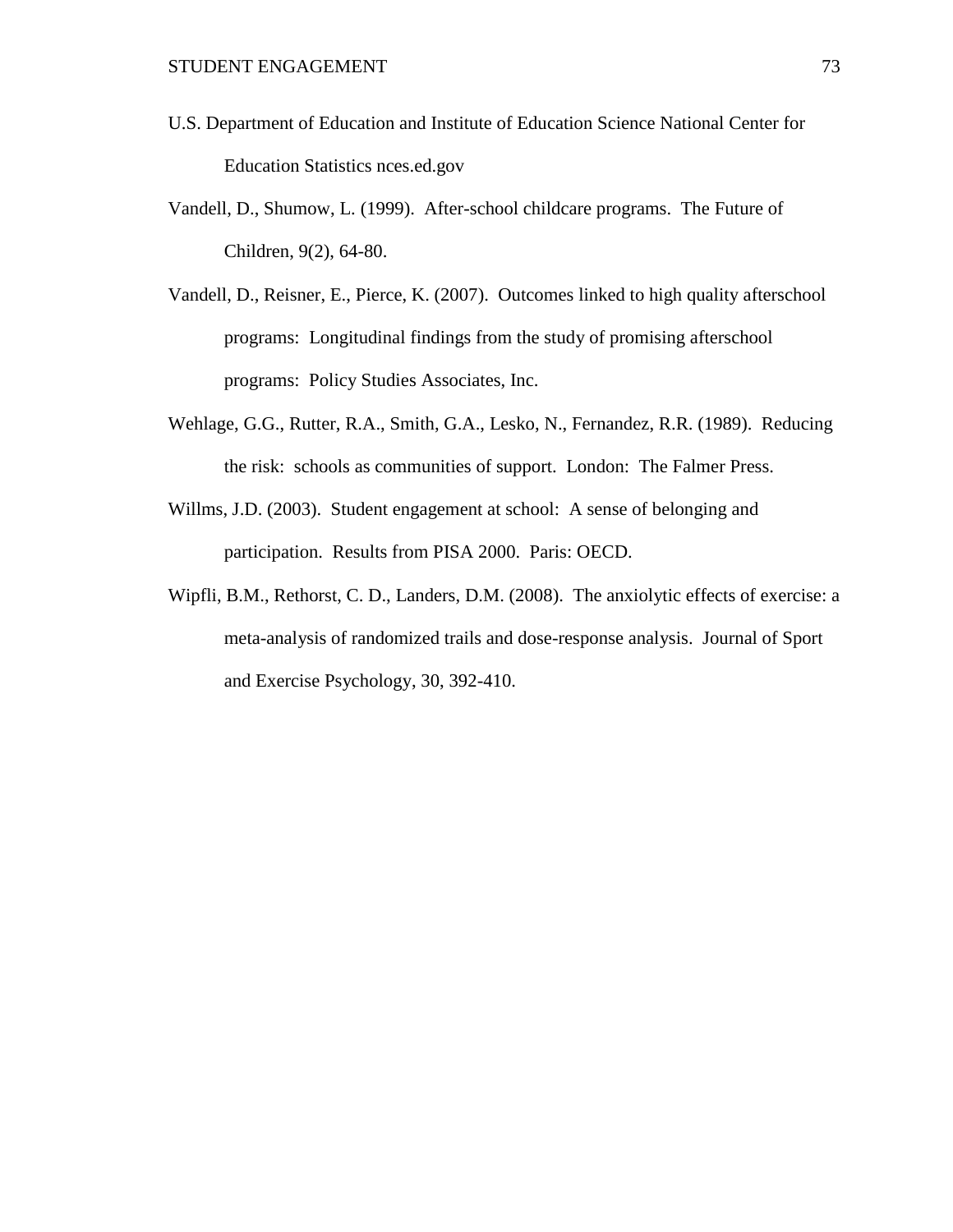- U.S. Department of Education and Institute of Education Science National Center for Education Statistics nces.ed.gov
- Vandell, D., Shumow, L. (1999). After-school childcare programs. The Future of Children, 9(2), 64-80.
- Vandell, D., Reisner, E., Pierce, K. (2007). Outcomes linked to high quality afterschool programs: Longitudinal findings from the study of promising afterschool programs: Policy Studies Associates, Inc.
- Wehlage, G.G., Rutter, R.A., Smith, G.A., Lesko, N., Fernandez, R.R. (1989). Reducing the risk: schools as communities of support. London: The Falmer Press.
- Willms, J.D. (2003). Student engagement at school: A sense of belonging and participation. Results from PISA 2000. Paris: OECD.
- Wipfli, B.M., Rethorst, C. D., Landers, D.M. (2008). The anxiolytic effects of exercise: a meta-analysis of randomized trails and dose-response analysis. Journal of Sport and Exercise Psychology, 30, 392-410.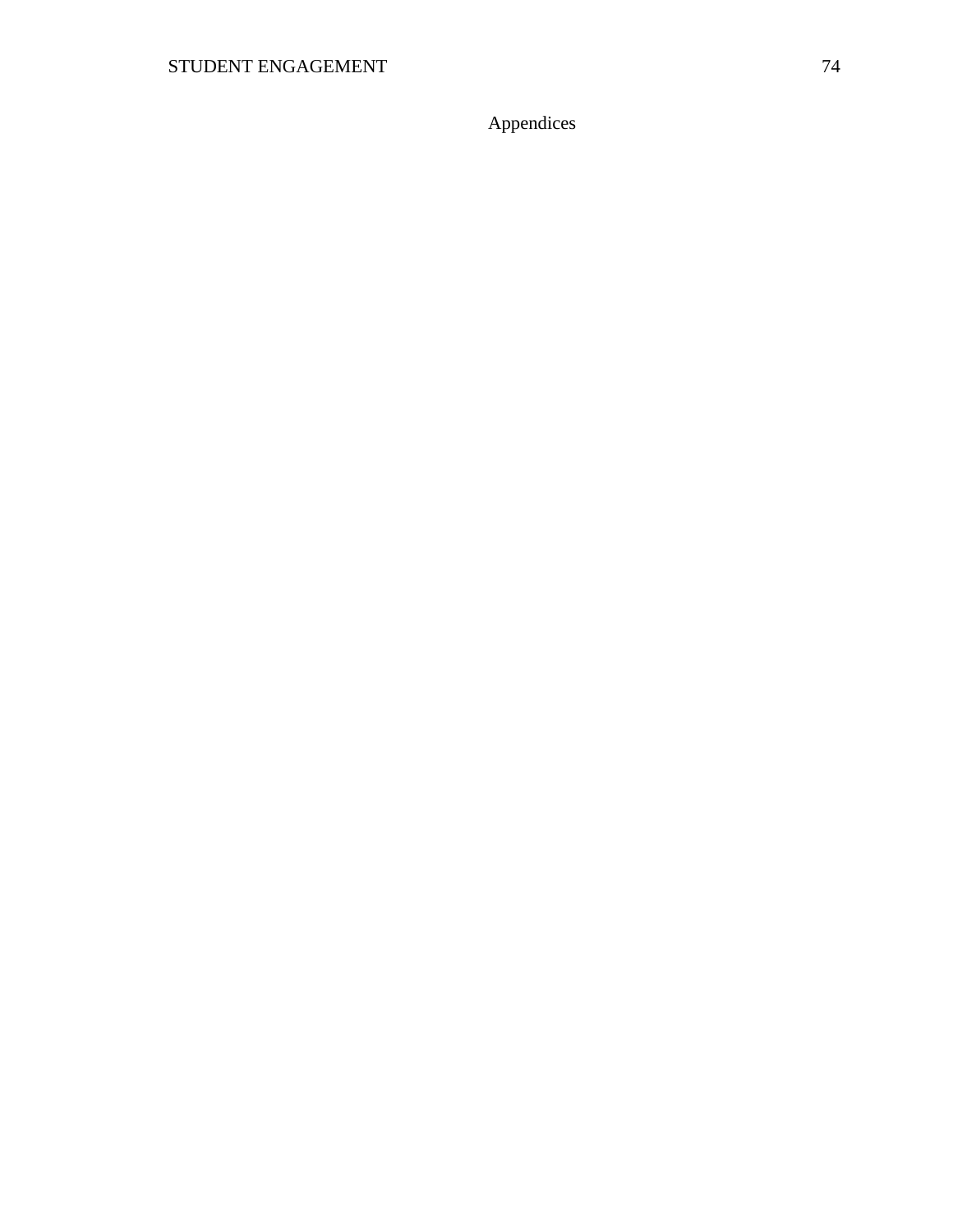Appendices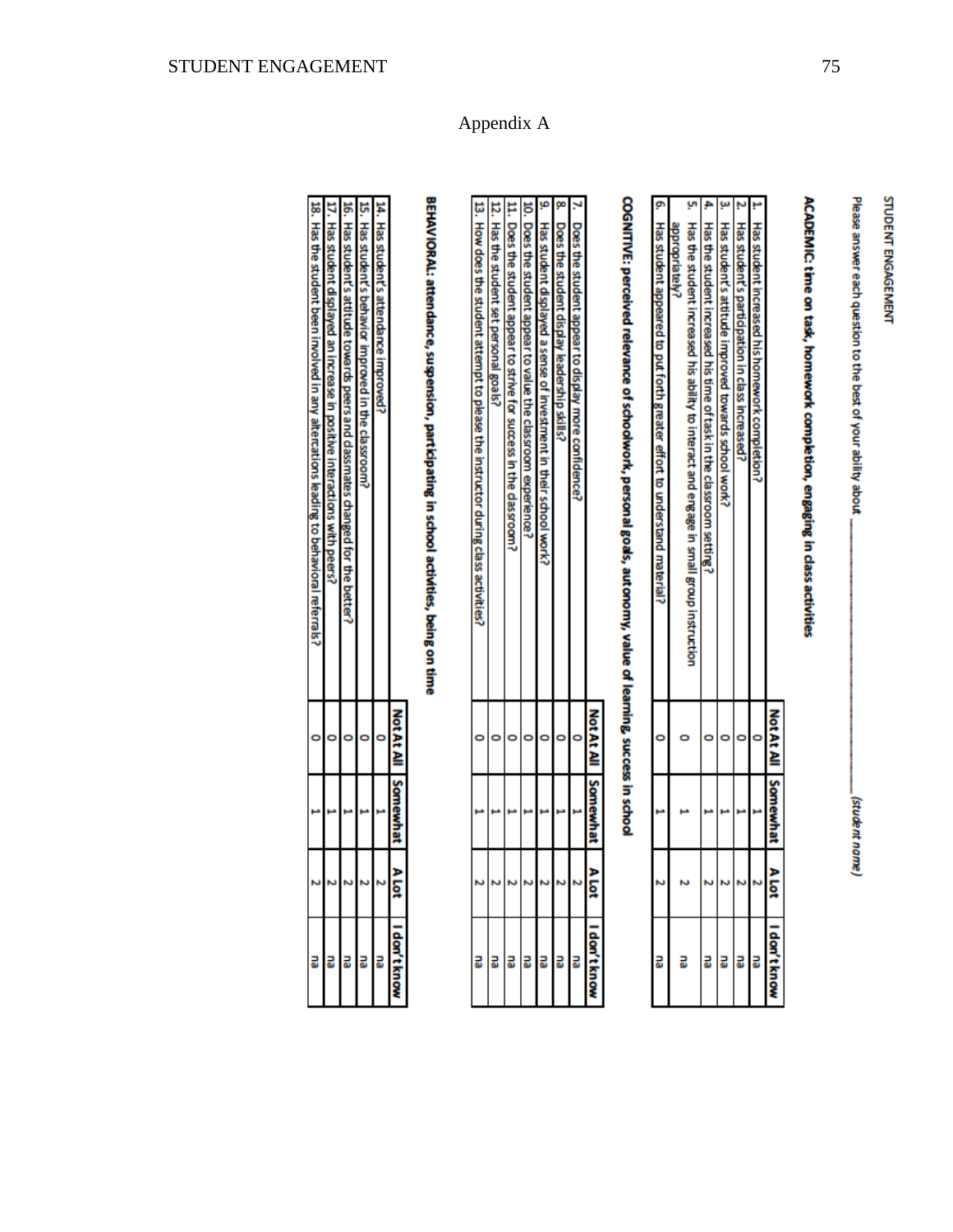Please answer each question to the best of your ability about

student name)

### ACADEMIC: time on task, homework completion, engaging in class activities

|    |                                                                                                           | <b>MotAt A</b> | Somewhat | ă | I don't know |
|----|-----------------------------------------------------------------------------------------------------------|----------------|----------|---|--------------|
|    | Has student increased his homework completion                                                             |                |          |   |              |
|    | <b>Has student</b><br>s participation in class increased                                                  |                |          |   |              |
|    | Has student's attitude improved towards school work                                                       |                |          |   |              |
|    | Has the student increased his time of task in the classroom setting.                                      |                |          |   |              |
| ¥, | Has the student increased his ability to interact and engage in small group instruction<br>appropriately? |                |          |   |              |
| ø  | Has student appeared to put forth greater eith to the understand material                                 |                |          |   |              |

# COGNITIVE: perceived relevance of schoolwork, personal goals, autonomy, value of learning, success in school

|                                                                                    | <b>NotAt Al</b> | Somewhat | ğ | don't kno                |
|------------------------------------------------------------------------------------|-----------------|----------|---|--------------------------|
| Does the student appea<br>to display more confidence?                              |                 |          |   |                          |
| Does the student display leadership skills?                                        |                 |          |   | a <mark>a a a a</mark> a |
| <b>Has student</b><br>t displayed a sense of investment in their school work?      |                 |          |   |                          |
| ). Does the student appear to value the classroom experience                       |                 |          |   |                          |
| 11. Does the student appear to strive for success in the dassroom                  |                 |          |   |                          |
| 12. Has the student set personal goals                                             |                 |          |   |                          |
| 13. How does the student attempt to please the instructor during class activities? |                 |          |   | 릷                        |

Appendix A

# BEHAVIORAL: attendance, suspension, participating in school activities, being on time

|    |                                                                                                               |   | ăά | don't know |
|----|---------------------------------------------------------------------------------------------------------------|---|----|------------|
|    | Ħ.<br>$\frac{1}{25}$<br><b>Stude</b><br>nt's attendance<br>payorduni                                          |   |    | 品          |
|    | $\frac{1}{25}$<br><b>Stude</b><br>int's behavi<br>ior improved in the classroom                               |   |    | 교          |
|    | ă<br>끊<br>stude<br>nt's attitude towards peers and dassmates changed for the better?                          |   |    | 品          |
|    | <b>Has</b><br>student di<br><b>Dave Ids.</b><br>an increase in<br>positive interactions<br>Š<br><b>Loeers</b> |   |    | 쿄          |
| 56 | . Has the student been imolved in any alterations leading to behavioral referrals                             | S |    | 릾          |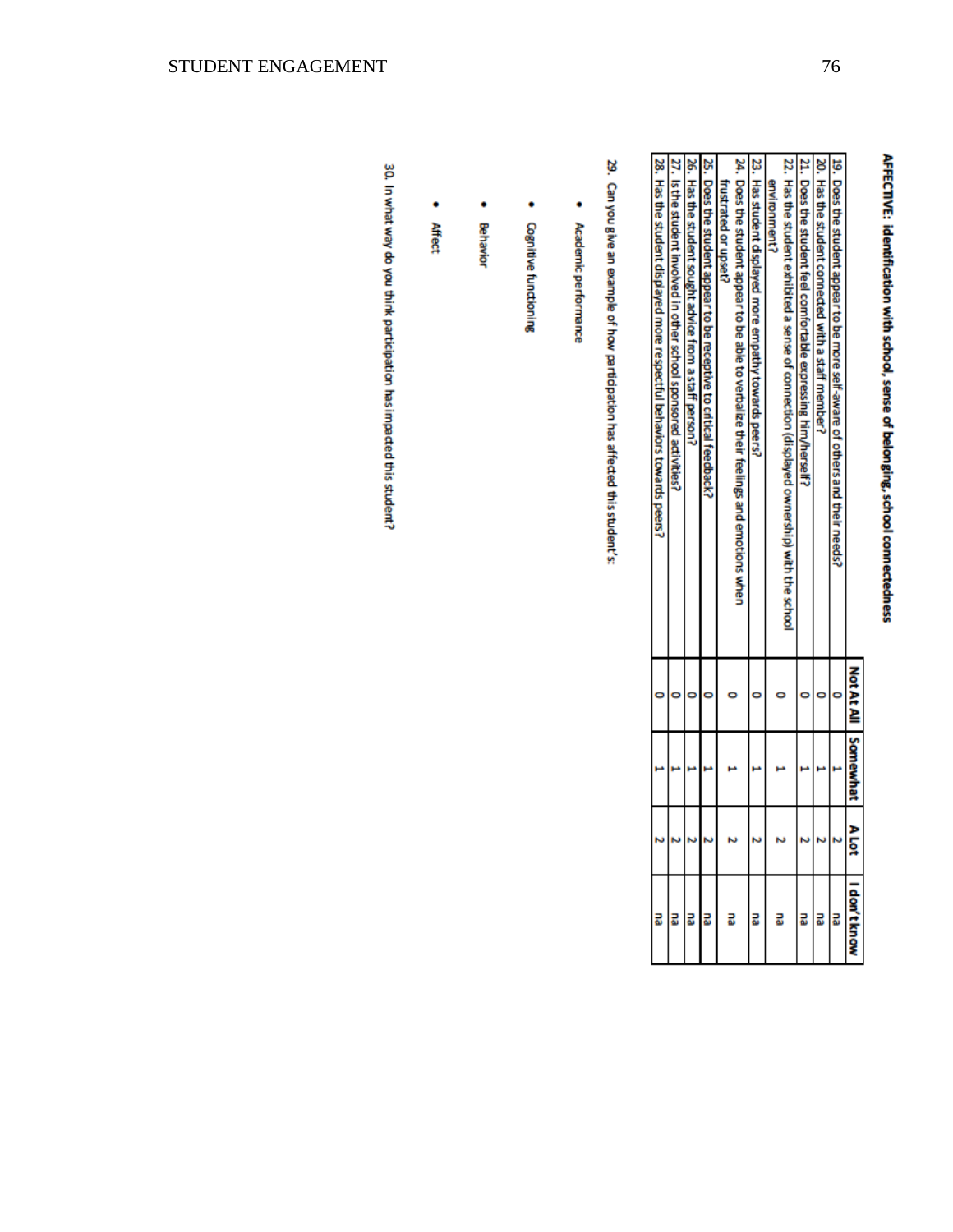## AFFECTIVE: identification with school, sense of belonging, school connectedness

|                                                                                            | <b>Not At All Somewhat</b> | ण ४ |                                                                                        |
|--------------------------------------------------------------------------------------------|----------------------------|-----|----------------------------------------------------------------------------------------|
| 19. Does the student appear to be more self-aware of others and their needs?               |                            |     |                                                                                        |
| 20. Has the student connected with a staff member?                                         |                            |     |                                                                                        |
| 21. Does the student feel comfortable expressing him/herself                               |                            |     |                                                                                        |
| 22. Has the student exhibited a sense of connectional displayed ownership) with the school |                            |     | $\frac{1}{10}$<br>$\frac{1}{10}$<br>$\frac{1}{10}$<br>$\frac{1}{10}$<br>$\frac{1}{10}$ |
| environment?                                                                               |                            |     |                                                                                        |
| 23. Has student displayed more empathy towards peers?                                      |                            |     |                                                                                        |
| 24. Does the student appeart to be able to verbalize their feelings and emotions when      |                            |     |                                                                                        |
| frustrated or upset?                                                                       |                            |     |                                                                                        |
| $25$ . Does the student appear to be receptive to critical feedback?                       |                            |     |                                                                                        |
| 26. Has the student sought advice from a staff person?                                     |                            |     |                                                                                        |
| 27. Is the student involved in other school sponsored activities?                          |                            |     |                                                                                        |
| 28. Has the student displayed more respectful behaviors towards peers?                     |                            |     |                                                                                        |

29. Can you give an example of how participation has affected this student's:

- ٠ Academic performance
- $\bullet$ **Cognitive functioning**
- ٠ Behavior
- ۰ Affect

30. In what way do you think participation has impacted this student?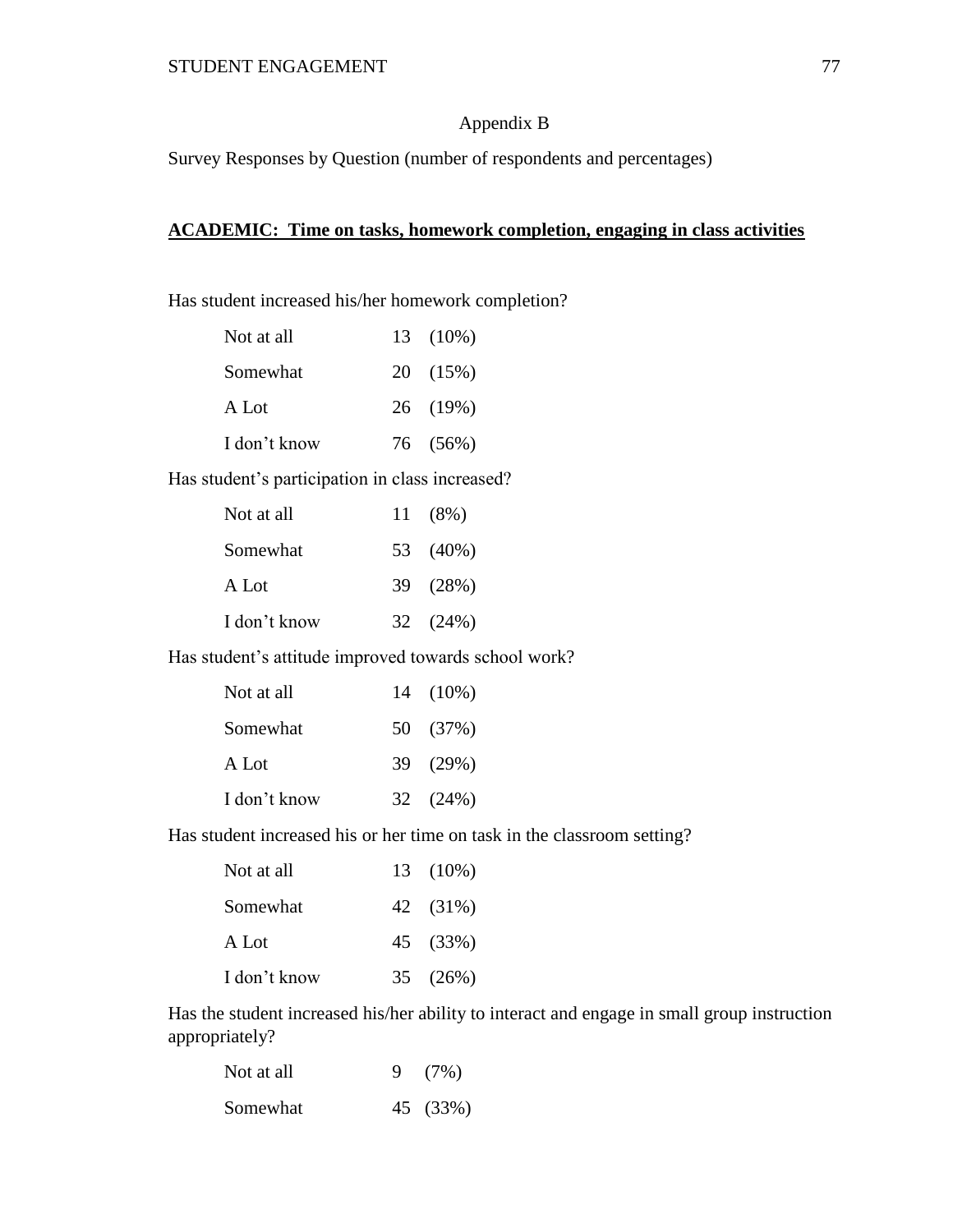### Appendix B

Survey Responses by Question (number of respondents and percentages)

### **ACADEMIC: Time on tasks, homework completion, engaging in class activities**

Has student increased his/her homework completion?

| Not at all   | 13 (10%) |
|--------------|----------|
| Somewhat     | 20 (15%) |
| A Lot        | 26 (19%) |
| I don't know | 76 (56%) |

Has student's participation in class increased?

| Not at all   | 11(8%)   |
|--------------|----------|
| Somewhat     | 53 (40%) |
| A Lot        | 39 (28%) |
| I don't know | 32(24%)  |

Has student's attitude improved towards school work?

| Not at all   | 14 (10%) |
|--------------|----------|
| Somewhat     | 50 (37%) |
| A Lot        | 39 (29%) |
| I don't know | 32 (24%) |

Has student increased his or her time on task in the classroom setting?

| Not at all   | 13 (10%) |
|--------------|----------|
| Somewhat     | 42 (31%) |
| A Lot        | 45 (33%) |
| I don't know | 35 (26%) |

Has the student increased his/her ability to interact and engage in small group instruction appropriately?

| Not at all | 9(7%)    |
|------------|----------|
| Somewhat   | 45 (33%) |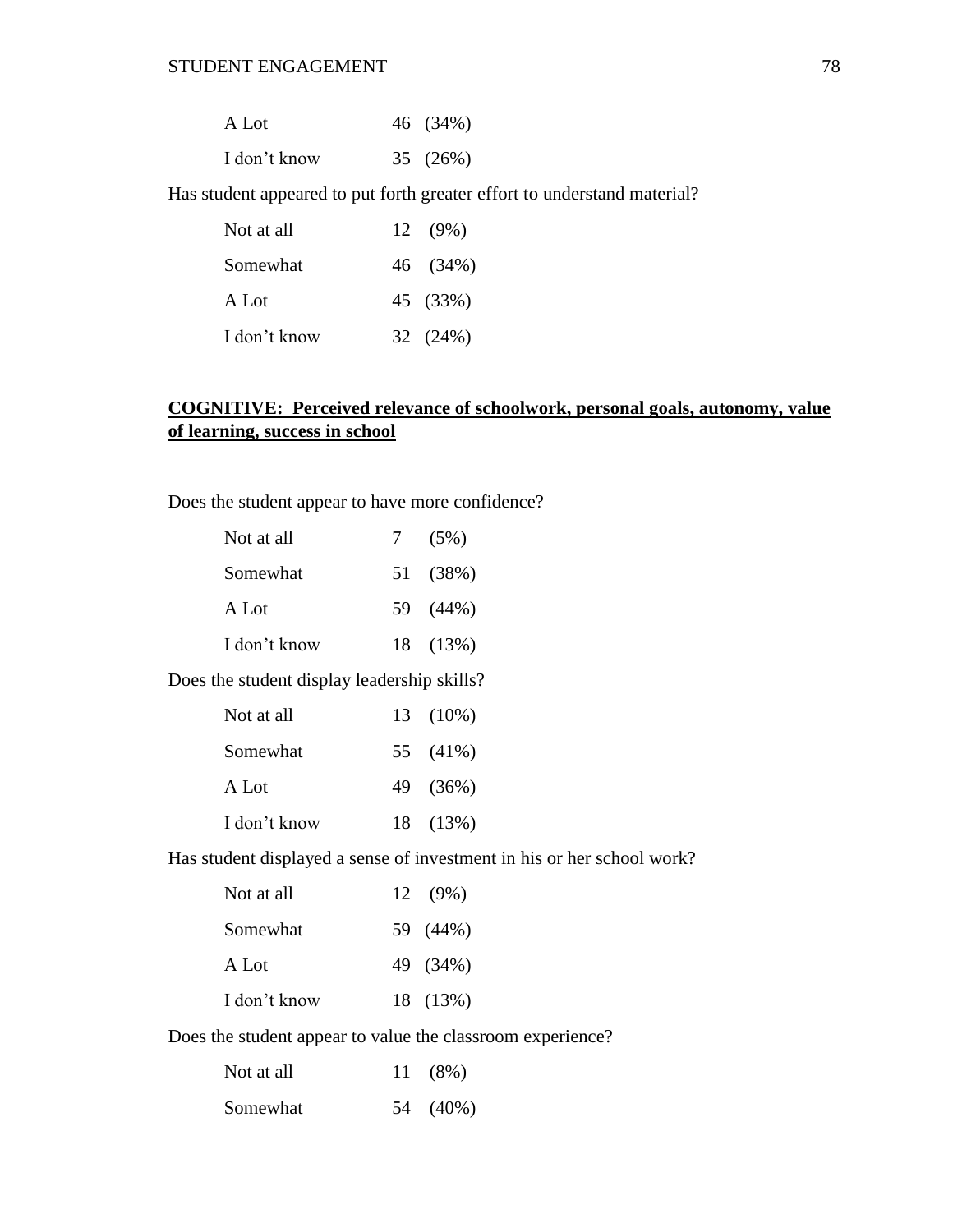| A Lot        | 46 (34%) |
|--------------|----------|
| I don't know | 35 (26%) |

Has student appeared to put forth greater effort to understand material?

| Not at all   | $12 \quad (9\%)$ |
|--------------|------------------|
| Somewhat     | 46 (34%)         |
| A Lot        | 45 (33%)         |
| I don't know | 32 (24%)         |

### **COGNITIVE: Perceived relevance of schoolwork, personal goals, autonomy, value of learning, success in school**

Does the student appear to have more confidence?

| Not at all   | 7 | $(5\%)$  |
|--------------|---|----------|
| Somewhat     |   | 51 (38%) |
| A Lot        |   | 59 (44%) |
| I don't know |   | 18 (13%) |

Does the student display leadership skills?

| Not at all   | 13 (10%) |
|--------------|----------|
| Somewhat     | 55 (41%) |
| A Lot        | 49 (36%) |
| I don't know | 18 (13%) |

Has student displayed a sense of investment in his or her school work?

| Not at all   | $12 \quad (9\%)$ |
|--------------|------------------|
| Somewhat     | 59 (44%)         |
| A Lot        | 49 (34%)         |
| I don't know | 18 (13%)         |

Does the student appear to value the classroom experience?

| Not at all | 11(8%)   |
|------------|----------|
| Somewhat   | 54 (40%) |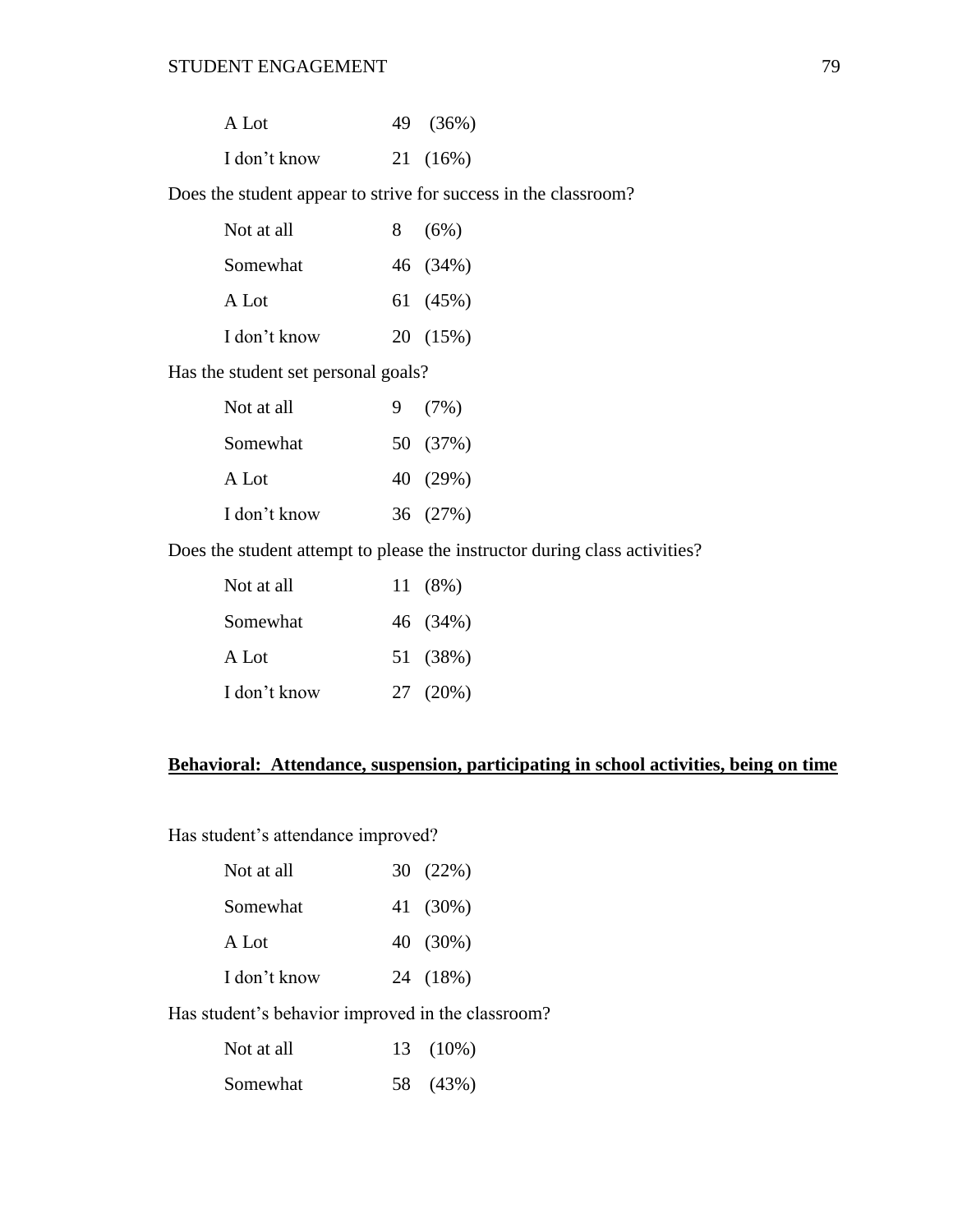| A Lot        | 49 (36%) |
|--------------|----------|
| I don't know | 21 (16%) |

Does the student appear to strive for success in the classroom?

| 8(6%)    |
|----------|
| 46 (34%) |
| 61 (45%) |
| 20 (15%) |
|          |

Has the student set personal goals?

| Not at all   | 9(7%)    |
|--------------|----------|
| Somewhat     | 50 (37%) |
| A Lot        | 40 (29%) |
| I don't know | 36 (27%) |

Does the student attempt to please the instructor during class activities?

| Not at all   | 11(8%)   |
|--------------|----------|
| Somewhat     | 46 (34%) |
| A Lot        | 51 (38%) |
| I don't know | 27 (20%) |

### **Behavioral: Attendance, suspension, participating in school activities, being on time**

Has student's attendance improved?

| Not at all   | 30(22%)  |
|--------------|----------|
| Somewhat     | 41 (30%) |
| A Lot        | 40 (30%) |
| I don't know | 24 (18%) |

Has student's behavior improved in the classroom?

| Not at all | 13 (10%) |
|------------|----------|
| Somewhat   | 58 (43%) |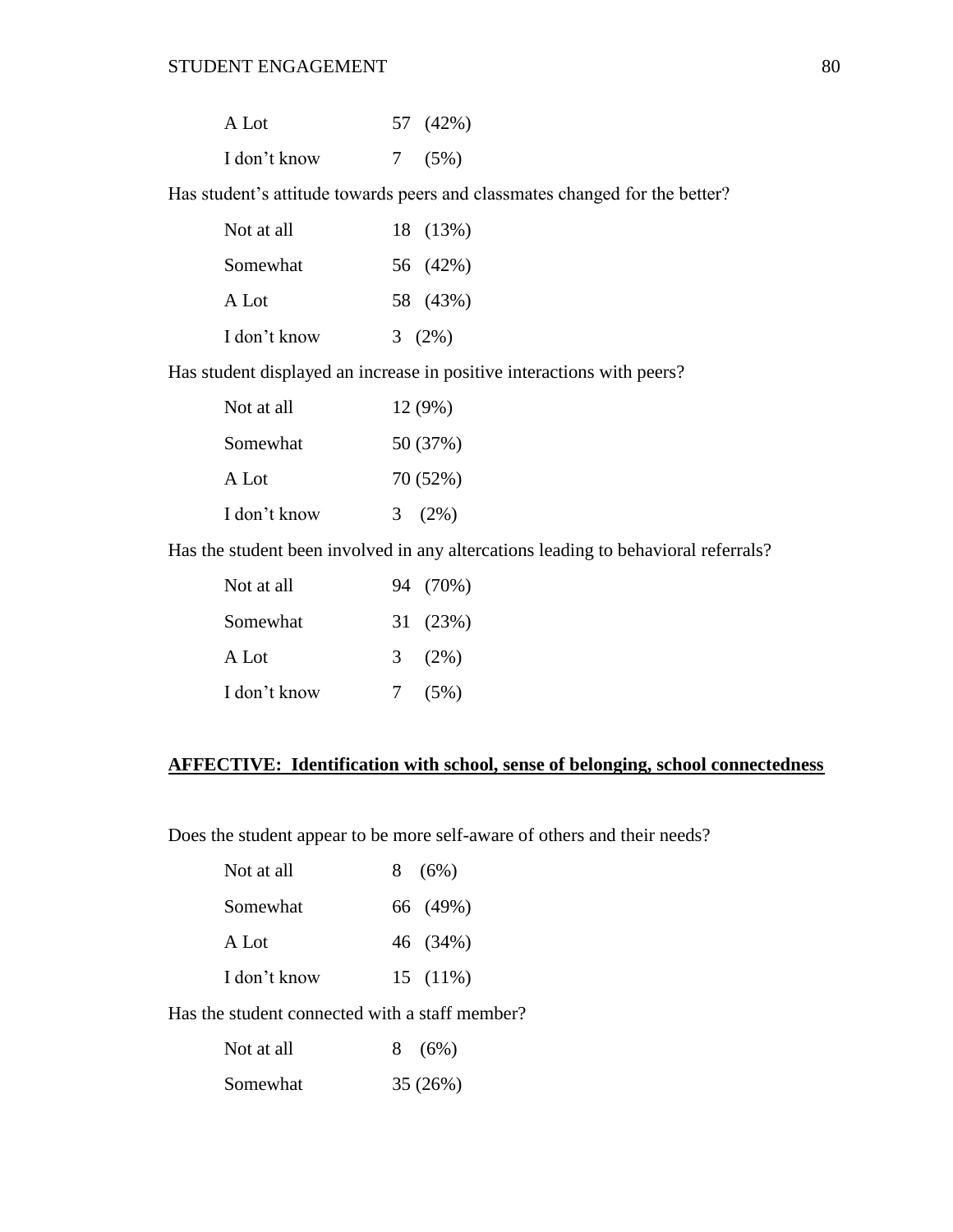| A Lot        | 57 (42%) |
|--------------|----------|
| I don't know | 7(5%)    |

Has student's attitude towards peers and classmates changed for the better?

| Not at all   | 18 (13%) |
|--------------|----------|
| Somewhat     | 56 (42%) |
| A Lot        | 58 (43%) |
| I don't know | 3(2%)    |

Has student displayed an increase in positive interactions with peers?

| Not at all   | 12 (9%)      |
|--------------|--------------|
| Somewhat     | 50 (37%)     |
| A Lot        | 70 (52%)     |
| I don't know | $(2\%)$<br>3 |

Has the student been involved in any altercations leading to behavioral referrals?

| Not at all   |   | 94 (70%) |
|--------------|---|----------|
| Somewhat     |   | 31 (23%) |
| A Lot        |   | $3(2\%)$ |
| I don't know | 7 | $(5\%)$  |

### **AFFECTIVE: Identification with school, sense of belonging, school connectedness**

Does the student appear to be more self-aware of others and their needs?

| Not at all   | 8(6%)      |
|--------------|------------|
| Somewhat     | 66 (49%)   |
| A Lot        | 46 (34%)   |
| I don't know | $15(11\%)$ |

Has the student connected with a staff member?

| Not at all | 8(6%)   |
|------------|---------|
| Somewhat   | 35(26%) |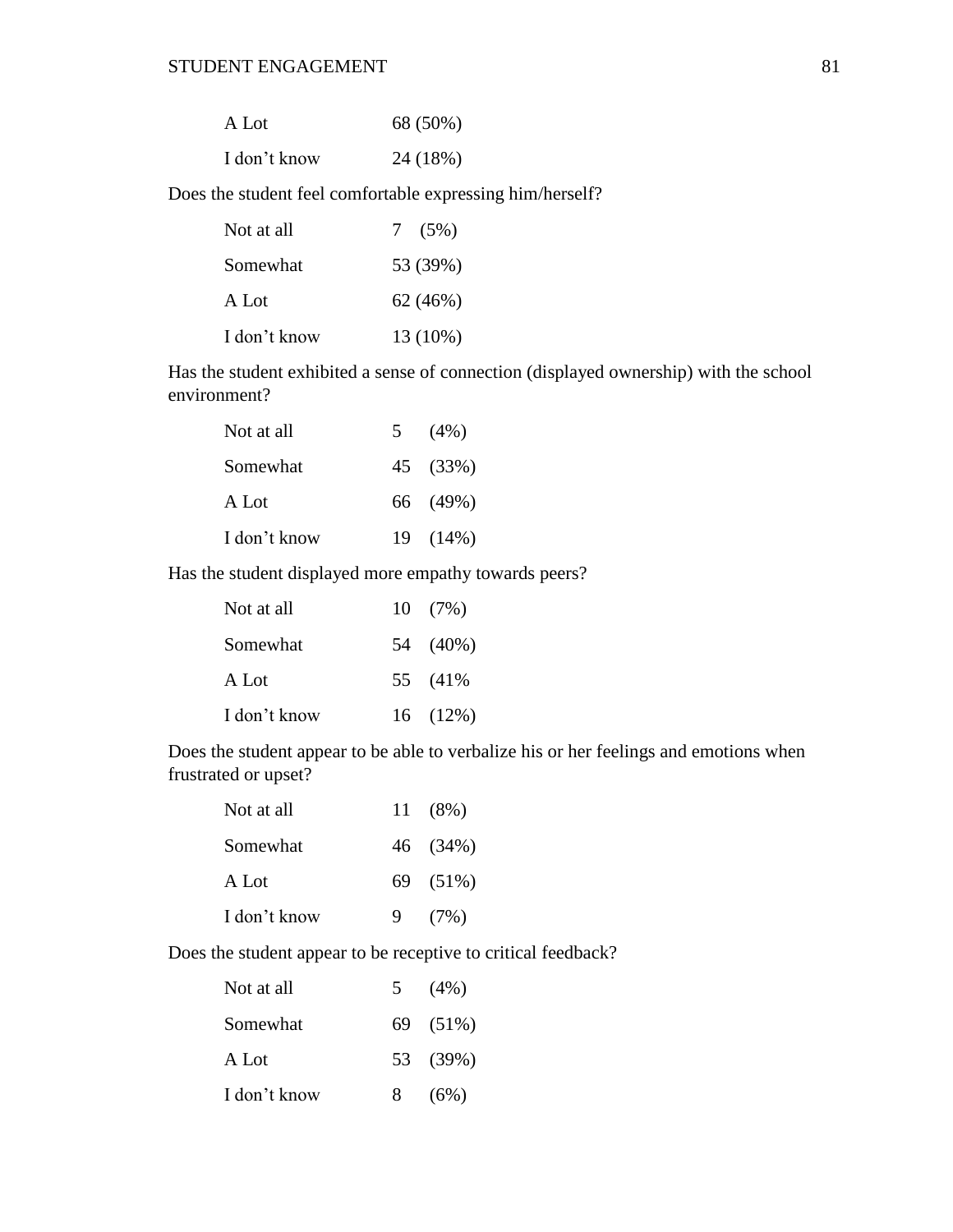| A Lot        | 68 (50%) |
|--------------|----------|
| I don't know | 24 (18%) |

Does the student feel comfortable expressing him/herself?

| Not at all   | 7(5%)    |
|--------------|----------|
| Somewhat     | 53 (39%) |
| A Lot        | 62(46%)  |
| I don't know | 13 (10%) |

Has the student exhibited a sense of connection (displayed ownership) with the school environment?

| Not at all   | 5 $(4\%)$ |
|--------------|-----------|
| Somewhat     | 45 (33%)  |
| A Lot        | 66 (49%)  |
| I don't know | 19 (14%)  |

Has the student displayed more empathy towards peers?

| Not at all   | $10(7\%)$ |
|--------------|-----------|
| Somewhat     | 54 (40%)  |
| A Lot        | 55 (41%)  |
| I don't know | 16(12%)   |

Does the student appear to be able to verbalize his or her feelings and emotions when frustrated or upset?

| Not at all   |   | 11 (8%)  |
|--------------|---|----------|
| Somewhat     |   | 46 (34%) |
| A Lot        |   | 69 (51%) |
| I don't know | 9 | (7%)     |

Does the student appear to be receptive to critical feedback?

| Not at all   |   | 5(4%)    |
|--------------|---|----------|
| Somewhat     |   | 69 (51%) |
| A Lot        |   | 53 (39%) |
| I don't know | 8 | (6%)     |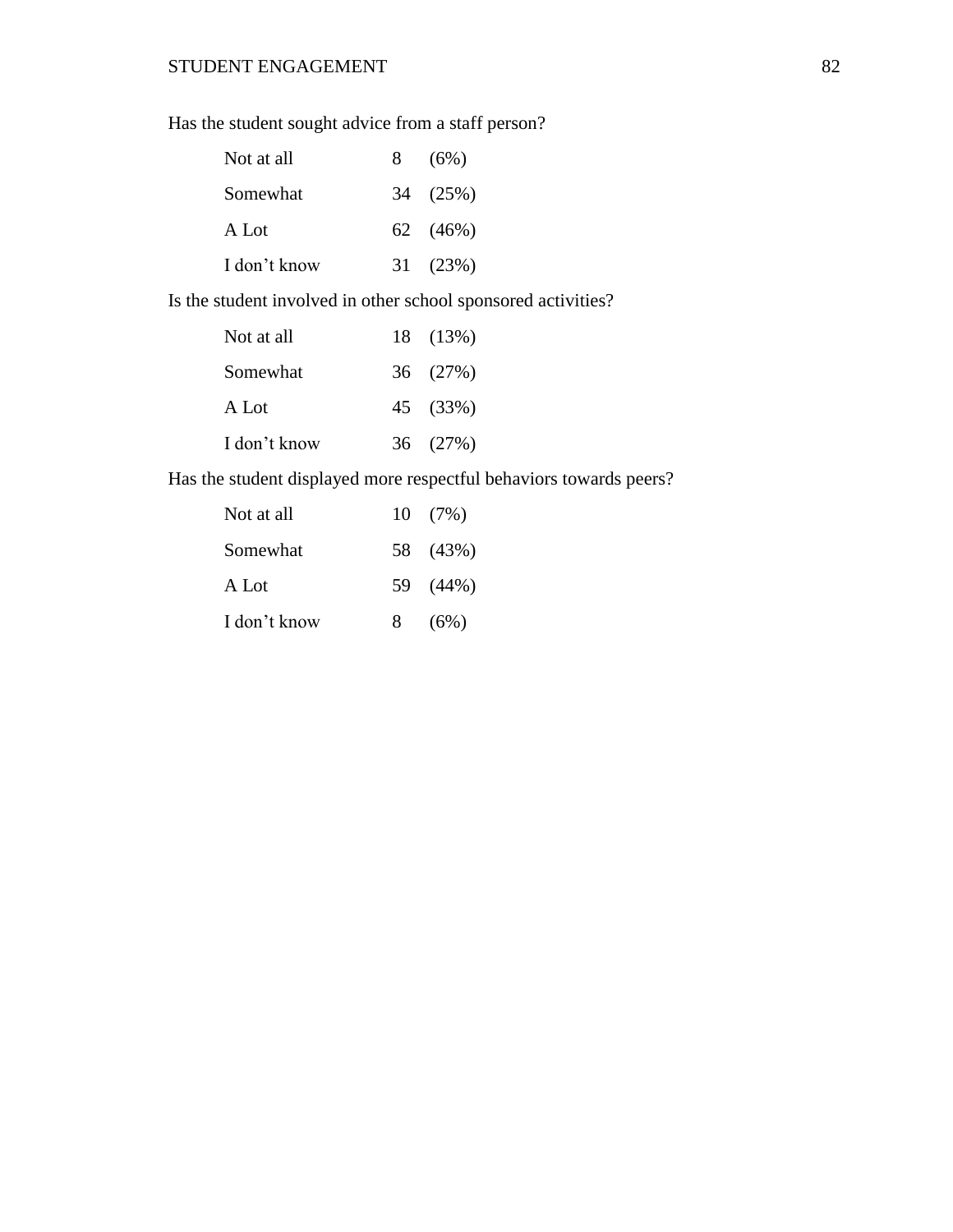Has the student sought advice from a staff person?

| Not at all   | 8 | (6%)     |
|--------------|---|----------|
| Somewhat     |   | 34 (25%) |
| A Lot        |   | 62 (46%) |
| I don't know |   | 31 (23%) |

Is the student involved in other school sponsored activities?

| Not at all   | 18 (13%) |
|--------------|----------|
| Somewhat     | 36 (27%) |
| A Lot        | 45 (33%) |
| I don't know | 36 (27%) |

Has the student displayed more respectful behaviors towards peers?

| Not at all   |   | $10(7\%)$ |
|--------------|---|-----------|
| Somewhat     |   | 58 (43%)  |
| A Lot        |   | 59 (44%)  |
| I don't know | 8 | (6%)      |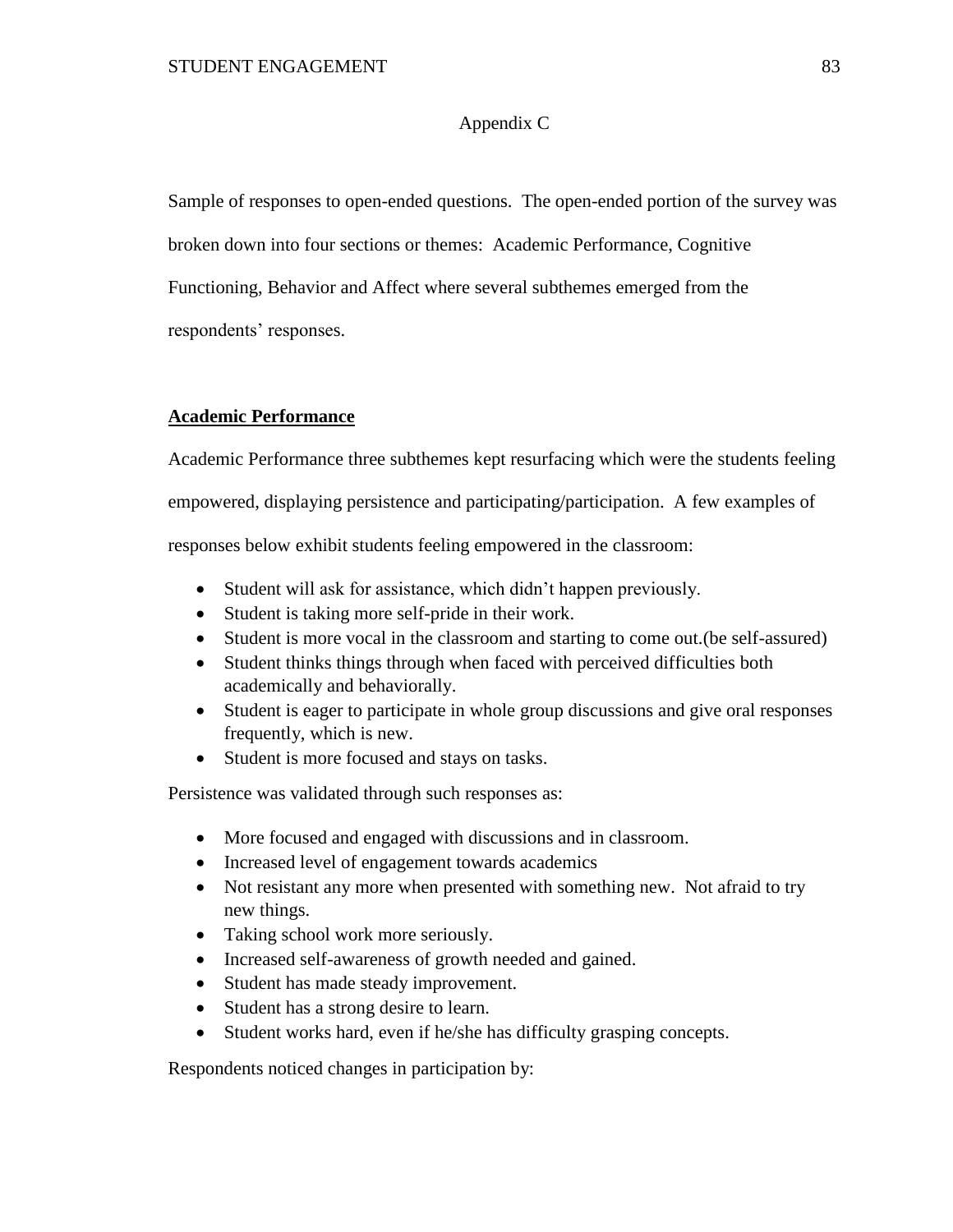### Appendix C

Sample of responses to open-ended questions. The open-ended portion of the survey was broken down into four sections or themes: Academic Performance, Cognitive Functioning, Behavior and Affect where several subthemes emerged from the respondents' responses.

### **Academic Performance**

Academic Performance three subthemes kept resurfacing which were the students feeling empowered, displaying persistence and participating/participation. A few examples of responses below exhibit students feeling empowered in the classroom:

- Student will ask for assistance, which didn't happen previously.
- Student is taking more self-pride in their work.
- Student is more vocal in the classroom and starting to come out.(be self-assured)
- Student thinks things through when faced with perceived difficulties both academically and behaviorally.
- Student is eager to participate in whole group discussions and give oral responses frequently, which is new.
- Student is more focused and stays on tasks.

Persistence was validated through such responses as:

- More focused and engaged with discussions and in classroom.
- Increased level of engagement towards academics
- Not resistant any more when presented with something new. Not afraid to try new things.
- Taking school work more seriously.
- Increased self-awareness of growth needed and gained.
- Student has made steady improvement.
- Student has a strong desire to learn.
- Student works hard, even if he/she has difficulty grasping concepts.

Respondents noticed changes in participation by: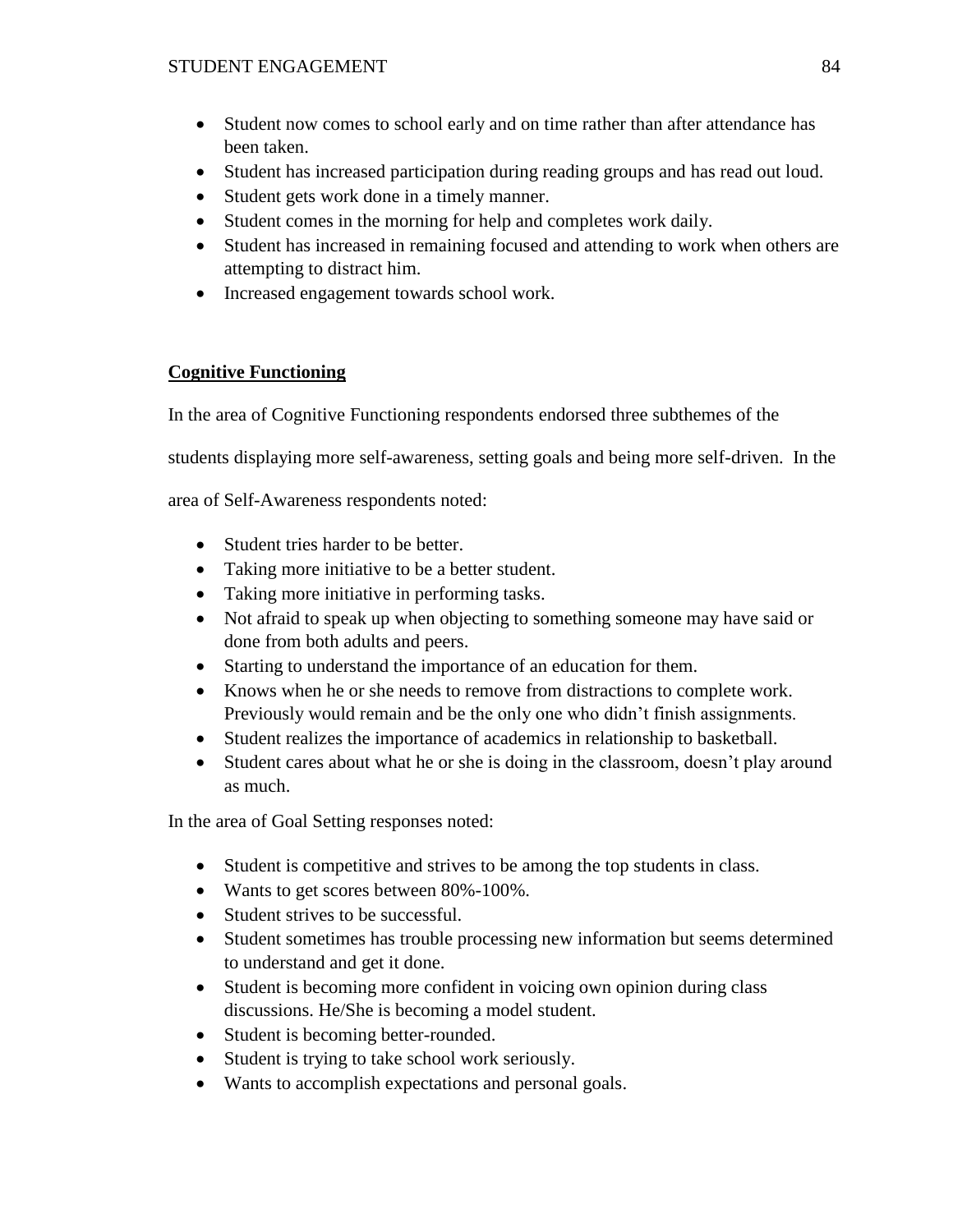- Student now comes to school early and on time rather than after attendance has been taken.
- Student has increased participation during reading groups and has read out loud.
- Student gets work done in a timely manner.
- Student comes in the morning for help and completes work daily.
- Student has increased in remaining focused and attending to work when others are attempting to distract him.
- Increased engagement towards school work.

### **Cognitive Functioning**

In the area of Cognitive Functioning respondents endorsed three subthemes of the

students displaying more self-awareness, setting goals and being more self-driven. In the

area of Self-Awareness respondents noted:

- Student tries harder to be better.
- Taking more initiative to be a better student.
- Taking more initiative in performing tasks.
- Not afraid to speak up when objecting to something someone may have said or done from both adults and peers.
- Starting to understand the importance of an education for them.
- Knows when he or she needs to remove from distractions to complete work. Previously would remain and be the only one who didn't finish assignments.
- Student realizes the importance of academics in relationship to basketball.
- Student cares about what he or she is doing in the classroom, doesn't play around as much.

In the area of Goal Setting responses noted:

- Student is competitive and strives to be among the top students in class.
- Wants to get scores between 80%-100%.
- Student strives to be successful.
- Student sometimes has trouble processing new information but seems determined to understand and get it done.
- Student is becoming more confident in voicing own opinion during class discussions. He/She is becoming a model student.
- Student is becoming better-rounded.
- Student is trying to take school work seriously.
- Wants to accomplish expectations and personal goals.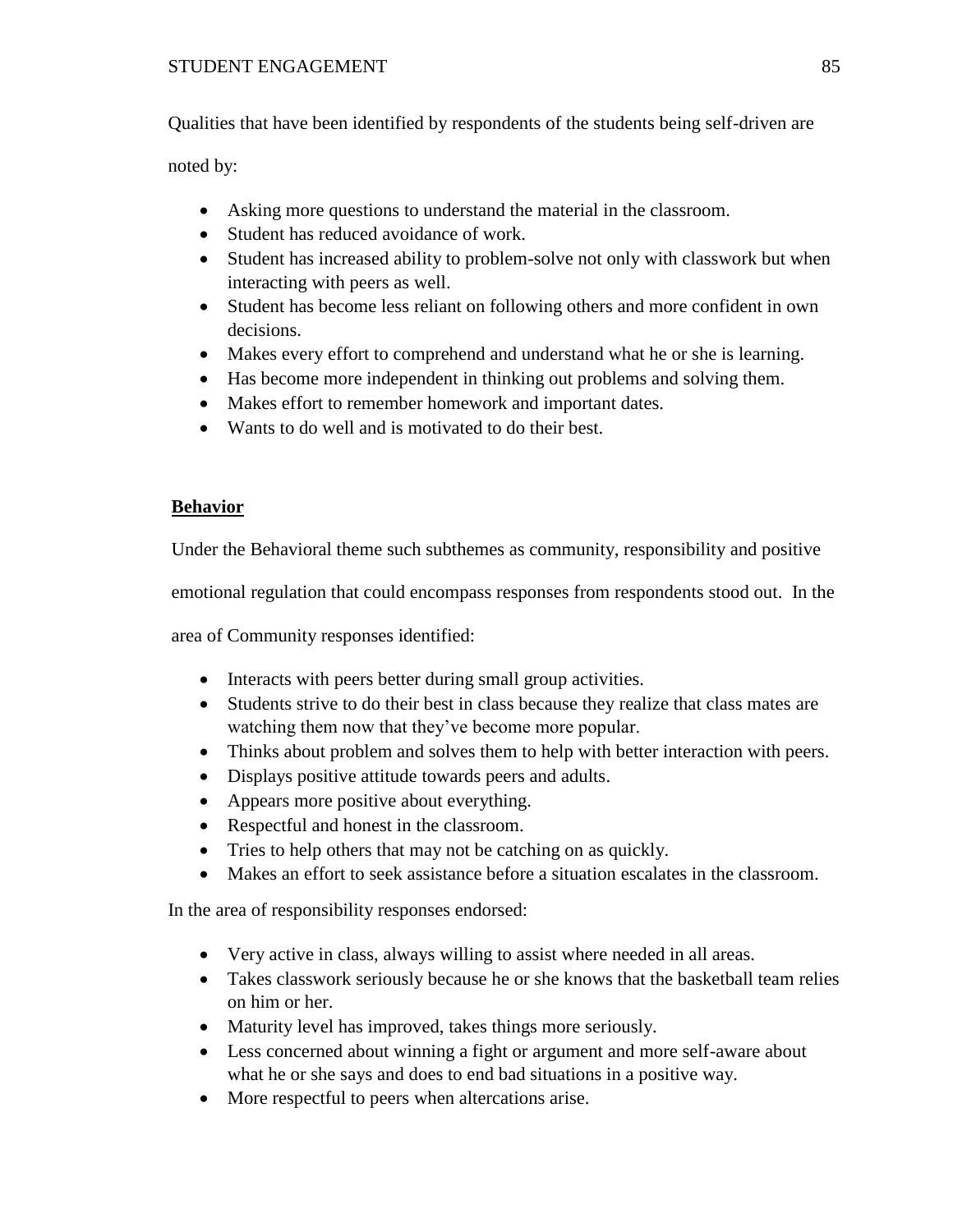Qualities that have been identified by respondents of the students being self-driven are

noted by:

- Asking more questions to understand the material in the classroom.
- Student has reduced avoidance of work.
- Student has increased ability to problem-solve not only with classwork but when interacting with peers as well.
- Student has become less reliant on following others and more confident in own decisions.
- Makes every effort to comprehend and understand what he or she is learning.
- Has become more independent in thinking out problems and solving them.
- Makes effort to remember homework and important dates.
- Wants to do well and is motivated to do their best.

### **Behavior**

Under the Behavioral theme such subthemes as community, responsibility and positive

emotional regulation that could encompass responses from respondents stood out. In the

area of Community responses identified:

- Interacts with peers better during small group activities.
- Students strive to do their best in class because they realize that class mates are watching them now that they've become more popular.
- Thinks about problem and solves them to help with better interaction with peers.
- Displays positive attitude towards peers and adults.
- Appears more positive about everything.
- Respectful and honest in the classroom.
- Tries to help others that may not be catching on as quickly.
- Makes an effort to seek assistance before a situation escalates in the classroom.

In the area of responsibility responses endorsed:

- Very active in class, always willing to assist where needed in all areas.
- Takes classwork seriously because he or she knows that the basketball team relies on him or her.
- Maturity level has improved, takes things more seriously.
- Less concerned about winning a fight or argument and more self-aware about what he or she says and does to end bad situations in a positive way.
- More respectful to peers when altercations arise.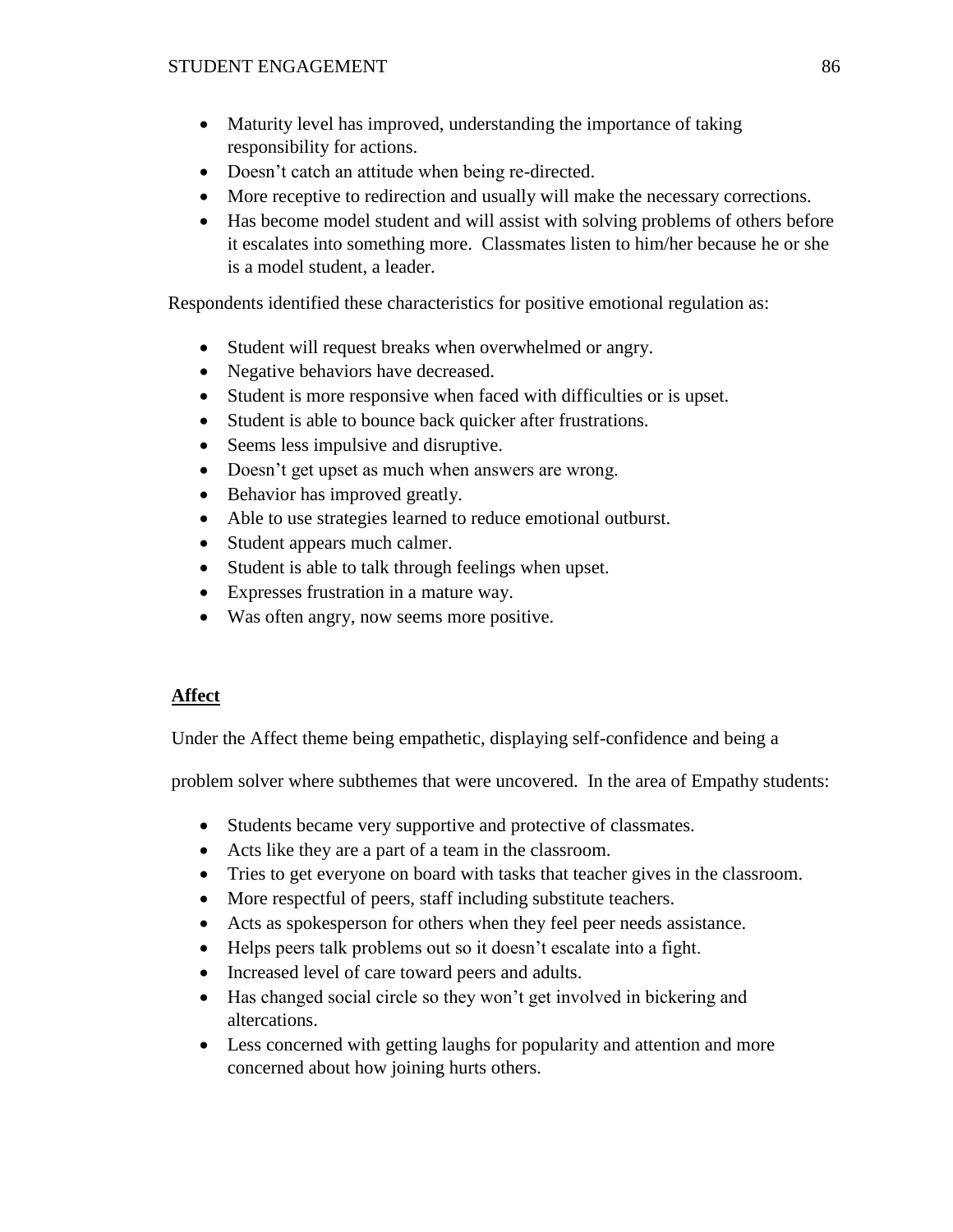- Maturity level has improved, understanding the importance of taking responsibility for actions.
- Doesn't catch an attitude when being re-directed.
- More receptive to redirection and usually will make the necessary corrections.
- Has become model student and will assist with solving problems of others before it escalates into something more. Classmates listen to him/her because he or she is a model student, a leader.

Respondents identified these characteristics for positive emotional regulation as:

- Student will request breaks when overwhelmed or angry.
- Negative behaviors have decreased.
- Student is more responsive when faced with difficulties or is upset.
- Student is able to bounce back quicker after frustrations.
- Seems less impulsive and disruptive.
- Doesn't get upset as much when answers are wrong.
- Behavior has improved greatly.
- Able to use strategies learned to reduce emotional outburst.
- Student appears much calmer.
- Student is able to talk through feelings when upset.
- Expresses frustration in a mature way.
- Was often angry, now seems more positive.

### **Affect**

Under the Affect theme being empathetic, displaying self-confidence and being a

problem solver where subthemes that were uncovered. In the area of Empathy students:

- Students became very supportive and protective of classmates.
- Acts like they are a part of a team in the classroom.
- Tries to get everyone on board with tasks that teacher gives in the classroom.
- More respectful of peers, staff including substitute teachers.
- Acts as spokesperson for others when they feel peer needs assistance.
- Helps peers talk problems out so it doesn't escalate into a fight.
- Increased level of care toward peers and adults.
- Has changed social circle so they won't get involved in bickering and altercations.
- Less concerned with getting laughs for popularity and attention and more concerned about how joining hurts others.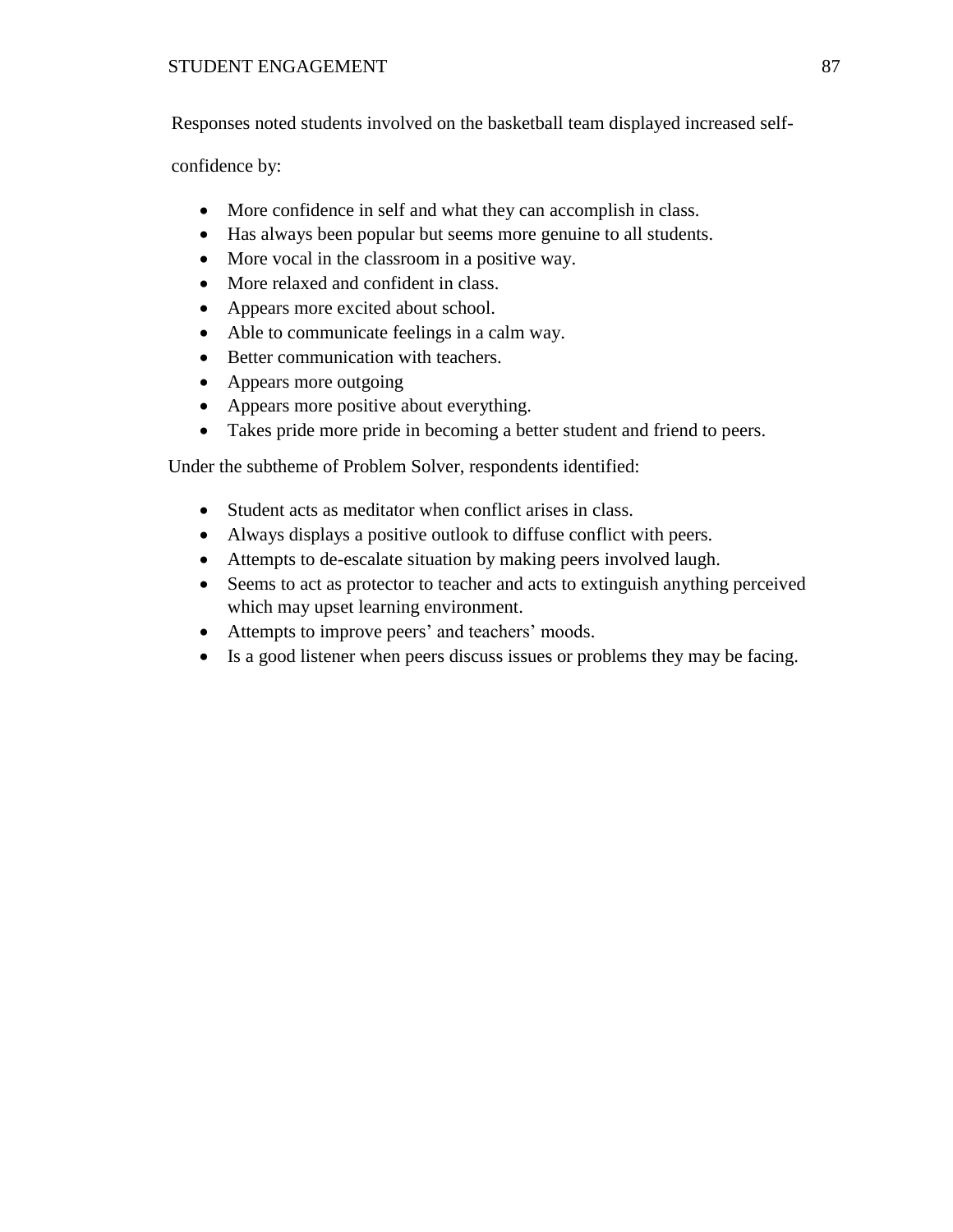Responses noted students involved on the basketball team displayed increased self-

confidence by:

- More confidence in self and what they can accomplish in class.
- Has always been popular but seems more genuine to all students.
- More vocal in the classroom in a positive way.
- More relaxed and confident in class.
- Appears more excited about school.
- Able to communicate feelings in a calm way.
- Better communication with teachers.
- Appears more outgoing
- Appears more positive about everything.
- Takes pride more pride in becoming a better student and friend to peers.

Under the subtheme of Problem Solver, respondents identified:

- Student acts as meditator when conflict arises in class.
- Always displays a positive outlook to diffuse conflict with peers.
- Attempts to de-escalate situation by making peers involved laugh.
- Seems to act as protector to teacher and acts to extinguish anything perceived which may upset learning environment.
- Attempts to improve peers' and teachers' moods.
- Is a good listener when peers discuss issues or problems they may be facing.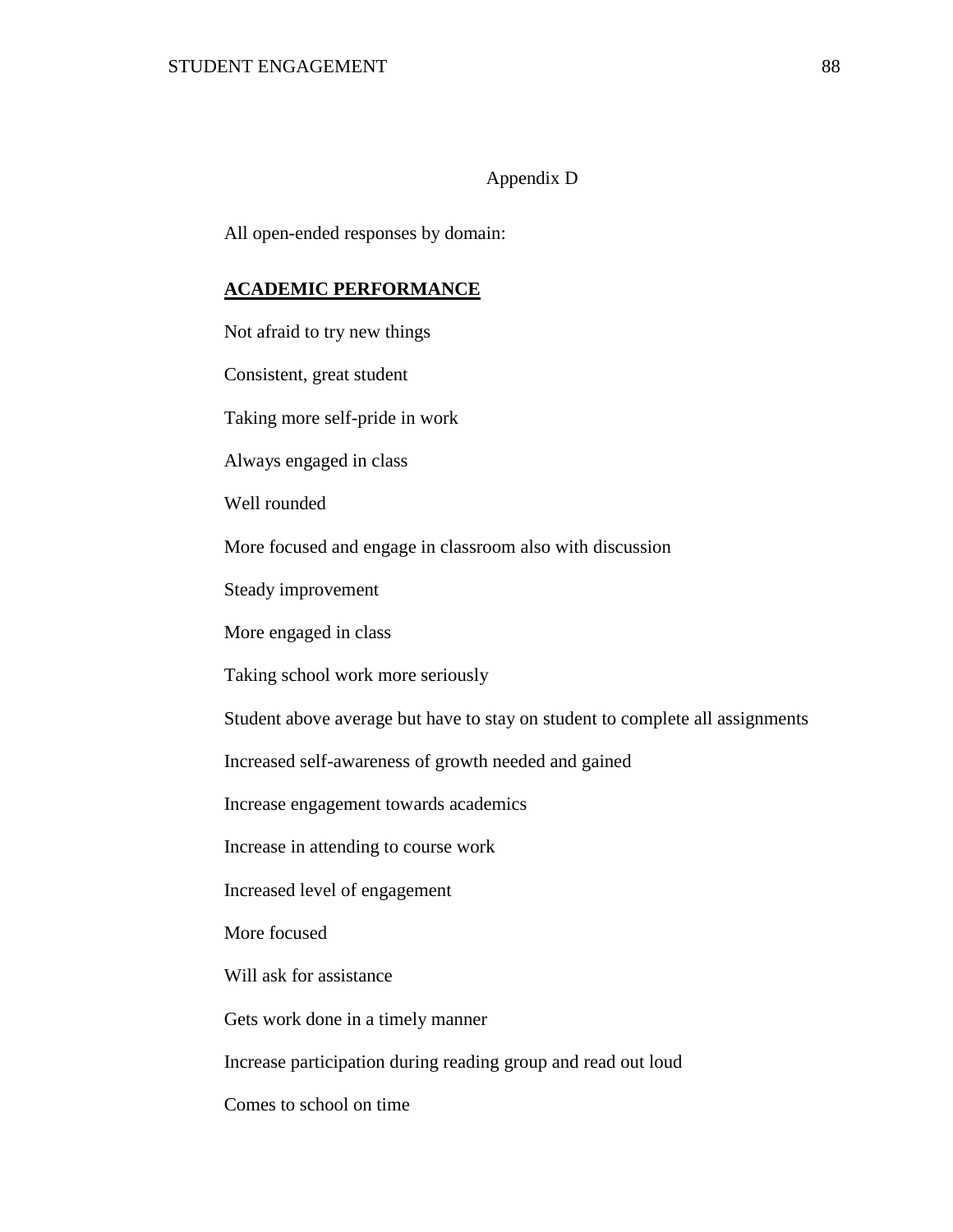### Appendix D

All open-ended responses by domain:

### **ACADEMIC PERFORMANCE**

Not afraid to try new things

Consistent, great student

Taking more self-pride in work

Always engaged in class

Well rounded

More focused and engage in classroom also with discussion

Steady improvement

More engaged in class

Taking school work more seriously

Student above average but have to stay on student to complete all assignments

Increased self-awareness of growth needed and gained

Increase engagement towards academics

Increase in attending to course work

Increased level of engagement

More focused

Will ask for assistance

Gets work done in a timely manner

Increase participation during reading group and read out loud

Comes to school on time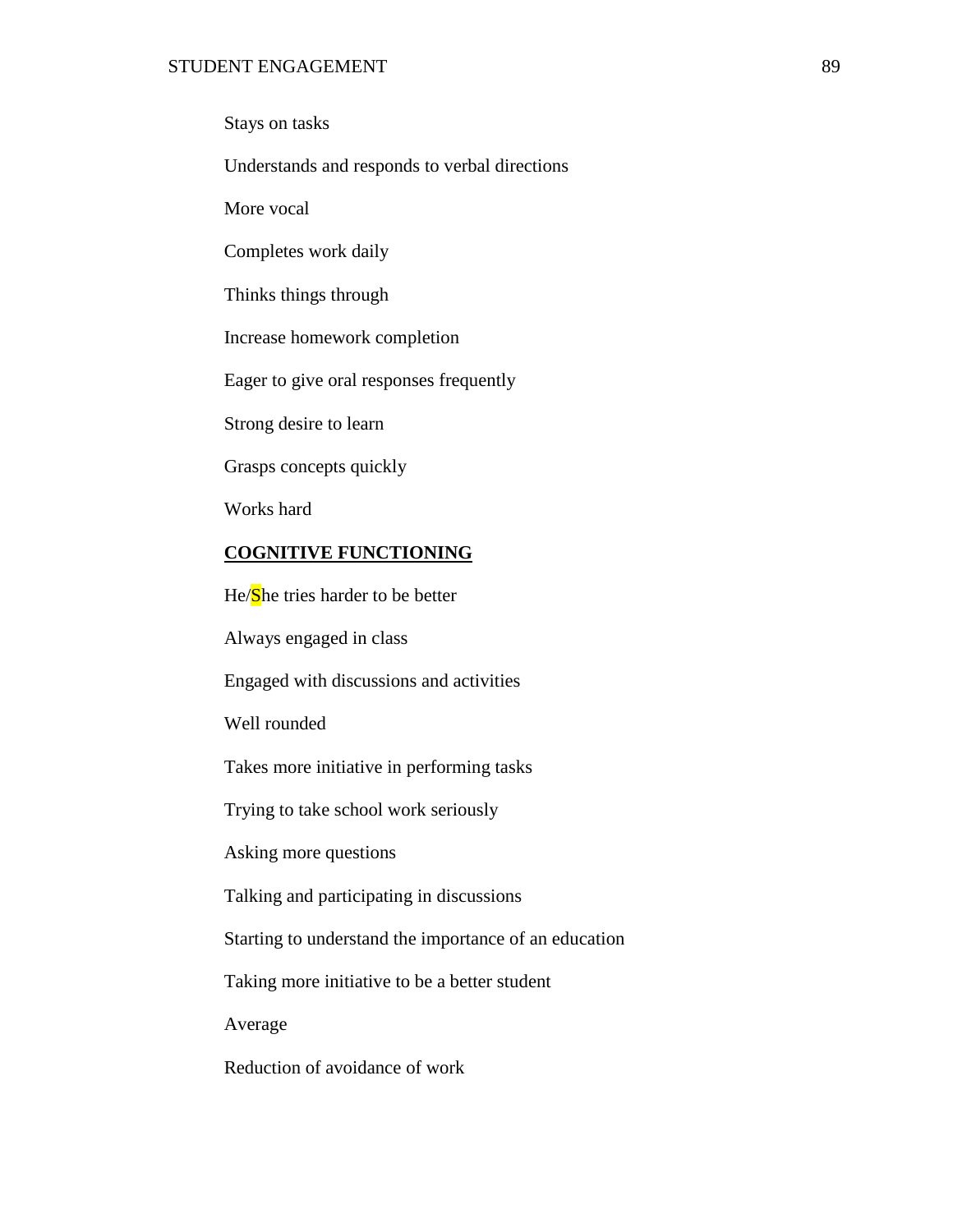Stays on tasks

Understands and responds to verbal directions

More vocal

Completes work daily

Thinks things through

Increase homework completion

Eager to give oral responses frequently

Strong desire to learn

Grasps concepts quickly

Works hard

### **COGNITIVE FUNCTIONING**

He/She tries harder to be better

Always engaged in class

Engaged with discussions and activities

Well rounded

Takes more initiative in performing tasks

Trying to take school work seriously

Asking more questions

Talking and participating in discussions

Starting to understand the importance of an education

Taking more initiative to be a better student

Average

Reduction of avoidance of work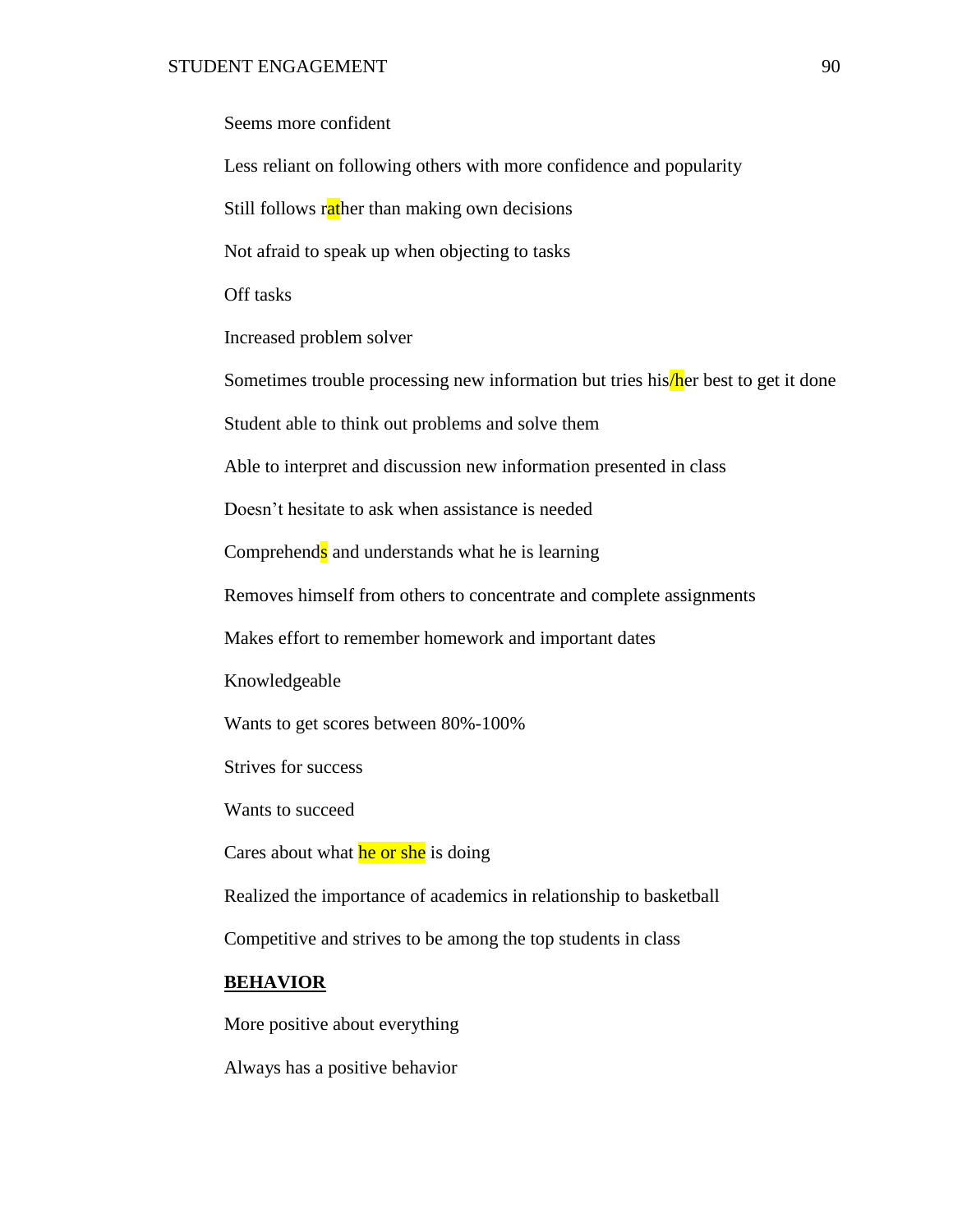| Seems more confident                                                               |
|------------------------------------------------------------------------------------|
| Less reliant on following others with more confidence and popularity               |
| Still follows rather than making own decisions                                     |
| Not afraid to speak up when objecting to tasks                                     |
| Off tasks                                                                          |
| Increased problem solver                                                           |
| Sometimes trouble processing new information but tries his/her best to get it done |
| Student able to think out problems and solve them                                  |
| Able to interpret and discussion new information presented in class                |
| Doesn't hesitate to ask when assistance is needed                                  |
| Comprehends and understands what he is learning                                    |
| Removes himself from others to concentrate and complete assignments                |
| Makes effort to remember homework and important dates                              |
| Knowledgeable                                                                      |
| Wants to get scores between 80%-100%                                               |
| Strives for success                                                                |
| Wants to succeed                                                                   |
| Cares about what he or she is doing                                                |
| Realized the importance of academics in relationship to basketball                 |
| Competitive and strives to be among the top students in class                      |
| <b>BEHAVIOR</b>                                                                    |
| More positive about everything                                                     |

Always has a positive behavior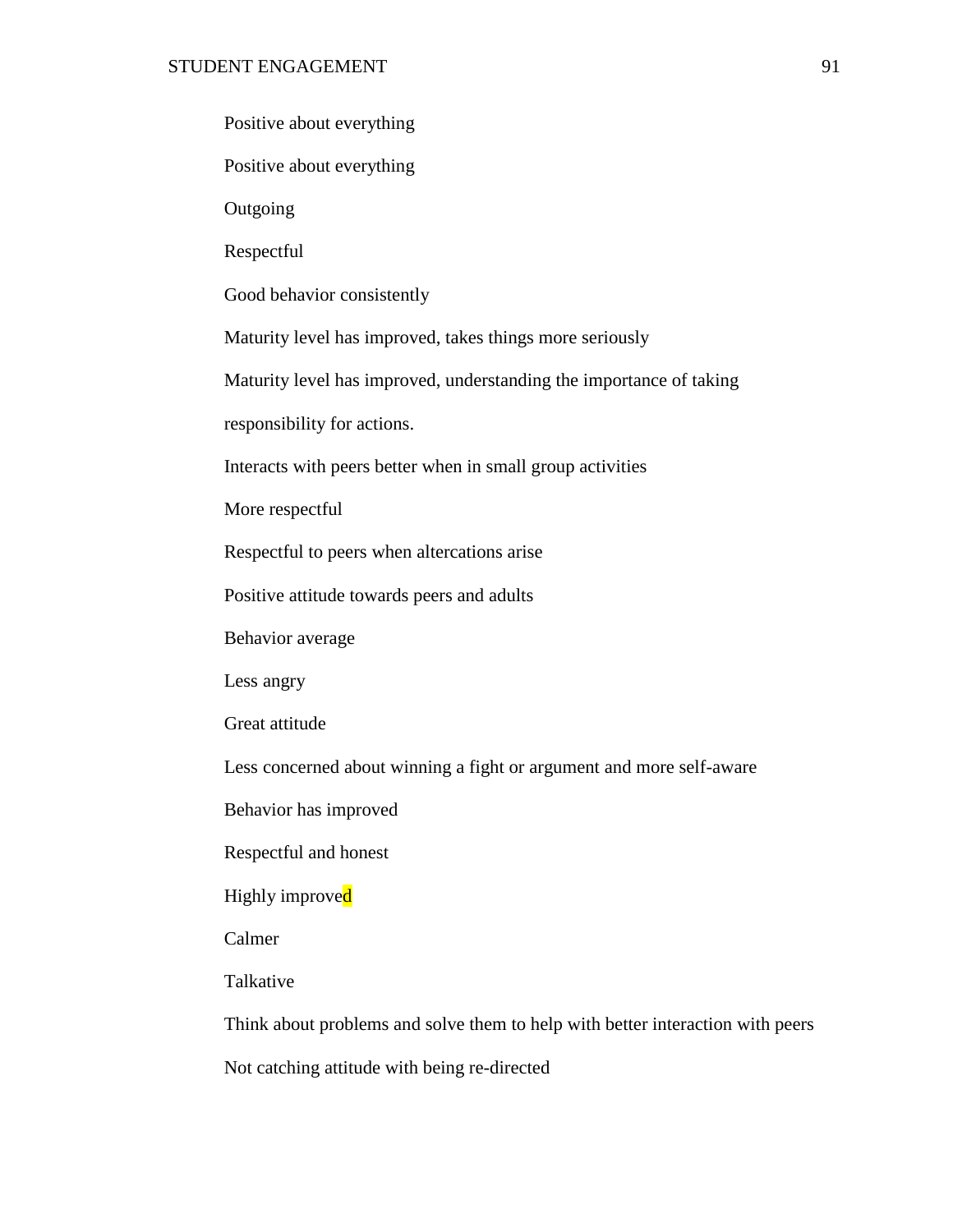|  |  | Positive about everything |
|--|--|---------------------------|
|--|--|---------------------------|

Positive about everything

**Outgoing** 

Respectful

Good behavior consistently

Maturity level has improved, takes things more seriously

Maturity level has improved, understanding the importance of taking

responsibility for actions.

Interacts with peers better when in small group activities

More respectful

Respectful to peers when altercations arise

Positive attitude towards peers and adults

Behavior average

Less angry

Great attitude

Less concerned about winning a fight or argument and more self-aware

Behavior has improved

Respectful and honest

Highly improved

Calmer

Talkative

Think about problems and solve them to help with better interaction with peers

Not catching attitude with being re-directed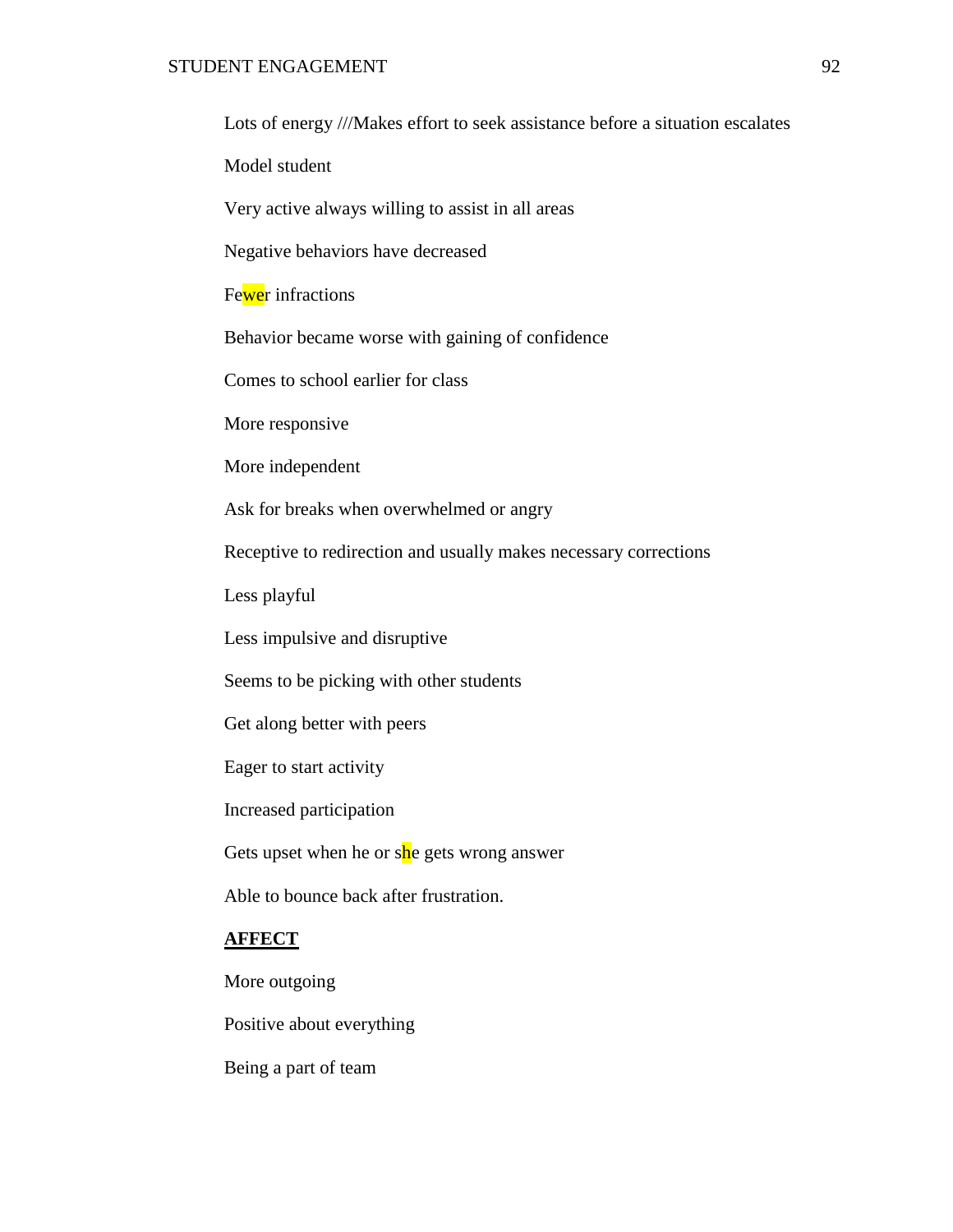Lots of energy ///Makes effort to seek assistance before a situation escalates

Model student

Very active always willing to assist in all areas

Negative behaviors have decreased

Fewer infractions

Behavior became worse with gaining of confidence

Comes to school earlier for class

More responsive

More independent

Ask for breaks when overwhelmed or angry

Receptive to redirection and usually makes necessary corrections

Less playful

Less impulsive and disruptive

Seems to be picking with other students

Get along better with peers

Eager to start activity

Increased participation

Gets upset when he or she gets wrong answer

Able to bounce back after frustration.

### **AFFECT**

More outgoing

Positive about everything

Being a part of team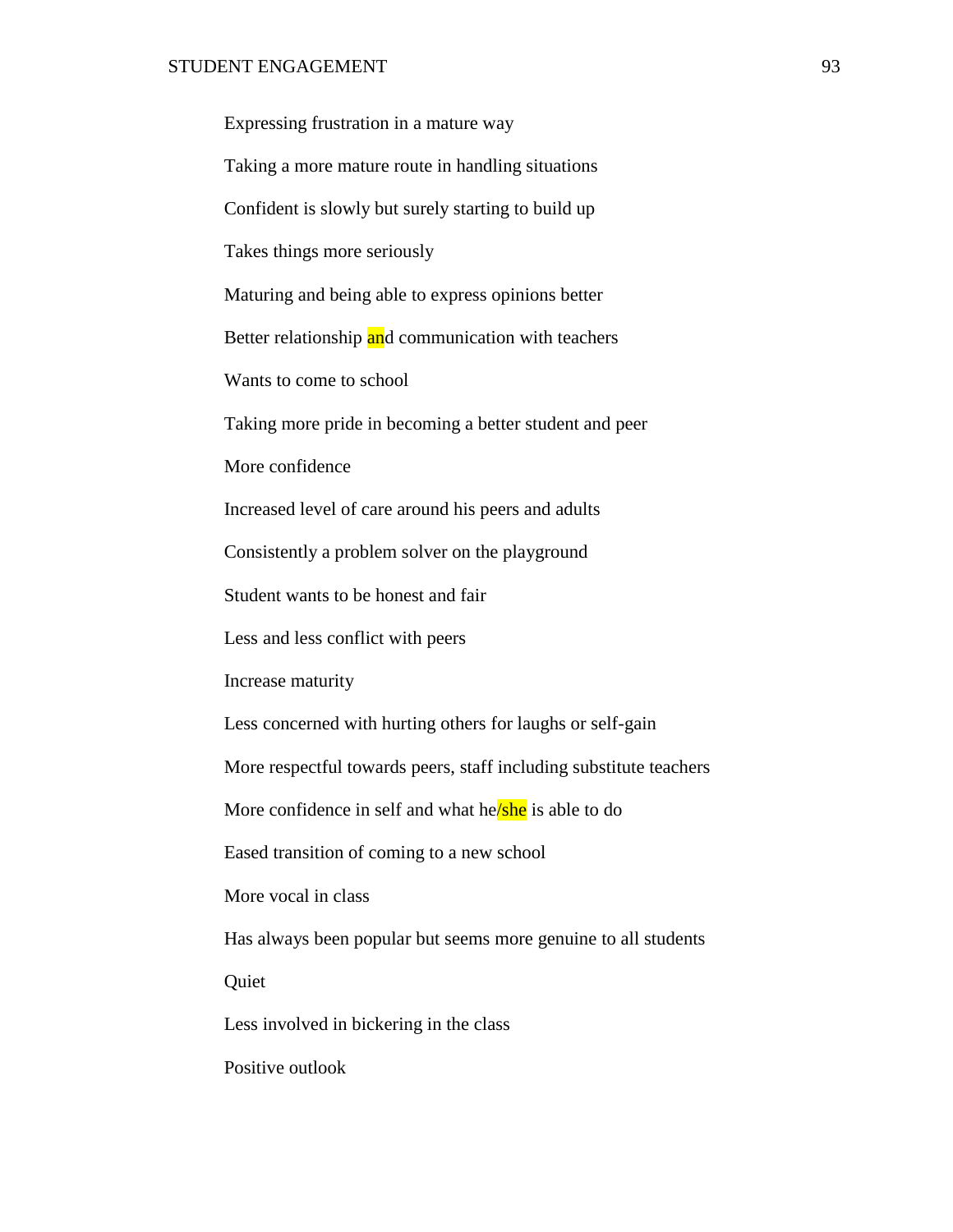| Expressing frustration in a mature way                             |
|--------------------------------------------------------------------|
| Taking a more mature route in handling situations                  |
| Confident is slowly but surely starting to build up                |
| Takes things more seriously                                        |
| Maturing and being able to express opinions better                 |
| Better relationship and communication with teachers                |
| Wants to come to school                                            |
| Taking more pride in becoming a better student and peer            |
| More confidence                                                    |
| Increased level of care around his peers and adults                |
| Consistently a problem solver on the playground                    |
| Student wants to be honest and fair                                |
| Less and less conflict with peers                                  |
| Increase maturity                                                  |
| Less concerned with hurting others for laughs or self-gain         |
| More respectful towards peers, staff including substitute teachers |
| More confidence in self and what he/she is able to do              |
| Eased transition of coming to a new school                         |
| More vocal in class                                                |
| Has always been popular but seems more genuine to all students     |
| Quiet                                                              |
| Less involved in bickering in the class                            |

Positive outlook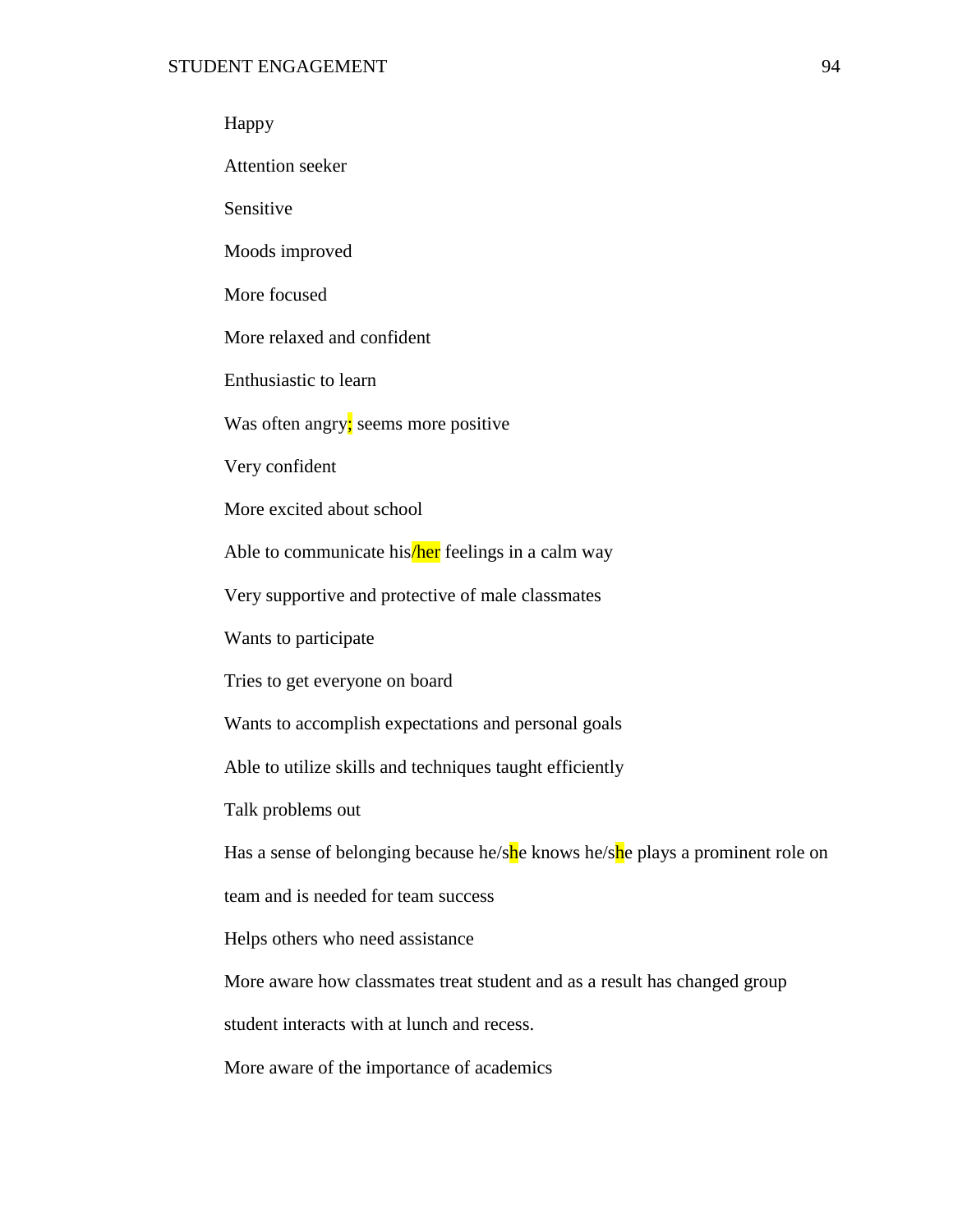### Happy

Attention seeker

Sensitive

Moods improved

More focused

More relaxed and confident

Enthusiastic to learn

Was often angry; seems more positive

Very confident

More excited about school

Able to communicate his/ *feelings in a calm way* 

Very supportive and protective of male classmates

Wants to participate

Tries to get everyone on board

Wants to accomplish expectations and personal goals

Able to utilize skills and techniques taught efficiently

Talk problems out

Has a sense of belonging because he/she knows he/she plays a prominent role on

team and is needed for team success

Helps others who need assistance

More aware how classmates treat student and as a result has changed group

student interacts with at lunch and recess.

More aware of the importance of academics